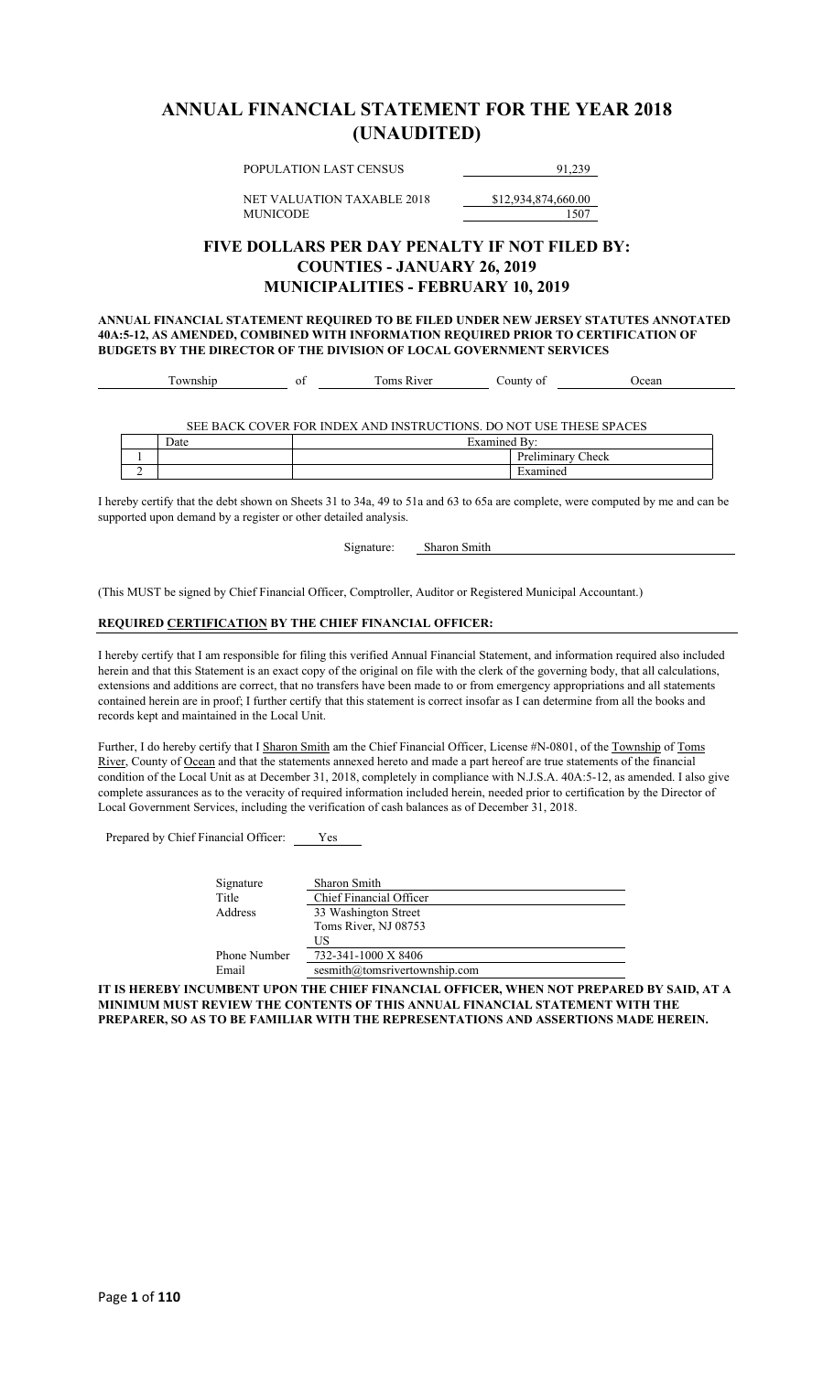### **ANNUAL FINANCIAL STATEMENT FOR THE YEAR 2018 (UNAUDITED)**

POPULATION LAST CENSUS 91,239

NET VALUATION TAXABLE 2018 \$12,934,874,660.00 MUNICODE 1507

### **FIVE DOLLARS PER DAY PENALTY IF NOT FILED BY: COUNTIES - JANUARY 26, 2019 MUNICIPALITIES - FEBRUARY 10, 2019**

**ANNUAL FINANCIAL STATEMENT REQUIRED TO BE FILED UNDER NEW JERSEY STATUTES ANNOTATED 40A:5-12, AS AMENDED, COMBINED WITH INFORMATION REQUIRED PRIOR TO CERTIFICATION OF BUDGETS BY THE DIRECTOR OF THE DIVISION OF LOCAL GOVERNMENT SERVICES**

|  | -- | $  -$<br>1Ver<br>ົ້ານີ້.<br>.<br>v Ul | 01<br>-01.<br>, , ,<br>- 11 L Y | 0.000 |  |
|--|----|---------------------------------------|---------------------------------|-------|--|
|--|----|---------------------------------------|---------------------------------|-------|--|

SEE BACK COVER FOR INDEX AND INSTRUCTIONS. DO NOT USE THESE SPACES

|  | $\overline{\phantom{0}}$<br>Date | −<br>Examined<br>LU TH |                                       |
|--|----------------------------------|------------------------|---------------------------------------|
|  |                                  |                        | D.,<br>Check<br><b>ABB 448 CLARET</b> |
|  |                                  |                        |                                       |

I hereby certify that the debt shown on Sheets 31 to 34a, 49 to 51a and 63 to 65a are complete, were computed by me and can be supported upon demand by a register or other detailed analysis.

Signature: Sharon Smith

(This MUST be signed by Chief Financial Officer, Comptroller, Auditor or Registered Municipal Accountant.)

#### **REQUIRED CERTIFICATION BY THE CHIEF FINANCIAL OFFICER:**

I hereby certify that I am responsible for filing this verified Annual Financial Statement, and information required also included herein and that this Statement is an exact copy of the original on file with the clerk of the governing body, that all calculations, extensions and additions are correct, that no transfers have been made to or from emergency appropriations and all statements contained herein are in proof; I further certify that this statement is correct insofar as I can determine from all the books and records kept and maintained in the Local Unit.

Further, I do hereby certify that I Sharon Smith am the Chief Financial Officer, License #N-0801, of the Township of Toms River, County of Ocean and that the statements annexed hereto and made a part hereof are true statements of the financial condition of the Local Unit as at December 31, 2018, completely in compliance with N.J.S.A. 40A:5-12, as amended. I also give complete assurances as to the veracity of required information included herein, needed prior to certification by the Director of Local Government Services, including the verification of cash balances as of December 31, 2018.

Prepared by Chief Financial Officer: Yes

| Signature    | Sharon Smith                  |
|--------------|-------------------------------|
| Title        | Chief Financial Officer       |
| Address      | 33 Washington Street          |
|              | Toms River, NJ 08753          |
|              | US                            |
| Phone Number | 732-341-1000 X 8406           |
| Email        | sesmith@tomsrivertownship.com |

**IT IS HEREBY INCUMBENT UPON THE CHIEF FINANCIAL OFFICER, WHEN NOT PREPARED BY SAID, AT A MINIMUM MUST REVIEW THE CONTENTS OF THIS ANNUAL FINANCIAL STATEMENT WITH THE PREPARER, SO AS TO BE FAMILIAR WITH THE REPRESENTATIONS AND ASSERTIONS MADE HEREIN.**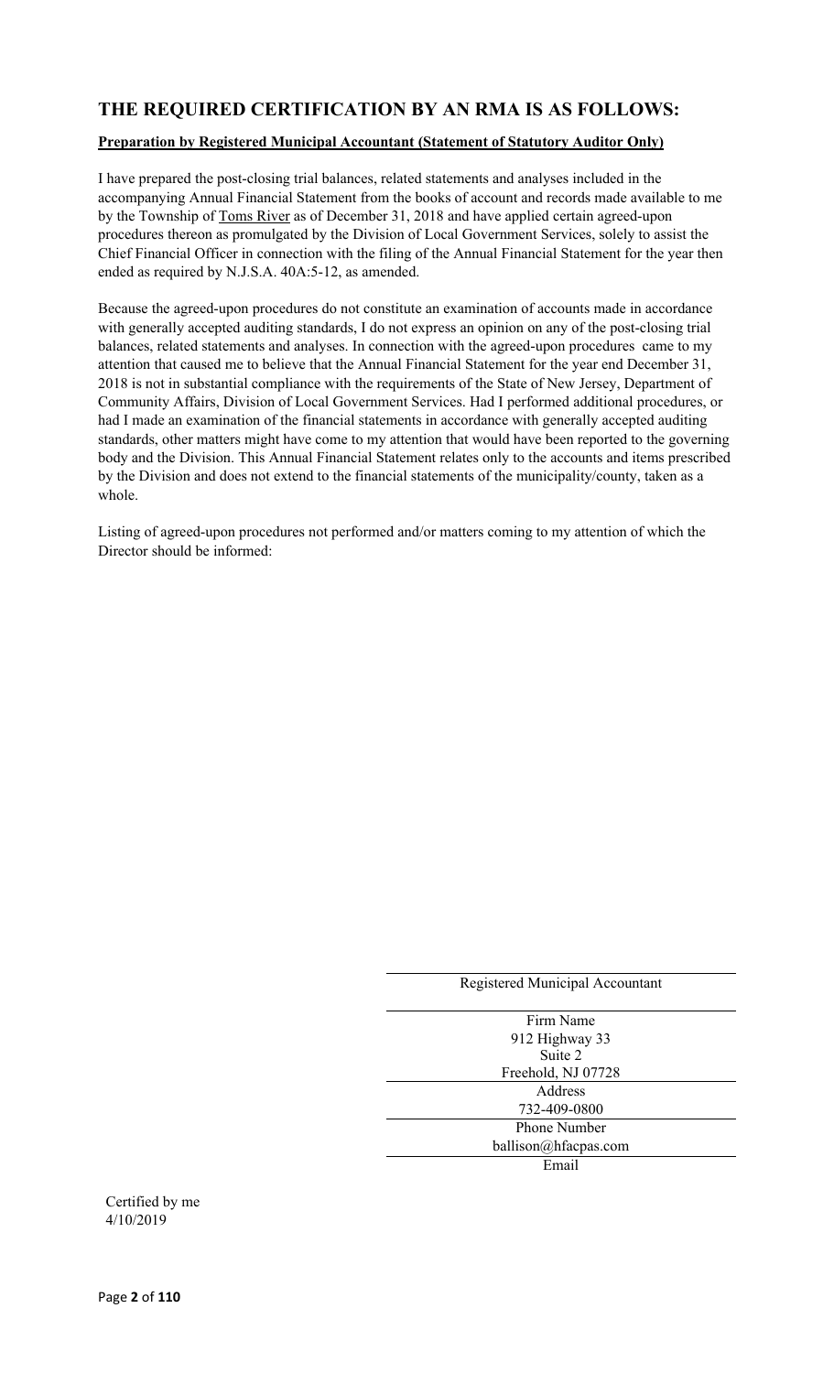### **THE REQUIRED CERTIFICATION BY AN RMA IS AS FOLLOWS:**

#### **Preparation by Registered Municipal Accountant (Statement of Statutory Auditor Only)**

I have prepared the post-closing trial balances, related statements and analyses included in the accompanying Annual Financial Statement from the books of account and records made available to me by the Township of Toms River as of December 31, 2018 and have applied certain agreed-upon procedures thereon as promulgated by the Division of Local Government Services, solely to assist the Chief Financial Officer in connection with the filing of the Annual Financial Statement for the year then ended as required by N.J.S.A. 40A:5-12, as amended.

Because the agreed-upon procedures do not constitute an examination of accounts made in accordance with generally accepted auditing standards, I do not express an opinion on any of the post-closing trial balances, related statements and analyses. In connection with the agreed-upon procedures came to my attention that caused me to believe that the Annual Financial Statement for the year end December 31, 2018 is not in substantial compliance with the requirements of the State of New Jersey, Department of Community Affairs, Division of Local Government Services. Had I performed additional procedures, or had I made an examination of the financial statements in accordance with generally accepted auditing standards, other matters might have come to my attention that would have been reported to the governing body and the Division. This Annual Financial Statement relates only to the accounts and items prescribed by the Division and does not extend to the financial statements of the municipality/county, taken as a whole.

Listing of agreed-upon procedures not performed and/or matters coming to my attention of which the Director should be informed:

| Registered Municipal Accountant |
|---------------------------------|
|                                 |
| Firm Name                       |
| 912 Highway 33                  |
| Suite 2                         |
| Freehold, NJ 07728              |
| Address                         |
| 732-409-0800                    |
| <b>Phone Number</b>             |
| ballison@hfacpas.com            |
| Email                           |

Certified by me 4/10/2019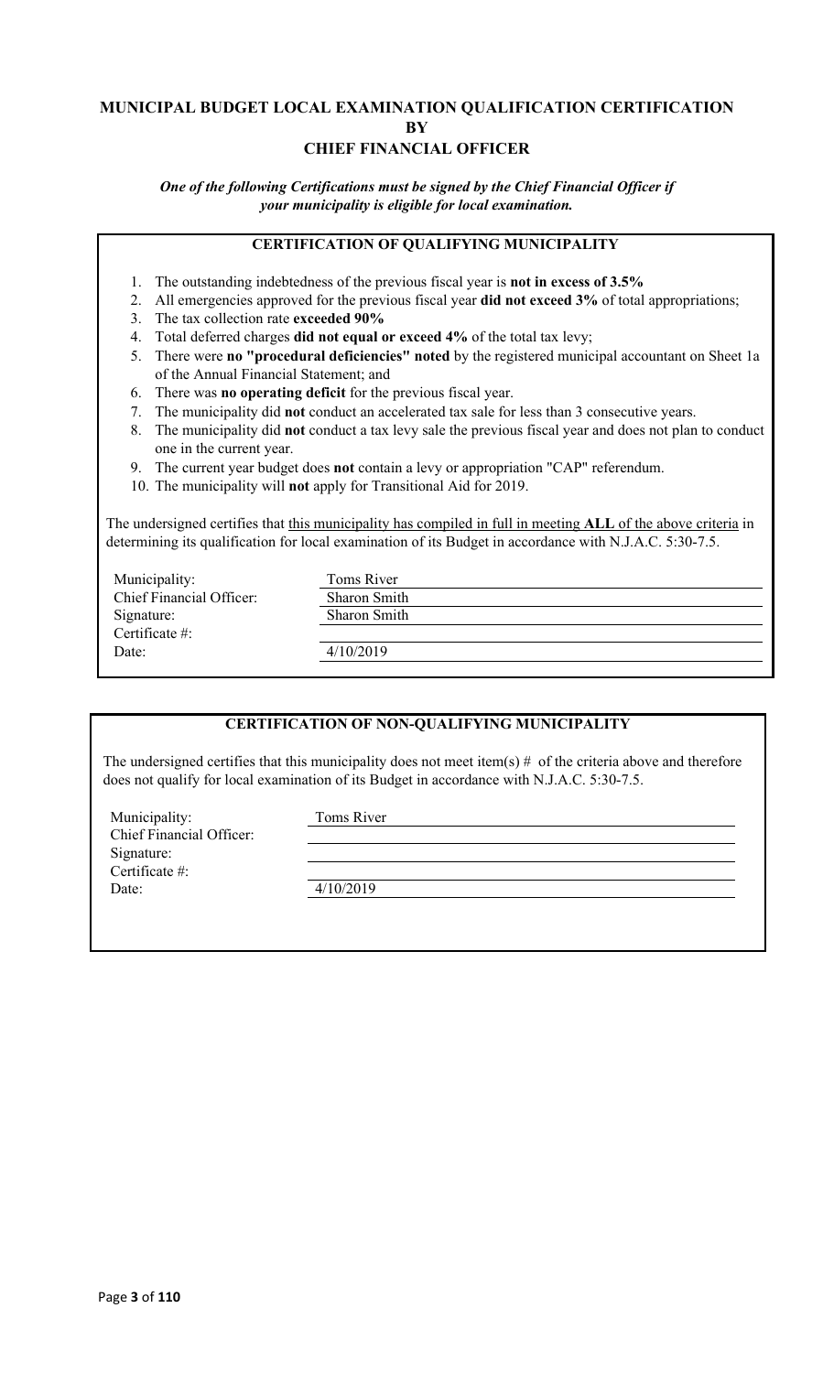### **MUNICIPAL BUDGET LOCAL EXAMINATION QUALIFICATION CERTIFICATION BY CHIEF FINANCIAL OFFICER**

*One of the following Certifications must be signed by the Chief Financial Officer if your municipality is eligible for local examination.*

### **CERTIFICATION OF QUALIFYING MUNICIPALITY**

- 1. The outstanding indebtedness of the previous fiscal year is **not in excess of 3.5%**
- 2. All emergencies approved for the previous fiscal year **did not exceed 3%** of total appropriations;
- 3. The tax collection rate **exceeded 90%**
- 4. Total deferred charges **did not equal or exceed 4%** of the total tax levy;
- 5. There were **no "procedural deficiencies" noted** by the registered municipal accountant on Sheet 1a of the Annual Financial Statement; and
- 6. There was **no operating deficit** for the previous fiscal year.
- 7. The municipality did **not** conduct an accelerated tax sale for less than 3 consecutive years.
- 8. The municipality did **not** conduct a tax levy sale the previous fiscal year and does not plan to conduct one in the current year.
- 9. The current year budget does **not** contain a levy or appropriation "CAP" referendum.
- 10. The municipality will **not** apply for Transitional Aid for 2019.

The undersigned certifies that this municipality has compiled in full in meeting **ALL** of the above criteria in determining its qualification for local examination of its Budget in accordance with N.J.A.C. 5:30-7.5.

| Municipality:            | Toms River          |
|--------------------------|---------------------|
| Chief Financial Officer: | <b>Sharon Smith</b> |
| Signature:               | <b>Sharon Smith</b> |
| Certificate $#$ :        |                     |
| Date:                    | 4/10/2019           |
|                          |                     |

#### **CERTIFICATION OF NON-QUALIFYING MUNICIPALITY**

The undersigned certifies that this municipality does not meet item(s)  $#$  of the criteria above and therefore does not qualify for local examination of its Budget in accordance with N.J.A.C. 5:30-7.5.

Municipality: Toms River Chief Financial Officer: Signature: Certificate #: Date: 4/10/2019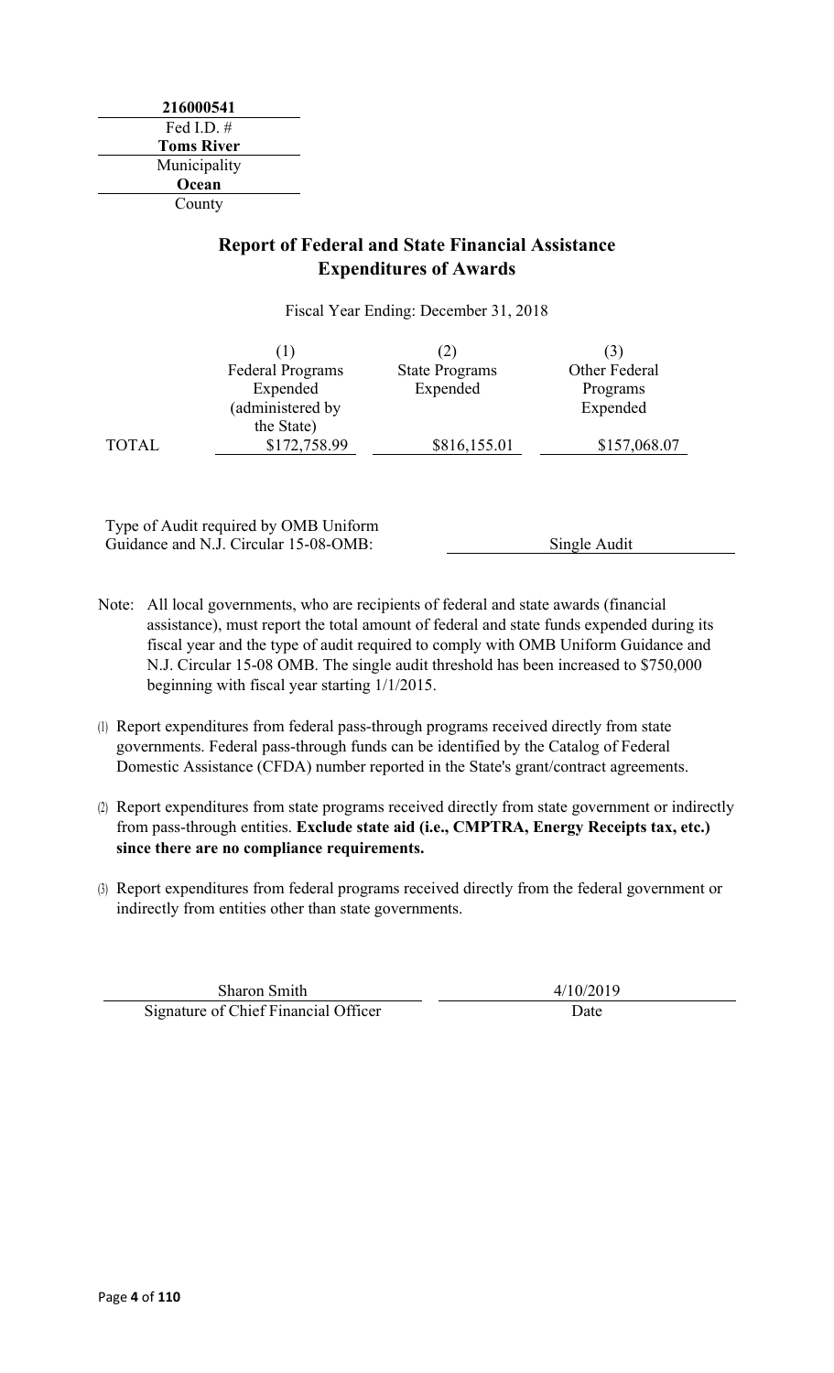### **Report of Federal and State Financial Assistance Expenditures of Awards**

Fiscal Year Ending: December 31, 2018

|              |                         | (2)                   |               |
|--------------|-------------------------|-----------------------|---------------|
|              | <b>Federal Programs</b> | <b>State Programs</b> | Other Federal |
|              | Expended                | Expended              | Programs      |
|              | (administered by        |                       | Expended      |
|              | the State)              |                       |               |
| <b>TOTAL</b> | \$172,758.99            | \$816,155.01          | \$157,068.07  |

Type of Audit required by OMB Uniform Guidance and N.J. Circular 15-08-OMB: Single Audit

- Note: All local governments, who are recipients of federal and state awards (financial assistance), must report the total amount of federal and state funds expended during its fiscal year and the type of audit required to comply with OMB Uniform Guidance and N.J. Circular 15-08 OMB. The single audit threshold has been increased to \$750,000 beginning with fiscal year starting 1/1/2015.
- (1) Report expenditures from federal pass-through programs received directly from state governments. Federal pass-through funds can be identified by the Catalog of Federal Domestic Assistance (CFDA) number reported in the State's grant/contract agreements.
- (2) Report expenditures from state programs received directly from state government or indirectly from pass-through entities. **Exclude state aid (i.e., CMPTRA, Energy Receipts tax, etc.) since there are no compliance requirements.**
- (3) Report expenditures from federal programs received directly from the federal government or indirectly from entities other than state governments.

Sharon Smith  $4/10/2019$ Signature of Chief Financial Officer Date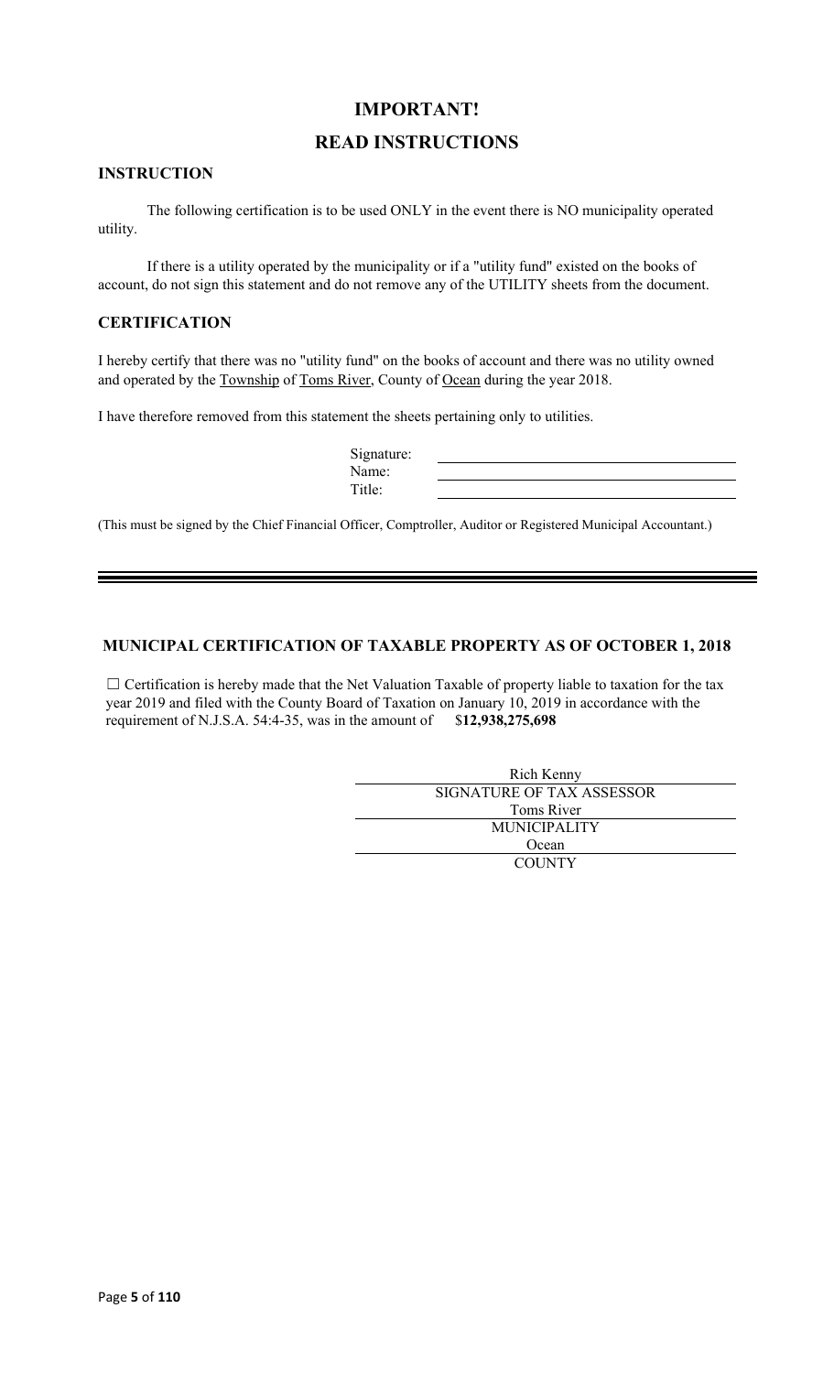### **IMPORTANT!**

### **READ INSTRUCTIONS**

#### **INSTRUCTION**

The following certification is to be used ONLY in the event there is NO municipality operated utility.

If there is a utility operated by the municipality or if a "utility fund" existed on the books of account, do not sign this statement and do not remove any of the UTILITY sheets from the document.

### **CERTIFICATION**

I hereby certify that there was no "utility fund" on the books of account and there was no utility owned and operated by the Township of Toms River, County of Ocean during the year 2018.

I have therefore removed from this statement the sheets pertaining only to utilities.

| Signature: |  |
|------------|--|
| Name:      |  |
| Title:     |  |

(This must be signed by the Chief Financial Officer, Comptroller, Auditor or Registered Municipal Accountant.)

#### **MUNICIPAL CERTIFICATION OF TAXABLE PROPERTY AS OF OCTOBER 1, 2018**

□ Certification is hereby made that the Net Valuation Taxable of property liable to taxation for the tax year 2019 and filed with the County Board of Taxation on January 10, 2019 in accordance with the requirement of N.J.S.A. 54:4-35, was in the amount of \$**12,938,275,698**

| Rich Kenny                |  |
|---------------------------|--|
| SIGNATURE OF TAX ASSESSOR |  |
| Toms River                |  |
| <b>MUNICIPALITY</b>       |  |
| Ocean                     |  |
| <b>COUNTY</b>             |  |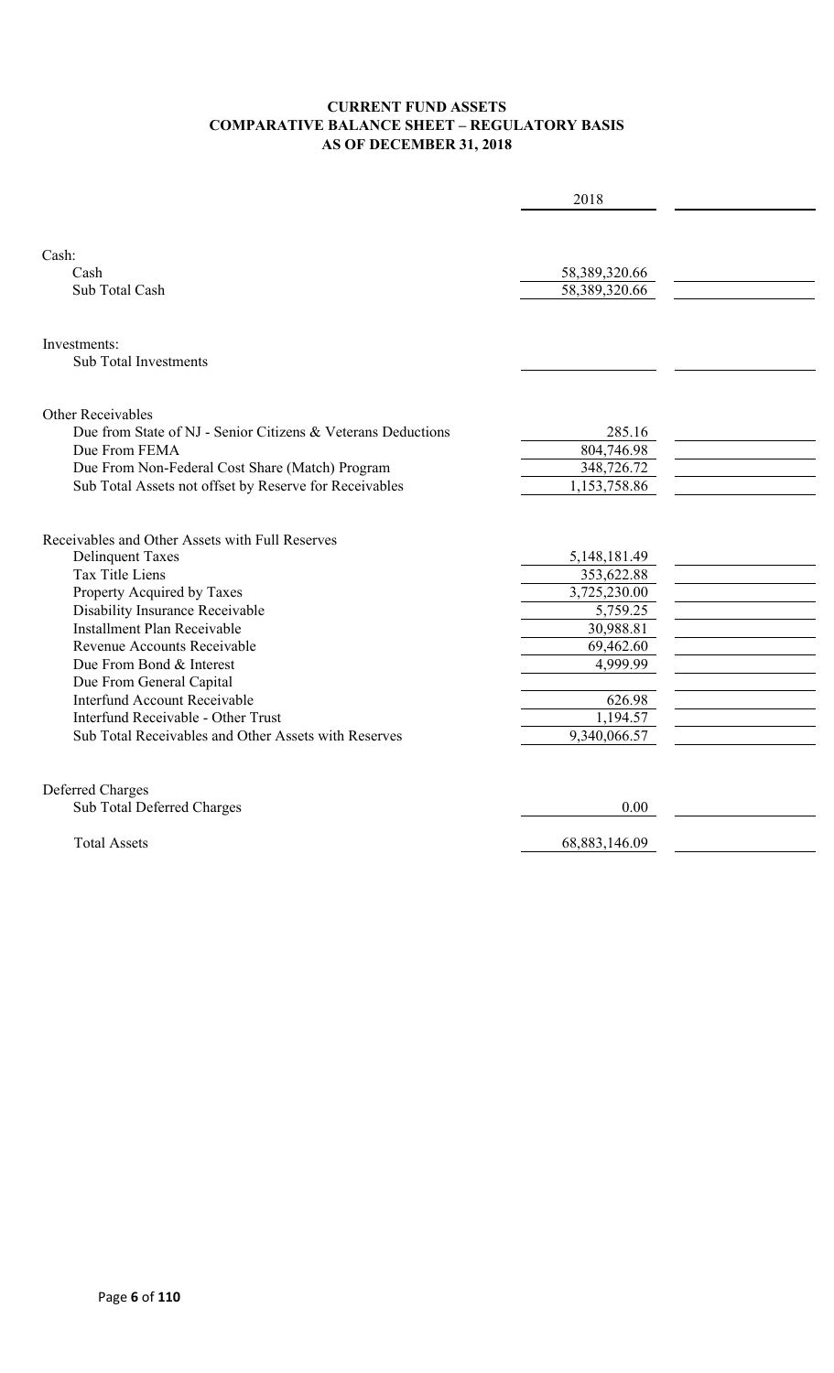#### **CURRENT FUND ASSETS COMPARATIVE BALANCE SHEET – REGULATORY BASIS AS OF DECEMBER 31, 2018**

|                                                              | 2018          |  |
|--------------------------------------------------------------|---------------|--|
|                                                              |               |  |
|                                                              |               |  |
| Cash:                                                        |               |  |
| Cash                                                         | 58,389,320.66 |  |
| Sub Total Cash                                               | 58,389,320.66 |  |
|                                                              |               |  |
| Investments:                                                 |               |  |
| <b>Sub Total Investments</b>                                 |               |  |
|                                                              |               |  |
|                                                              |               |  |
| <b>Other Receivables</b>                                     |               |  |
| Due from State of NJ - Senior Citizens & Veterans Deductions | 285.16        |  |
| Due From FEMA                                                | 804,746.98    |  |
| Due From Non-Federal Cost Share (Match) Program              | 348,726.72    |  |
| Sub Total Assets not offset by Reserve for Receivables       | 1,153,758.86  |  |
|                                                              |               |  |
| Receivables and Other Assets with Full Reserves              |               |  |
| <b>Delinquent Taxes</b>                                      | 5,148,181.49  |  |
| <b>Tax Title Liens</b>                                       | 353,622.88    |  |
| Property Acquired by Taxes                                   | 3,725,230.00  |  |
| Disability Insurance Receivable                              | 5,759.25      |  |
| Installment Plan Receivable                                  | 30,988.81     |  |
| Revenue Accounts Receivable                                  | 69,462.60     |  |
| Due From Bond & Interest                                     | 4,999.99      |  |
| Due From General Capital                                     |               |  |
| <b>Interfund Account Receivable</b>                          | 626.98        |  |
| Interfund Receivable - Other Trust                           | 1,194.57      |  |
| Sub Total Receivables and Other Assets with Reserves         | 9,340,066.57  |  |
|                                                              |               |  |
| <b>Deferred Charges</b>                                      |               |  |
| Sub Total Deferred Charges                                   | 0.00          |  |
|                                                              |               |  |
| <b>Total Assets</b>                                          | 68,883,146.09 |  |
|                                                              |               |  |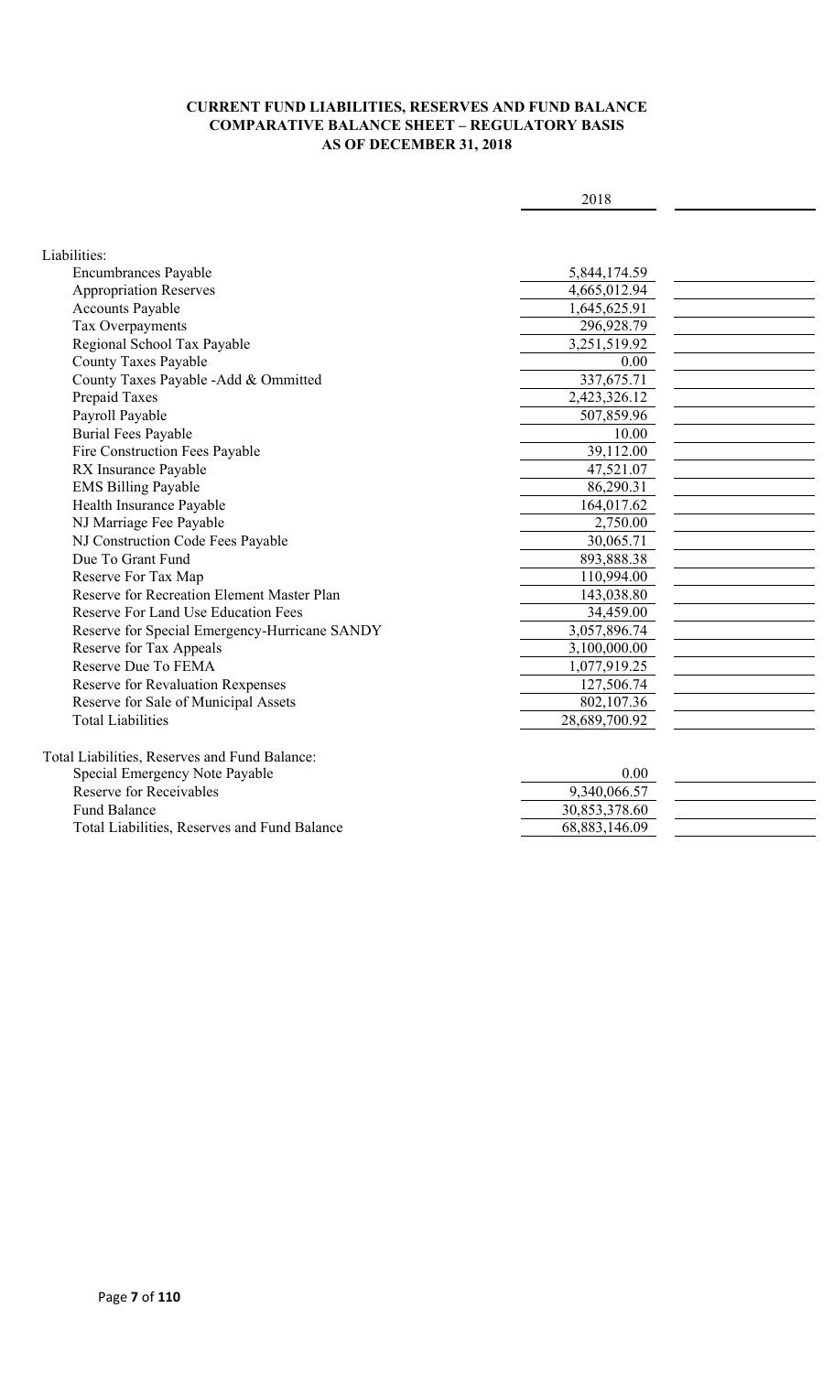#### **CURRENT FUND LIABILITIES, RESERVES AND FUND BALANCE COMPARATIVE BALANCE SHEET – REGULATORY BASIS AS OF DECEMBER 31, 2018**

| I | × |
|---|---|
|---|---|

| Liabilities:                                  |               |  |
|-----------------------------------------------|---------------|--|
| <b>Encumbrances Payable</b>                   | 5,844,174.59  |  |
| <b>Appropriation Reserves</b>                 | 4,665,012.94  |  |
| <b>Accounts Payable</b>                       | 1,645,625.91  |  |
| Tax Overpayments                              | 296,928.79    |  |
| Regional School Tax Payable                   | 3,251,519.92  |  |
| <b>County Taxes Payable</b>                   | 0.00          |  |
| County Taxes Payable -Add & Ommitted          | 337,675.71    |  |
| Prepaid Taxes                                 | 2,423,326.12  |  |
| Payroll Payable                               | 507,859.96    |  |
| <b>Burial Fees Payable</b>                    | 10.00         |  |
| Fire Construction Fees Payable                | 39,112.00     |  |
| RX Insurance Payable                          | 47,521.07     |  |
| <b>EMS Billing Payable</b>                    | 86,290.31     |  |
| Health Insurance Payable                      | 164,017.62    |  |
| NJ Marriage Fee Payable                       | 2,750.00      |  |
| NJ Construction Code Fees Payable             | 30,065.71     |  |
| Due To Grant Fund                             | 893,888.38    |  |
| Reserve For Tax Map                           | 110,994.00    |  |
| Reserve for Recreation Element Master Plan    | 143,038.80    |  |
| <b>Reserve For Land Use Education Fees</b>    | 34,459.00     |  |
| Reserve for Special Emergency-Hurricane SANDY | 3,057,896.74  |  |
| Reserve for Tax Appeals                       | 3,100,000.00  |  |
| Reserve Due To FEMA                           | 1,077,919.25  |  |
| Reserve for Revaluation Rexpenses             | 127,506.74    |  |
| Reserve for Sale of Municipal Assets          | 802,107.36    |  |
| <b>Total Liabilities</b>                      | 28,689,700.92 |  |
|                                               |               |  |
| Total Liabilities, Reserves and Fund Balance: |               |  |
| Special Emergency Note Payable                | 0.00          |  |
| <b>Reserve for Receivables</b>                | 9,340,066.57  |  |
| <b>Fund Balance</b>                           | 30,853,378.60 |  |
| Total Liabilities, Reserves and Fund Balance  | 68,883,146.09 |  |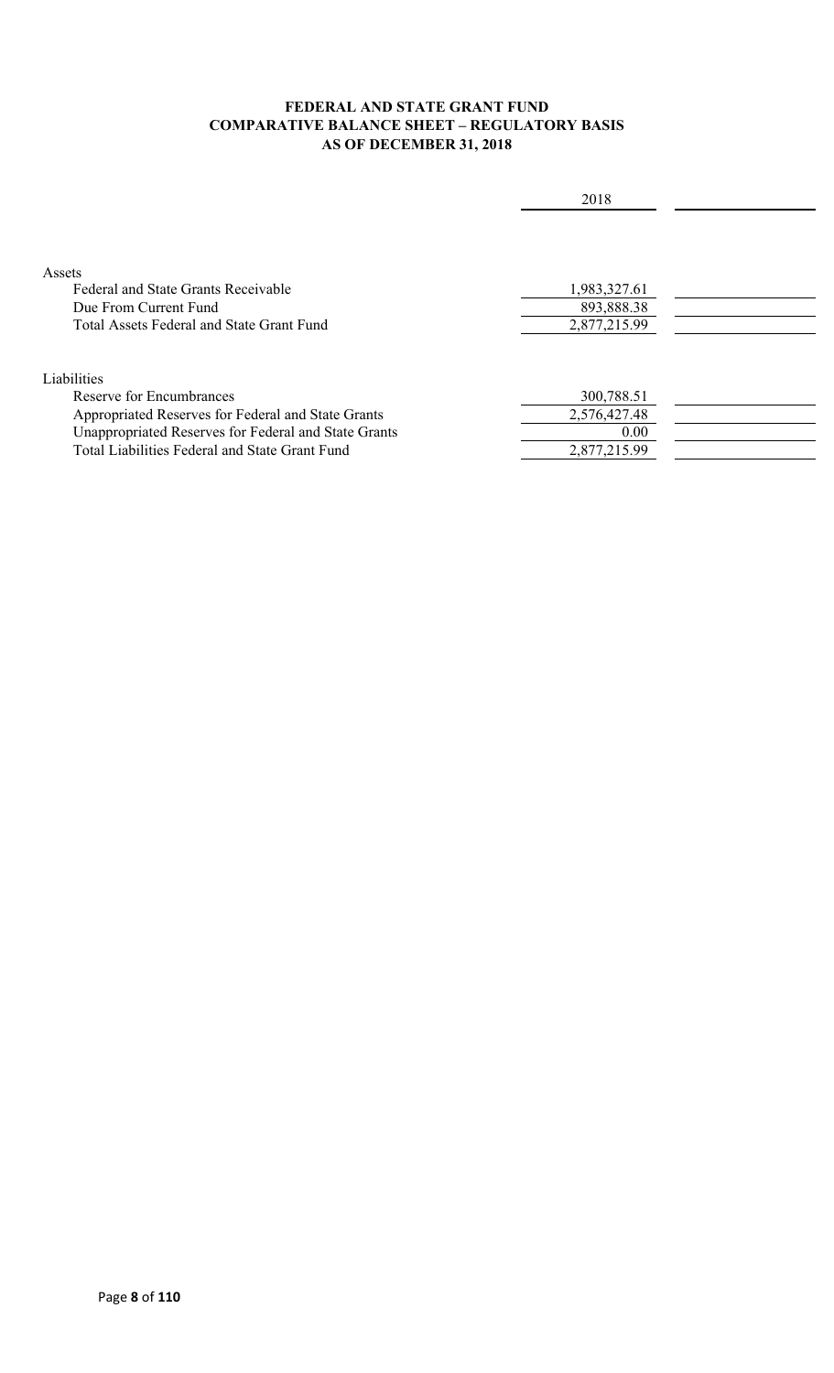### **FEDERAL AND STATE GRANT FUND COMPARATIVE BALANCE SHEET – REGULATORY BASIS AS OF DECEMBER 31, 2018**

|                                                      | 2018         |  |
|------------------------------------------------------|--------------|--|
|                                                      |              |  |
| Assets                                               |              |  |
| Federal and State Grants Receivable                  | 1,983,327.61 |  |
| Due From Current Fund                                | 893,888.38   |  |
| Total Assets Federal and State Grant Fund            | 2,877,215.99 |  |
| Liabilities                                          |              |  |
| Reserve for Encumbrances                             | 300,788.51   |  |
| Appropriated Reserves for Federal and State Grants   | 2,576,427.48 |  |
| Unappropriated Reserves for Federal and State Grants | 0.00         |  |
| Total Liabilities Federal and State Grant Fund       | 2,877,215.99 |  |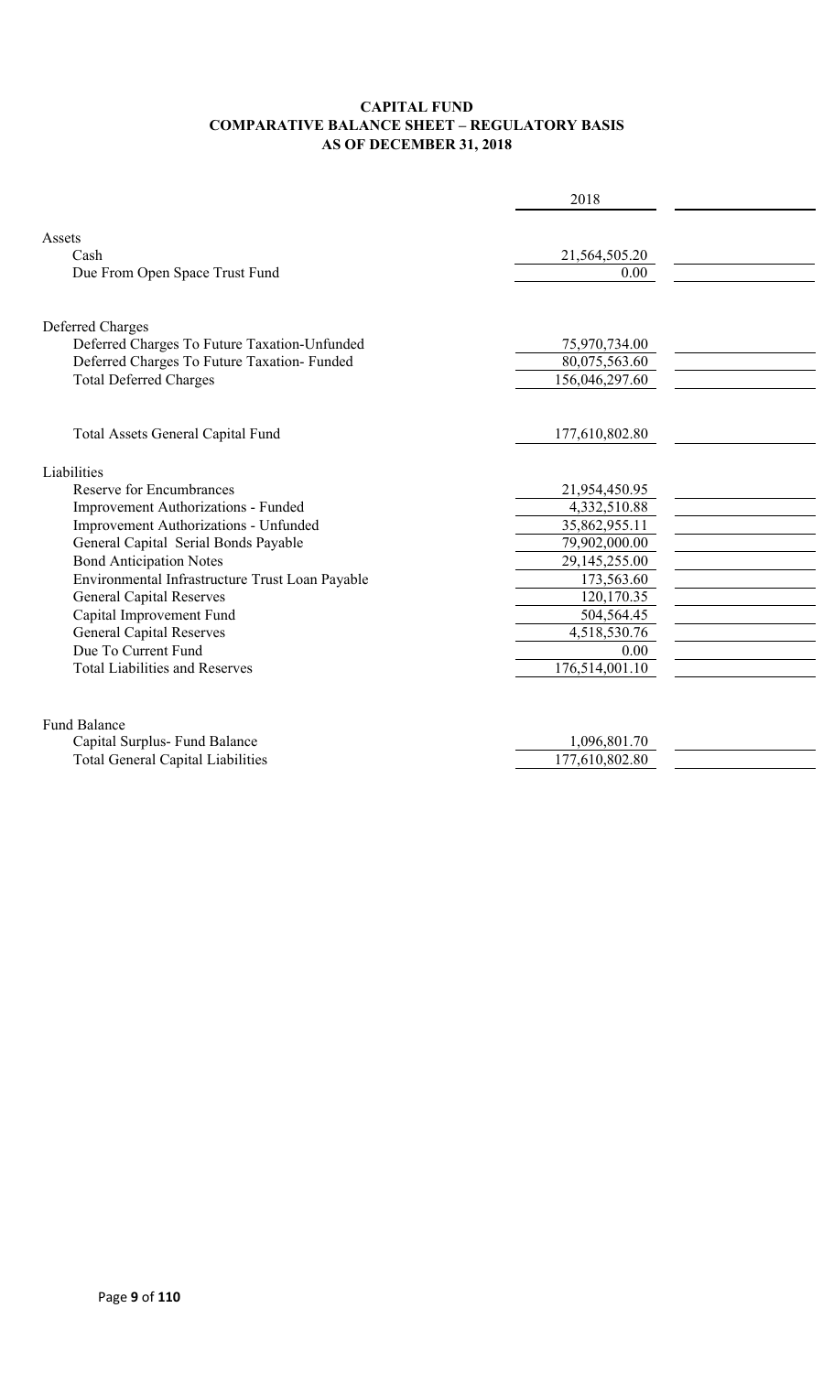#### **CAPITAL FUND COMPARATIVE BALANCE SHEET – REGULATORY BASIS AS OF DECEMBER 31, 2018**

|                                                 | 2018           |  |
|-------------------------------------------------|----------------|--|
|                                                 |                |  |
| Assets                                          |                |  |
| Cash                                            | 21,564,505.20  |  |
| Due From Open Space Trust Fund                  | 0.00           |  |
|                                                 |                |  |
| Deferred Charges                                |                |  |
| Deferred Charges To Future Taxation-Unfunded    | 75,970,734.00  |  |
| Deferred Charges To Future Taxation- Funded     | 80,075,563.60  |  |
| <b>Total Deferred Charges</b>                   | 156,046,297.60 |  |
|                                                 |                |  |
| Total Assets General Capital Fund               | 177,610,802.80 |  |
|                                                 |                |  |
| Liabilities                                     |                |  |
| Reserve for Encumbrances                        | 21,954,450.95  |  |
| Improvement Authorizations - Funded             | 4,332,510.88   |  |
| Improvement Authorizations - Unfunded           | 35,862,955.11  |  |
| General Capital Serial Bonds Payable            | 79,902,000.00  |  |
| <b>Bond Anticipation Notes</b>                  | 29,145,255.00  |  |
| Environmental Infrastructure Trust Loan Payable | 173,563.60     |  |
| <b>General Capital Reserves</b>                 | 120,170.35     |  |
| Capital Improvement Fund                        | 504,564.45     |  |
| <b>General Capital Reserves</b>                 | 4,518,530.76   |  |
| Due To Current Fund                             | 0.00           |  |
| <b>Total Liabilities and Reserves</b>           | 176,514,001.10 |  |
|                                                 |                |  |
| <b>Fund Balance</b>                             |                |  |
| Capital Surplus- Fund Balance                   | 1,096,801.70   |  |
| <b>Total General Capital Liabilities</b>        | 177,610,802.80 |  |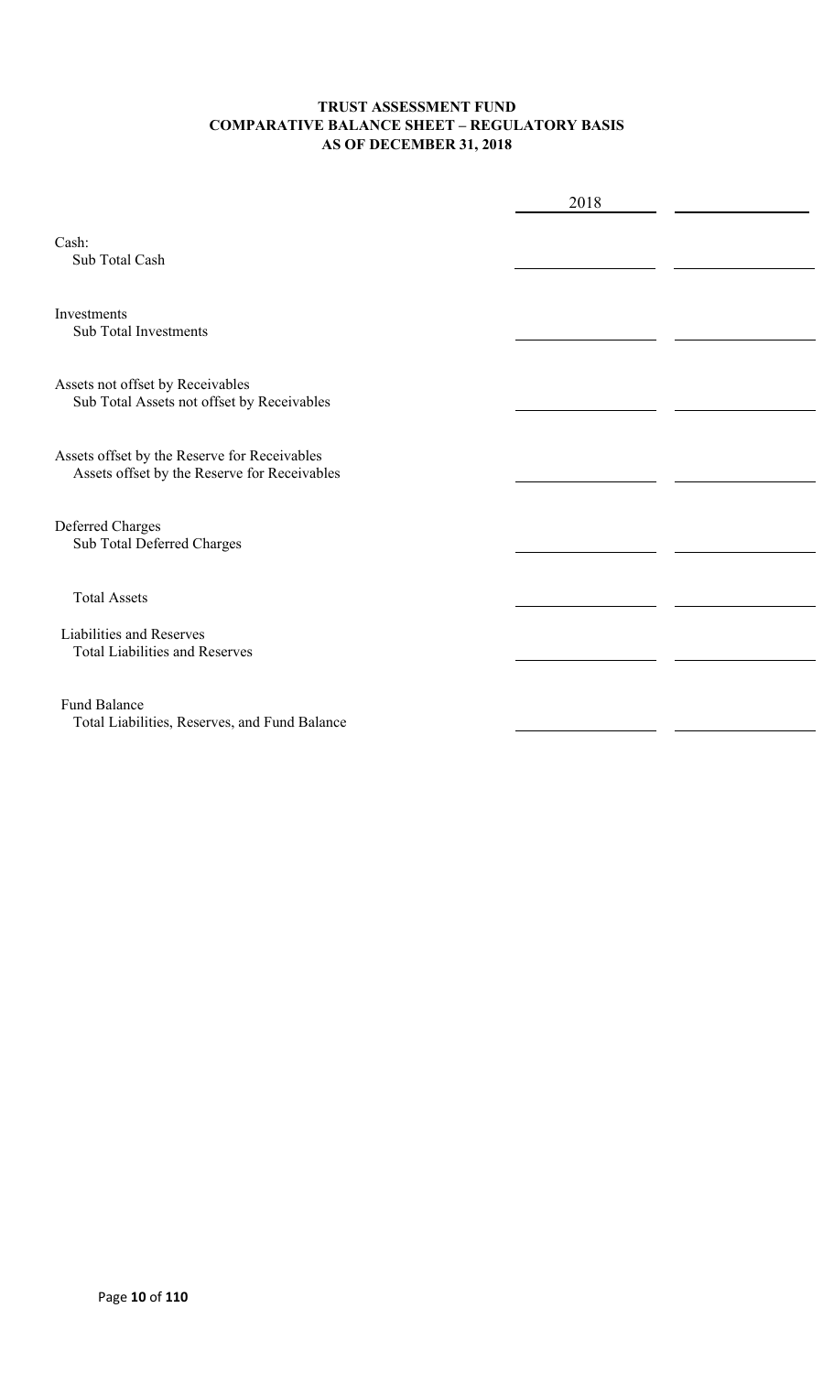#### **TRUST ASSESSMENT FUND COMPARATIVE BALANCE SHEET – REGULATORY BASIS AS OF DECEMBER 31, 2018**

|                                                                                              | 2018 |  |
|----------------------------------------------------------------------------------------------|------|--|
| Cash:<br>Sub Total Cash                                                                      |      |  |
| Investments<br><b>Sub Total Investments</b>                                                  |      |  |
| Assets not offset by Receivables<br>Sub Total Assets not offset by Receivables               |      |  |
| Assets offset by the Reserve for Receivables<br>Assets offset by the Reserve for Receivables |      |  |
| Deferred Charges<br>Sub Total Deferred Charges                                               |      |  |
| <b>Total Assets</b>                                                                          |      |  |
| Liabilities and Reserves<br><b>Total Liabilities and Reserves</b>                            |      |  |
| <b>Fund Balance</b><br>Total Liabilities, Reserves, and Fund Balance                         |      |  |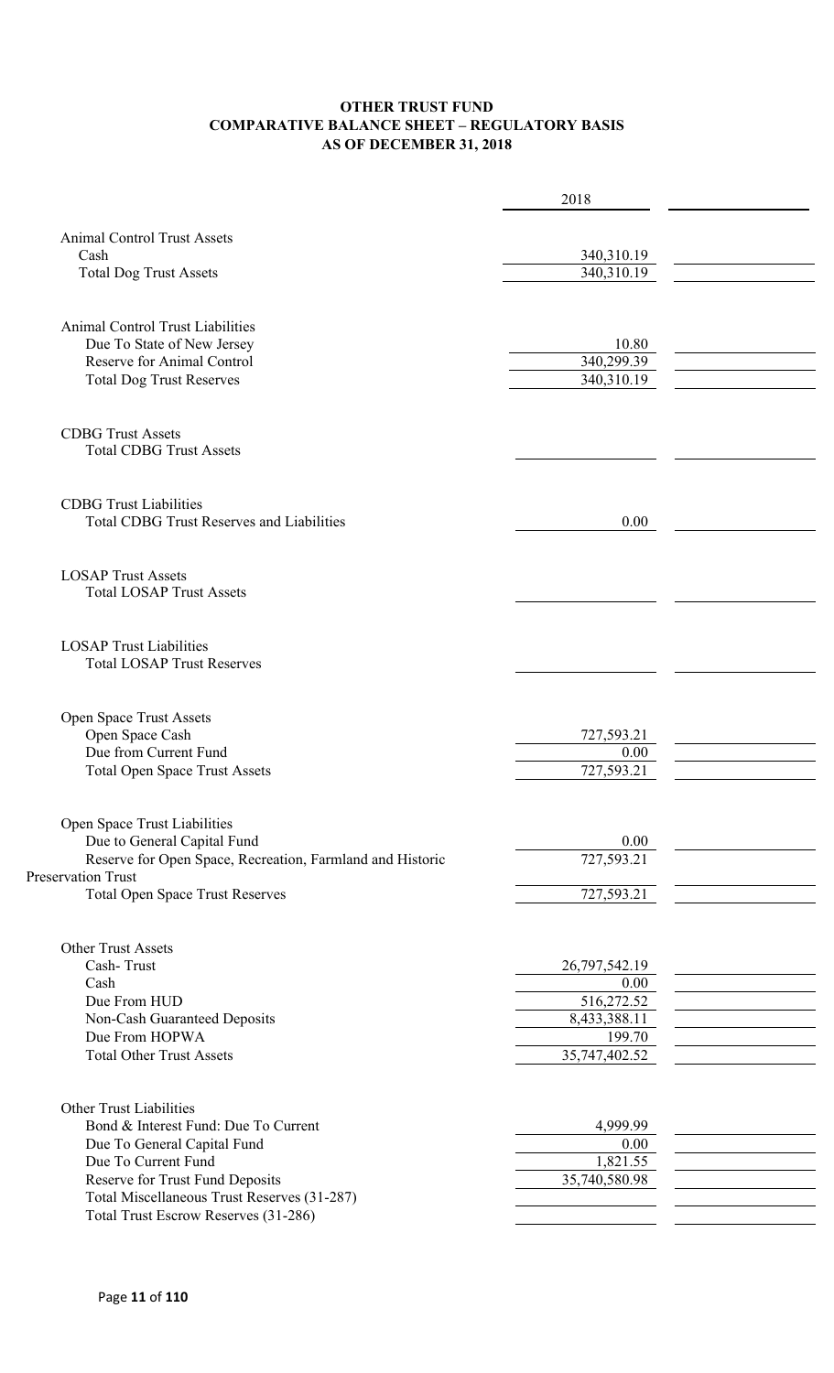#### **OTHER TRUST FUND COMPARATIVE BALANCE SHEET – REGULATORY BASIS AS OF DECEMBER 31, 2018**

|                                                              | 2018          |  |
|--------------------------------------------------------------|---------------|--|
|                                                              |               |  |
| <b>Animal Control Trust Assets</b>                           |               |  |
| Cash                                                         | 340,310.19    |  |
| <b>Total Dog Trust Assets</b>                                | 340,310.19    |  |
|                                                              |               |  |
| <b>Animal Control Trust Liabilities</b>                      |               |  |
| Due To State of New Jersey                                   | 10.80         |  |
| Reserve for Animal Control                                   | 340,299.39    |  |
| <b>Total Dog Trust Reserves</b>                              | 340,310.19    |  |
|                                                              |               |  |
| <b>CDBG Trust Assets</b>                                     |               |  |
| <b>Total CDBG Trust Assets</b>                               |               |  |
|                                                              |               |  |
| <b>CDBG</b> Trust Liabilities                                |               |  |
| <b>Total CDBG Trust Reserves and Liabilities</b>             | 0.00          |  |
|                                                              |               |  |
|                                                              |               |  |
| <b>LOSAP Trust Assets</b><br><b>Total LOSAP Trust Assets</b> |               |  |
|                                                              |               |  |
| <b>LOSAP Trust Liabilities</b>                               |               |  |
| <b>Total LOSAP Trust Reserves</b>                            |               |  |
|                                                              |               |  |
| Open Space Trust Assets                                      |               |  |
| Open Space Cash                                              | 727,593.21    |  |
| Due from Current Fund                                        | 0.00          |  |
| <b>Total Open Space Trust Assets</b>                         | 727,593.21    |  |
|                                                              |               |  |
| Open Space Trust Liabilities                                 |               |  |
| Due to General Capital Fund                                  | 0.00          |  |
| Reserve for Open Space, Recreation, Farmland and Historic    | 727,593.21    |  |
| <b>Preservation Trust</b>                                    |               |  |
| <b>Total Open Space Trust Reserves</b>                       | 727,593.21    |  |
|                                                              |               |  |
| <b>Other Trust Assets</b>                                    |               |  |
| Cash-Trust                                                   | 26,797,542.19 |  |
| Cash                                                         | 0.00          |  |
| Due From HUD                                                 | 516,272.52    |  |
| Non-Cash Guaranteed Deposits                                 | 8,433,388.11  |  |
| Due From HOPWA                                               | 199.70        |  |
| <b>Total Other Trust Assets</b>                              | 35,747,402.52 |  |
|                                                              |               |  |
| <b>Other Trust Liabilities</b>                               |               |  |
| Bond & Interest Fund: Due To Current                         | 4,999.99      |  |
| Due To General Capital Fund                                  | 0.00          |  |
| Due To Current Fund                                          | 1,821.55      |  |
| Reserve for Trust Fund Deposits                              | 35,740,580.98 |  |
| Total Miscellaneous Trust Reserves (31-287)                  |               |  |
| Total Trust Escrow Reserves (31-286)                         |               |  |
|                                                              |               |  |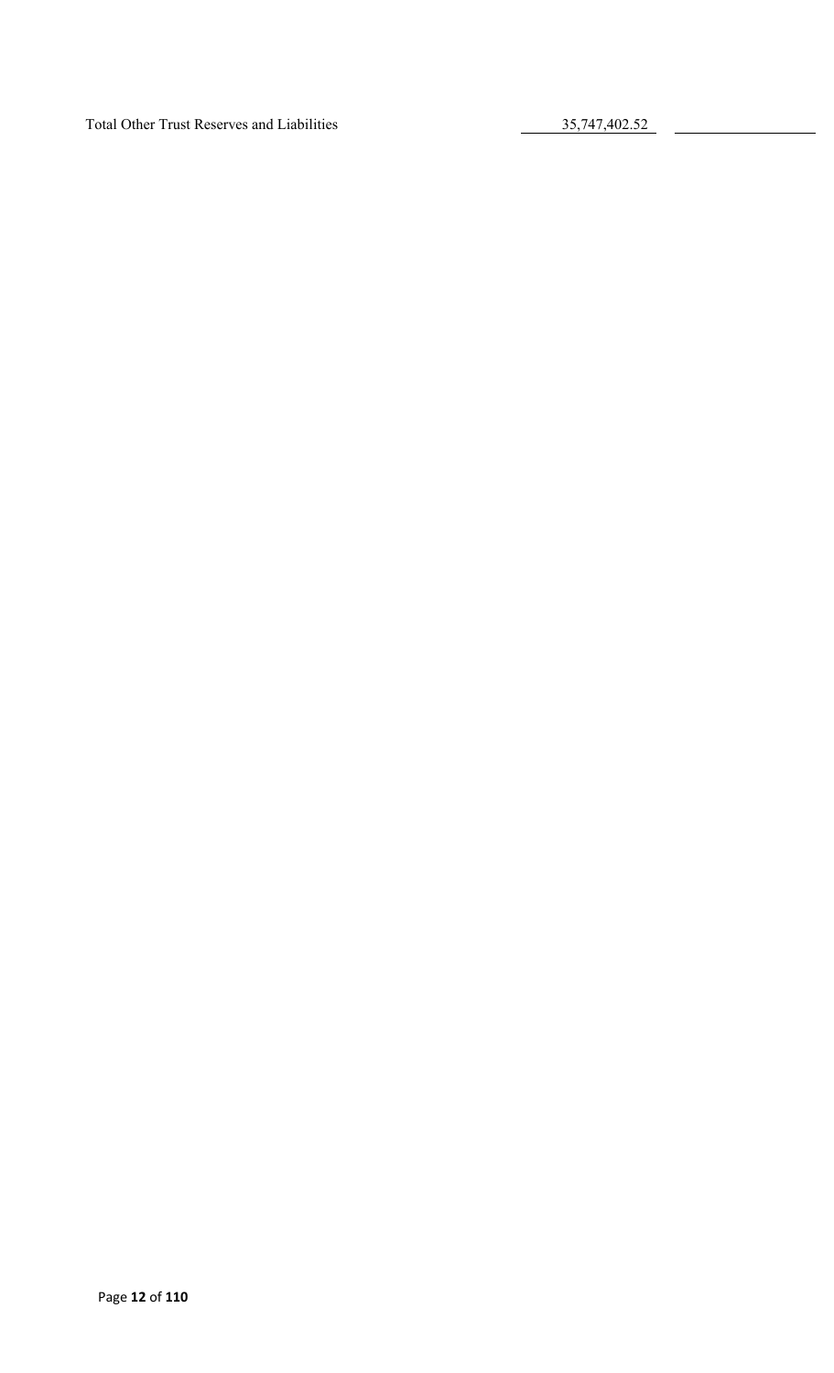Total Other Trust Reserves and Liabilities 35,747,402.52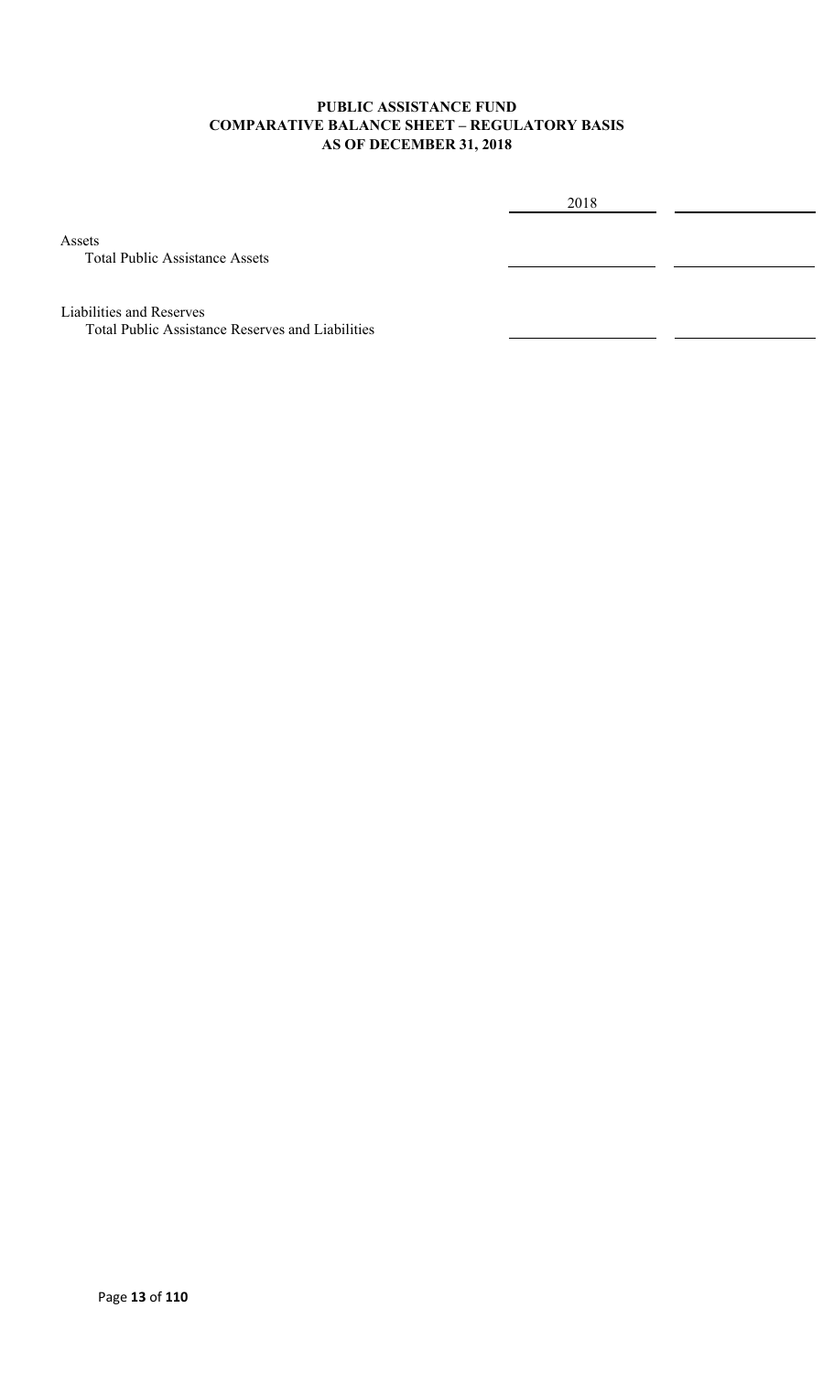#### **PUBLIC ASSISTANCE FUND COMPARATIVE BALANCE SHEET – REGULATORY BASIS AS OF DECEMBER 31, 2018**

2018

Assets

Total Public Assistance Assets

Liabilities and Reserves

Total Public Assistance Reserves and Liabilities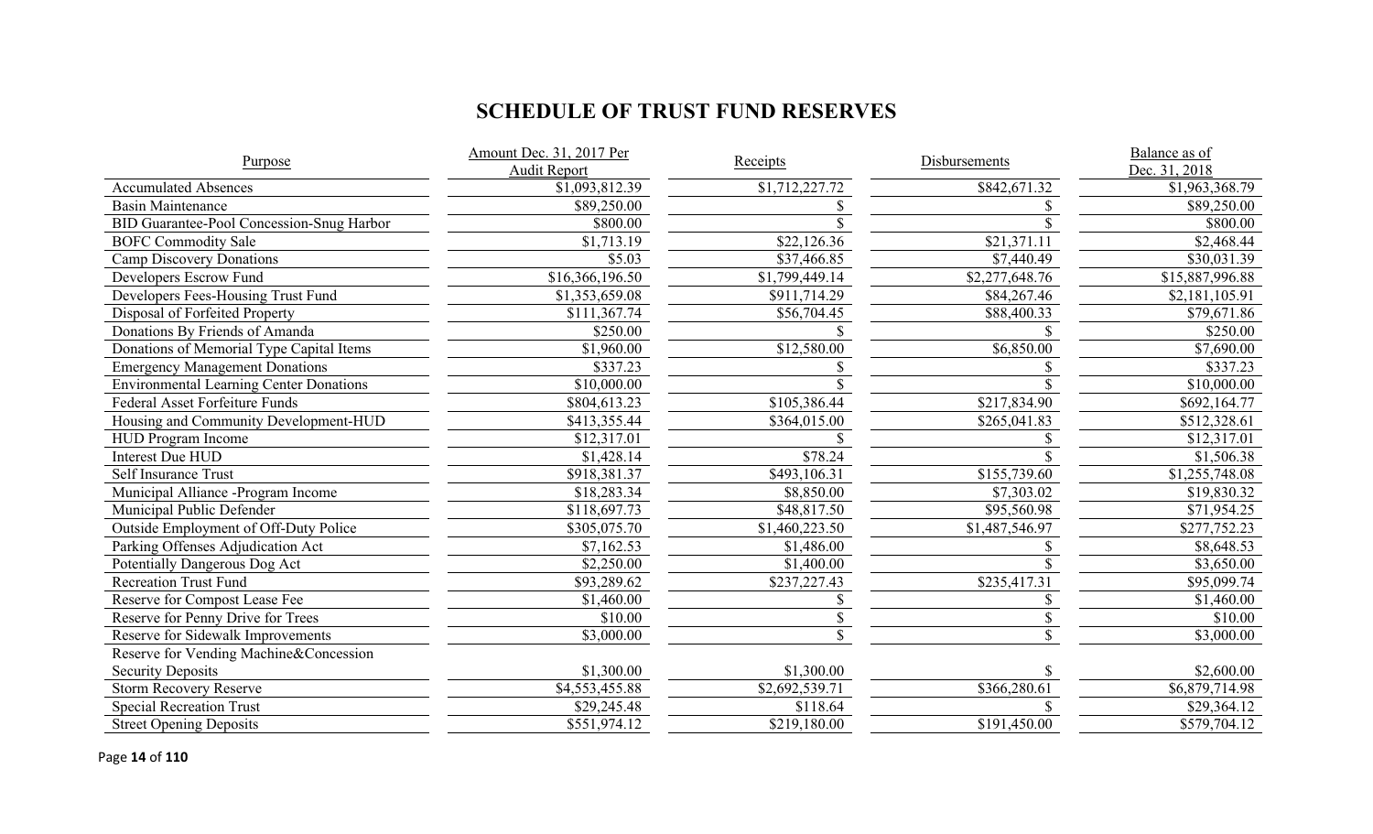# **SCHEDULE OF TRUST FUND RESERVES**

| Purpose                                        | Amount Dec. 31, 2017 Per<br><b>Audit Report</b> | <b>Receipts</b> | Disbursements  | Balance as of<br>Dec. 31, 2018 |
|------------------------------------------------|-------------------------------------------------|-----------------|----------------|--------------------------------|
| <b>Accumulated Absences</b>                    | \$1,093,812.39                                  | \$1,712,227.72  | \$842,671.32   | \$1,963,368.79                 |
| <b>Basin Maintenance</b>                       | \$89,250.00                                     |                 |                | \$89,250.00                    |
| BID Guarantee-Pool Concession-Snug Harbor      | \$800.00                                        |                 |                | \$800.00                       |
| <b>BOFC Commodity Sale</b>                     | \$1,713.19                                      | \$22,126.36     | \$21,371.11    | \$2,468.44                     |
| <b>Camp Discovery Donations</b>                | \$5.03                                          | \$37,466.85     | \$7,440.49     | \$30,031.39                    |
| Developers Escrow Fund                         | \$16,366,196.50                                 | \$1,799,449.14  | \$2,277,648.76 | \$15,887,996.88                |
| Developers Fees-Housing Trust Fund             | \$1,353,659.08                                  | \$911,714.29    | \$84,267.46    | \$2,181,105.91                 |
| Disposal of Forfeited Property                 | \$111,367.74                                    | \$56,704.45     | \$88,400.33    | \$79,671.86                    |
| Donations By Friends of Amanda                 | \$250.00                                        |                 |                | \$250.00                       |
| Donations of Memorial Type Capital Items       | \$1,960.00                                      | \$12,580.00     | \$6,850.00     | \$7,690.00                     |
| <b>Emergency Management Donations</b>          | \$337.23                                        |                 |                | \$337.23                       |
| <b>Environmental Learning Center Donations</b> | \$10,000.00                                     |                 |                | \$10,000.00                    |
| Federal Asset Forfeiture Funds                 | \$804,613.23                                    | \$105,386.44    | \$217,834.90   | \$692,164.77                   |
| Housing and Community Development-HUD          | \$413,355.44                                    | \$364,015.00    | \$265,041.83   | \$512,328.61                   |
| <b>HUD Program Income</b>                      | \$12,317.01                                     |                 |                | \$12,317.01                    |
| <b>Interest Due HUD</b>                        | \$1,428.14                                      | \$78.24         |                | \$1,506.38                     |
| Self Insurance Trust                           | \$918,381.37                                    | \$493,106.31    | \$155,739.60   | \$1,255,748.08                 |
| Municipal Alliance -Program Income             | \$18,283.34                                     | \$8,850.00      | \$7,303.02     | \$19,830.32                    |
| Municipal Public Defender                      | \$118,697.73                                    | \$48,817.50     | \$95,560.98    | \$71,954.25                    |
| Outside Employment of Off-Duty Police          | \$305,075.70                                    | \$1,460,223.50  | \$1,487,546.97 | \$277,752.23                   |
| Parking Offenses Adjudication Act              | \$7,162.53                                      | \$1,486.00      |                | \$8,648.53                     |
| Potentially Dangerous Dog Act                  | \$2,250.00                                      | \$1,400.00      |                | \$3,650.00                     |
| <b>Recreation Trust Fund</b>                   | \$93,289.62                                     | \$237,227.43    | \$235,417.31   | \$95,099.74                    |
| Reserve for Compost Lease Fee                  | \$1,460.00                                      |                 |                | \$1,460.00                     |
| Reserve for Penny Drive for Trees              | \$10.00                                         |                 |                | \$10.00                        |
| Reserve for Sidewalk Improvements              | \$3,000.00                                      |                 |                | \$3,000.00                     |
| Reserve for Vending Machine&Concession         |                                                 |                 |                |                                |
| <b>Security Deposits</b>                       | \$1,300.00                                      | \$1,300.00      |                | \$2,600.00                     |
| <b>Storm Recovery Reserve</b>                  | \$4,553,455.88                                  | \$2,692,539.71  | \$366,280.61   | \$6,879,714.98                 |
| <b>Special Recreation Trust</b>                | \$29,245.48                                     | \$118.64        |                | \$29,364.12                    |
| <b>Street Opening Deposits</b>                 | \$551,974.12                                    | \$219,180.00    | \$191,450.00   | \$579,704.12                   |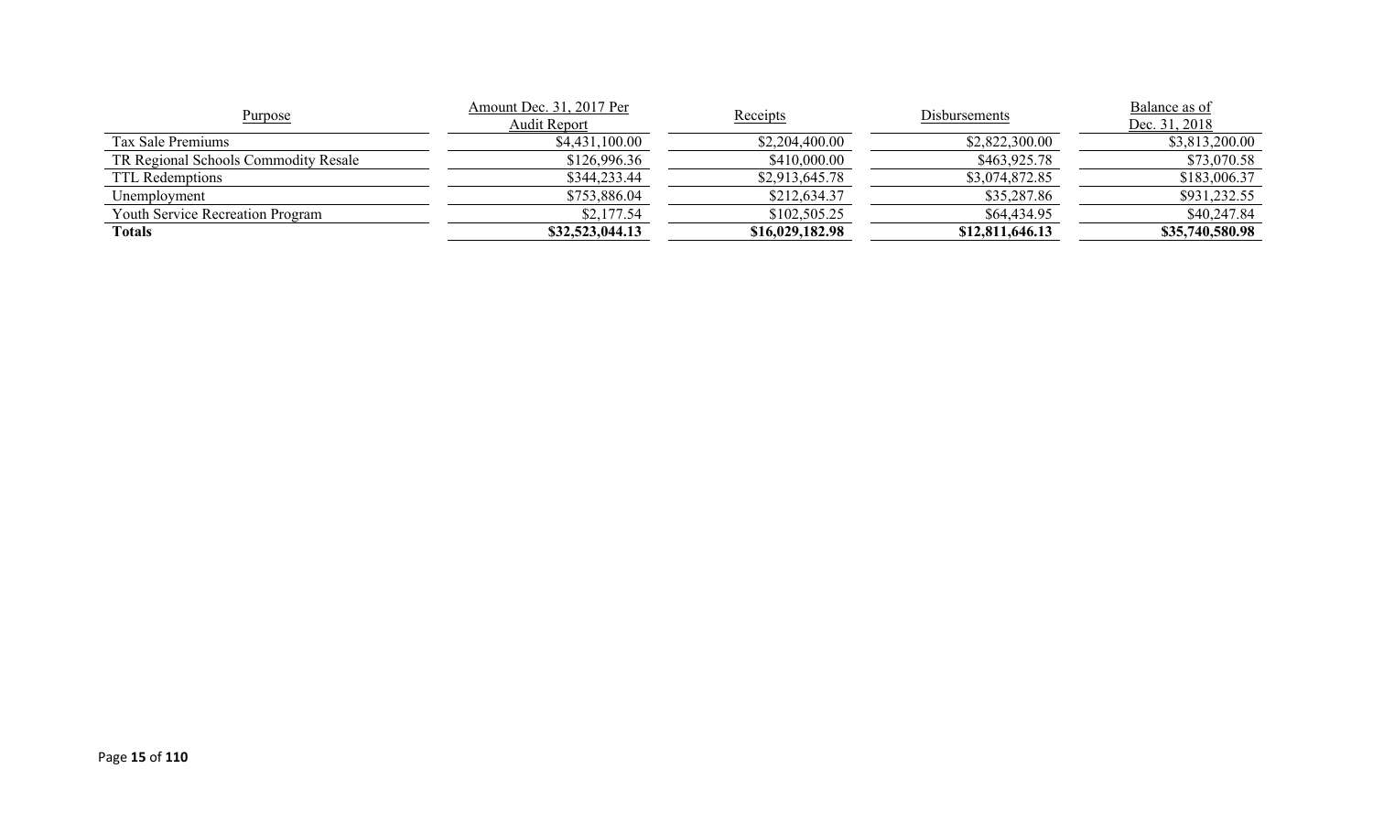| Purpose                                 | Amount Dec. 31, 2017 Per<br>Receipts<br>Audit Report |                 | Disbursements   | Balance as of<br>Dec. 31, 2018 |
|-----------------------------------------|------------------------------------------------------|-----------------|-----------------|--------------------------------|
| Tax Sale Premiums                       | \$4,431,100.00                                       | \$2,204,400.00  | \$2,822,300.00  | \$3,813,200.00                 |
| TR Regional Schools Commodity Resale    | \$126,996.36                                         | \$410,000.00    | \$463,925.78    | \$73,070.58                    |
| TTL Redemptions                         | \$344,233.44                                         | \$2,913,645.78  | \$3,074,872.85  | \$183,006.37                   |
| Unemplovment                            | \$753,886.04                                         | \$212,634.37    | \$35,287.86     | \$931,232.55                   |
| <b>Youth Service Recreation Program</b> | \$2,177.54                                           | \$102,505.25    | \$64,434.95     | \$40,247.84                    |
| Totals                                  | \$32,523,044.13                                      | \$16,029,182.98 | \$12,811,646.13 | \$35,740,580.98                |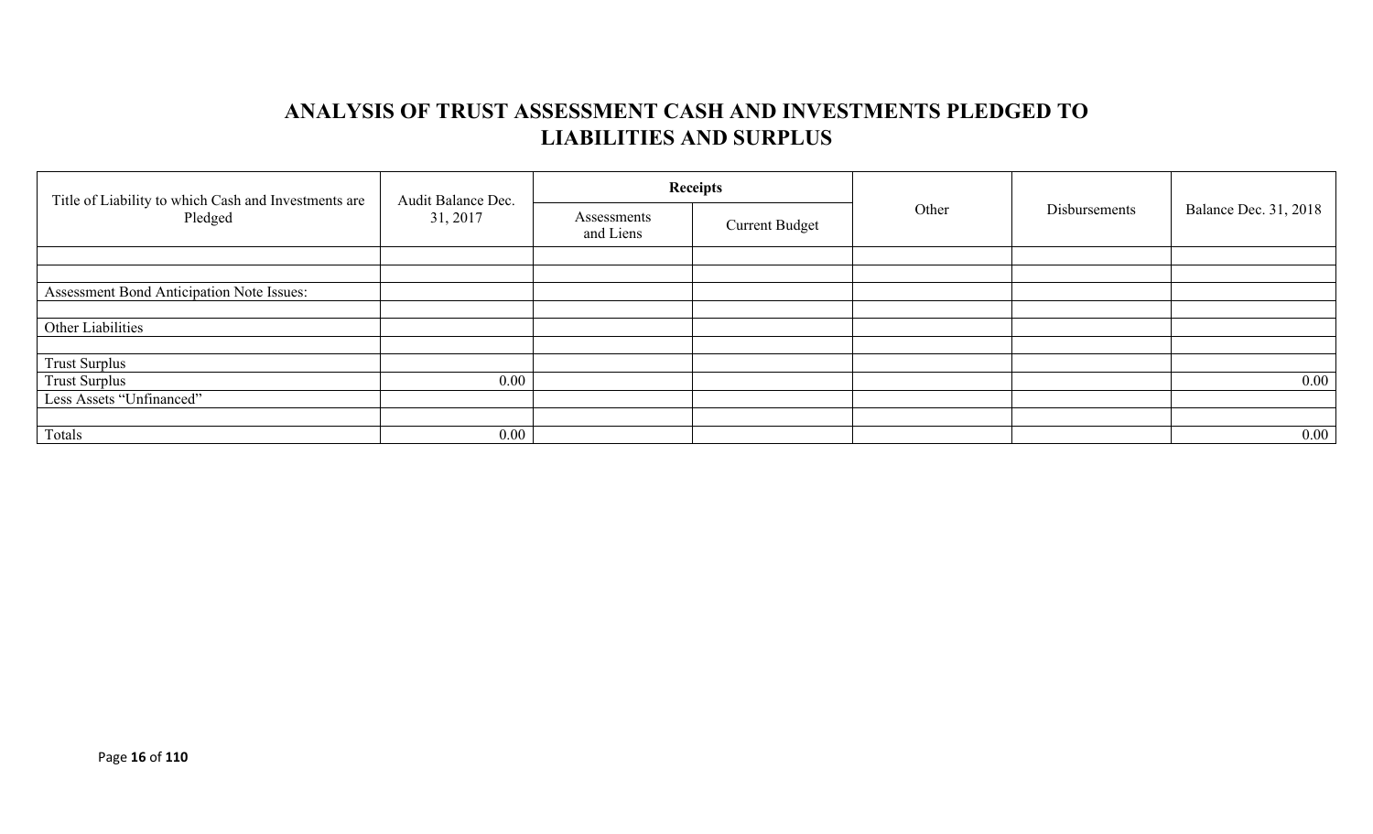# **ANALYSIS OF TRUST ASSESSMENT CASH AND INVESTMENTS PLEDGED TO LIABILITIES AND SURPLUS**

| Title of Liability to which Cash and Investments are<br>Pledged | Audit Balance Dec. |                          | <b>Receipts</b>       |       |               | Balance Dec. 31, 2018 |
|-----------------------------------------------------------------|--------------------|--------------------------|-----------------------|-------|---------------|-----------------------|
|                                                                 | 31, 2017           | Assessments<br>and Liens | <b>Current Budget</b> | Other | Disbursements |                       |
|                                                                 |                    |                          |                       |       |               |                       |
|                                                                 |                    |                          |                       |       |               |                       |
| Assessment Bond Anticipation Note Issues:                       |                    |                          |                       |       |               |                       |
|                                                                 |                    |                          |                       |       |               |                       |
| Other Liabilities                                               |                    |                          |                       |       |               |                       |
|                                                                 |                    |                          |                       |       |               |                       |
| <b>Trust Surplus</b>                                            |                    |                          |                       |       |               |                       |
| <b>Trust Surplus</b>                                            | $0.00\,$           |                          |                       |       |               | $0.00\,$              |
| Less Assets "Unfinanced"                                        |                    |                          |                       |       |               |                       |
|                                                                 |                    |                          |                       |       |               |                       |
| Totals                                                          | $0.00\,$           |                          |                       |       |               | $0.00\,$              |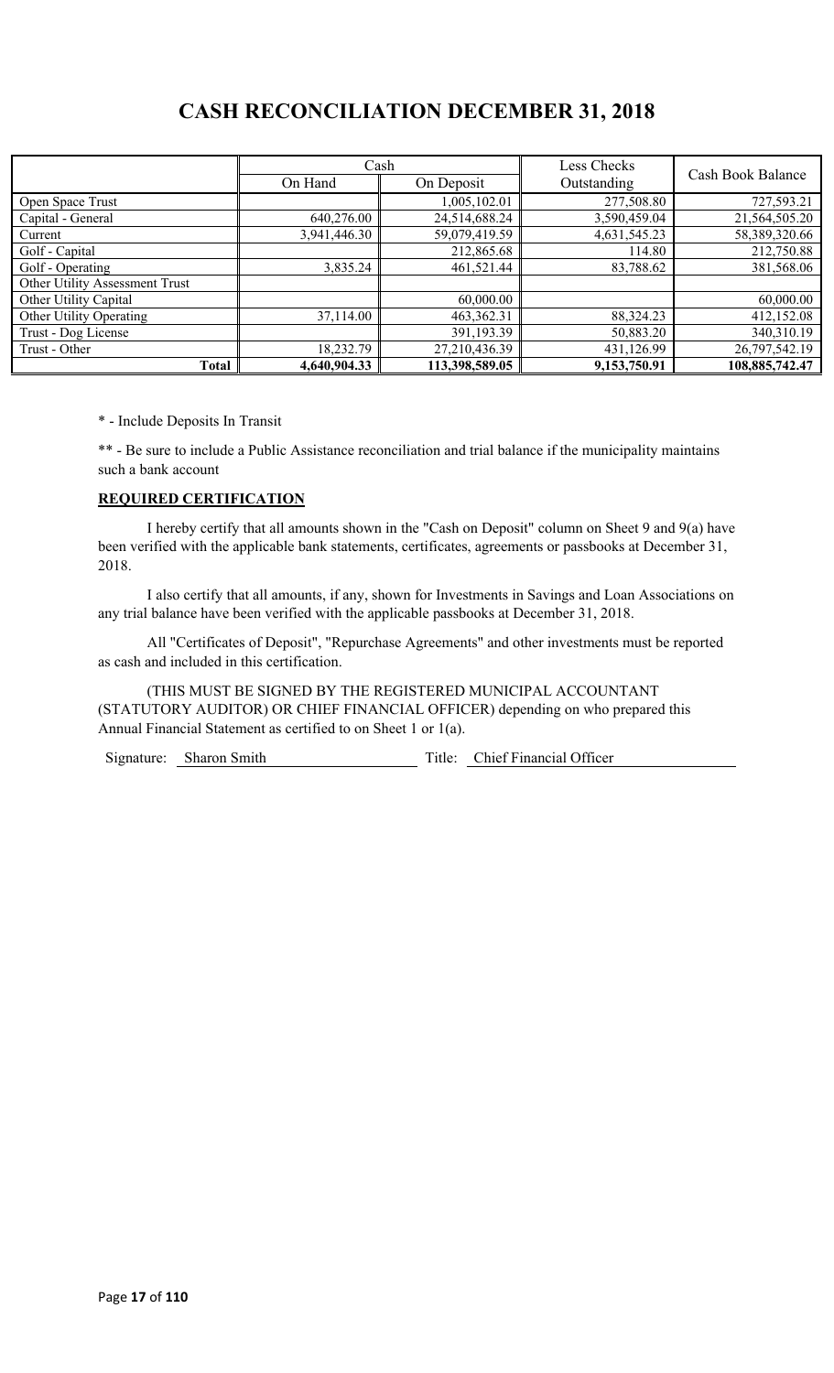# **CASH RECONCILIATION DECEMBER 31, 2018**

|                                | Cash         |                | Less Checks  | Cash Book Balance |  |
|--------------------------------|--------------|----------------|--------------|-------------------|--|
|                                | On Hand      | On Deposit     | Outstanding  |                   |  |
| Open Space Trust               |              | 1,005,102.01   | 277,508.80   | 727,593.21        |  |
| Capital - General              | 640,276.00   | 24,514,688.24  | 3,590,459.04 | 21,564,505.20     |  |
| Current                        | 3,941,446.30 | 59,079,419.59  | 4,631,545.23 | 58,389,320.66     |  |
| Golf - Capital                 |              | 212,865.68     | 114.80       | 212,750.88        |  |
| Golf - Operating               | 3,835.24     | 461,521.44     | 83,788.62    | 381,568.06        |  |
| Other Utility Assessment Trust |              |                |              |                   |  |
| Other Utility Capital          |              | 60,000.00      |              | 60,000.00         |  |
| Other Utility Operating        | 37,114.00    | 463,362.31     | 88,324.23    | 412,152.08        |  |
| Trust - Dog License            |              | 391,193.39     | 50,883.20    | 340,310.19        |  |
| Trust - Other                  | 18,232.79    | 27,210,436.39  | 431,126.99   | 26,797,542.19     |  |
| Total                          | 4,640,904.33 | 113,398,589.05 | 9,153,750.91 | 108,885,742.47    |  |

\* - Include Deposits In Transit

\*\* - Be sure to include a Public Assistance reconciliation and trial balance if the municipality maintains such a bank account

#### **REQUIRED CERTIFICATION**

I hereby certify that all amounts shown in the "Cash on Deposit" column on Sheet 9 and 9(a) have been verified with the applicable bank statements, certificates, agreements or passbooks at December 31, 2018.

I also certify that all amounts, if any, shown for Investments in Savings and Loan Associations on any trial balance have been verified with the applicable passbooks at December 31, 2018.

All "Certificates of Deposit", "Repurchase Agreements" and other investments must be reported as cash and included in this certification.

(THIS MUST BE SIGNED BY THE REGISTERED MUNICIPAL ACCOUNTANT (STATUTORY AUDITOR) OR CHIEF FINANCIAL OFFICER) depending on who prepared this Annual Financial Statement as certified to on Sheet 1 or 1(a).

Signature: Sharon Smith Title: Chief Financial Officer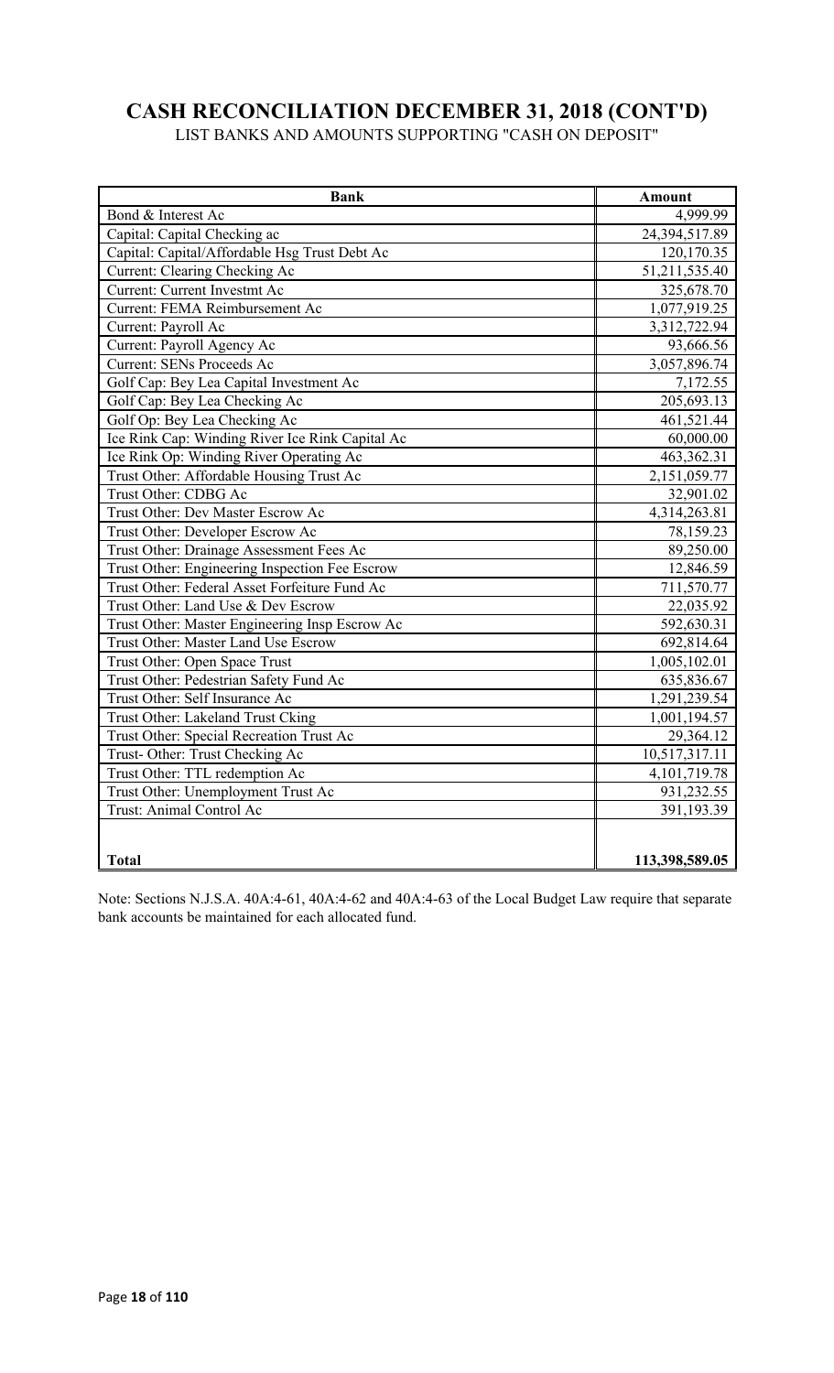# **CASH RECONCILIATION DECEMBER 31, 2018 (CONT'D)**

LIST BANKS AND AMOUNTS SUPPORTING "CASH ON DEPOSIT"

| <b>Bank</b>                                     | <b>Amount</b>  |
|-------------------------------------------------|----------------|
| Bond & Interest Ac                              | 4,999.99       |
| Capital: Capital Checking ac                    | 24,394,517.89  |
| Capital: Capital/Affordable Hsg Trust Debt Ac   | 120,170.35     |
| Current: Clearing Checking Ac                   | 51,211,535.40  |
| Current: Current Investmt Ac                    | 325,678.70     |
| Current: FEMA Reimbursement Ac                  | 1,077,919.25   |
| Current: Payroll Ac                             | 3,312,722.94   |
| Current: Payroll Agency Ac                      | 93,666.56      |
| <b>Current: SENs Proceeds Ac</b>                | 3,057,896.74   |
| Golf Cap: Bey Lea Capital Investment Ac         | 7,172.55       |
| Golf Cap: Bey Lea Checking Ac                   | 205,693.13     |
| Golf Op: Bey Lea Checking Ac                    | 461,521.44     |
| Ice Rink Cap: Winding River Ice Rink Capital Ac | 60,000.00      |
| Ice Rink Op: Winding River Operating Ac         | 463,362.31     |
| Trust Other: Affordable Housing Trust Ac        | 2,151,059.77   |
| Trust Other: CDBG Ac                            | 32,901.02      |
| Trust Other: Dev Master Escrow Ac               | 4,314,263.81   |
| Trust Other: Developer Escrow Ac                | 78,159.23      |
| Trust Other: Drainage Assessment Fees Ac        | 89,250.00      |
| Trust Other: Engineering Inspection Fee Escrow  | 12,846.59      |
| Trust Other: Federal Asset Forfeiture Fund Ac   | 711,570.77     |
| Trust Other: Land Use & Dev Escrow              | 22,035.92      |
| Trust Other: Master Engineering Insp Escrow Ac  | 592,630.31     |
| Trust Other: Master Land Use Escrow             | 692,814.64     |
| Trust Other: Open Space Trust                   | 1,005,102.01   |
| Trust Other: Pedestrian Safety Fund Ac          | 635,836.67     |
| Trust Other: Self Insurance Ac                  | 1,291,239.54   |
| Trust Other: Lakeland Trust Cking               | 1,001,194.57   |
| Trust Other: Special Recreation Trust Ac        | 29,364.12      |
| Trust-Other: Trust Checking Ac                  | 10,517,317.11  |
| Trust Other: TTL redemption Ac                  | 4, 101, 719.78 |
| Trust Other: Unemployment Trust Ac              | 931,232.55     |
| Trust: Animal Control Ac                        | 391,193.39     |
|                                                 |                |
| <b>Total</b>                                    | 113,398,589.05 |

Note: Sections N.J.S.A. 40A:4-61, 40A:4-62 and 40A:4-63 of the Local Budget Law require that separate bank accounts be maintained for each allocated fund.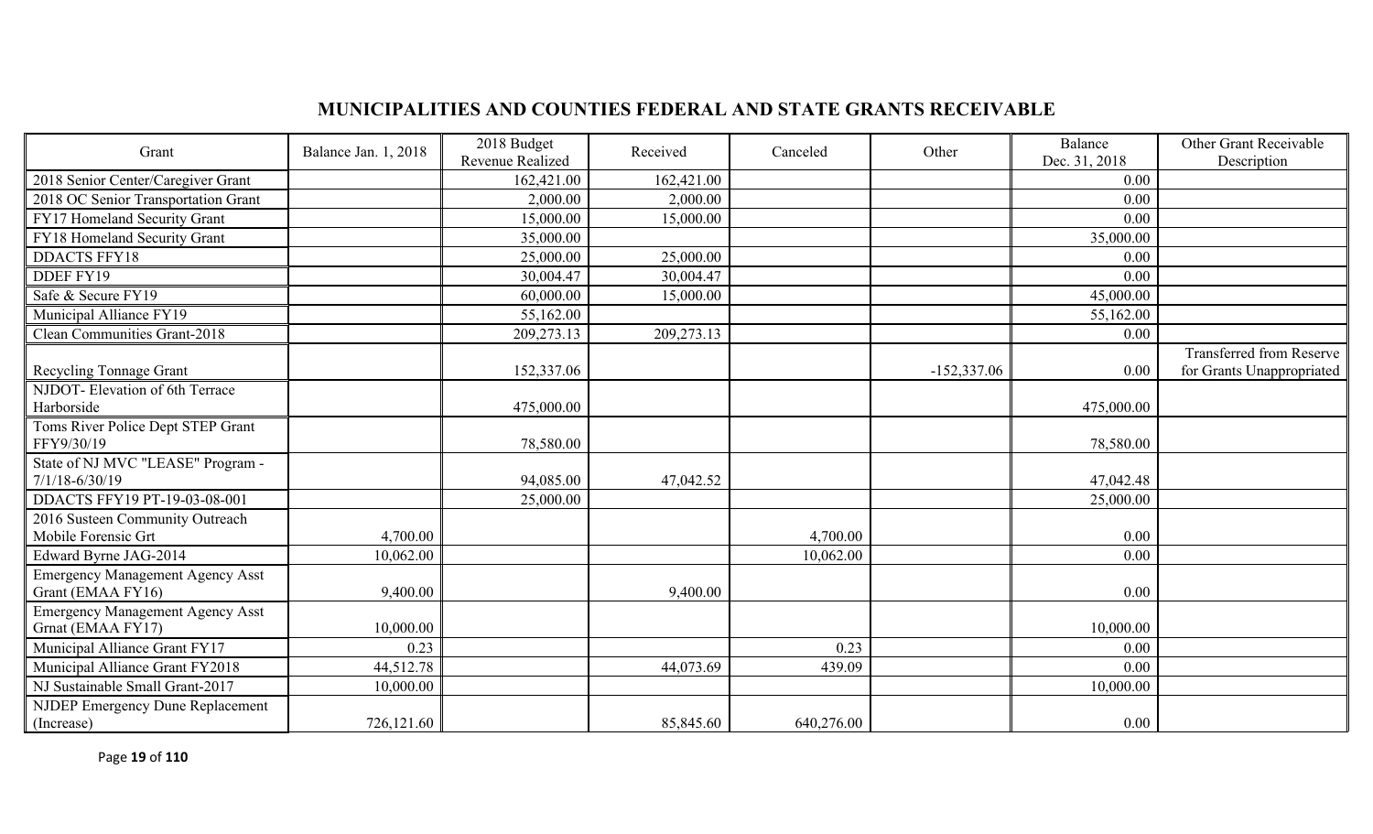# **MUNICIPALITIES AND COUNTIES FEDERAL AND STATE GRANTS RECEIVABLE**

| Grant                                                        | Balance Jan. 1, 2018 | 2018 Budget<br>Revenue Realized | Received   | Canceled   | Other         | Balance<br>Dec. 31, 2018 | Other Grant Receivable<br>Description |
|--------------------------------------------------------------|----------------------|---------------------------------|------------|------------|---------------|--------------------------|---------------------------------------|
| 2018 Senior Center/Caregiver Grant                           |                      | 162,421.00                      | 162,421.00 |            |               | 0.00                     |                                       |
| 2018 OC Senior Transportation Grant                          |                      | 2,000.00                        | 2,000.00   |            |               | 0.00                     |                                       |
| FY17 Homeland Security Grant                                 |                      | 15,000.00                       | 15,000.00  |            |               | 0.00                     |                                       |
| FY18 Homeland Security Grant                                 |                      | 35,000.00                       |            |            |               | 35,000.00                |                                       |
| <b>DDACTS FFY18</b>                                          |                      | 25,000.00                       | 25,000.00  |            |               | 0.00                     |                                       |
| DDEF FY19                                                    |                      | 30,004.47                       | 30,004.47  |            |               | 0.00                     |                                       |
| Safe & Secure FY19                                           |                      | 60,000.00                       | 15,000.00  |            |               | 45,000.00                |                                       |
| Municipal Alliance FY19                                      |                      | 55,162.00                       |            |            |               | 55,162.00                |                                       |
| Clean Communities Grant-2018                                 |                      | 209,273.13                      | 209,273.13 |            |               | 0.00                     |                                       |
|                                                              |                      |                                 |            |            |               |                          | <b>Transferred from Reserve</b>       |
| Recycling Tonnage Grant                                      |                      | 152,337.06                      |            |            | $-152,337.06$ | 0.00                     | for Grants Unappropriated             |
| NJDOT- Elevation of 6th Terrace<br>Harborside                |                      | 475,000.00                      |            |            |               | 475,000.00               |                                       |
| Toms River Police Dept STEP Grant<br>FFY9/30/19              |                      | 78,580.00                       |            |            |               | 78,580.00                |                                       |
| State of NJ MVC "LEASE" Program -<br>$7/1/18 - 6/30/19$      |                      | 94,085.00                       | 47,042.52  |            |               | 47,042.48                |                                       |
| DDACTS FFY19 PT-19-03-08-001                                 |                      | 25,000.00                       |            |            |               | 25,000.00                |                                       |
| 2016 Susteen Community Outreach<br>Mobile Forensic Grt       | 4,700.00             |                                 |            | 4,700.00   |               | 0.00                     |                                       |
| Edward Byrne JAG-2014                                        | 10,062.00            |                                 |            | 10,062.00  |               | 0.00                     |                                       |
| <b>Emergency Management Agency Asst</b><br>Grant (EMAA FY16) | 9,400.00             |                                 | 9,400.00   |            |               | 0.00                     |                                       |
| <b>Emergency Management Agency Asst</b><br>Grnat (EMAA FY17) | 10,000.00            |                                 |            |            |               | 10,000.00                |                                       |
| Municipal Alliance Grant FY17                                | 0.23                 |                                 |            | 0.23       |               | 0.00                     |                                       |
| Municipal Alliance Grant FY2018                              | 44,512.78            |                                 | 44,073.69  | 439.09     |               | 0.00                     |                                       |
| NJ Sustainable Small Grant-2017                              | 10,000.00            |                                 |            |            |               | 10,000.00                |                                       |
| NJDEP Emergency Dune Replacement                             |                      |                                 |            |            |               |                          |                                       |
| (Increase)                                                   | 726,121.60           |                                 | 85,845.60  | 640,276.00 |               | 0.00                     |                                       |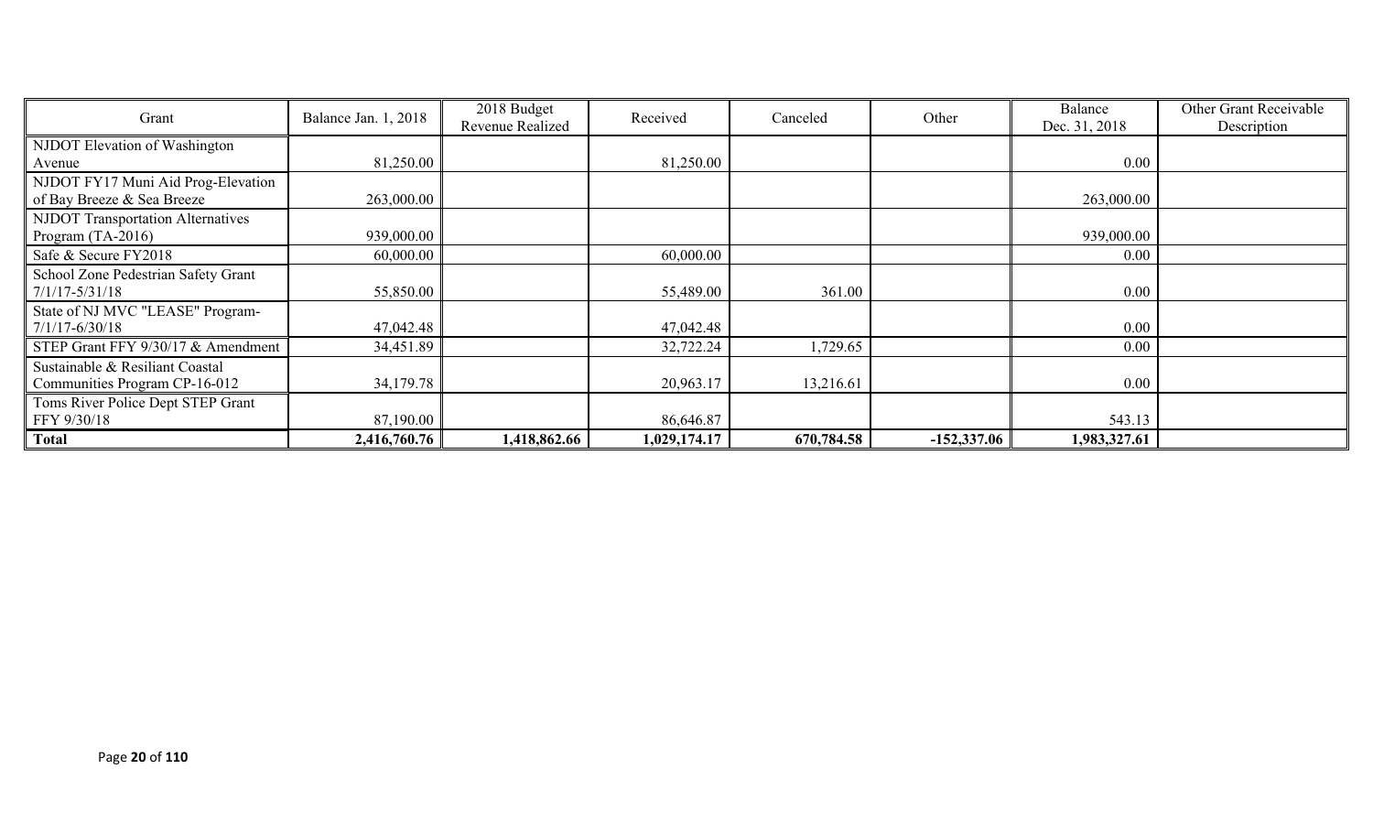| Grant                                    | Balance Jan. 1, 2018 | 2018 Budget<br>Revenue Realized | Received     | Canceled   | Other         | Balance<br>Dec. 31, 2018 | Other Grant Receivable<br>Description |
|------------------------------------------|----------------------|---------------------------------|--------------|------------|---------------|--------------------------|---------------------------------------|
| NJDOT Elevation of Washington            |                      |                                 |              |            |               |                          |                                       |
| Avenue                                   | 81,250.00            |                                 | 81,250.00    |            |               | 0.00                     |                                       |
| NJDOT FY17 Muni Aid Prog-Elevation       |                      |                                 |              |            |               |                          |                                       |
| of Bay Breeze & Sea Breeze               | 263,000.00           |                                 |              |            |               | 263,000.00               |                                       |
| <b>NJDOT Transportation Alternatives</b> |                      |                                 |              |            |               |                          |                                       |
| Program $(TA-2016)$                      | 939,000.00           |                                 |              |            |               | 939,000.00               |                                       |
| Safe & Secure FY2018                     | 60,000.00            |                                 | 60,000.00    |            |               | 0.00                     |                                       |
| School Zone Pedestrian Safety Grant      |                      |                                 |              |            |               |                          |                                       |
| $7/1/17 - 5/31/18$                       | 55,850.00            |                                 | 55,489.00    | 361.00     |               | 0.00                     |                                       |
| State of NJ MVC "LEASE" Program-         |                      |                                 |              |            |               |                          |                                       |
| $7/1/17 - 6/30/18$                       | 47,042.48            |                                 | 47,042.48    |            |               | 0.00                     |                                       |
| STEP Grant FFY 9/30/17 & Amendment       | 34,451.89            |                                 | 32,722.24    | 1,729.65   |               | 0.00                     |                                       |
| Sustainable & Resiliant Coastal          |                      |                                 |              |            |               |                          |                                       |
| Communities Program CP-16-012            | 34,179.78            |                                 | 20,963.17    | 13,216.61  |               | 0.00                     |                                       |
| Toms River Police Dept STEP Grant        |                      |                                 |              |            |               |                          |                                       |
| FFY 9/30/18                              | 87,190.00            |                                 | 86,646.87    |            |               | 543.13                   |                                       |
| <b>Total</b>                             | 2,416,760.76         | 1,418,862.66                    | 1,029,174.17 | 670,784.58 | $-152,337.06$ | 1,983,327.61             |                                       |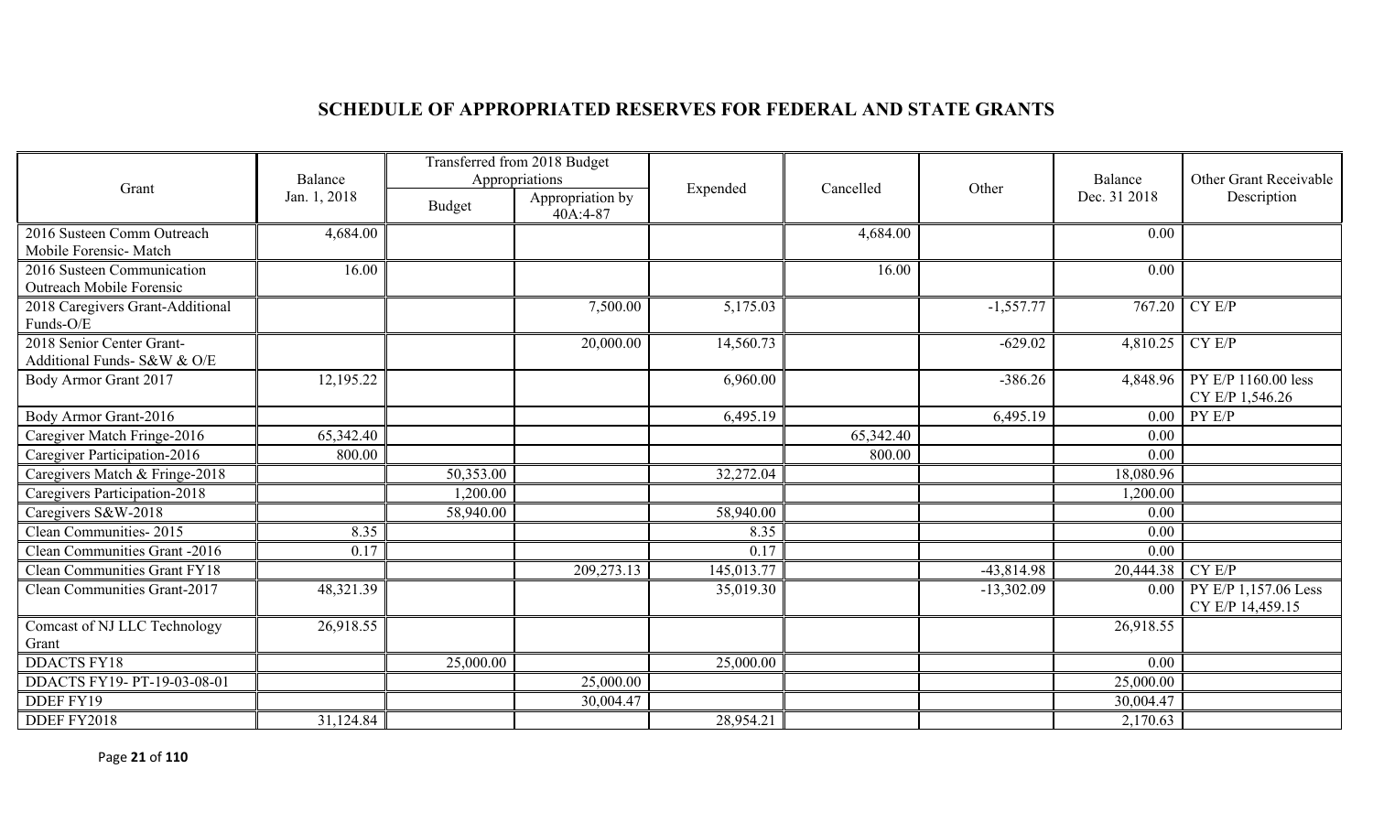# **SCHEDULE OF APPROPRIATED RESERVES FOR FEDERAL AND STATE GRANTS**

|                                                          | Balance      | Transferred from 2018 Budget<br>Appropriations |                              |            |           |              | Balance      | Other Grant Receivable                   |
|----------------------------------------------------------|--------------|------------------------------------------------|------------------------------|------------|-----------|--------------|--------------|------------------------------------------|
| Grant                                                    | Jan. 1, 2018 | Budget                                         | Appropriation by<br>40A:4-87 | Expended   | Cancelled | Other        | Dec. 31 2018 | Description                              |
| 2016 Susteen Comm Outreach<br>Mobile Forensic- Match     | 4,684.00     |                                                |                              |            | 4,684.00  |              | 0.00         |                                          |
| 2016 Susteen Communication<br>Outreach Mobile Forensic   | 16.00        |                                                |                              |            | 16.00     |              | 0.00         |                                          |
| 2018 Caregivers Grant-Additional<br>Funds-O/E            |              |                                                | 7,500.00                     | 5,175.03   |           | $-1,557.77$  | 767.20       | CY E/P                                   |
| 2018 Senior Center Grant-<br>Additional Funds- S&W & O/E |              |                                                | 20,000.00                    | 14,560.73  |           | $-629.02$    | 4,810.25     | CY E/P                                   |
| Body Armor Grant 2017                                    | 12,195.22    |                                                |                              | 6,960.00   |           | $-386.26$    | 4,848.96     | PY E/P 1160.00 less<br>CY E/P 1,546.26   |
| Body Armor Grant-2016                                    |              |                                                |                              | 6,495.19   |           | 6,495.19     | 0.00         | PY E/P                                   |
| Caregiver Match Fringe-2016                              | 65,342.40    |                                                |                              |            | 65,342.40 |              | 0.00         |                                          |
| Caregiver Participation-2016                             | 800.00       |                                                |                              |            | 800.00    |              | 0.00         |                                          |
| Caregivers Match & Fringe-2018                           |              | 50,353.00                                      |                              | 32,272.04  |           |              | 18,080.96    |                                          |
| Caregivers Participation-2018                            |              | 1,200.00                                       |                              |            |           |              | 1,200.00     |                                          |
| Caregivers S&W-2018                                      |              | 58,940.00                                      |                              | 58,940.00  |           |              | 0.00         |                                          |
| Clean Communities-2015                                   | 8.35         |                                                |                              | 8.35       |           |              | 0.00         |                                          |
| Clean Communities Grant -2016                            | 0.17         |                                                |                              | 0.17       |           |              | 0.00         |                                          |
| <b>Clean Communities Grant FY18</b>                      |              |                                                | 209,273.13                   | 145,013.77 |           | $-43,814.98$ | 20,444.38    | CY E/P                                   |
| Clean Communities Grant-2017                             | 48,321.39    |                                                |                              | 35,019.30  |           | $-13,302.09$ | 0.00         | PY E/P 1,157.06 Less<br>CY E/P 14,459.15 |
| Comcast of NJ LLC Technology<br>Grant                    | 26,918.55    |                                                |                              |            |           |              | 26,918.55    |                                          |
| <b>DDACTS FY18</b>                                       |              | 25,000.00                                      |                              | 25,000.00  |           |              | 0.00         |                                          |
| DDACTS FY19-PT-19-03-08-01                               |              |                                                | 25,000.00                    |            |           |              | 25,000.00    |                                          |
| DDEF FY19                                                |              |                                                | 30,004.47                    |            |           |              | 30,004.47    |                                          |
| DDEF FY2018                                              | 31,124.84    |                                                |                              | 28,954.21  |           |              | 2,170.63     |                                          |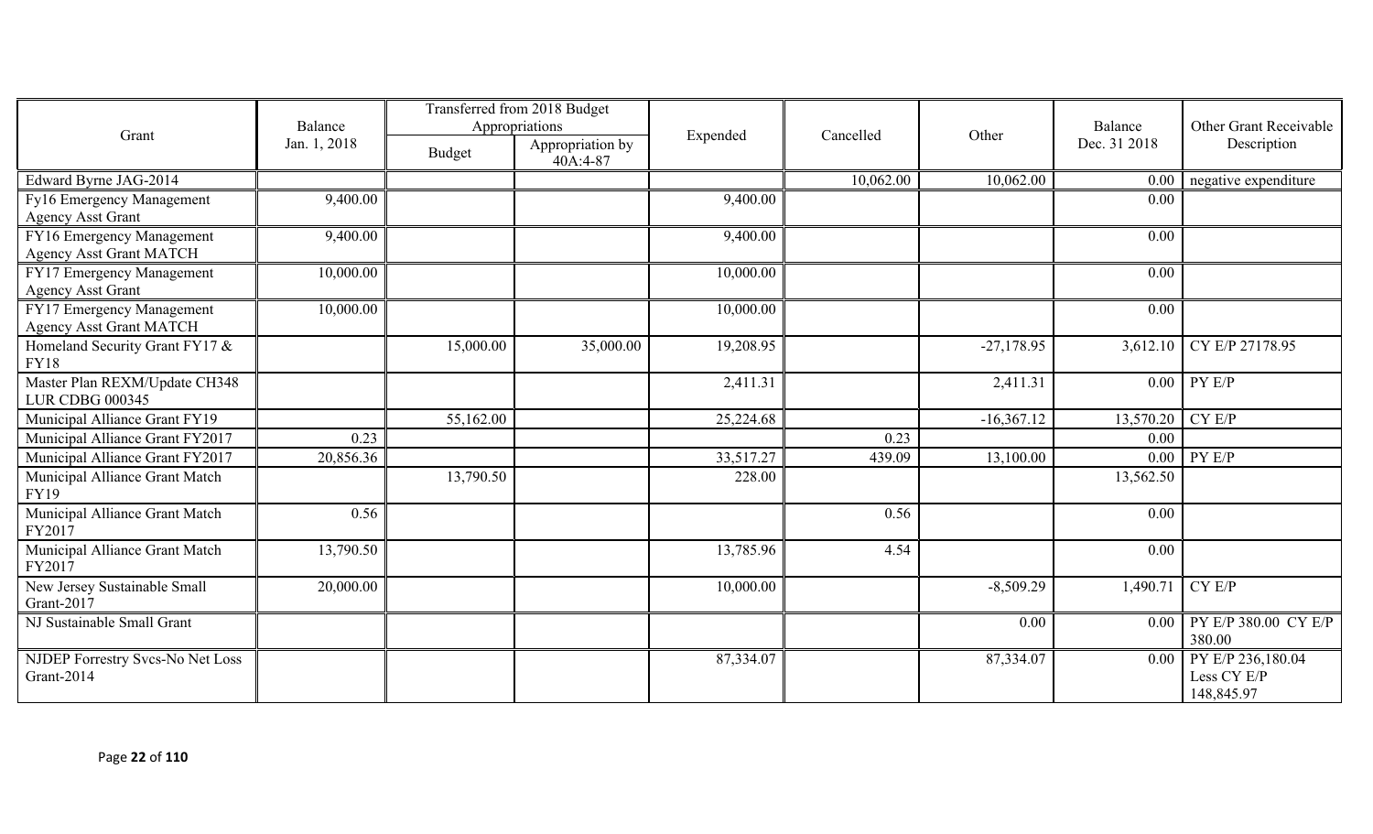|                                                             | Balance      | Transferred from 2018 Budget<br>Appropriations |                              |           |           |              | Balance      | Other Grant Receivable                         |
|-------------------------------------------------------------|--------------|------------------------------------------------|------------------------------|-----------|-----------|--------------|--------------|------------------------------------------------|
| Grant                                                       | Jan. 1, 2018 | Budget                                         | Appropriation by<br>40A:4-87 | Expended  | Cancelled | Other        | Dec. 31 2018 | Description                                    |
| Edward Byrne JAG-2014                                       |              |                                                |                              |           | 10,062.00 | 10,062.00    | 0.00         | negative expenditure                           |
| Fy16 Emergency Management<br><b>Agency Asst Grant</b>       | 9,400.00     |                                                |                              | 9,400.00  |           |              | 0.00         |                                                |
| FY16 Emergency Management<br><b>Agency Asst Grant MATCH</b> | 9,400.00     |                                                |                              | 9,400.00  |           |              | 0.00         |                                                |
| FY17 Emergency Management<br><b>Agency Asst Grant</b>       | 10,000.00    |                                                |                              | 10,000.00 |           |              | 0.00         |                                                |
| FY17 Emergency Management<br><b>Agency Asst Grant MATCH</b> | 10,000.00    |                                                |                              | 10,000.00 |           |              | 0.00         |                                                |
| Homeland Security Grant FY17 &<br><b>FY18</b>               |              | 15,000.00                                      | 35,000.00                    | 19,208.95 |           | $-27,178.95$ | 3,612.10     | CY E/P 27178.95                                |
| Master Plan REXM/Update CH348<br><b>LUR CDBG 000345</b>     |              |                                                |                              | 2,411.31  |           | 2,411.31     |              | $0.00$ PY E/P                                  |
| Municipal Alliance Grant FY19                               |              | 55,162.00                                      |                              | 25,224.68 |           | $-16,367.12$ | 13,570.20    | CY E/P                                         |
| Municipal Alliance Grant FY2017                             | 0.23         |                                                |                              |           | 0.23      |              | 0.00         |                                                |
| Municipal Alliance Grant FY2017                             | 20,856.36    |                                                |                              | 33,517.27 | 439.09    | 13,100.00    |              | $0.00$ PY E/P                                  |
| Municipal Alliance Grant Match<br>FY19                      |              | 13,790.50                                      |                              | 228.00    |           |              | 13,562.50    |                                                |
| Municipal Alliance Grant Match<br>FY2017                    | 0.56         |                                                |                              |           | 0.56      |              | 0.00         |                                                |
| Municipal Alliance Grant Match<br>FY2017                    | 13,790.50    |                                                |                              | 13,785.96 | 4.54      |              | 0.00         |                                                |
| New Jersey Sustainable Small<br>Grant-2017                  | 20,000.00    |                                                |                              | 10,000.00 |           | $-8,509.29$  | 1,490.71     | CY E/P                                         |
| NJ Sustainable Small Grant                                  |              |                                                |                              |           |           | 0.00         |              | $0.00$ PY E/P 380.00 CY E/P<br>380.00          |
| NJDEP Forrestry Svcs-No Net Loss<br>Grant-2014              |              |                                                |                              | 87,334.07 |           | 87,334.07    | 0.00         | PY E/P 236,180.04<br>Less CY E/P<br>148,845.97 |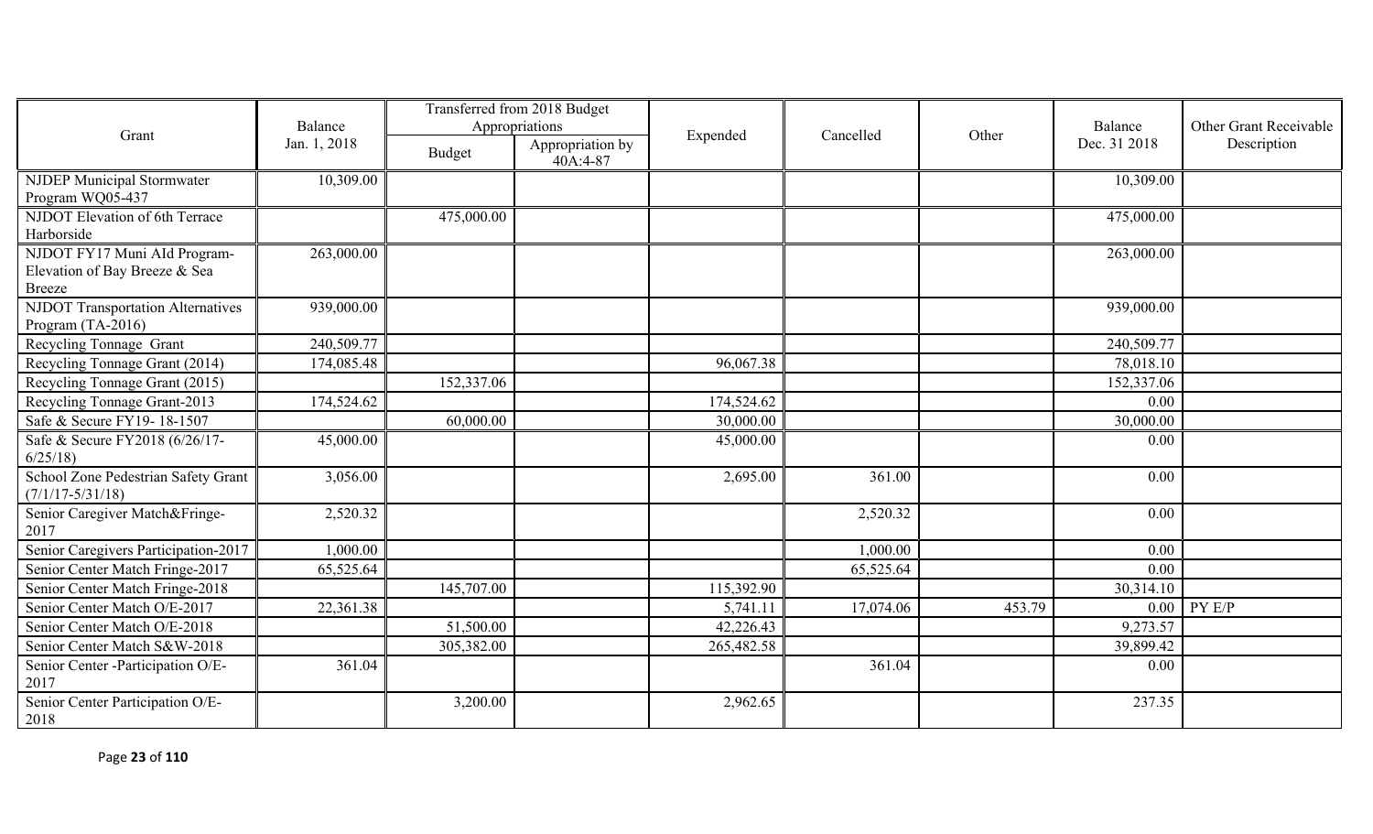|                                                                                |                         |               | Transferred from 2018 Budget                   |            |           |        |                         |                                       |
|--------------------------------------------------------------------------------|-------------------------|---------------|------------------------------------------------|------------|-----------|--------|-------------------------|---------------------------------------|
| Grant                                                                          | Balance<br>Jan. 1, 2018 | <b>Budget</b> | Appropriations<br>Appropriation by<br>40A:4-87 | Expended   | Cancelled | Other  | Balance<br>Dec. 31 2018 | Other Grant Receivable<br>Description |
| <b>NJDEP Municipal Stormwater</b><br>Program WQ05-437                          | 10,309.00               |               |                                                |            |           |        | 10,309.00               |                                       |
| NJDOT Elevation of 6th Terrace<br>Harborside                                   |                         | 475,000.00    |                                                |            |           |        | 475,000.00              |                                       |
| NJDOT FY17 Muni AId Program-<br>Elevation of Bay Breeze & Sea<br><b>Breeze</b> | 263,000.00              |               |                                                |            |           |        | 263,000.00              |                                       |
| <b>NJDOT</b> Transportation Alternatives<br>Program (TA-2016)                  | 939,000.00              |               |                                                |            |           |        | 939,000.00              |                                       |
| Recycling Tonnage Grant                                                        | 240,509.77              |               |                                                |            |           |        | 240,509.77              |                                       |
| Recycling Tonnage Grant (2014)                                                 | 174,085.48              |               |                                                | 96,067.38  |           |        | 78,018.10               |                                       |
| Recycling Tonnage Grant (2015)                                                 |                         | 152,337.06    |                                                |            |           |        | 152,337.06              |                                       |
| Recycling Tonnage Grant-2013                                                   | 174,524.62              |               |                                                | 174,524.62 |           |        | 0.00                    |                                       |
| Safe & Secure FY19-18-1507                                                     |                         | 60,000.00     |                                                | 30,000.00  |           |        | 30,000.00               |                                       |
| Safe & Secure FY2018 (6/26/17-<br>6/25/18                                      | 45,000.00               |               |                                                | 45,000.00  |           |        | 0.00                    |                                       |
| School Zone Pedestrian Safety Grant<br>$(7/1/17 - 5/31/18)$                    | 3,056.00                |               |                                                | 2,695.00   | 361.00    |        | 0.00                    |                                       |
| Senior Caregiver Match&Fringe-<br>2017                                         | 2,520.32                |               |                                                |            | 2,520.32  |        | 0.00                    |                                       |
| Senior Caregivers Participation-2017                                           | 1,000.00                |               |                                                |            | 1,000.00  |        | 0.00                    |                                       |
| Senior Center Match Fringe-2017                                                | 65,525.64               |               |                                                |            | 65,525.64 |        | 0.00                    |                                       |
| Senior Center Match Fringe-2018                                                |                         | 145,707.00    |                                                | 115,392.90 |           |        | 30,314.10               |                                       |
| Senior Center Match O/E-2017                                                   | 22,361.38               |               |                                                | 5,741.11   | 17,074.06 | 453.79 |                         | $0.00$ PY E/P                         |
| Senior Center Match O/E-2018                                                   |                         | 51,500.00     |                                                | 42,226.43  |           |        | 9,273.57                |                                       |
| Senior Center Match S&W-2018                                                   |                         | 305,382.00    |                                                | 265,482.58 |           |        | 39,899.42               |                                       |
| Senior Center -Participation O/E-<br>2017                                      | 361.04                  |               |                                                |            | 361.04    |        | 0.00                    |                                       |
| Senior Center Participation O/E-<br>2018                                       |                         | 3,200.00      |                                                | 2,962.65   |           |        | 237.35                  |                                       |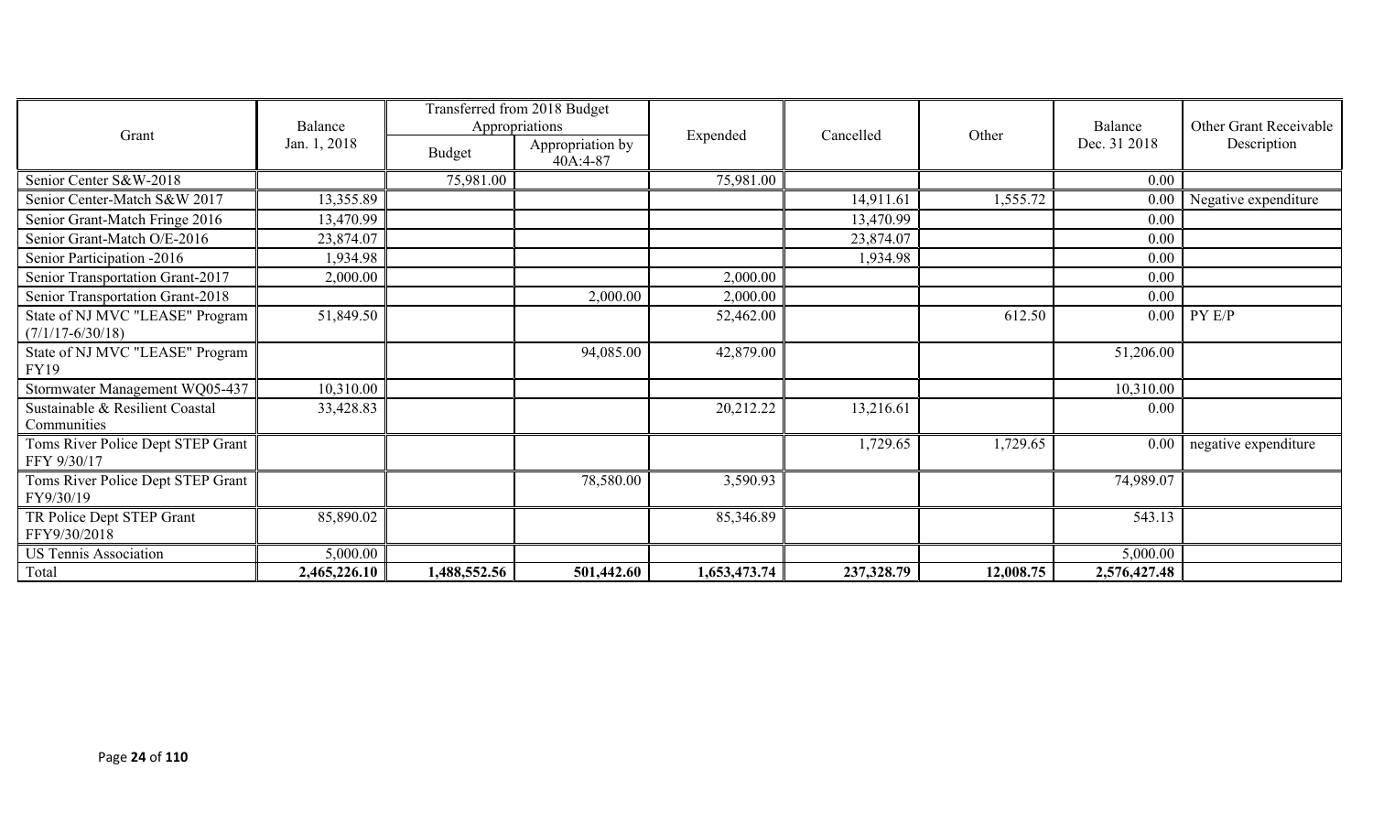|                                                         | Balance      |              | Transferred from 2018 Budget<br>Appropriations |              |            |           | Balance<br>Dec. 31 2018 | Other Grant Receivable |
|---------------------------------------------------------|--------------|--------------|------------------------------------------------|--------------|------------|-----------|-------------------------|------------------------|
| Grant                                                   | Jan. 1, 2018 | Budget       | Appropriation by<br>40A:4-87                   | Expended     | Cancelled  | Other     |                         | Description            |
| Senior Center S&W-2018                                  |              | 75,981.00    |                                                | 75,981.00    |            |           | 0.00                    |                        |
| Senior Center-Match S&W 2017                            | 13,355.89    |              |                                                |              | 14,911.61  | 1,555.72  | 0.00                    | Negative expenditure   |
| Senior Grant-Match Fringe 2016                          | 13,470.99    |              |                                                |              | 13,470.99  |           | 0.00                    |                        |
| Senior Grant-Match O/E-2016                             | 23,874.07    |              |                                                |              | 23,874.07  |           | 0.00                    |                        |
| Senior Participation -2016                              | 1,934.98     |              |                                                |              | 1,934.98   |           | 0.00                    |                        |
| Senior Transportation Grant-2017                        | 2,000.00     |              |                                                | 2,000.00     |            |           | 0.00                    |                        |
| Senior Transportation Grant-2018                        |              |              | 2,000.00                                       | 2,000.00     |            |           | 0.00                    |                        |
| State of NJ MVC "LEASE" Program<br>$(7/1/17 - 6/30/18)$ | 51,849.50    |              |                                                | 52,462.00    |            | 612.50    | 0.00                    | PY E/P                 |
| State of NJ MVC "LEASE" Program<br>FY19                 |              |              | 94,085.00                                      | 42,879.00    |            |           | 51,206.00               |                        |
| Stormwater Management WQ05-437                          | 10,310.00    |              |                                                |              |            |           | 10,310.00               |                        |
| Sustainable & Resilient Coastal<br>Communities          | 33,428.83    |              |                                                | 20,212.22    | 13,216.61  |           | 0.00                    |                        |
| Toms River Police Dept STEP Grant<br>FFY 9/30/17        |              |              |                                                |              | 1,729.65   | 1,729.65  | 0.00                    | negative expenditure   |
| Toms River Police Dept STEP Grant<br>FY9/30/19          |              |              | 78,580.00                                      | 3,590.93     |            |           | 74,989.07               |                        |
| TR Police Dept STEP Grant<br>FFY9/30/2018               | 85,890.02    |              |                                                | 85,346.89    |            |           | 543.13                  |                        |
| <b>US Tennis Association</b>                            | 5,000.00     |              |                                                |              |            |           | 5,000.00                |                        |
| Total                                                   | 2,465,226.10 | 1,488,552.56 | 501,442.60                                     | 1,653,473.74 | 237,328.79 | 12,008.75 | 2,576,427.48            |                        |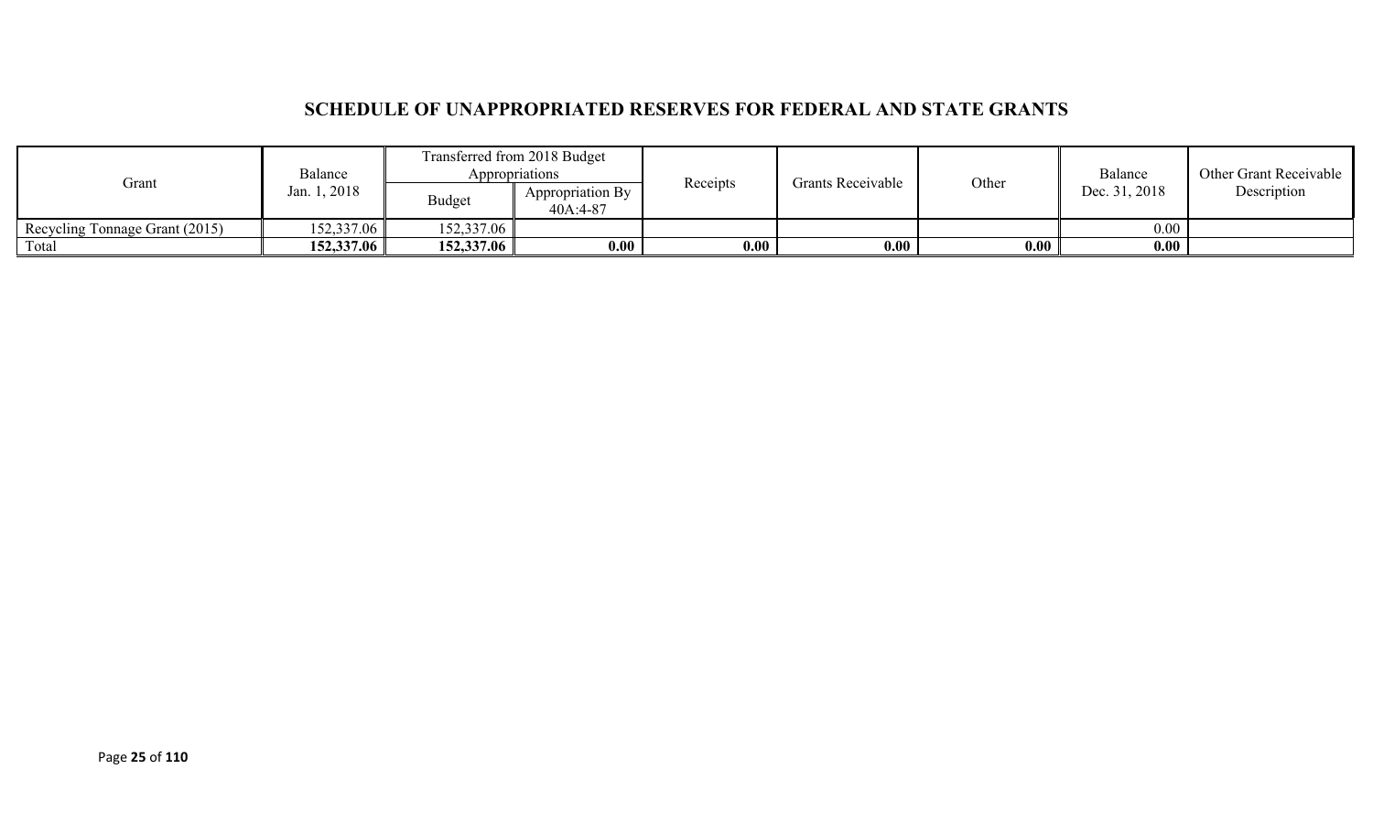### **SCHEDULE OF UNAPPROPRIATED RESERVES FOR FEDERAL AND STATE GRANTS**

|                                | Balance      |                                               | Transferred from 2018 Budget<br>Appropriations | <b>Grants Receivable</b><br>Receipts |               | Other       | Balance | Other Grant Receivable |
|--------------------------------|--------------|-----------------------------------------------|------------------------------------------------|--------------------------------------|---------------|-------------|---------|------------------------|
| Grant                          | Jan. 1, 2018 | Appropriation By<br><b>Budget</b><br>40A:4-87 |                                                |                                      | Dec. 31, 2018 | Description |         |                        |
| Recycling Tonnage Grant (2015) | 152,337.06   | 152,337.06                                    |                                                |                                      |               |             | 0.00    |                        |
| Total                          | 152,337.06   | 152,337.06                                    | 0.00                                           | 0.00                                 | 0.00          | 0.00        | 0.00    |                        |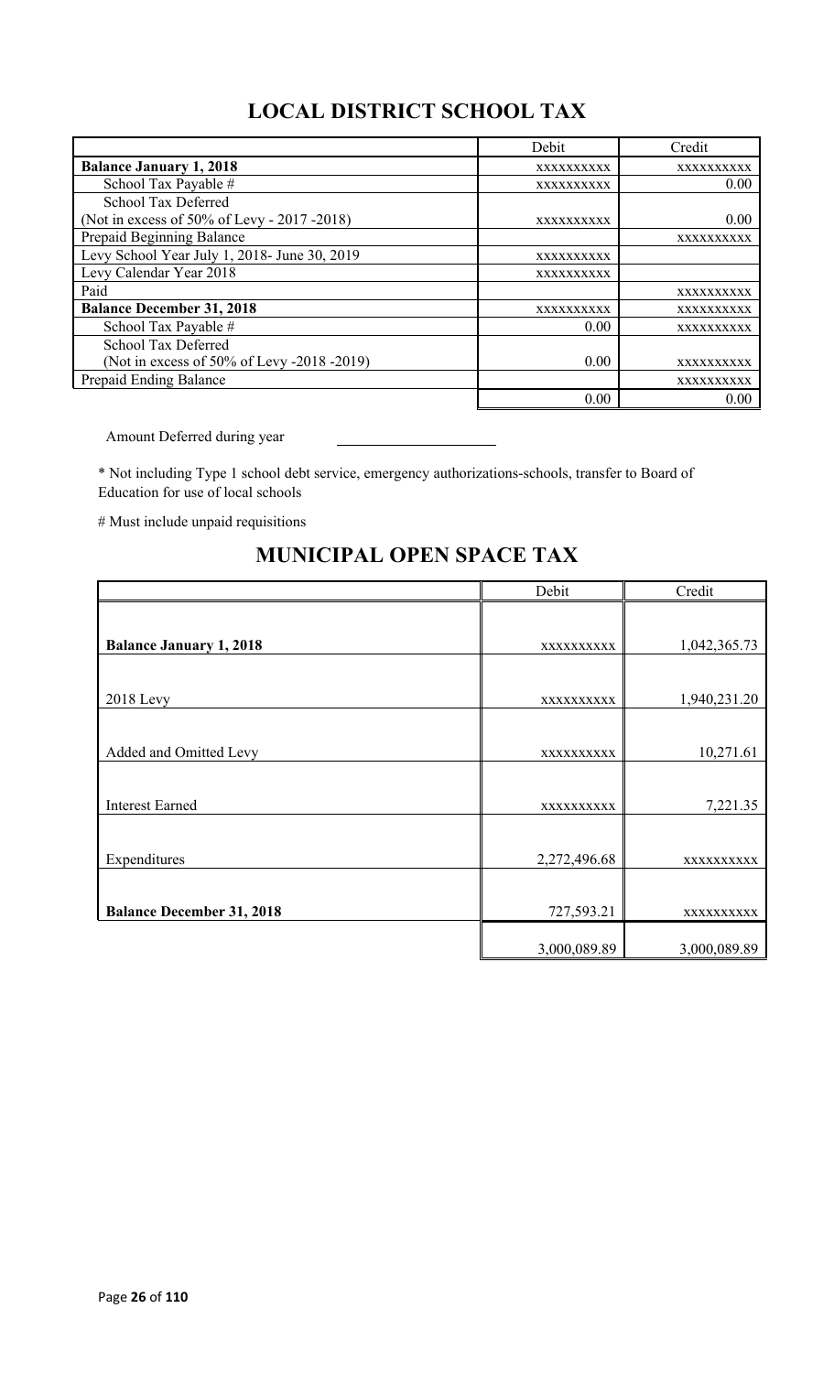# **LOCAL DISTRICT SCHOOL TAX**

|                                              | Debit      | Credit     |
|----------------------------------------------|------------|------------|
| <b>Balance January 1, 2018</b>               | XXXXXXXXXX | XXXXXXXXXX |
| School Tax Payable #                         | XXXXXXXXXX | 0.00       |
| School Tax Deferred                          |            |            |
| (Not in excess of 50% of Levy - 2017 - 2018) | XXXXXXXXXX | 0.00       |
| Prepaid Beginning Balance                    |            | XXXXXXXXXX |
| Levy School Year July 1, 2018- June 30, 2019 | XXXXXXXXXX |            |
| Levy Calendar Year 2018                      | XXXXXXXXXX |            |
| Paid                                         |            | XXXXXXXXXX |
| <b>Balance December 31, 2018</b>             | XXXXXXXXXX | XXXXXXXXXX |
| School Tax Payable #                         | 0.00       | XXXXXXXXXX |
| School Tax Deferred                          |            |            |
| (Not in excess of 50% of Levy -2018 -2019)   | 0.00       | XXXXXXXXXX |
| Prepaid Ending Balance                       |            | XXXXXXXXXX |
|                                              | 0.00       | 0.00       |

Amount Deferred during year

\* Not including Type 1 school debt service, emergency authorizations-schools, transfer to Board of Education for use of local schools

# Must include unpaid requisitions

# **MUNICIPAL OPEN SPACE TAX**

|                                  | Debit        | Credit       |
|----------------------------------|--------------|--------------|
|                                  |              |              |
| <b>Balance January 1, 2018</b>   | XXXXXXXXXX   | 1,042,365.73 |
|                                  |              |              |
| <b>2018 Levy</b>                 | XXXXXXXXXX   | 1,940,231.20 |
|                                  |              |              |
| Added and Omitted Levy           | XXXXXXXXXX   | 10,271.61    |
|                                  |              |              |
| <b>Interest Earned</b>           | XXXXXXXXXX   | 7,221.35     |
|                                  |              |              |
| Expenditures                     | 2,272,496.68 | XXXXXXXXXX   |
|                                  |              |              |
| <b>Balance December 31, 2018</b> | 727,593.21   | XXXXXXXXXX   |
|                                  | 3,000,089.89 | 3,000,089.89 |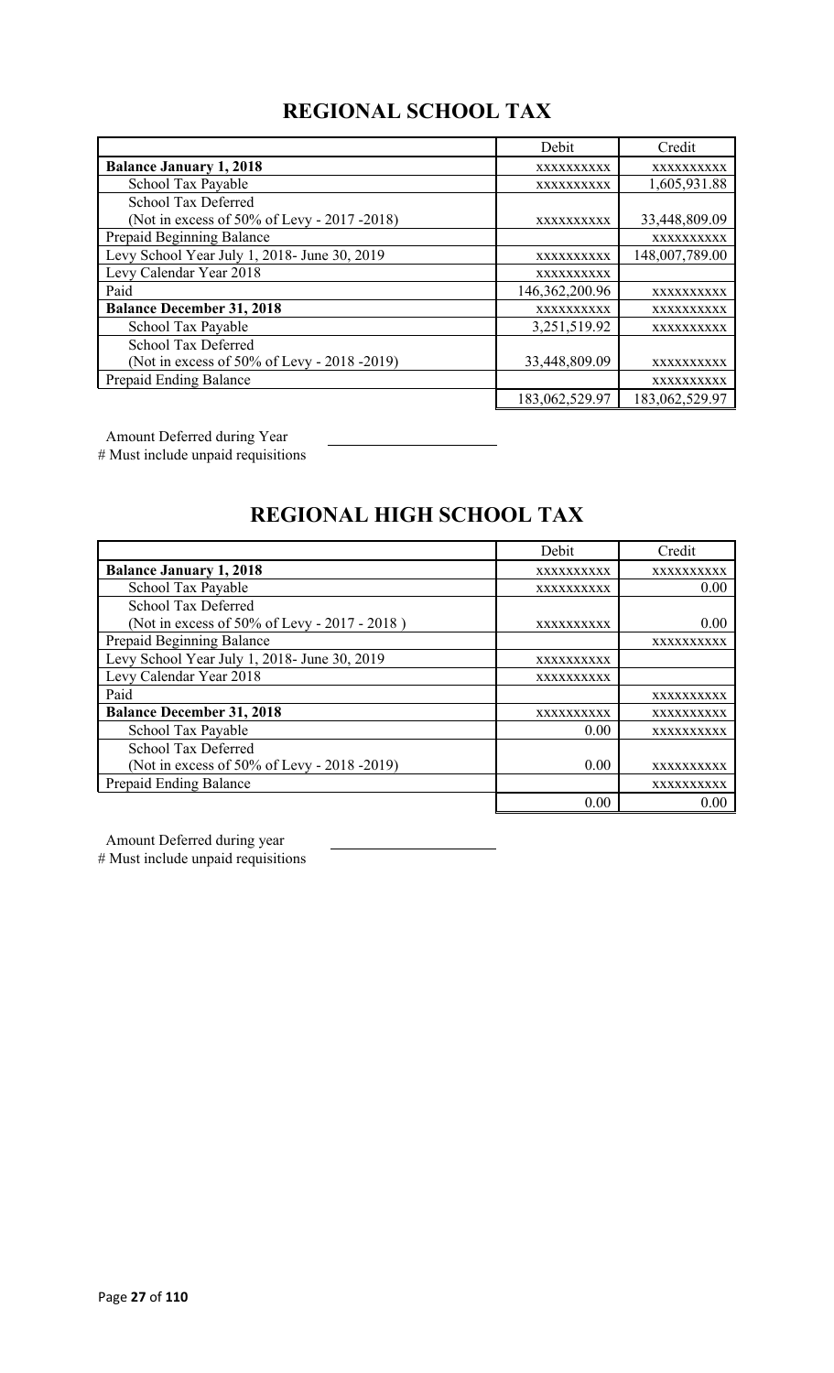# **REGIONAL SCHOOL TAX**

|                                              | Debit          | Credit         |
|----------------------------------------------|----------------|----------------|
| <b>Balance January 1, 2018</b>               | XXXXXXXXXX     | XXXXXXXXXX     |
| School Tax Payable                           | XXXXXXXXXX     | 1,605,931.88   |
| School Tax Deferred                          |                |                |
| (Not in excess of 50% of Levy - 2017 -2018)  | XXXXXXXXXX     | 33,448,809.09  |
| Prepaid Beginning Balance                    |                | XXXXXXXXXX     |
| Levy School Year July 1, 2018- June 30, 2019 | XXXXXXXXXX     | 148,007,789.00 |
| Levy Calendar Year 2018                      | XXXXXXXXXX     |                |
| Paid                                         | 146,362,200.96 | XXXXXXXXXX     |
| <b>Balance December 31, 2018</b>             | XXXXXXXXXX     | XXXXXXXXXX     |
| School Tax Payable                           | 3,251,519.92   | XXXXXXXXXX     |
| School Tax Deferred                          |                |                |
| (Not in excess of 50% of Levy - 2018 -2019)  | 33,448,809.09  | XXXXXXXXXX     |
| Prepaid Ending Balance                       |                | XXXXXXXXXX     |
|                                              | 183,062,529.97 | 183,062,529.97 |

Amount Deferred during Year

# Must include unpaid requisitions

# **REGIONAL HIGH SCHOOL TAX**

|                                              | Debit      | Credit     |
|----------------------------------------------|------------|------------|
| <b>Balance January 1, 2018</b>               | XXXXXXXXXX | XXXXXXXXXX |
| School Tax Payable                           | XXXXXXXXXX | 0.00       |
| School Tax Deferred                          |            |            |
| (Not in excess of 50% of Levy - 2017 - 2018) | XXXXXXXXXX | 0.00       |
| Prepaid Beginning Balance                    |            | XXXXXXXXXX |
| Levy School Year July 1, 2018- June 30, 2019 | XXXXXXXXXX |            |
| Levy Calendar Year 2018                      | XXXXXXXXXX |            |
| Paid                                         |            | XXXXXXXXXX |
| <b>Balance December 31, 2018</b>             | XXXXXXXXXX | XXXXXXXXXX |
| School Tax Payable                           | 0.00       | XXXXXXXXXX |
| <b>School Tax Deferred</b>                   |            |            |
| (Not in excess of 50% of Levy - 2018 -2019)  | 0.00       | XXXXXXXXXX |
| Prepaid Ending Balance                       |            | XXXXXXXXXX |
|                                              | 0.00       | 0.00       |

Amount Deferred during year

# Must include unpaid requisitions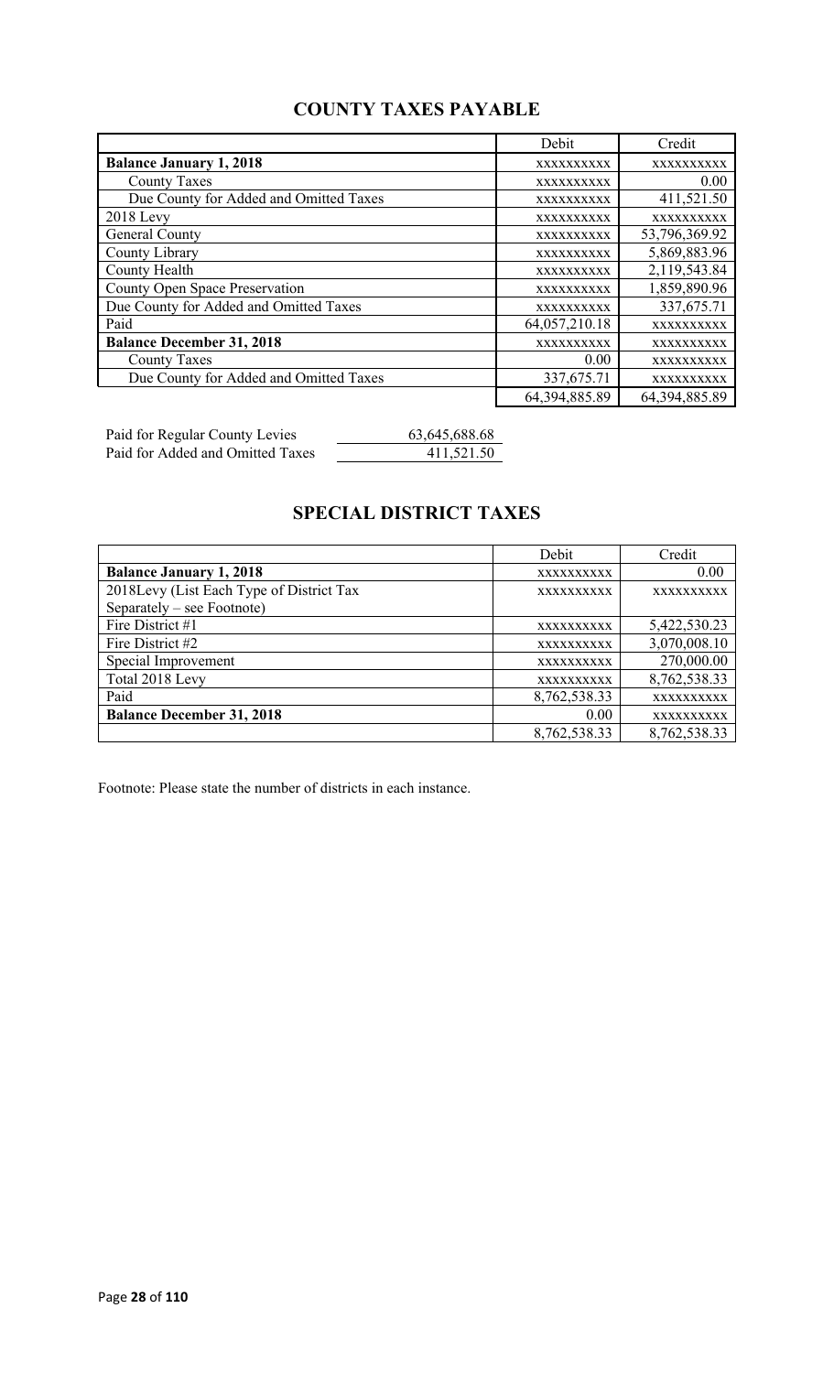### **COUNTY TAXES PAYABLE**

|                                        | Debit         | Credit        |
|----------------------------------------|---------------|---------------|
| <b>Balance January 1, 2018</b>         | XXXXXXXXXX    | XXXXXXXXXX    |
| <b>County Taxes</b>                    | XXXXXXXXXX    | 0.00          |
| Due County for Added and Omitted Taxes | XXXXXXXXXX    | 411,521.50    |
| $2018$ Levy                            | XXXXXXXXXX    | XXXXXXXXXX    |
| General County                         | XXXXXXXXXX    | 53,796,369.92 |
| County Library                         | XXXXXXXXXX    | 5,869,883.96  |
| <b>County Health</b>                   | XXXXXXXXXX    | 2,119,543.84  |
| <b>County Open Space Preservation</b>  | XXXXXXXXXX    | 1,859,890.96  |
| Due County for Added and Omitted Taxes | XXXXXXXXXX    | 337,675.71    |
| Paid                                   | 64,057,210.18 | XXXXXXXXXX    |
| <b>Balance December 31, 2018</b>       | XXXXXXXXXX    | XXXXXXXXXX    |
| <b>County Taxes</b>                    | 0.00          | XXXXXXXXXX    |
| Due County for Added and Omitted Taxes | 337,675.71    | XXXXXXXXXX    |
|                                        | 64,394,885.89 | 64,394,885.89 |

Paid for Regular County Levies 63,645,688.68 Paid for Added and Omitted Taxes 411,521.50

# **SPECIAL DISTRICT TAXES**

|                                          | Debit             | Credit       |
|------------------------------------------|-------------------|--------------|
| <b>Balance January 1, 2018</b>           | XXXXXXXXXX        | 0.00         |
| 2018Levy (List Each Type of District Tax | XXXXXXXXXX        | XXXXXXXXXX   |
| Separately – see Footnote)               |                   |              |
| Fire District #1                         | XXXXXXXXXX        | 5,422,530.23 |
| Fire District #2                         | XXXXXXXXXX        | 3,070,008.10 |
| Special Improvement                      | XXXXXXXXXX        | 270,000.00   |
| Total 2018 Levy                          | <b>XXXXXXXXXX</b> | 8,762,538.33 |
| Paid                                     | 8,762,538.33      | XXXXXXXXXX   |
| <b>Balance December 31, 2018</b>         | 0.00              | XXXXXXXXXX   |
|                                          | 8,762,538.33      | 8,762,538.33 |

Footnote: Please state the number of districts in each instance.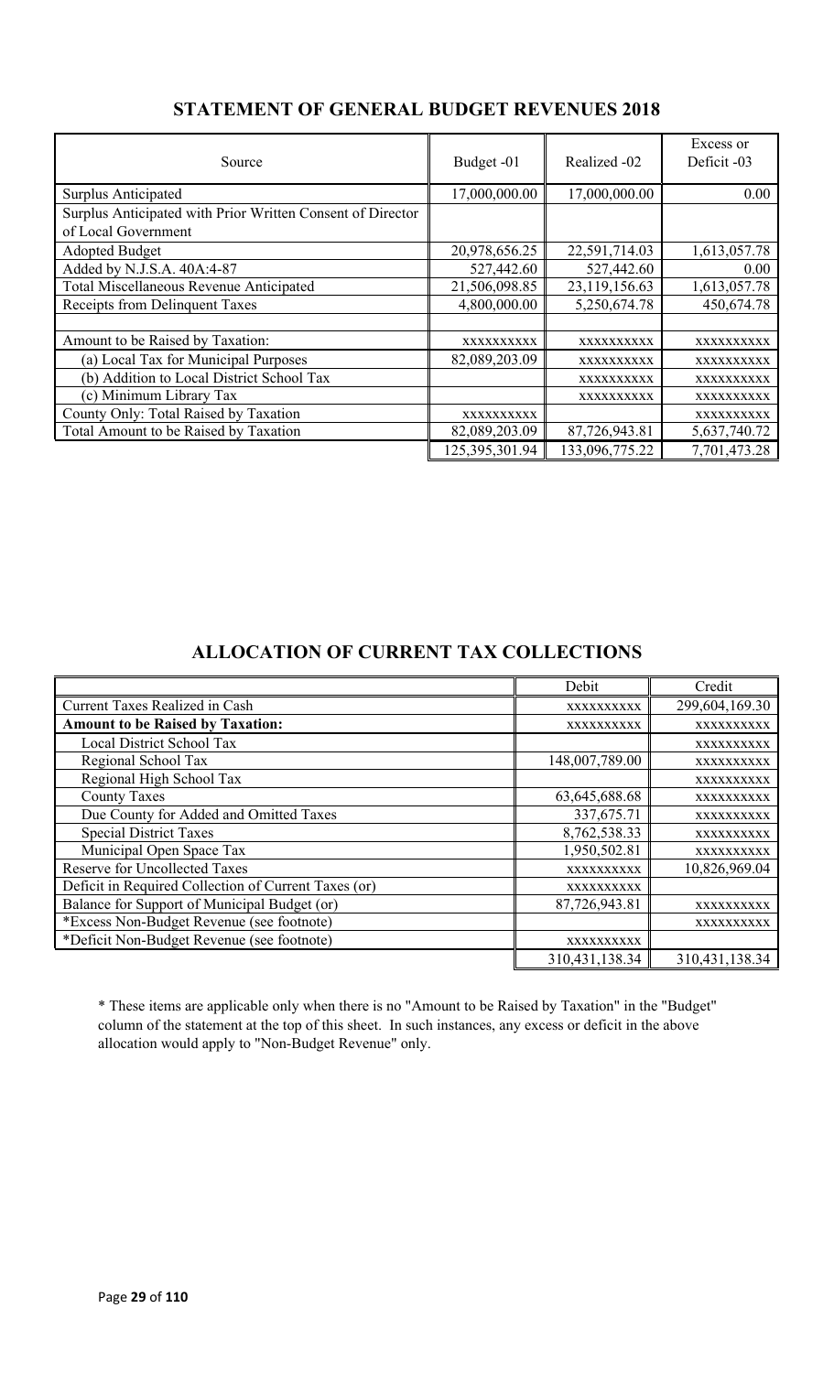| Source                                                     | Budget -01     | Realized -02   | Excess or<br>Deficit -03 |
|------------------------------------------------------------|----------------|----------------|--------------------------|
| Surplus Anticipated                                        | 17,000,000.00  | 17,000,000.00  | 0.00                     |
| Surplus Anticipated with Prior Written Consent of Director |                |                |                          |
| of Local Government                                        |                |                |                          |
| <b>Adopted Budget</b>                                      | 20,978,656.25  | 22,591,714.03  | 1,613,057.78             |
| Added by N.J.S.A. 40A:4-87                                 | 527,442.60     | 527,442.60     | 0.00                     |
| Total Miscellaneous Revenue Anticipated                    | 21,506,098.85  | 23,119,156.63  | 1,613,057.78             |
| Receipts from Delinquent Taxes                             | 4,800,000.00   | 5,250,674.78   | 450,674.78               |
|                                                            |                |                |                          |
| Amount to be Raised by Taxation:                           | XXXXXXXXXX     | XXXXXXXXXX     | XXXXXXXXX                |
| (a) Local Tax for Municipal Purposes                       | 82,089,203.09  | XXXXXXXXXX     | XXXXXXXXXX               |
| (b) Addition to Local District School Tax                  |                | XXXXXXXXXX     | XXXXXXXXXX               |
| (c) Minimum Library Tax                                    |                | XXXXXXXXXX     | XXXXXXXXXX               |
| County Only: Total Raised by Taxation                      | XXXXXXXXXX     |                | XXXXXXXXXX               |
| Total Amount to be Raised by Taxation                      | 82,089,203.09  | 87,726,943.81  | 5,637,740.72             |
|                                                            | 125,395,301.94 | 133,096,775.22 | 7,701,473.28             |

### **STATEMENT OF GENERAL BUDGET REVENUES 2018**

### **ALLOCATION OF CURRENT TAX COLLECTIONS**

|                                                      | Debit             | Credit         |
|------------------------------------------------------|-------------------|----------------|
| <b>Current Taxes Realized in Cash</b>                | XXXXXXXXXX        | 299,604,169.30 |
| <b>Amount to be Raised by Taxation:</b>              | XXXXXXXXXX        | XXXXXXXXXX     |
| Local District School Tax                            |                   | XXXXXXXXXX     |
| Regional School Tax                                  | 148,007,789.00    | XXXXXXXXXX     |
| Regional High School Tax                             |                   | XXXXXXXXXX     |
| <b>County Taxes</b>                                  | 63,645,688.68     | XXXXXXXXXX     |
| Due County for Added and Omitted Taxes               | 337,675.71        | XXXXXXXXXX     |
| <b>Special District Taxes</b>                        | 8,762,538.33      | XXXXXXXXXX     |
| Municipal Open Space Tax                             | 1,950,502.81      | XXXXXXXXXX     |
| <b>Reserve for Uncollected Taxes</b>                 | XXXXXXXXXX        | 10,826,969.04  |
| Deficit in Required Collection of Current Taxes (or) | XXXXXXXXXX        |                |
| Balance for Support of Municipal Budget (or)         | 87,726,943.81     | XXXXXXXXXX     |
| *Excess Non-Budget Revenue (see footnote)            |                   | XXXXXXXXXX     |
| *Deficit Non-Budget Revenue (see footnote)           | XXXXXXXXXX        |                |
|                                                      | 310, 431, 138. 34 | 310,431,138.34 |

\* These items are applicable only when there is no "Amount to be Raised by Taxation" in the "Budget" column of the statement at the top of this sheet. In such instances, any excess or deficit in the above allocation would apply to "Non-Budget Revenue" only.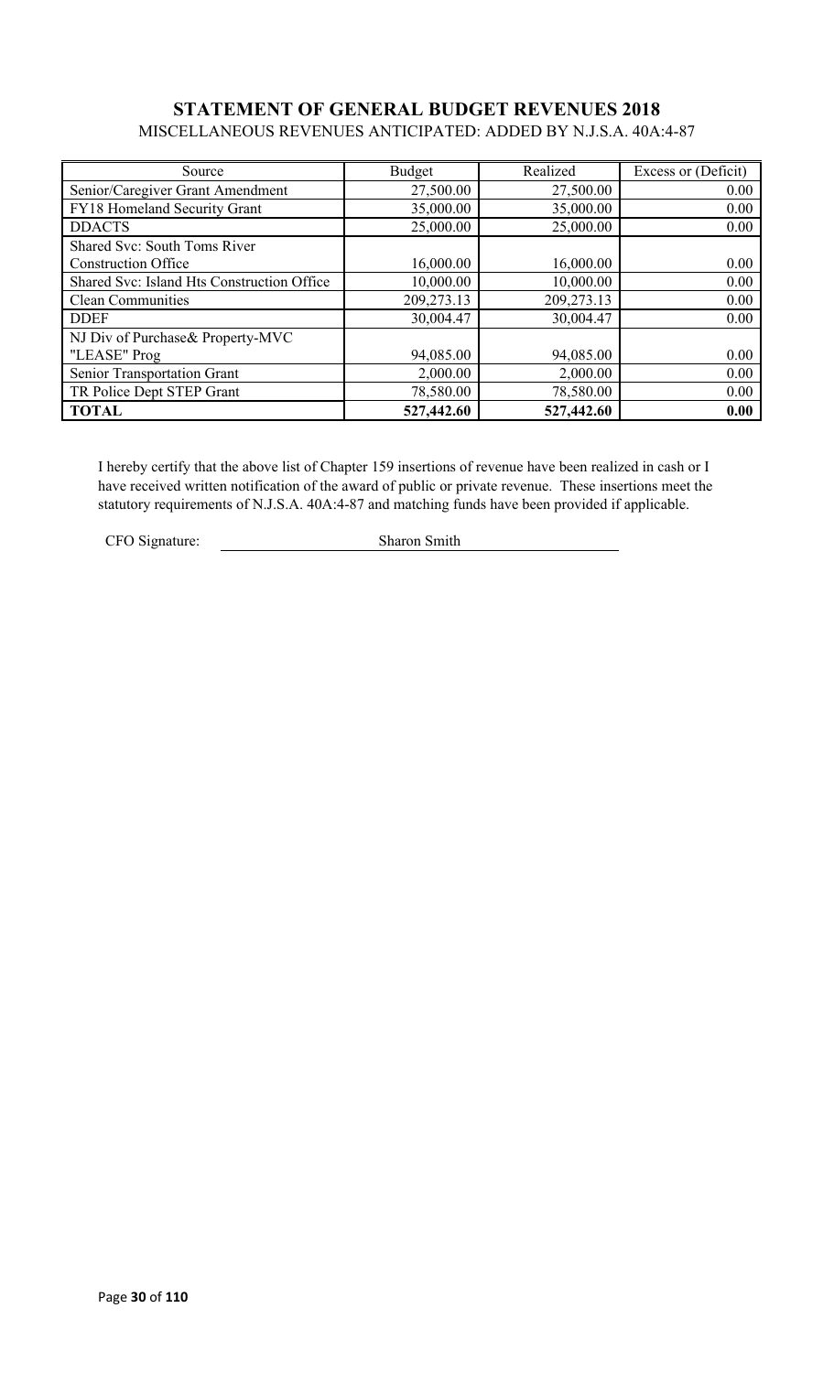### **STATEMENT OF GENERAL BUDGET REVENUES 2018** MISCELLANEOUS REVENUES ANTICIPATED: ADDED BY N.J.S.A. 40A:4-87

| Source                                     | Budget     | Realized   | Excess or (Deficit) |
|--------------------------------------------|------------|------------|---------------------|
| Senior/Caregiver Grant Amendment           | 27,500.00  | 27,500.00  | 0.00                |
| FY18 Homeland Security Grant               | 35,000.00  | 35,000.00  | 0.00                |
| <b>DDACTS</b>                              | 25,000.00  | 25,000.00  | 0.00                |
| Shared Svc: South Toms River               |            |            |                     |
| <b>Construction Office</b>                 | 16,000.00  | 16,000.00  | 0.00                |
| Shared Svc: Island Hts Construction Office | 10,000.00  | 10,000.00  | 0.00                |
| <b>Clean Communities</b>                   | 209,273.13 | 209,273.13 | 0.00                |
| <b>DDEF</b>                                | 30,004.47  | 30,004.47  | 0.00                |
| NJ Div of Purchase& Property-MVC           |            |            |                     |
| "LEASE" Prog                               | 94,085.00  | 94,085.00  | 0.00                |
| Senior Transportation Grant                | 2,000.00   | 2,000.00   | 0.00                |
| TR Police Dept STEP Grant                  | 78,580.00  | 78,580.00  | 0.00                |
| <b>TOTAL</b>                               | 527,442.60 | 527,442.60 | 0.00                |

I hereby certify that the above list of Chapter 159 insertions of revenue have been realized in cash or I have received written notification of the award of public or private revenue. These insertions meet the statutory requirements of N.J.S.A. 40A:4-87 and matching funds have been provided if applicable.

CFO Signature: Sharon Smith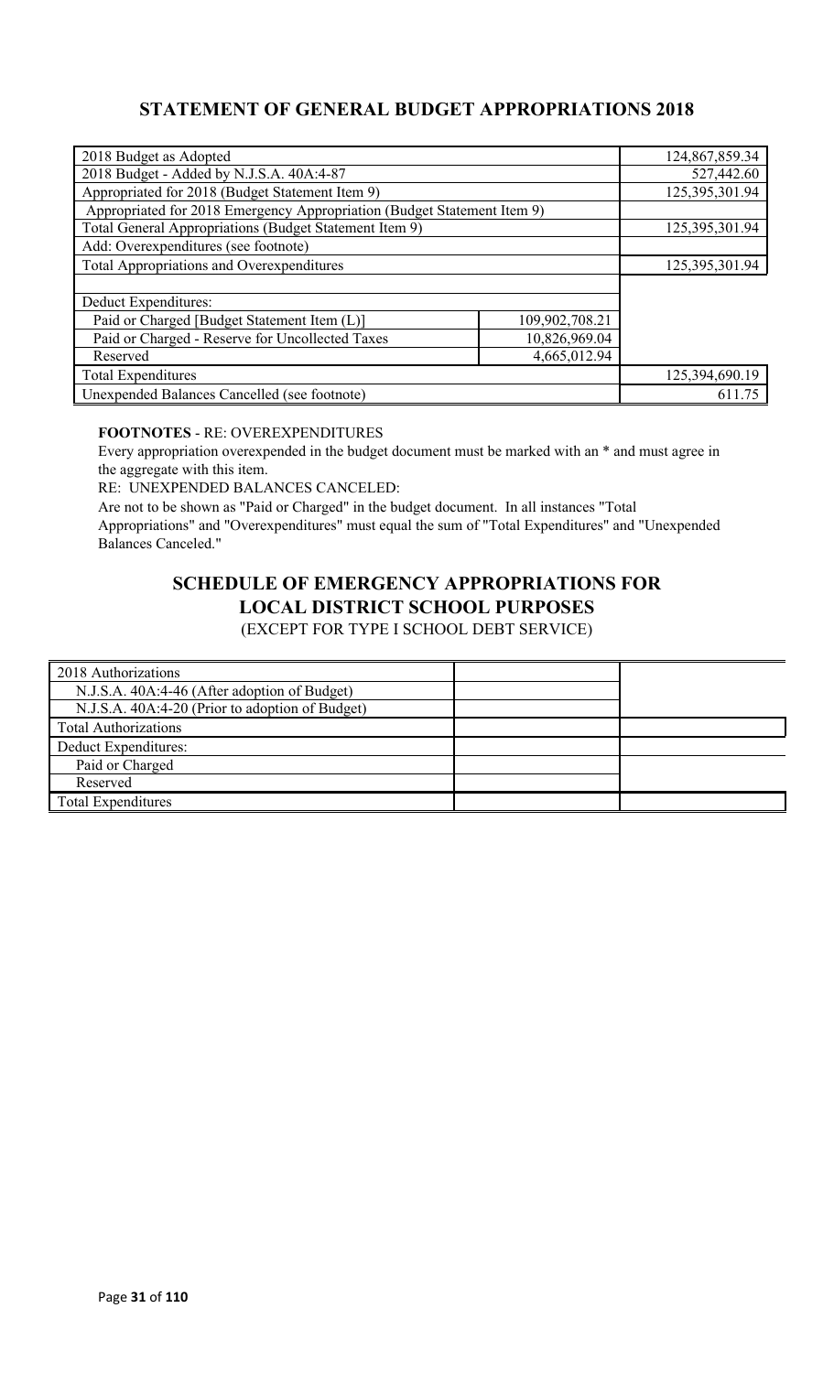### **STATEMENT OF GENERAL BUDGET APPROPRIATIONS 2018**

| 2018 Budget as Adopted                                                  |                | 124,867,859.34 |
|-------------------------------------------------------------------------|----------------|----------------|
| 2018 Budget - Added by N.J.S.A. 40A:4-87                                |                | 527,442.60     |
| Appropriated for 2018 (Budget Statement Item 9)                         |                | 125,395,301.94 |
| Appropriated for 2018 Emergency Appropriation (Budget Statement Item 9) |                |                |
| Total General Appropriations (Budget Statement Item 9)                  |                | 125,395,301.94 |
| Add: Overexpenditures (see footnote)                                    |                |                |
| <b>Total Appropriations and Overexpenditures</b>                        |                | 125,395,301.94 |
|                                                                         |                |                |
| Deduct Expenditures:                                                    |                |                |
| Paid or Charged [Budget Statement Item (L)]                             | 109,902,708.21 |                |
| Paid or Charged - Reserve for Uncollected Taxes                         | 10,826,969.04  |                |
| Reserved                                                                | 4,665,012.94   |                |
| <b>Total Expenditures</b>                                               |                | 125,394,690.19 |
| Unexpended Balances Cancelled (see footnote)                            |                | 611.75         |

#### **FOOTNOTES** - RE: OVEREXPENDITURES

Every appropriation overexpended in the budget document must be marked with an \* and must agree in the aggregate with this item.

RE: UNEXPENDED BALANCES CANCELED:

Are not to be shown as "Paid or Charged" in the budget document. In all instances "Total Appropriations" and "Overexpenditures" must equal the sum of "Total Expenditures" and "Unexpended Balances Canceled."

# **SCHEDULE OF EMERGENCY APPROPRIATIONS FOR LOCAL DISTRICT SCHOOL PURPOSES**

(EXCEPT FOR TYPE I SCHOOL DEBT SERVICE)

| 2018 Authorizations                             |  |
|-------------------------------------------------|--|
| N.J.S.A. 40A:4-46 (After adoption of Budget)    |  |
| N.J.S.A. 40A:4-20 (Prior to adoption of Budget) |  |
| <b>Total Authorizations</b>                     |  |
| Deduct Expenditures:                            |  |
| Paid or Charged                                 |  |
| Reserved                                        |  |
| <b>Total Expenditures</b>                       |  |
|                                                 |  |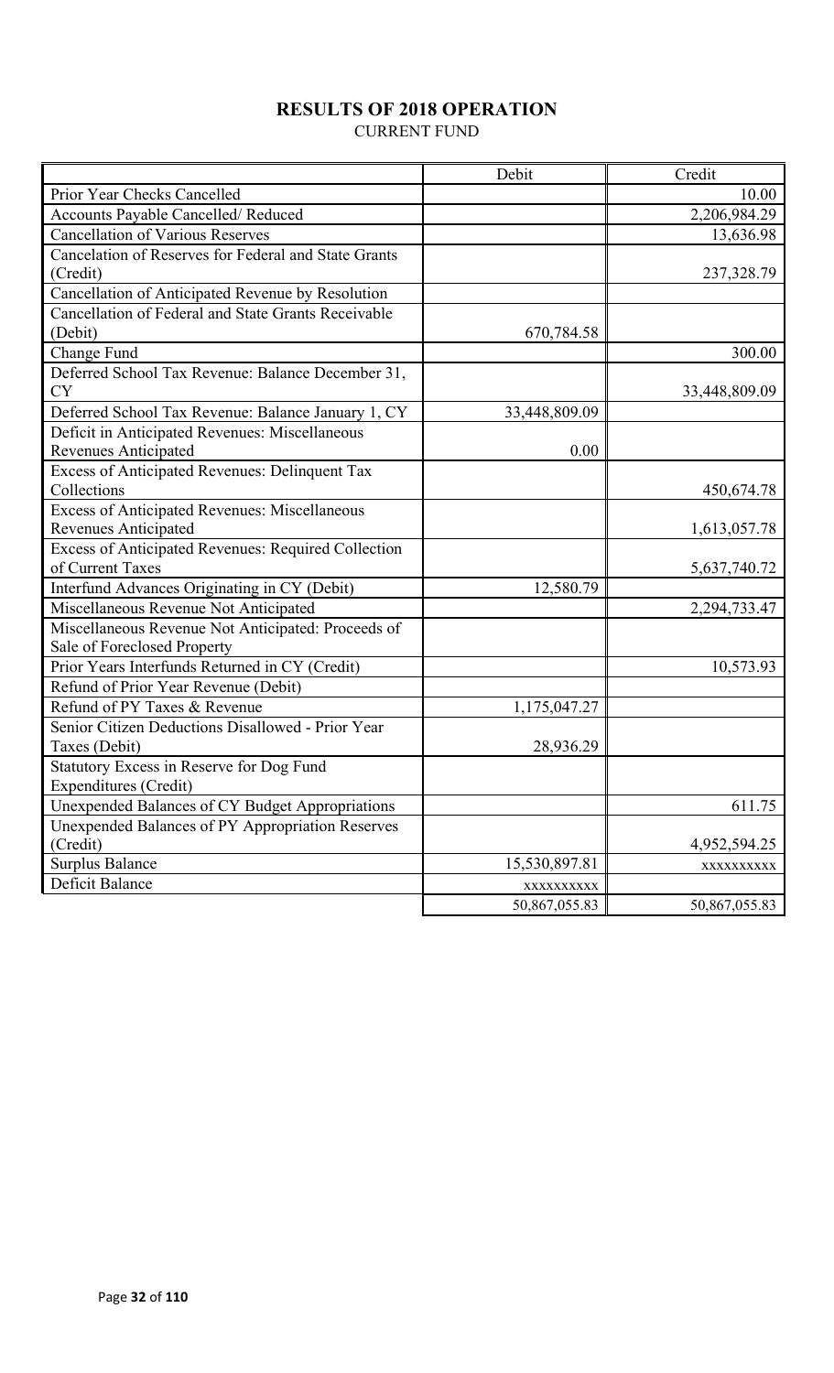# **RESULTS OF 2018 OPERATION**

CURRENT FUND

|                                                       | Debit         | Credit        |
|-------------------------------------------------------|---------------|---------------|
| Prior Year Checks Cancelled                           |               | 10.00         |
| Accounts Payable Cancelled/Reduced                    |               | 2,206,984.29  |
| <b>Cancellation of Various Reserves</b>               |               | 13,636.98     |
| Cancelation of Reserves for Federal and State Grants  |               |               |
| (Credit)                                              |               | 237,328.79    |
| Cancellation of Anticipated Revenue by Resolution     |               |               |
| Cancellation of Federal and State Grants Receivable   |               |               |
| (Debit)                                               | 670,784.58    |               |
| Change Fund                                           |               | 300.00        |
| Deferred School Tax Revenue: Balance December 31,     |               |               |
| <b>CY</b>                                             |               | 33,448,809.09 |
| Deferred School Tax Revenue: Balance January 1, CY    | 33,448,809.09 |               |
| Deficit in Anticipated Revenues: Miscellaneous        |               |               |
| <b>Revenues Anticipated</b>                           | 0.00          |               |
| <b>Excess of Anticipated Revenues: Delinquent Tax</b> |               |               |
| Collections                                           |               | 450,674.78    |
| <b>Excess of Anticipated Revenues: Miscellaneous</b>  |               |               |
| <b>Revenues Anticipated</b>                           |               | 1,613,057.78  |
| Excess of Anticipated Revenues: Required Collection   |               |               |
| of Current Taxes                                      |               | 5,637,740.72  |
| Interfund Advances Originating in CY (Debit)          | 12,580.79     |               |
| Miscellaneous Revenue Not Anticipated                 |               | 2,294,733.47  |
| Miscellaneous Revenue Not Anticipated: Proceeds of    |               |               |
| Sale of Foreclosed Property                           |               |               |
| Prior Years Interfunds Returned in CY (Credit)        |               | 10,573.93     |
| Refund of Prior Year Revenue (Debit)                  |               |               |
| Refund of PY Taxes & Revenue                          | 1,175,047.27  |               |
| Senior Citizen Deductions Disallowed - Prior Year     |               |               |
| Taxes (Debit)                                         | 28,936.29     |               |
| Statutory Excess in Reserve for Dog Fund              |               |               |
| Expenditures (Credit)                                 |               |               |
| Unexpended Balances of CY Budget Appropriations       |               | 611.75        |
| Unexpended Balances of PY Appropriation Reserves      |               |               |
| (Credit)                                              |               | 4,952,594.25  |
| <b>Surplus Balance</b>                                | 15,530,897.81 | XXXXXXXXX     |
| Deficit Balance                                       | XXXXXXXXXX    |               |
|                                                       | 50,867,055.83 | 50,867,055.83 |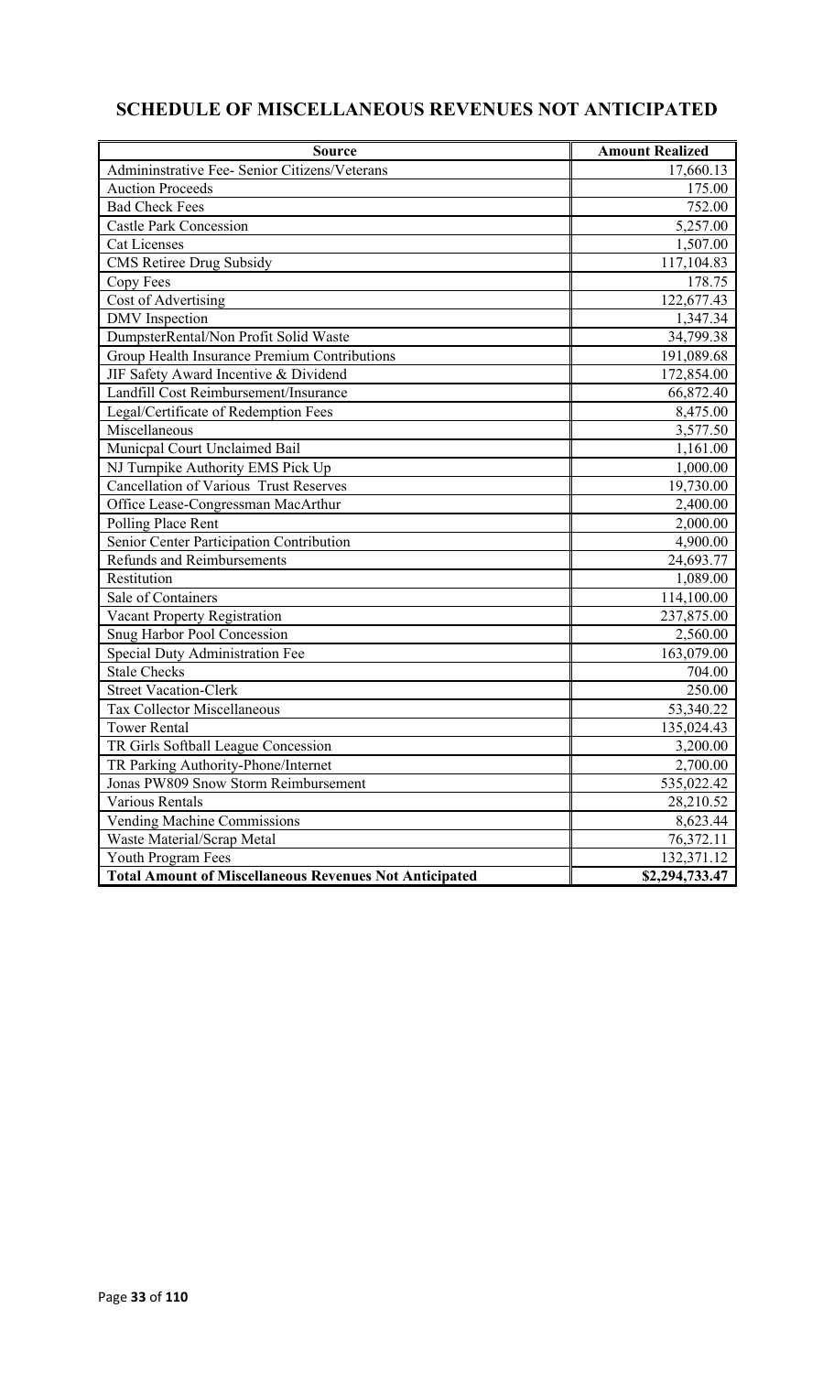# **SCHEDULE OF MISCELLANEOUS REVENUES NOT ANTICIPATED**

| <b>Source</b>                                                 | <b>Amount Realized</b> |
|---------------------------------------------------------------|------------------------|
| Admininstrative Fee- Senior Citizens/Veterans                 | 17,660.13              |
| <b>Auction Proceeds</b>                                       | 175.00                 |
| <b>Bad Check Fees</b>                                         | 752.00                 |
| <b>Castle Park Concession</b>                                 | 5,257.00               |
| <b>Cat Licenses</b>                                           | 1,507.00               |
| CMS Retiree Drug Subsidy                                      | 117,104.83             |
| Copy Fees                                                     | 178.75                 |
| Cost of Advertising                                           | 122,677.43             |
| <b>DMV</b> Inspection                                         | 1,347.34               |
| DumpsterRental/Non Profit Solid Waste                         | 34,799.38              |
| Group Health Insurance Premium Contributions                  | 191,089.68             |
| JIF Safety Award Incentive & Dividend                         | 172,854.00             |
| Landfill Cost Reimbursement/Insurance                         | 66,872.40              |
| Legal/Certificate of Redemption Fees                          | 8,475.00               |
| Miscellaneous                                                 | 3,577.50               |
| Municpal Court Unclaimed Bail                                 | 1,161.00               |
| NJ Turnpike Authority EMS Pick Up                             | 1,000.00               |
| <b>Cancellation of Various Trust Reserves</b>                 | 19,730.00              |
| Office Lease-Congressman MacArthur                            | 2,400.00               |
| Polling Place Rent                                            | 2,000.00               |
| Senior Center Participation Contribution                      | 4,900.00               |
| <b>Refunds and Reimbursements</b>                             | 24,693.77              |
| Restitution                                                   | 1,089.00               |
| Sale of Containers                                            | 114,100.00             |
| Vacant Property Registration                                  | 237,875.00             |
| Snug Harbor Pool Concession                                   | 2,560.00               |
| Special Duty Administration Fee                               | 163,079.00             |
| <b>Stale Checks</b>                                           | 704.00                 |
| <b>Street Vacation-Clerk</b>                                  | 250.00                 |
| Tax Collector Miscellaneous                                   | 53,340.22              |
| <b>Tower Rental</b>                                           | 135,024.43             |
| TR Girls Softball League Concession                           | 3,200.00               |
| TR Parking Authority-Phone/Internet                           | 2,700.00               |
| Jonas PW809 Snow Storm Reimbursement                          | 535,022.42             |
| Various Rentals                                               | 28,210.52              |
| Vending Machine Commissions                                   | 8,623.44               |
| Waste Material/Scrap Metal                                    | 76,372.11              |
| Youth Program Fees                                            | 132,371.12             |
| <b>Total Amount of Miscellaneous Revenues Not Anticipated</b> | \$2,294,733.47         |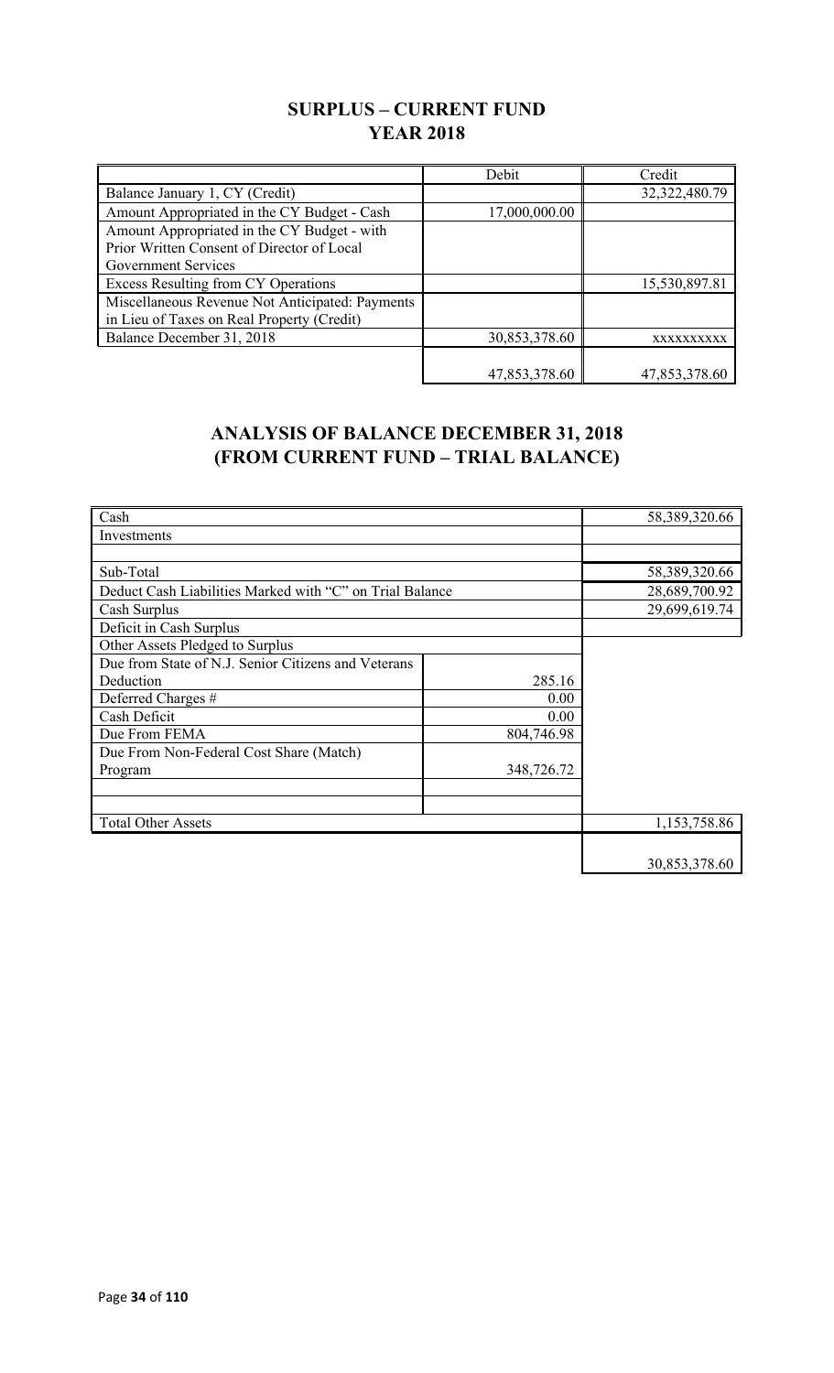### **SURPLUS – CURRENT FUND YEAR 2018**

|                                                 | Debit         | Credit        |
|-------------------------------------------------|---------------|---------------|
| Balance January 1, CY (Credit)                  |               | 32,322,480.79 |
| Amount Appropriated in the CY Budget - Cash     | 17,000,000.00 |               |
| Amount Appropriated in the CY Budget - with     |               |               |
| Prior Written Consent of Director of Local      |               |               |
| <b>Government Services</b>                      |               |               |
| Excess Resulting from CY Operations             |               | 15,530,897.81 |
| Miscellaneous Revenue Not Anticipated: Payments |               |               |
| in Lieu of Taxes on Real Property (Credit)      |               |               |
| Balance December 31, 2018                       | 30,853,378.60 | XXXXXXXXXX    |
|                                                 |               |               |
|                                                 | 47,853,378.60 | 47,853,378.60 |

### **ANALYSIS OF BALANCE DECEMBER 31, 2018 (FROM CURRENT FUND – TRIAL BALANCE)**

| Cash                                                     |            | 58,389,320.66 |
|----------------------------------------------------------|------------|---------------|
| Investments                                              |            |               |
|                                                          |            |               |
| Sub-Total                                                |            | 58,389,320.66 |
| Deduct Cash Liabilities Marked with "C" on Trial Balance |            | 28,689,700.92 |
| Cash Surplus                                             |            | 29,699,619.74 |
| Deficit in Cash Surplus                                  |            |               |
| Other Assets Pledged to Surplus                          |            |               |
| Due from State of N.J. Senior Citizens and Veterans      |            |               |
| Deduction                                                | 285.16     |               |
| Deferred Charges #                                       | 0.00       |               |
| Cash Deficit                                             | 0.00       |               |
| Due From FEMA                                            | 804,746.98 |               |
| Due From Non-Federal Cost Share (Match)                  |            |               |
| Program                                                  | 348,726.72 |               |
|                                                          |            |               |
|                                                          |            |               |
| <b>Total Other Assets</b>                                |            | 1,153,758.86  |
|                                                          |            |               |
|                                                          |            | 30,853,378.60 |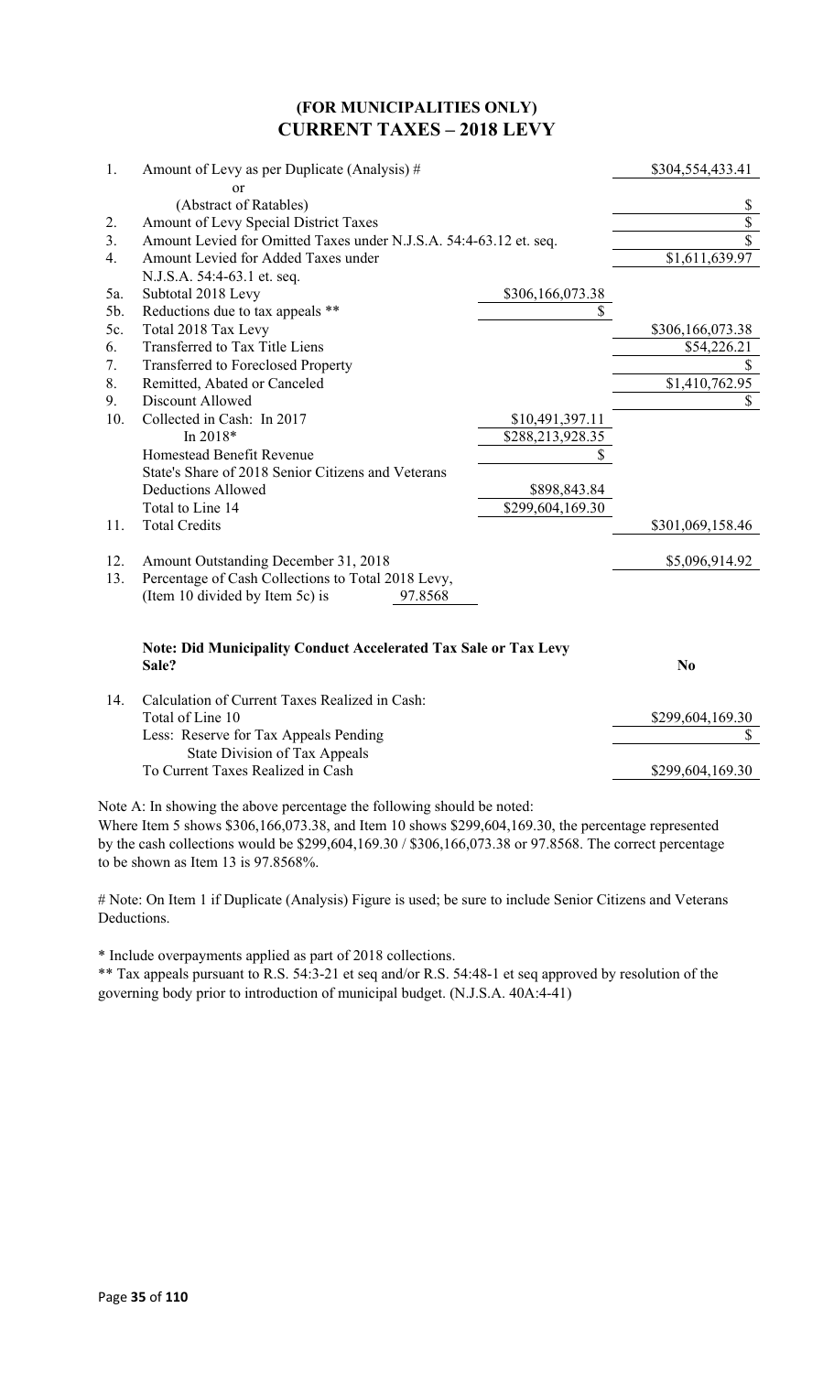### **(FOR MUNICIPALITIES ONLY) CURRENT TAXES – 2018 LEVY**

| 1.  | Amount of Levy as per Duplicate (Analysis) #                           |                  | \$304,554,433.41         |
|-----|------------------------------------------------------------------------|------------------|--------------------------|
|     | or                                                                     |                  |                          |
|     | (Abstract of Ratables)                                                 |                  | $\frac{1}{2}$            |
| 2.  | Amount of Levy Special District Taxes                                  |                  | $\overline{\$}$          |
| 3.  | Amount Levied for Omitted Taxes under N.J.S.A. 54:4-63.12 et. seq.     |                  | $\overline{\mathcal{S}}$ |
| 4.  | Amount Levied for Added Taxes under                                    |                  | \$1,611,639.97           |
|     | N.J.S.A. 54:4-63.1 et. seq.                                            |                  |                          |
| 5a. | Subtotal 2018 Levy                                                     | \$306,166,073.38 |                          |
| 5b. | Reductions due to tax appeals **                                       | \$               |                          |
| 5c. | Total 2018 Tax Levy                                                    |                  | \$306,166,073.38         |
| 6.  | Transferred to Tax Title Liens                                         |                  | \$54,226.21              |
| 7.  | <b>Transferred to Foreclosed Property</b>                              |                  | \$                       |
| 8.  | Remitted, Abated or Canceled                                           |                  | \$1,410,762.95           |
| 9.  | Discount Allowed                                                       |                  | \$                       |
| 10. | Collected in Cash: In 2017                                             | \$10,491,397.11  |                          |
|     | In 2018*                                                               | \$288,213,928.35 |                          |
|     | Homestead Benefit Revenue                                              | \$               |                          |
|     | State's Share of 2018 Senior Citizens and Veterans                     |                  |                          |
|     | <b>Deductions Allowed</b>                                              | \$898,843.84     |                          |
|     | Total to Line 14                                                       | \$299,604,169.30 |                          |
| 11. | <b>Total Credits</b>                                                   |                  | \$301,069,158.46         |
| 12. | Amount Outstanding December 31, 2018                                   |                  | \$5,096,914.92           |
| 13. | Percentage of Cash Collections to Total 2018 Levy,                     |                  |                          |
|     | (Item 10 divided by Item 5c) is<br>97.8568                             |                  |                          |
|     | <b>Note: Did Municipality Conduct Accelerated Tax Sale or Tax Levy</b> |                  |                          |
|     | Sale?                                                                  |                  | N <sub>0</sub>           |
| 14. | Calculation of Current Taxes Realized in Cash:                         |                  |                          |
|     | Total of Line 10                                                       |                  | \$299,604,169.30         |
|     | Less: Reserve for Tax Appeals Pending                                  |                  | \$                       |
|     | State Division of Tax Appeals                                          |                  |                          |

To Current Taxes Realized in Cash \$299,604,169.30

Note A: In showing the above percentage the following should be noted:

Where Item 5 shows \$306,166,073.38, and Item 10 shows \$299,604,169.30, the percentage represented by the cash collections would be \$299,604,169.30 / \$306,166,073.38 or 97.8568. The correct percentage to be shown as Item 13 is 97.8568%.

# Note: On Item 1 if Duplicate (Analysis) Figure is used; be sure to include Senior Citizens and Veterans Deductions.

\* Include overpayments applied as part of 2018 collections.

\*\* Tax appeals pursuant to R.S. 54:3-21 et seq and/or R.S. 54:48-1 et seq approved by resolution of the governing body prior to introduction of municipal budget. (N.J.S.A. 40A:4-41)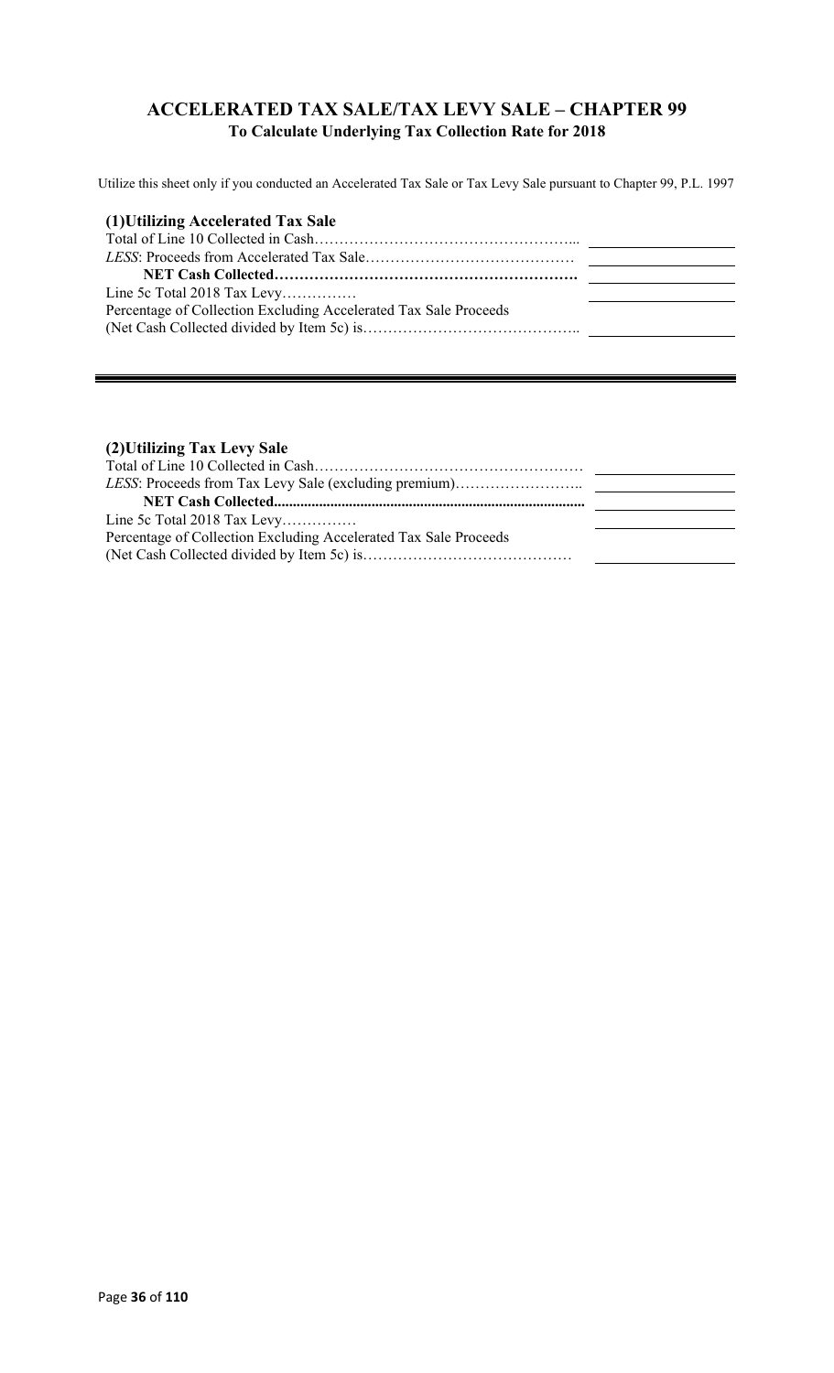### **ACCELERATED TAX SALE/TAX LEVY SALE – CHAPTER 99 To Calculate Underlying Tax Collection Rate for 2018**

Utilize this sheet only if you conducted an Accelerated Tax Sale or Tax Levy Sale pursuant to Chapter 99, P.L. 1997

| (1) Utilizing Accelerated Tax Sale                               |  |
|------------------------------------------------------------------|--|
|                                                                  |  |
|                                                                  |  |
|                                                                  |  |
| Line 5c Total 2018 Tax Levy                                      |  |
| Percentage of Collection Excluding Accelerated Tax Sale Proceeds |  |
|                                                                  |  |

### **(2)Utilizing Tax Levy Sale**

| Line 5c Total 2018 Tax Levy                                      |  |
|------------------------------------------------------------------|--|
| Percentage of Collection Excluding Accelerated Tax Sale Proceeds |  |
|                                                                  |  |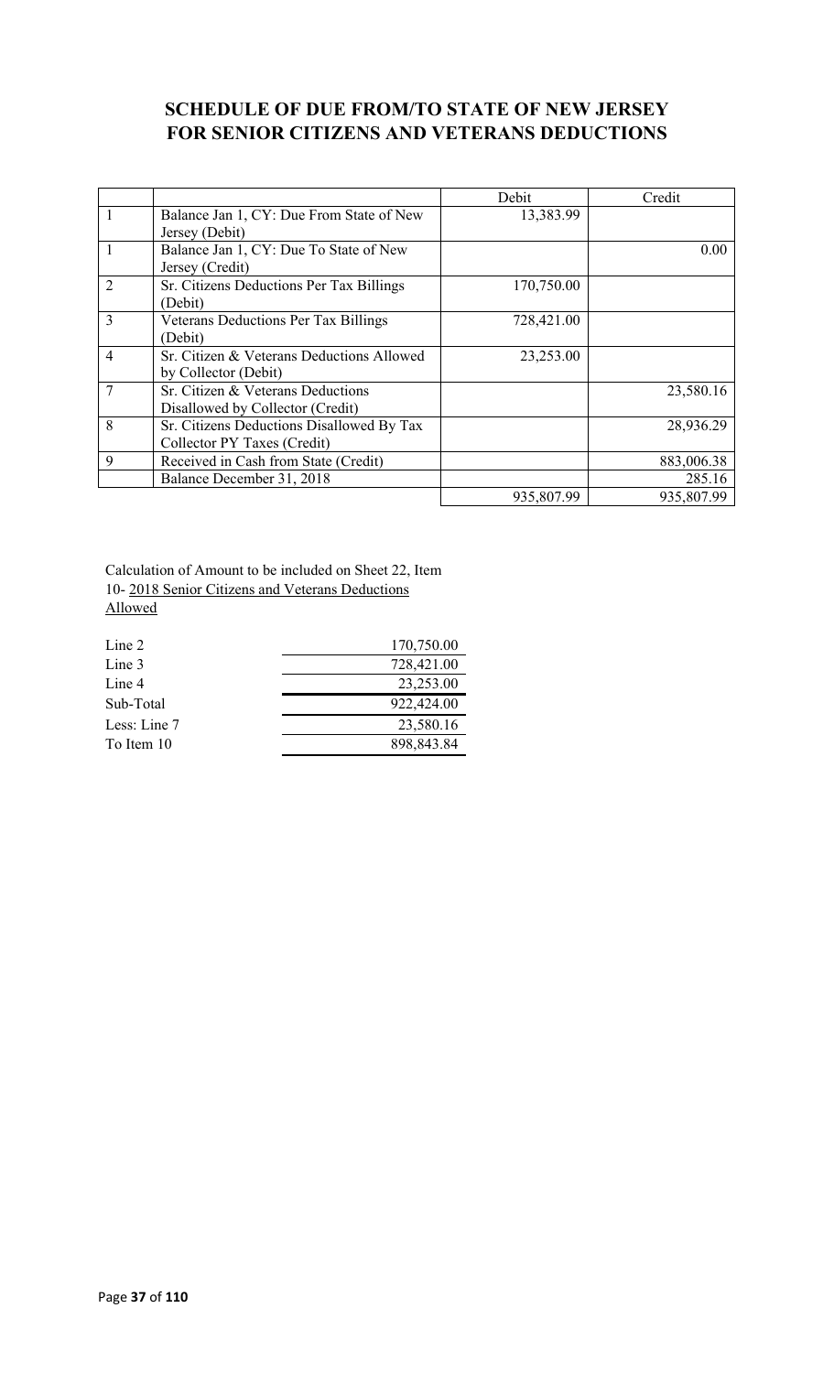### **SCHEDULE OF DUE FROM/TO STATE OF NEW JERSEY FOR SENIOR CITIZENS AND VETERANS DEDUCTIONS**

|                |                                             | Debit      | Credit     |
|----------------|---------------------------------------------|------------|------------|
| $\mathbf{1}$   | Balance Jan 1, CY: Due From State of New    | 13,383.99  |            |
|                | Jersey (Debit)                              |            |            |
|                | Balance Jan 1, CY: Due To State of New      |            | 0.00       |
|                | Jersey (Credit)                             |            |            |
| $\overline{2}$ | Sr. Citizens Deductions Per Tax Billings    | 170,750.00 |            |
|                | (Debit)                                     |            |            |
| $\overline{3}$ | <b>Veterans Deductions Per Tax Billings</b> | 728,421.00 |            |
|                | (Debit)                                     |            |            |
| $\overline{4}$ | Sr. Citizen & Veterans Deductions Allowed   | 23,253.00  |            |
|                | by Collector (Debit)                        |            |            |
| 7              | Sr. Citizen & Veterans Deductions           |            | 23,580.16  |
|                | Disallowed by Collector (Credit)            |            |            |
| 8              | Sr. Citizens Deductions Disallowed By Tax   |            | 28,936.29  |
|                | Collector PY Taxes (Credit)                 |            |            |
| 9              | Received in Cash from State (Credit)        |            | 883,006.38 |
|                | Balance December 31, 2018                   |            | 285.16     |
|                |                                             | 935,807.99 | 935,807.99 |

Calculation of Amount to be included on Sheet 22, Item 10- 2018 Senior Citizens and Veterans Deductions Allowed

| Line 2       | 170,750.00 |
|--------------|------------|
| Line 3       | 728,421.00 |
| Line 4       | 23,253.00  |
| Sub-Total    | 922,424.00 |
| Less: Line 7 | 23,580.16  |
| To Item 10   | 898,843.84 |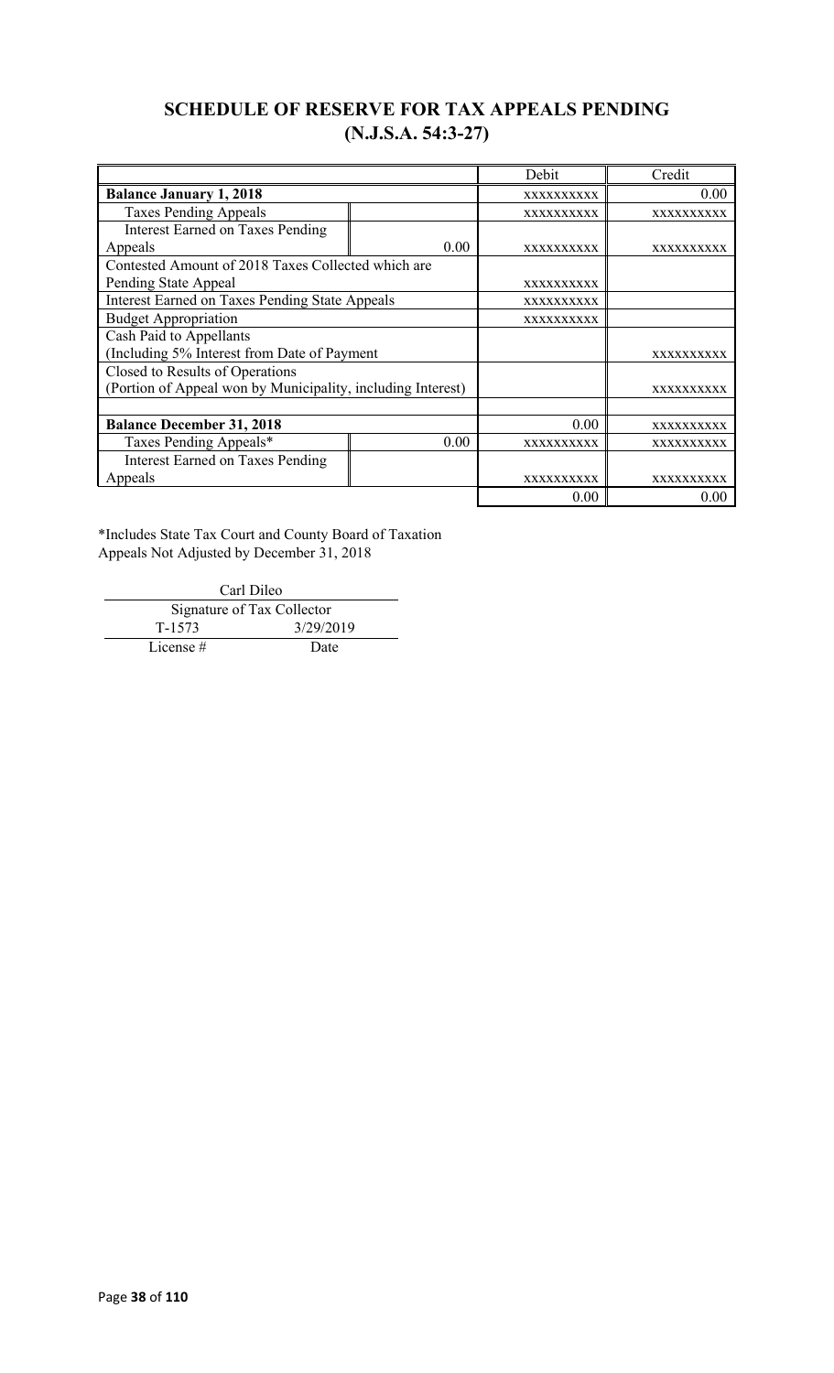# **SCHEDULE OF RESERVE FOR TAX APPEALS PENDING (N.J.S.A. 54:3-27)**

|                                                             |            | Debit             | Credit            |
|-------------------------------------------------------------|------------|-------------------|-------------------|
| <b>Balance January 1, 2018</b>                              | XXXXXXXXXX | 0.00              |                   |
| <b>Taxes Pending Appeals</b>                                |            | <b>XXXXXXXXXX</b> | <b>XXXXXXXXXX</b> |
| <b>Interest Earned on Taxes Pending</b>                     |            |                   |                   |
| Appeals                                                     | 0.00       | <b>XXXXXXXXXX</b> | <b>XXXXXXXXXX</b> |
| Contested Amount of 2018 Taxes Collected which are          |            |                   |                   |
| Pending State Appeal                                        |            | <b>XXXXXXXXXX</b> |                   |
| Interest Earned on Taxes Pending State Appeals              |            | XXXXXXXXXX        |                   |
| <b>Budget Appropriation</b>                                 | XXXXXXXXXX |                   |                   |
| Cash Paid to Appellants                                     |            |                   |                   |
| (Including 5% Interest from Date of Payment                 |            |                   | <b>XXXXXXXXXX</b> |
| Closed to Results of Operations                             |            |                   |                   |
| (Portion of Appeal won by Municipality, including Interest) |            |                   | <b>XXXXXXXXXX</b> |
|                                                             |            |                   |                   |
| <b>Balance December 31, 2018</b>                            |            | 0.00              | <b>XXXXXXXXXX</b> |
| Taxes Pending Appeals*<br>0.00                              |            | XXXXXXXXXX        | XXXXXXXXXX        |
| <b>Interest Earned on Taxes Pending</b>                     |            |                   |                   |
| Appeals                                                     |            | <b>XXXXXXXXXX</b> | XXXXXXXXXX        |
|                                                             |            | 0.00              | 0.00              |

\*Includes State Tax Court and County Board of Taxation Appeals Not Adjusted by December 31, 2018

Carl Dileo Signature of Tax Collector T-1573 3/29/2019 License # Date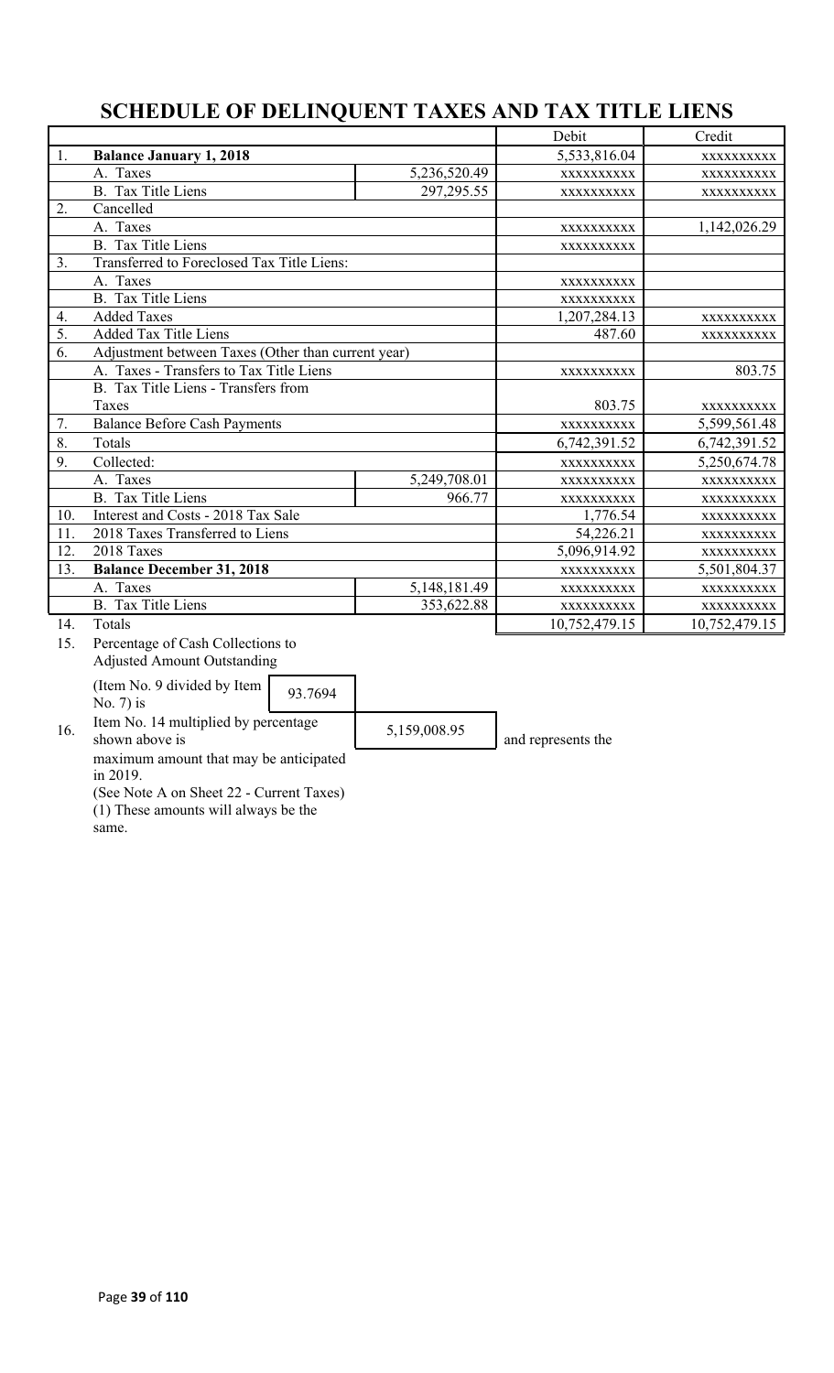# **SCHEDULE OF DELINQUENT TAXES AND TAX TITLE LIENS**

|     |                                                                                                        |              |               | Credit        |
|-----|--------------------------------------------------------------------------------------------------------|--------------|---------------|---------------|
| 1.  | <b>Balance January 1, 2018</b>                                                                         |              | 5,533,816.04  | XXXXXXXXXX    |
|     | A. Taxes                                                                                               | 5,236,520.49 | XXXXXXXXXX    | XXXXXXXXXX    |
|     | <b>B.</b> Tax Title Liens                                                                              | 297, 295.55  | XXXXXXXXXX    | XXXXXXXXXX    |
| 2.  | Cancelled                                                                                              |              |               |               |
|     | A. Taxes                                                                                               |              | XXXXXXXXXX    | 1,142,026.29  |
|     | <b>B.</b> Tax Title Liens                                                                              |              | XXXXXXXXXX    |               |
| 3.  | Transferred to Foreclosed Tax Title Liens:                                                             |              |               |               |
|     | A. Taxes                                                                                               |              | XXXXXXXXXX    |               |
|     | <b>B.</b> Tax Title Liens                                                                              |              | XXXXXXXXXX    |               |
| 4.  | <b>Added Taxes</b>                                                                                     |              | 1,207,284.13  | XXXXXXXXXX    |
| 5.  | <b>Added Tax Title Liens</b>                                                                           |              | 487.60        | XXXXXXXXXX    |
| 6.  | Adjustment between Taxes (Other than current year)                                                     |              |               |               |
|     | A. Taxes - Transfers to Tax Title Liens                                                                |              | XXXXXXXXXX    | 803.75        |
|     | B. Tax Title Liens - Transfers from                                                                    |              |               |               |
|     | Taxes                                                                                                  |              | 803.75        | XXXXXXXXXX    |
| 7.  | <b>Balance Before Cash Payments</b>                                                                    |              | XXXXXXXXXX    | 5,599,561.48  |
| 8.  | Totals                                                                                                 |              | 6,742,391.52  | 6,742,391.52  |
| 9.  | Collected:                                                                                             |              | XXXXXXXXXX    | 5,250,674.78  |
|     | A. Taxes                                                                                               | 5,249,708.01 | XXXXXXXXXX    | XXXXXXXXXX    |
|     | <b>B.</b> Tax Title Liens                                                                              | 966.77       | XXXXXXXXXX    | XXXXXXXXXX    |
| 10. | Interest and Costs - 2018 Tax Sale                                                                     |              | 1,776.54      | XXXXXXXXXX    |
| 11. | 2018 Taxes Transferred to Liens                                                                        |              | 54,226.21     | XXXXXXXXXX    |
| 12. | 2018 Taxes                                                                                             |              | 5,096,914.92  | XXXXXXXXXX    |
| 13. | <b>Balance December 31, 2018</b>                                                                       |              | XXXXXXXXXX    | 5,501,804.37  |
|     | A. Taxes<br>5, 148, 181. 49                                                                            |              | XXXXXXXXXX    | XXXXXXXXXX    |
|     | B. Tax Title Liens                                                                                     | 353,622.88   | XXXXXXXXXX    | XXXXXXXXXX    |
| 14. | Totals                                                                                                 |              | 10,752,479.15 | 10,752,479.15 |
| 15. | Percentage of Cash Collections to<br><b>Adjusted Amount Outstanding</b><br>(Item No. 9 divided by Item |              |               |               |

(Item No. 9 divided by Item No. 7) is 93.7694

16. Item No. 14 multiplied by percentage<br>shown above is

 $5,159,008.95$  and represents the

maximum amount that may be anticipated in 2019.

(See Note A on Sheet 22 - Current Taxes) (1) These amounts will always be the

same.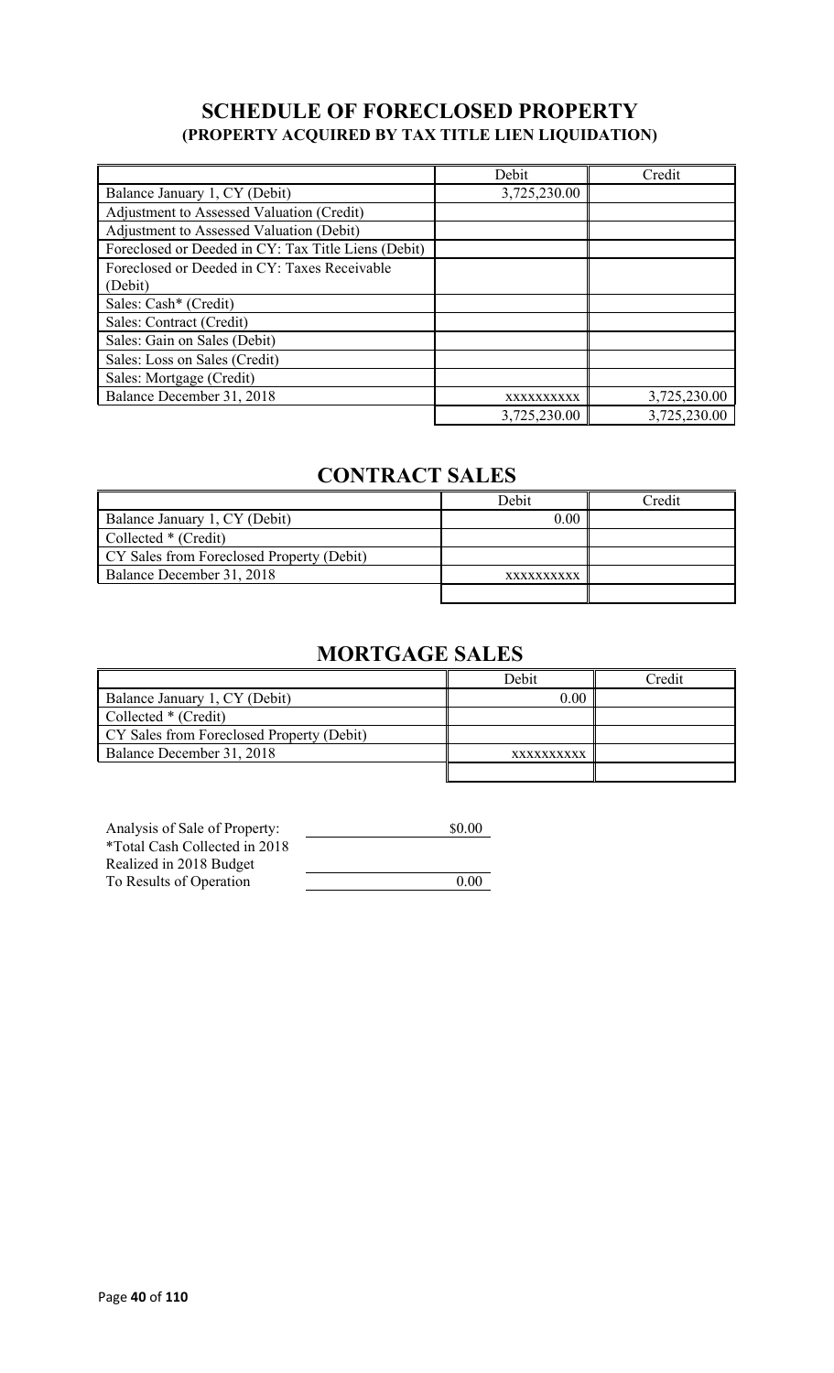# **SCHEDULE OF FORECLOSED PROPERTY (PROPERTY ACQUIRED BY TAX TITLE LIEN LIQUIDATION)**

|                                                     | Debit        | Credit       |
|-----------------------------------------------------|--------------|--------------|
| Balance January 1, CY (Debit)                       | 3,725,230.00 |              |
| Adjustment to Assessed Valuation (Credit)           |              |              |
| Adjustment to Assessed Valuation (Debit)            |              |              |
| Foreclosed or Deeded in CY: Tax Title Liens (Debit) |              |              |
| Foreclosed or Deeded in CY: Taxes Receivable        |              |              |
| (Debit)                                             |              |              |
| Sales: Cash* (Credit)                               |              |              |
| Sales: Contract (Credit)                            |              |              |
| Sales: Gain on Sales (Debit)                        |              |              |
| Sales: Loss on Sales (Credit)                       |              |              |
| Sales: Mortgage (Credit)                            |              |              |
| Balance December 31, 2018                           | XXXXXXXXXX   | 3,725,230.00 |
|                                                     | 3,725,230.00 | 3,725,230.00 |

# **CONTRACT SALES**

|                                           | Debit      | Credit |
|-------------------------------------------|------------|--------|
| Balance January 1, CY (Debit)             | 0.00       |        |
| Collected * (Credit)                      |            |        |
| CY Sales from Foreclosed Property (Debit) |            |        |
| Balance December 31, 2018                 | XXXXXXXXXX |        |
|                                           |            |        |

# **MORTGAGE SALES**

|                                           | Debit             | Credit |
|-------------------------------------------|-------------------|--------|
| Balance January 1, CY (Debit)             | 0.00              |        |
| Collected * (Credit)                      |                   |        |
| CY Sales from Foreclosed Property (Debit) |                   |        |
| Balance December 31, 2018                 | <b>XXXXXXXXXX</b> |        |
|                                           |                   |        |

| Analysis of Sale of Property: | \$0.00 |
|-------------------------------|--------|
| *Total Cash Collected in 2018 |        |
| Realized in 2018 Budget       |        |
| To Results of Operation       | 0.00   |
|                               |        |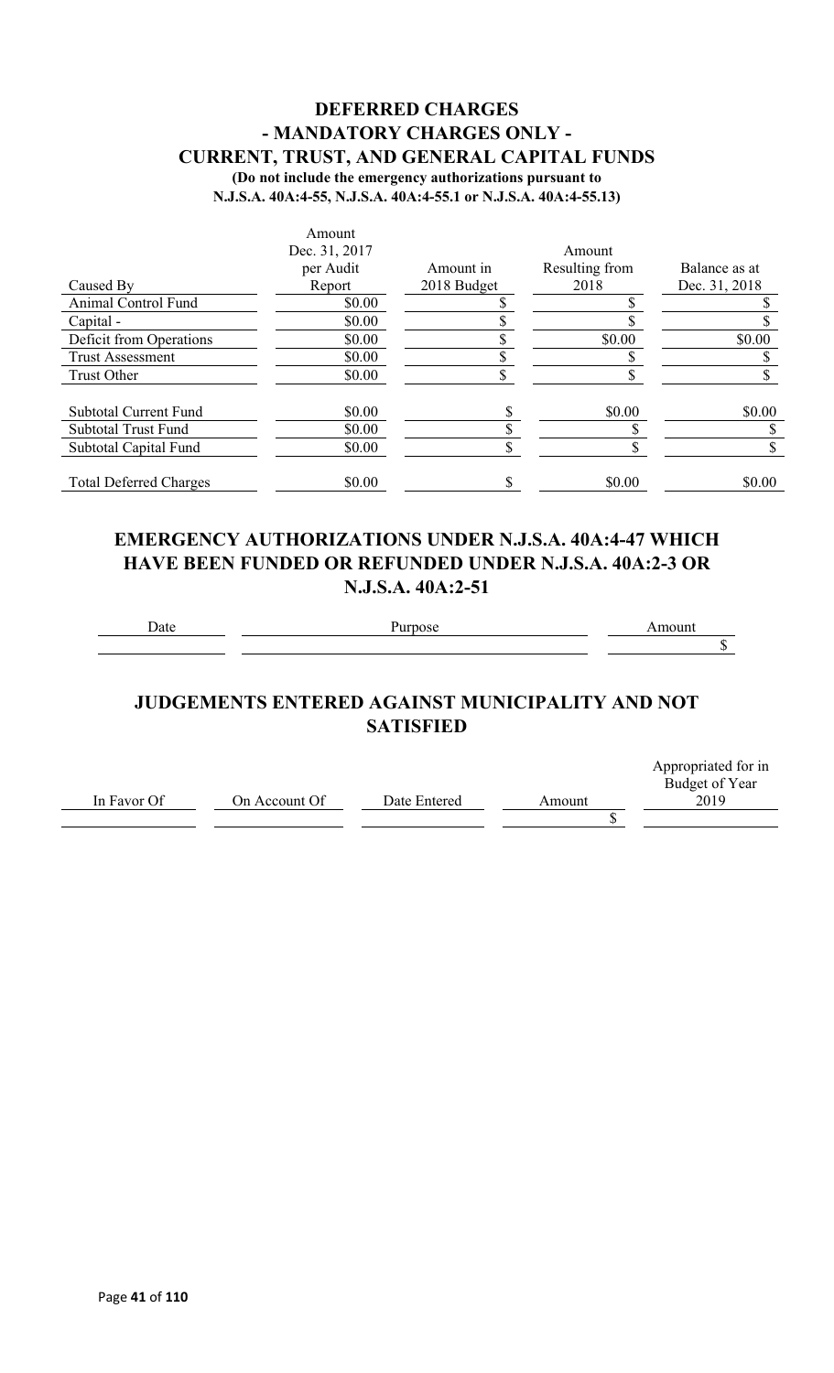#### **DEFERRED CHARGES - MANDATORY CHARGES ONLY - CURRENT, TRUST, AND GENERAL CAPITAL FUNDS (Do not include the emergency authorizations pursuant to**

**N.J.S.A. 40A:4-55, N.J.S.A. 40A:4-55.1 or N.J.S.A. 40A:4-55.13)**

|                               | Amount        |             |                |               |
|-------------------------------|---------------|-------------|----------------|---------------|
|                               | Dec. 31, 2017 |             | Amount         |               |
|                               | per Audit     | Amount in   | Resulting from | Balance as at |
| Caused By                     | Report        | 2018 Budget | 2018           | Dec. 31, 2018 |
| Animal Control Fund           | \$0.00        |             |                |               |
| Capital -                     | \$0.00        |             |                |               |
| Deficit from Operations       | \$0.00        |             | \$0.00         | \$0.00        |
| <b>Trust Assessment</b>       | \$0.00        |             |                |               |
| Trust Other                   | \$0.00        |             |                |               |
| <b>Subtotal Current Fund</b>  | \$0.00        |             | \$0.00         | \$0.00        |
| <b>Subtotal Trust Fund</b>    | \$0.00        |             |                |               |
| Subtotal Capital Fund         | \$0.00        |             |                |               |
| <b>Total Deferred Charges</b> | \$0.00        |             | \$0.00         | \$0.00        |

#### **EMERGENCY AUTHORIZATIONS UNDER N.J.S.A. 40A:4-47 WHICH HAVE BEEN FUNDED OR REFUNDED UNDER N.J.S.A. 40A:2-3 OR N.J.S.A. 40A:2-51**

Date Purpose **Purpose** Amount

 $\overline{\$}$ 

## **JUDGEMENTS ENTERED AGAINST MUNICIPALITY AND NOT SATISFIED**

|             |               |              |        | Appropriated for in |
|-------------|---------------|--------------|--------|---------------------|
|             |               |              |        | Budget of Year      |
| In Favor Of | On Account Of | Date Entered | Amount | 2019                |
|             |               |              |        |                     |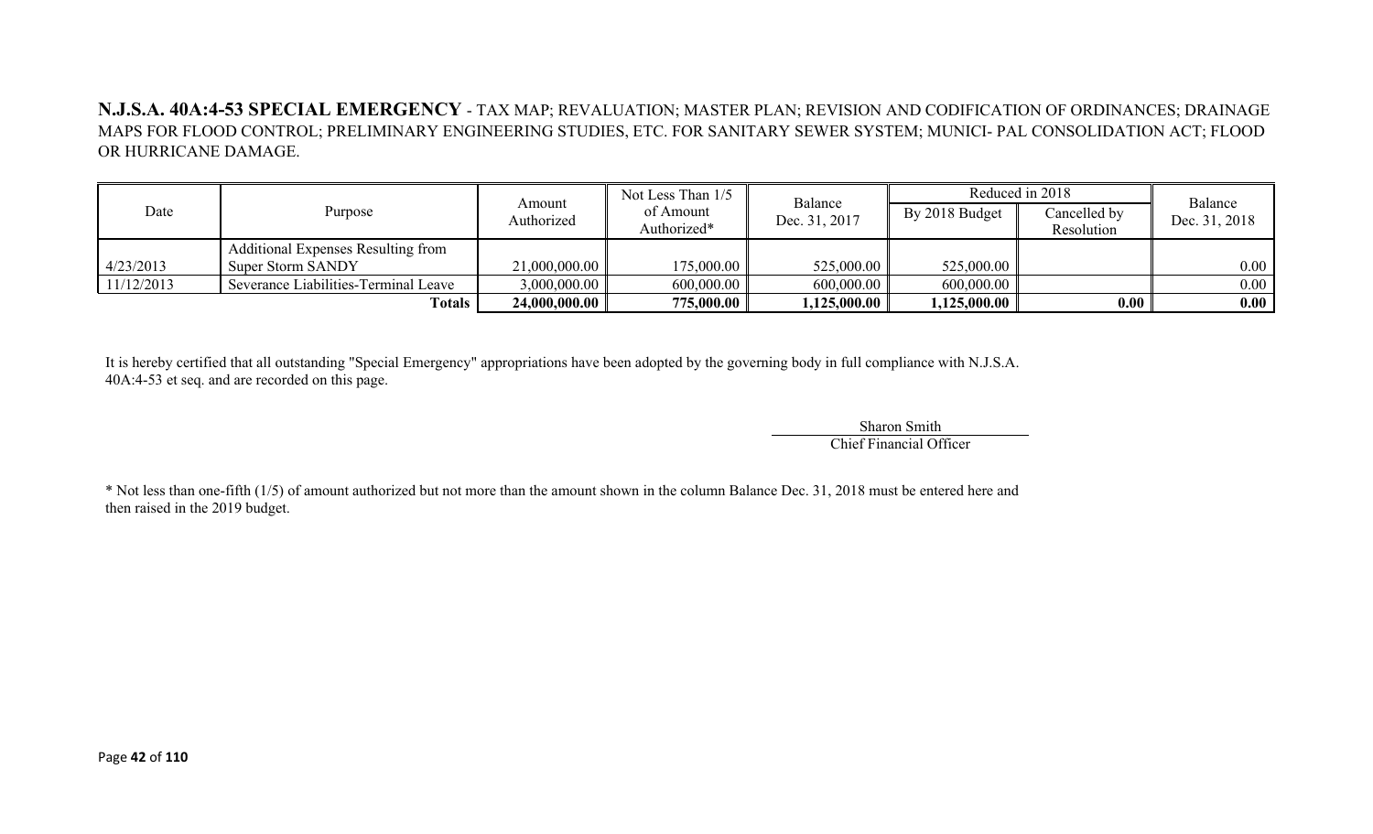#### **N.J.S.A. 40A:4-53 SPECIAL EMERGENCY** - TAX MAP; REVALUATION; MASTER PLAN; REVISION AND CODIFICATION OF ORDINANCES; DRAINAGE MAPS FOR FLOOD CONTROL; PRELIMINARY ENGINEERING STUDIES, ETC. FOR SANITARY SEWER SYSTEM; MUNICI- PAL CONSOLIDATION ACT; FLOOD OR HURRICANE DAMAGE.

|            |                                           |                      | Not Less Than 1/5        |                          |                | Reduced in 2018            | Balance       |
|------------|-------------------------------------------|----------------------|--------------------------|--------------------------|----------------|----------------------------|---------------|
| Date       | Purpose                                   | Amount<br>Authorized | of Amount<br>Authorized* | Balance<br>Dec. 31, 2017 | By 2018 Budget | Cancelled by<br>Resolution | Dec. 31, 2018 |
|            | <b>Additional Expenses Resulting from</b> |                      |                          |                          |                |                            |               |
| 4/23/2013  | Super Storm SANDY                         | 21,000,000.00        | 175,000.00               | 525,000.00               | 525,000.00     |                            | 0.00          |
| 11/12/2013 | Severance Liabilities-Terminal Leave      | 3,000,000.00         | 600,000.00               | 600,000.00               | 600,000.00     |                            | 0.00          |
|            | Totals                                    | 24,000,000.00        | 775,000.00               | 1,125,000.00             | ,125,000.00    | 0.00                       | 0.00          |

It is hereby certified that all outstanding "Special Emergency" appropriations have been adopted by the governing body in full compliance with N.J.S.A. 40A:4-53 et seq. and are recorded on this page.

> Sharon Smith Chief Financial Officer

\* Not less than one-fifth (1/5) of amount authorized but not more than the amount shown in the column Balance Dec. 31, 2018 must be entered here and then raised in the 2019 budget.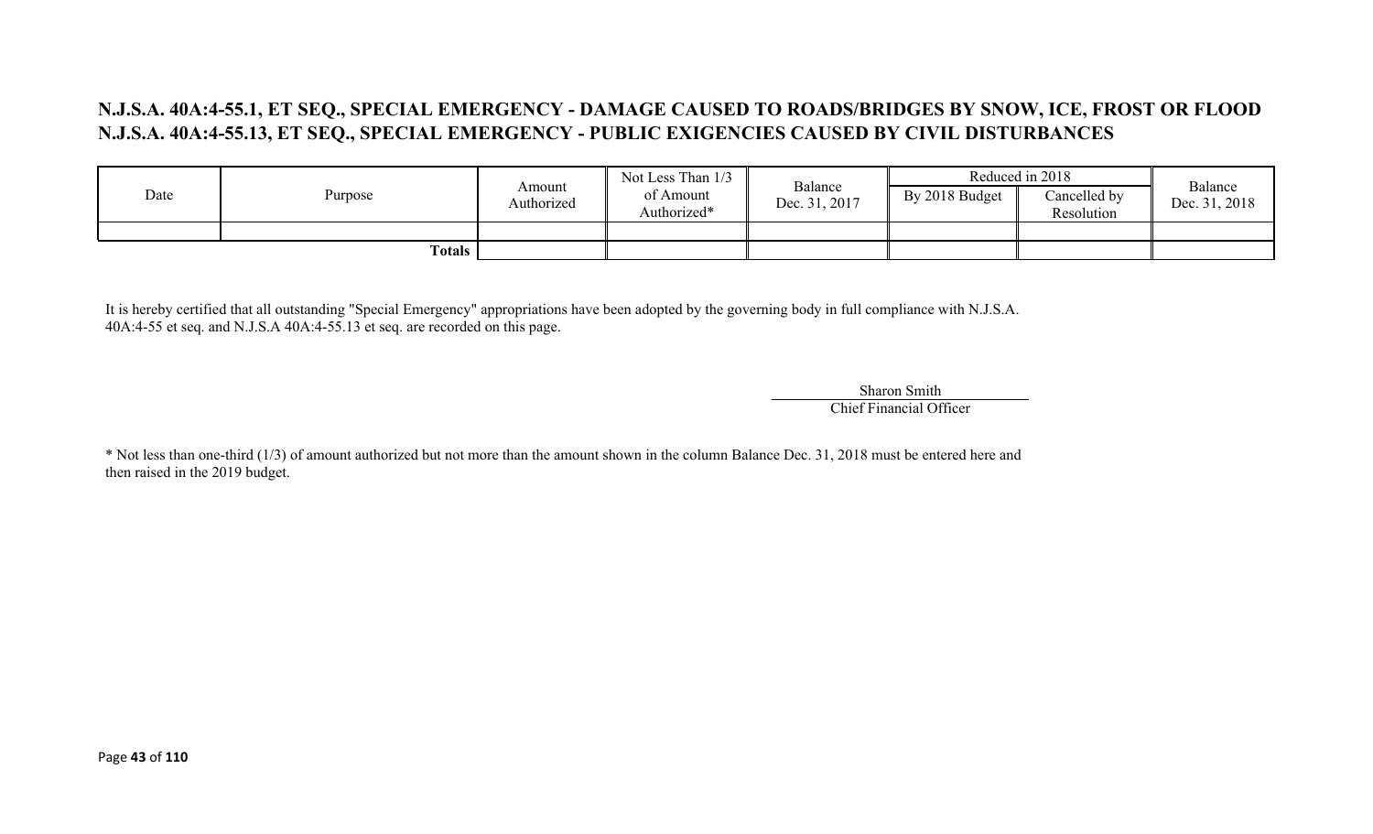## **N.J.S.A. 40A:4-55.1, ET SEQ., SPECIAL EMERGENCY - DAMAGE CAUSED TO ROADS/BRIDGES BY SNOW, ICE, FROST OR FLOOD N.J.S.A. 40A:4-55.13, ET SEQ., SPECIAL EMERGENCY - PUBLIC EXIGENCIES CAUSED BY CIVIL DISTURBANCES**

|      |             |                      | Not Less Than 1/3        | Balance       | Reduced in 2018 |                            | Balance       |
|------|-------------|----------------------|--------------------------|---------------|-----------------|----------------------------|---------------|
| Date | Purpose     | Amount<br>Authorized | of Amount<br>Authorized* | Dec. 31, 2017 | By 2018 Budget  | Cancelled by<br>Resolution | Dec. 31, 2018 |
|      |             |                      |                          |               |                 |                            |               |
|      | Totals $\ $ |                      |                          |               |                 |                            |               |

It is hereby certified that all outstanding "Special Emergency" appropriations have been adopted by the governing body in full compliance with N.J.S.A. 40A:4-55 et seq. and N.J.S.A 40A:4-55.13 et seq. are recorded on this page.

> Sharon Smith Chief Financial Officer

\* Not less than one-third (1/3) of amount authorized but not more than the amount shown in the column Balance Dec. 31, 2018 must be entered here and then raised in the 2019 budget.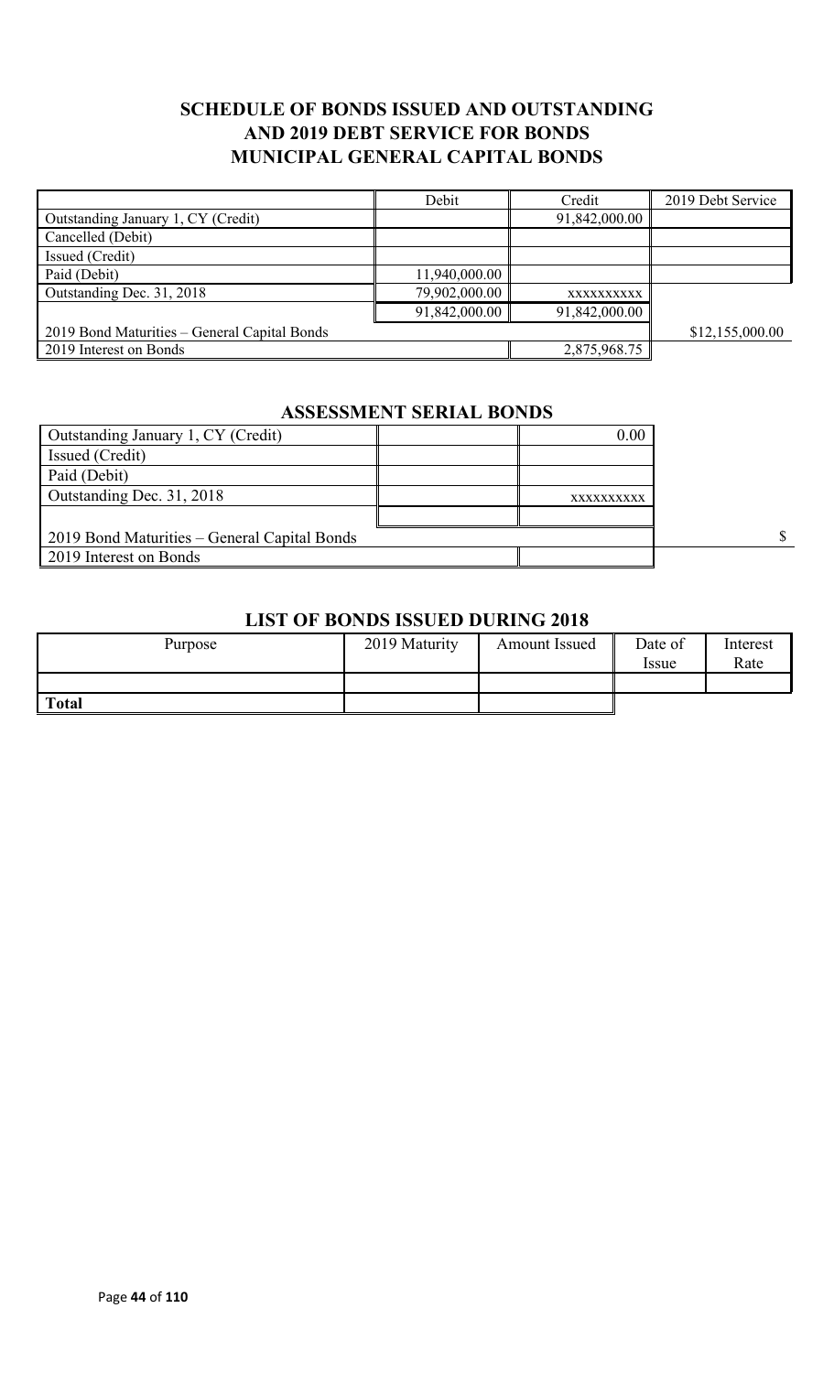## **SCHEDULE OF BONDS ISSUED AND OUTSTANDING AND 2019 DEBT SERVICE FOR BONDS MUNICIPAL GENERAL CAPITAL BONDS**

|                                              | Debit         | Credit        | 2019 Debt Service |
|----------------------------------------------|---------------|---------------|-------------------|
| Outstanding January 1, CY (Credit)           |               | 91,842,000.00 |                   |
| Cancelled (Debit)                            |               |               |                   |
| Issued (Credit)                              |               |               |                   |
| Paid (Debit)                                 | 11,940,000.00 |               |                   |
| Outstanding Dec. 31, 2018                    | 79,902,000.00 | XXXXXXXXXX    |                   |
|                                              | 91,842,000.00 | 91,842,000.00 |                   |
| 2019 Bond Maturities – General Capital Bonds |               |               | \$12,155,000.00   |
| 2019 Interest on Bonds                       |               | 2,875,968.75  |                   |

# **ASSESSMENT SERIAL BONDS**

| Outstanding January 1, CY (Credit)           | 0.00       |  |
|----------------------------------------------|------------|--|
| Issued (Credit)                              |            |  |
| Paid (Debit)                                 |            |  |
| Outstanding Dec. 31, 2018                    | XXXXXXXXXX |  |
|                                              |            |  |
| 2019 Bond Maturities – General Capital Bonds |            |  |
| 2019 Interest on Bonds                       |            |  |

#### **LIST OF BONDS ISSUED DURING 2018**

| Purpose      | 2019 Maturity | <b>Amount Issued</b> | Date of<br>Issue | Interest<br>Rate |
|--------------|---------------|----------------------|------------------|------------------|
|              |               |                      |                  |                  |
| <b>Total</b> |               |                      |                  |                  |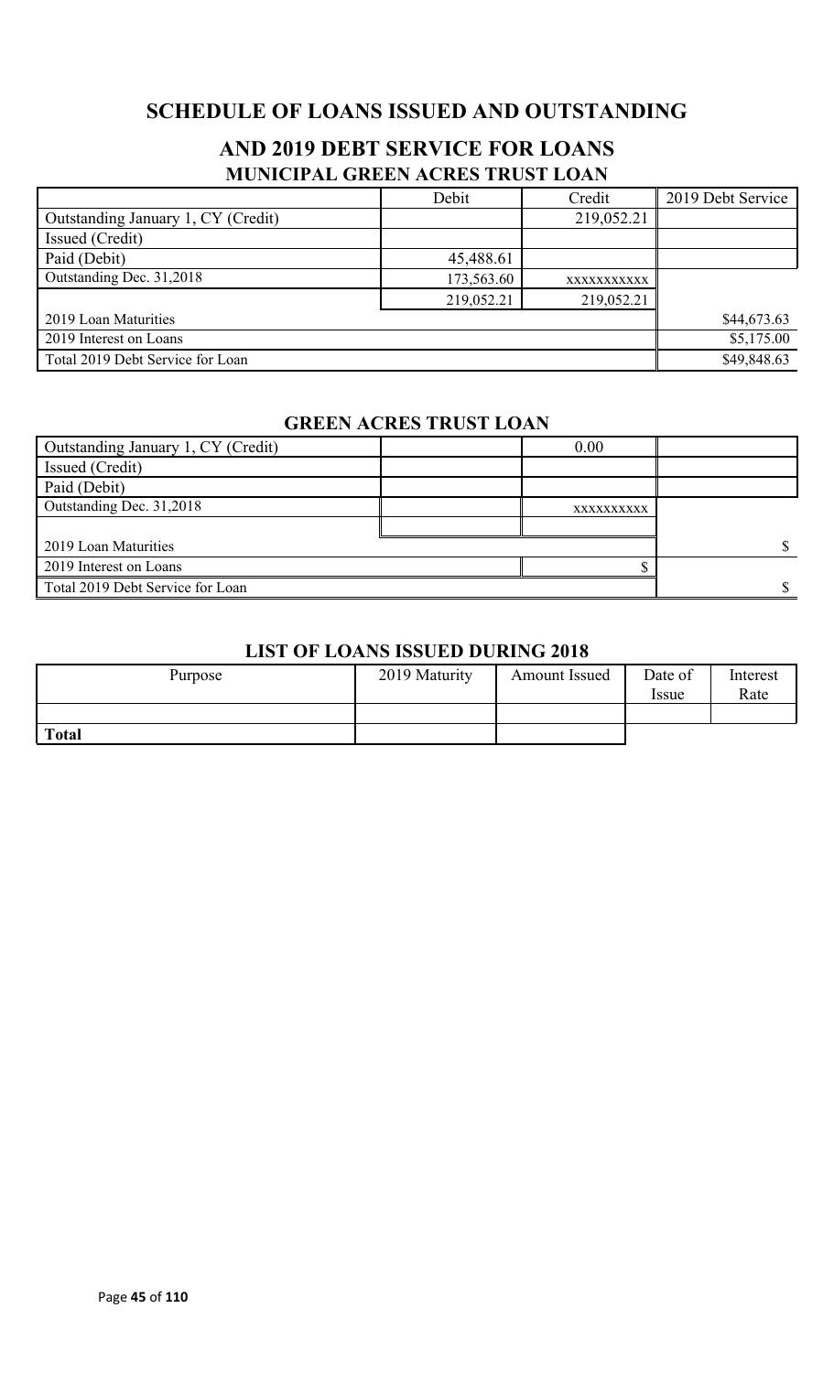# **SCHEDULE OF LOANS ISSUED AND OUTSTANDING**

## **AND 2019 DEBT SERVICE FOR LOANS MUNICIPAL GREEN ACRES TRUST LOAN**

|                                    | Debit      | Credit      | 2019 Debt Service |
|------------------------------------|------------|-------------|-------------------|
| Outstanding January 1, CY (Credit) |            | 219,052.21  |                   |
| Issued (Credit)                    |            |             |                   |
| Paid (Debit)                       | 45,488.61  |             |                   |
| Outstanding Dec. 31,2018           | 173,563.60 | XXXXXXXXXXX |                   |
|                                    | 219,052.21 | 219,052.21  |                   |
| 2019 Loan Maturities               |            |             | \$44,673.63       |
| 2019 Interest on Loans             |            |             | \$5,175.00        |
| Total 2019 Debt Service for Loan   |            |             | \$49,848.63       |

#### **GREEN ACRES TRUST LOAN**

| Outstanding January 1, CY (Credit) | 0.00       |  |
|------------------------------------|------------|--|
| Issued (Credit)                    |            |  |
| Paid (Debit)                       |            |  |
| Outstanding Dec. 31,2018           | XXXXXXXXXX |  |
|                                    |            |  |
| 2019 Loan Maturities               |            |  |
| 2019 Interest on Loans             |            |  |
| Total 2019 Debt Service for Loan   |            |  |

#### **LIST OF LOANS ISSUED DURING 2018**

| Purpose      | 2019 Maturity | <b>Amount Issued</b> | Date of<br><i>Issue</i> | Interest<br>Rate |
|--------------|---------------|----------------------|-------------------------|------------------|
|              |               |                      |                         |                  |
| <b>Total</b> |               |                      |                         |                  |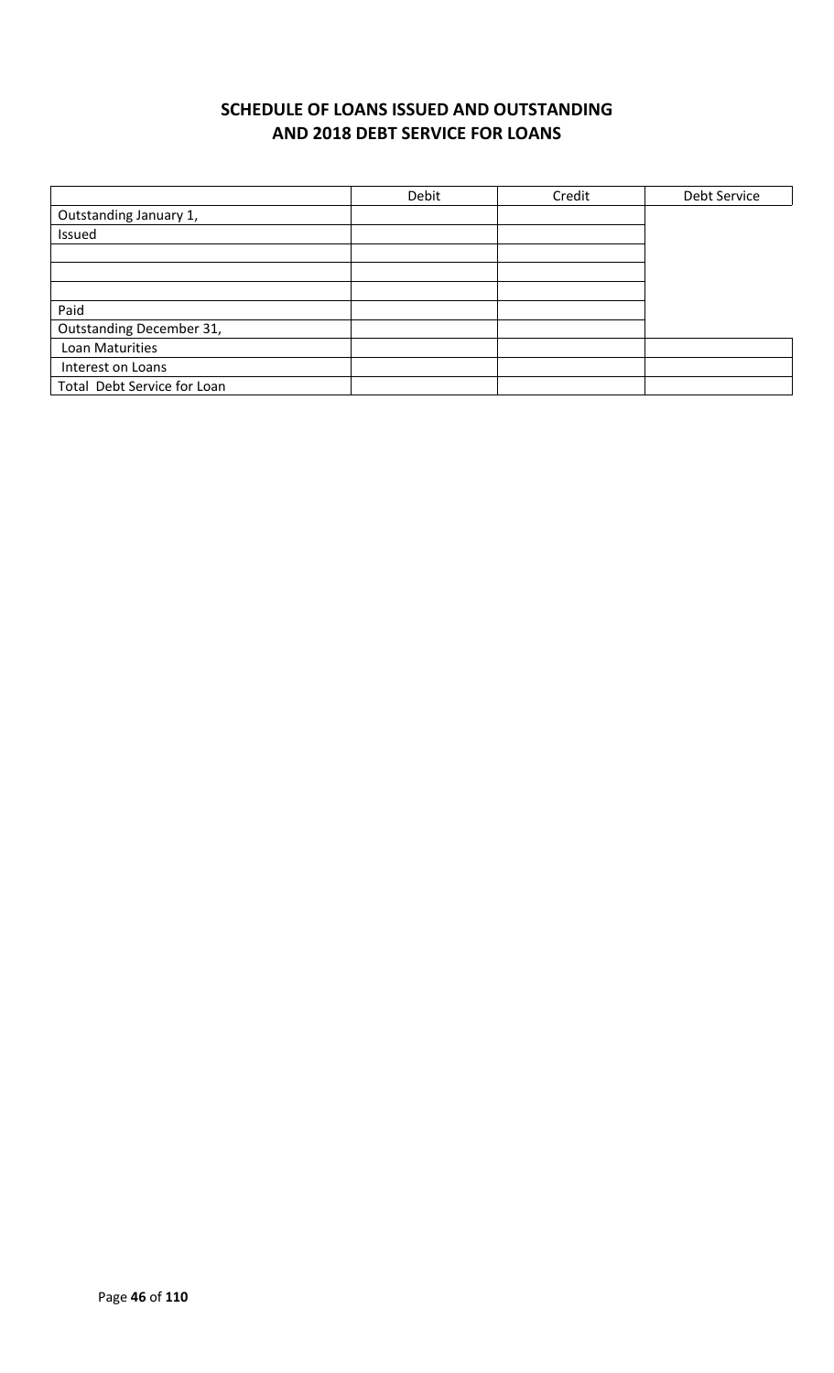# **SCHEDULE OF LOANS ISSUED AND OUTSTANDING AND 2018 DEBT SERVICE FOR LOANS**

|                             | Debit | Credit | Debt Service |
|-----------------------------|-------|--------|--------------|
| Outstanding January 1,      |       |        |              |
| Issued                      |       |        |              |
|                             |       |        |              |
|                             |       |        |              |
|                             |       |        |              |
| Paid                        |       |        |              |
| Outstanding December 31,    |       |        |              |
| Loan Maturities             |       |        |              |
| Interest on Loans           |       |        |              |
| Total Debt Service for Loan |       |        |              |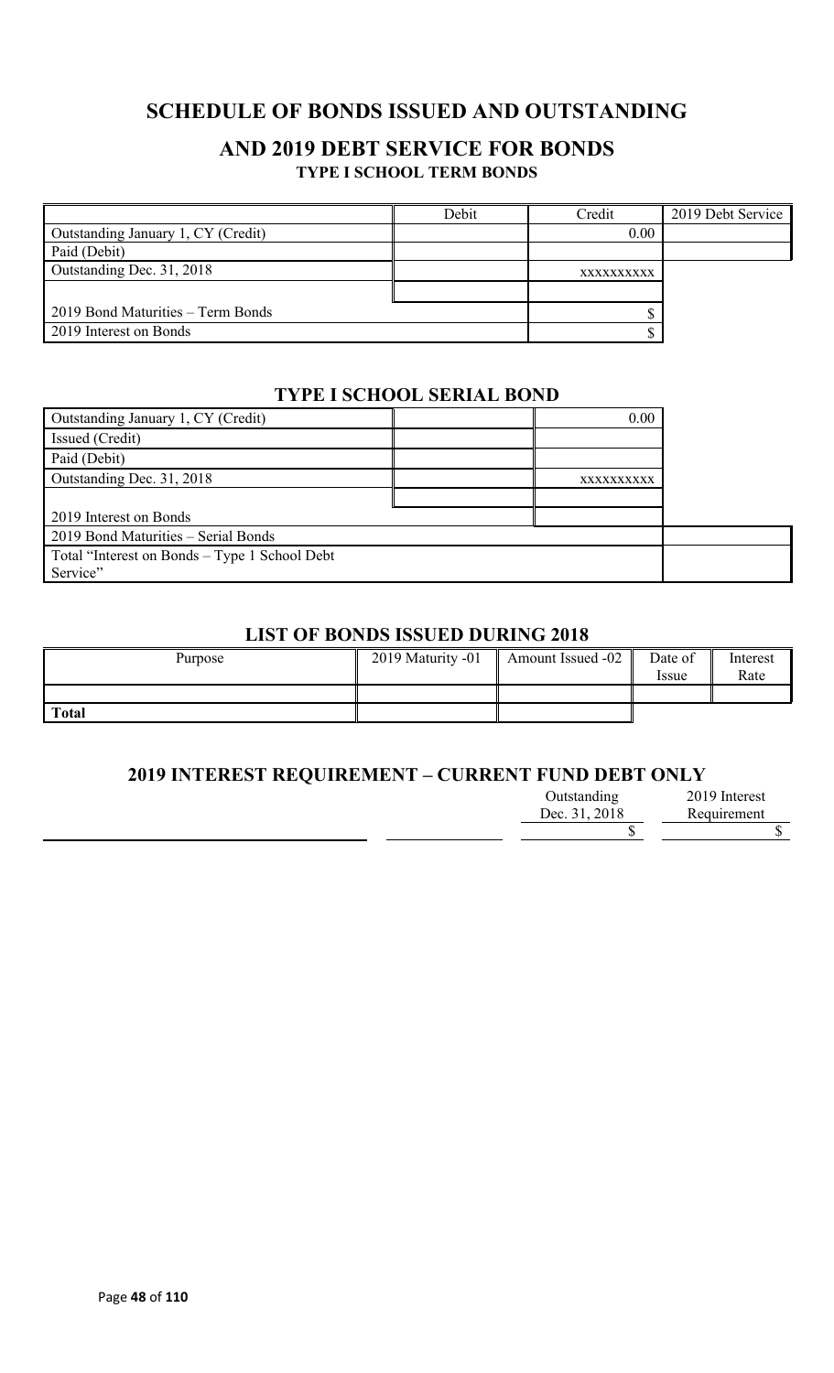# **SCHEDULE OF BONDS ISSUED AND OUTSTANDING**

#### **AND 2019 DEBT SERVICE FOR BONDS TYPE I SCHOOL TERM BONDS**

|                                    | Debit | Credit     | 2019 Debt Service |
|------------------------------------|-------|------------|-------------------|
| Outstanding January 1, CY (Credit) |       | 0.00       |                   |
| Paid (Debit)                       |       |            |                   |
| Outstanding Dec. 31, 2018          |       | XXXXXXXXXX |                   |
|                                    |       |            |                   |
| 2019 Bond Maturities – Term Bonds  |       |            |                   |
| 2019 Interest on Bonds             |       |            |                   |

#### **TYPE I SCHOOL SERIAL BOND**

| Outstanding January 1, CY (Credit)            | 0.00       |  |
|-----------------------------------------------|------------|--|
| Issued (Credit)                               |            |  |
| Paid (Debit)                                  |            |  |
| Outstanding Dec. 31, 2018                     | XXXXXXXXXX |  |
|                                               |            |  |
| 2019 Interest on Bonds                        |            |  |
| 2019 Bond Maturities - Serial Bonds           |            |  |
| Total "Interest on Bonds – Type 1 School Debt |            |  |
| Service"                                      |            |  |

#### **LIST OF BONDS ISSUED DURING 2018**

| Purpose      | 2019 Maturity -01 | Amount Issued -02 | Date of<br><i>Issue</i> | Interest<br>Rate |
|--------------|-------------------|-------------------|-------------------------|------------------|
|              |                   |                   |                         |                  |
| <b>Total</b> |                   |                   |                         |                  |

#### **2019 INTEREST REQUIREMENT – CURRENT FUND DEBT ONLY**

| Outstanding   | 2019 Interest |
|---------------|---------------|
| Dec. 31, 2018 | Requirement   |
|               |               |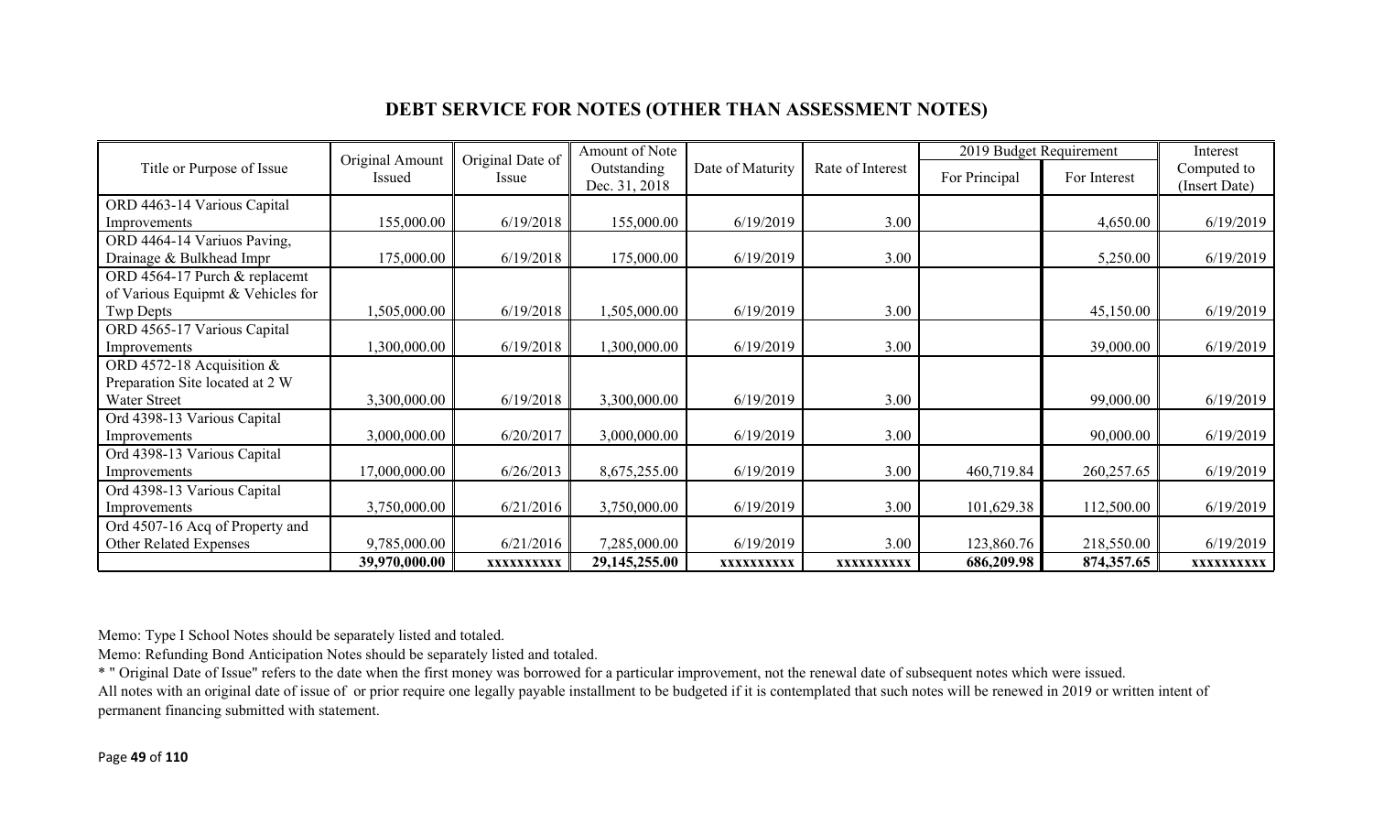### **DEBT SERVICE FOR NOTES (OTHER THAN ASSESSMENT NOTES)**

|                                   | Original Amount | Original Date of | Amount of Note                                                       |            |               | 2019 Budget Requirement |                              | Interest   |
|-----------------------------------|-----------------|------------------|----------------------------------------------------------------------|------------|---------------|-------------------------|------------------------------|------------|
| Title or Purpose of Issue         | Issued          | Issue            | Date of Maturity<br>Rate of Interest<br>Outstanding<br>Dec. 31, 2018 |            | For Principal | For Interest            | Computed to<br>(Insert Date) |            |
| ORD 4463-14 Various Capital       |                 |                  |                                                                      |            |               |                         |                              |            |
| Improvements                      | 155,000.00      | 6/19/2018        | 155,000.00                                                           | 6/19/2019  | 3.00          |                         | 4,650.00                     | 6/19/2019  |
| ORD 4464-14 Variuos Paving,       |                 |                  |                                                                      |            |               |                         |                              |            |
| Drainage & Bulkhead Impr          | 175,000.00      | 6/19/2018        | 175,000.00                                                           | 6/19/2019  | 3.00          |                         | 5,250.00                     | 6/19/2019  |
| ORD 4564-17 Purch & replacemt     |                 |                  |                                                                      |            |               |                         |                              |            |
| of Various Equipmt & Vehicles for |                 |                  |                                                                      |            |               |                         |                              |            |
| Twp Depts                         | 1,505,000.00    | 6/19/2018        | ,505,000.00                                                          | 6/19/2019  | 3.00          |                         | 45,150.00                    | 6/19/2019  |
| ORD 4565-17 Various Capital       |                 |                  |                                                                      |            |               |                         |                              |            |
| Improvements                      | 1,300,000.00    | 6/19/2018        | ,300,000.00                                                          | 6/19/2019  | 3.00          |                         | 39,000.00                    | 6/19/2019  |
| ORD 4572-18 Acquisition &         |                 |                  |                                                                      |            |               |                         |                              |            |
| Preparation Site located at 2 W   |                 |                  |                                                                      |            |               |                         |                              |            |
| Water Street                      | 3,300,000.00    | 6/19/2018        | 3,300,000.00                                                         | 6/19/2019  | 3.00          |                         | 99,000.00                    | 6/19/2019  |
| Ord 4398-13 Various Capital       |                 |                  |                                                                      |            |               |                         |                              |            |
| Improvements                      | 3,000,000.00    | 6/20/2017        | 3,000,000.00                                                         | 6/19/2019  | 3.00          |                         | 90,000.00                    | 6/19/2019  |
| Ord 4398-13 Various Capital       |                 |                  |                                                                      |            |               |                         |                              |            |
| Improvements                      | 17,000,000.00   | 6/26/2013        | 8,675,255.00                                                         | 6/19/2019  | 3.00          | 460,719.84              | 260,257.65                   | 6/19/2019  |
| Ord 4398-13 Various Capital       |                 |                  |                                                                      |            |               |                         |                              |            |
| Improvements                      | 3,750,000.00    | 6/21/2016        | 3,750,000.00                                                         | 6/19/2019  | 3.00          | 101,629.38              | 112,500.00                   | 6/19/2019  |
| Ord 4507-16 Acq of Property and   |                 |                  |                                                                      |            |               |                         |                              |            |
| Other Related Expenses            | 9,785,000.00    | 6/21/2016        | 7,285,000.00                                                         | 6/19/2019  | 3.00          | 123,860.76              | 218,550.00                   | 6/19/2019  |
|                                   | 39,970,000.00   | XXXXXXXXXX       | 29,145,255.00                                                        | XXXXXXXXXX | XXXXXXXXXX    | 686,209.98              | 874,357.65                   | XXXXXXXXXX |

Memo: Type I School Notes should be separately listed and totaled.

Memo: Refunding Bond Anticipation Notes should be separately listed and totaled.

\* " Original Date of Issue" refers to the date when the first money was borrowed for a particular improvement, not the renewal date of subsequent notes which were issued.

All notes with an original date of issue of or prior require one legally payable installment to be budgeted if it is contemplated that such notes will be renewed in 2019 or written intent of permanent financing submitted with statement.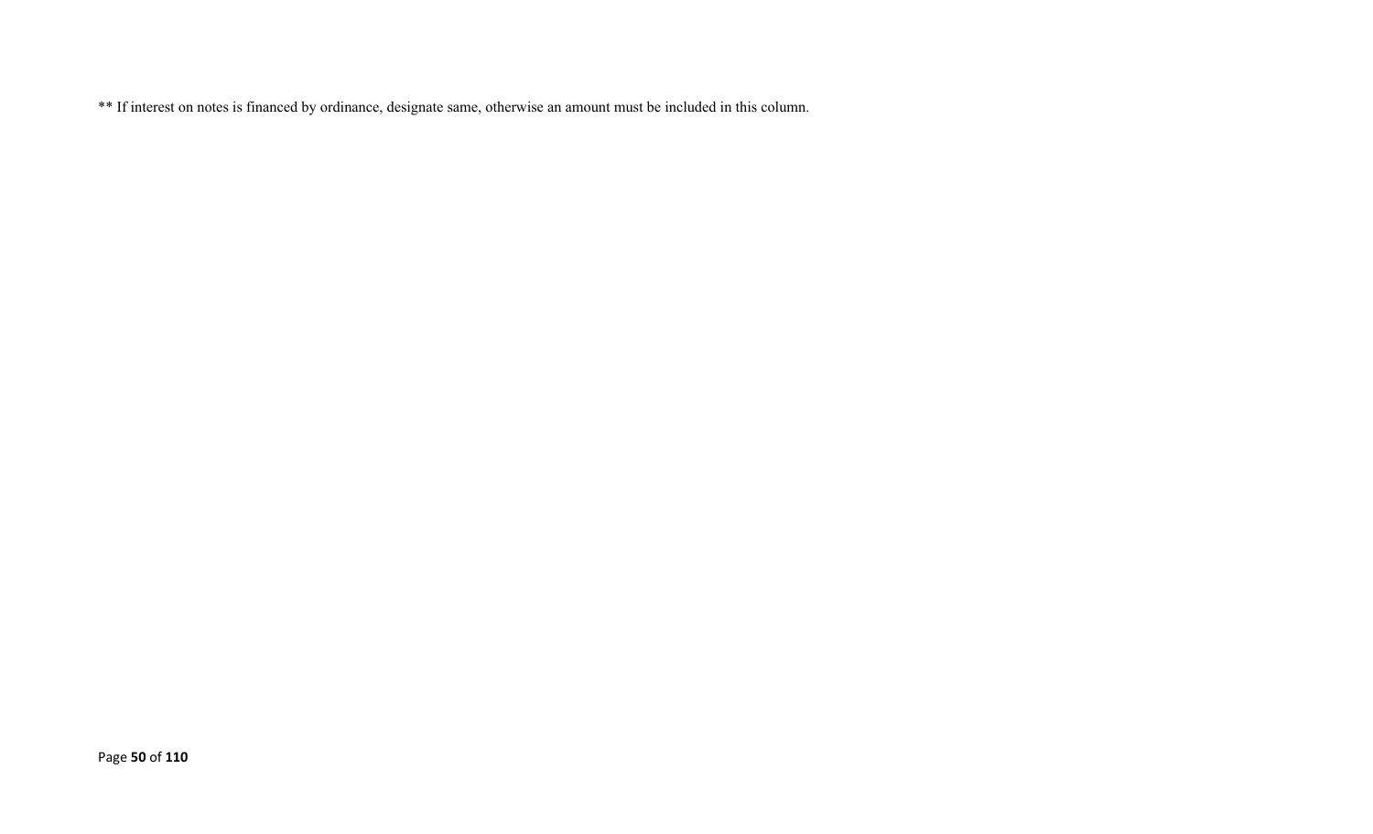\*\* If interest on notes is financed by ordinance, designate same, otherwise an amount must be included in this column.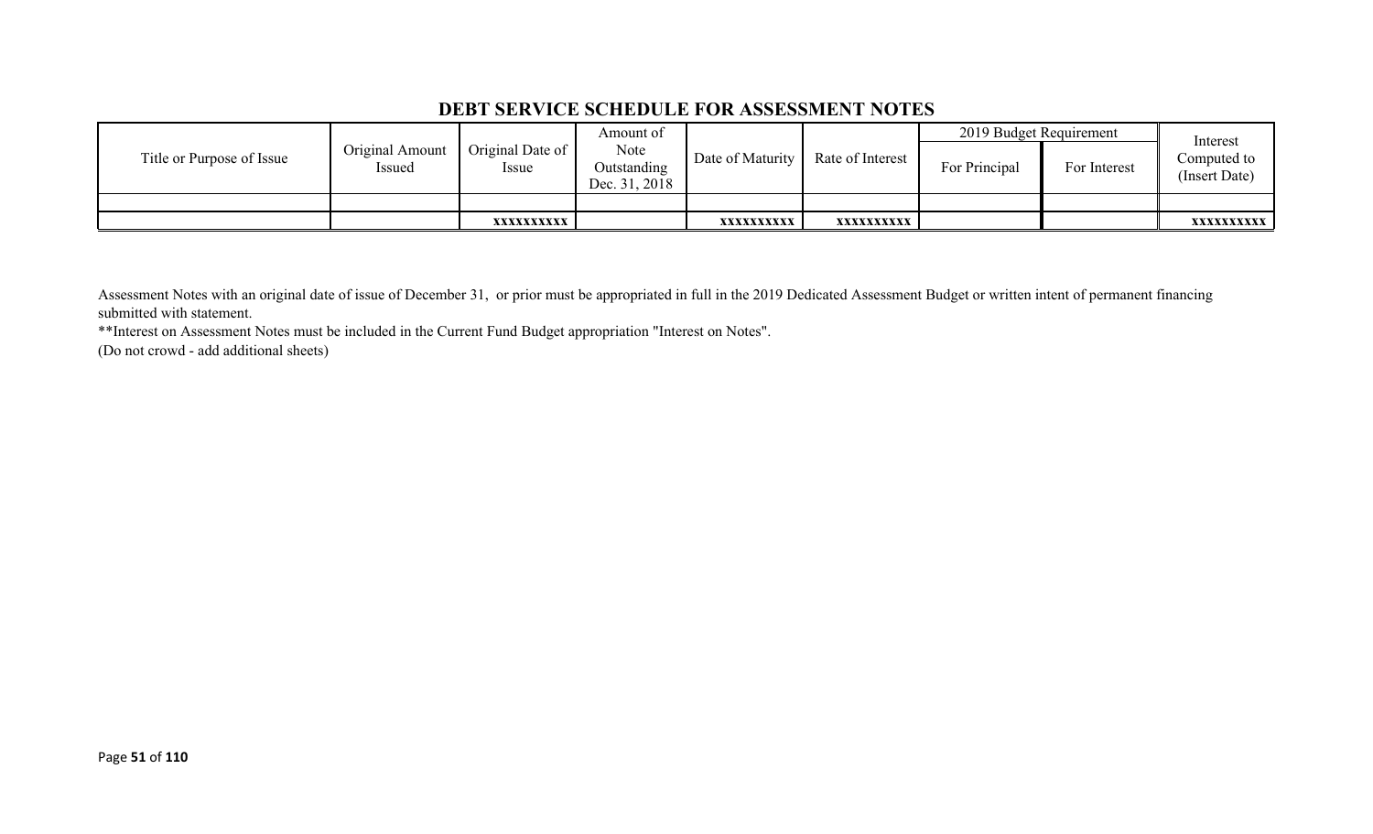#### **DEBT SERVICE SCHEDULE FOR ASSESSMENT NOTES**

|                           | Original Amount<br>Original Date of<br>Issued<br><i>ssue</i> |                                      | Amount of        |                  |               | 2019 Budget Requirement |                              | Interest          |
|---------------------------|--------------------------------------------------------------|--------------------------------------|------------------|------------------|---------------|-------------------------|------------------------------|-------------------|
| Title or Purpose of Issue |                                                              | Note<br>Outstanding<br>Dec. 31, 2018 | Date of Maturity | Rate of Interest | For Principal | For Interest            | Computed to<br>(Insert Date) |                   |
|                           |                                                              |                                      |                  |                  |               |                         |                              |                   |
|                           |                                                              | XXXXXXXXXX                           |                  | XXXXXXXXXX       | xxxxxxxxxx    |                         |                              | <b>XXXXXXXXXX</b> |

Assessment Notes with an original date of issue of December 31, or prior must be appropriated in full in the 2019 Dedicated Assessment Budget or written intent of permanent financing submitted with statement.

\*\*Interest on Assessment Notes must be included in the Current Fund Budget appropriation "Interest on Notes".

(Do not crowd - add additional sheets)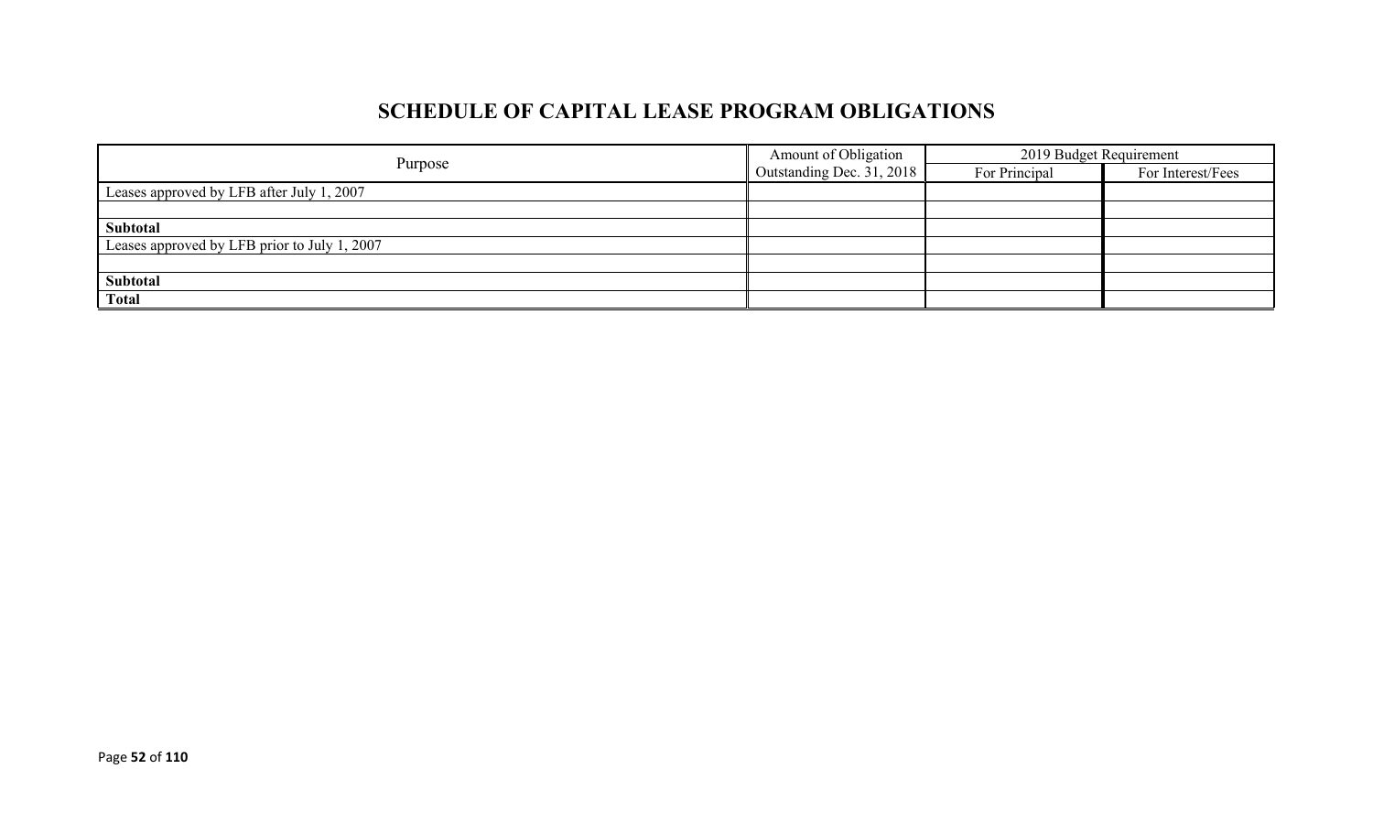# **SCHEDULE OF CAPITAL LEASE PROGRAM OBLIGATIONS**

|                                              | Amount of Obligation             | 2019 Budget Requirement |                   |  |
|----------------------------------------------|----------------------------------|-------------------------|-------------------|--|
| Purpose                                      | $\Box$ Outstanding Dec. 31, 2018 | For Principal           | For Interest/Fees |  |
| Leases approved by LFB after July 1, 2007    |                                  |                         |                   |  |
|                                              |                                  |                         |                   |  |
| Subtotal                                     |                                  |                         |                   |  |
| Leases approved by LFB prior to July 1, 2007 |                                  |                         |                   |  |
|                                              |                                  |                         |                   |  |
| Subtotal                                     |                                  |                         |                   |  |
| <b>Total</b>                                 |                                  |                         |                   |  |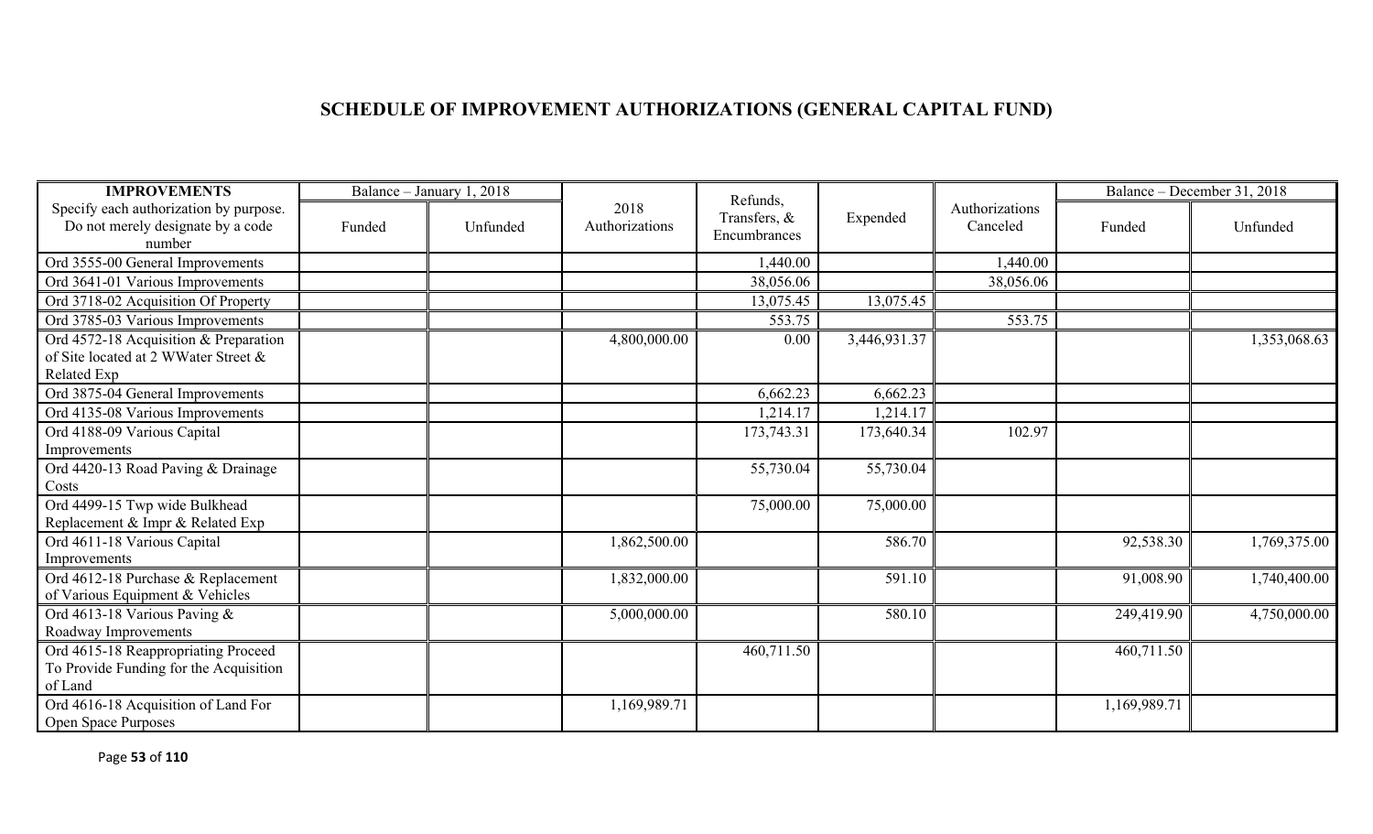# **SCHEDULE OF IMPROVEMENT AUTHORIZATIONS (GENERAL CAPITAL FUND)**

| <b>IMPROVEMENTS</b>                                                                          |        | Balance - January 1, 2018 |                        | Refunds,                     |              |                            |              | Balance – December 31, 2018 |
|----------------------------------------------------------------------------------------------|--------|---------------------------|------------------------|------------------------------|--------------|----------------------------|--------------|-----------------------------|
| Specify each authorization by purpose.<br>Do not merely designate by a code<br>number        | Funded | Unfunded                  | 2018<br>Authorizations | Transfers, &<br>Encumbrances | Expended     | Authorizations<br>Canceled | Funded       | Unfunded                    |
| Ord 3555-00 General Improvements                                                             |        |                           |                        | 1,440.00                     |              | 1,440.00                   |              |                             |
| Ord 3641-01 Various Improvements                                                             |        |                           |                        | 38,056.06                    |              | 38,056.06                  |              |                             |
| Ord 3718-02 Acquisition Of Property                                                          |        |                           |                        | 13,075.45                    | 13,075.45    |                            |              |                             |
| Ord 3785-03 Various Improvements                                                             |        |                           |                        | 553.75                       |              | 553.75                     |              |                             |
| Ord 4572-18 Acquisition & Preparation<br>of Site located at 2 WWater Street &<br>Related Exp |        |                           | 4,800,000.00           | 0.00                         | 3,446,931.37 |                            |              | 1,353,068.63                |
| Ord 3875-04 General Improvements                                                             |        |                           |                        | 6,662.23                     | 6,662.23     |                            |              |                             |
| Ord 4135-08 Various Improvements                                                             |        |                           |                        | 1,214.17                     | 1,214.17     |                            |              |                             |
| Ord 4188-09 Various Capital<br>Improvements                                                  |        |                           |                        | 173,743.31                   | 173,640.34   | 102.97                     |              |                             |
| Ord 4420-13 Road Paving & Drainage<br>Costs                                                  |        |                           |                        | 55,730.04                    | 55,730.04    |                            |              |                             |
| Ord 4499-15 Twp wide Bulkhead<br>Replacement & Impr & Related Exp                            |        |                           |                        | 75,000.00                    | 75,000.00    |                            |              |                             |
| Ord 4611-18 Various Capital<br>Improvements                                                  |        |                           | 1,862,500.00           |                              | 586.70       |                            | 92,538.30    | 1,769,375.00                |
| Ord 4612-18 Purchase & Replacement<br>of Various Equipment & Vehicles                        |        |                           | 1,832,000.00           |                              | 591.10       |                            | 91,008.90    | 1,740,400.00                |
| Ord 4613-18 Various Paving &<br>Roadway Improvements                                         |        |                           | 5,000,000.00           |                              | 580.10       |                            | 249,419.90   | 4,750,000.00                |
| Ord 4615-18 Reappropriating Proceed<br>To Provide Funding for the Acquisition<br>of Land     |        |                           |                        | 460,711.50                   |              |                            | 460,711.50   |                             |
| Ord 4616-18 Acquisition of Land For<br>Open Space Purposes                                   |        |                           | 1,169,989.71           |                              |              |                            | 1,169,989.71 |                             |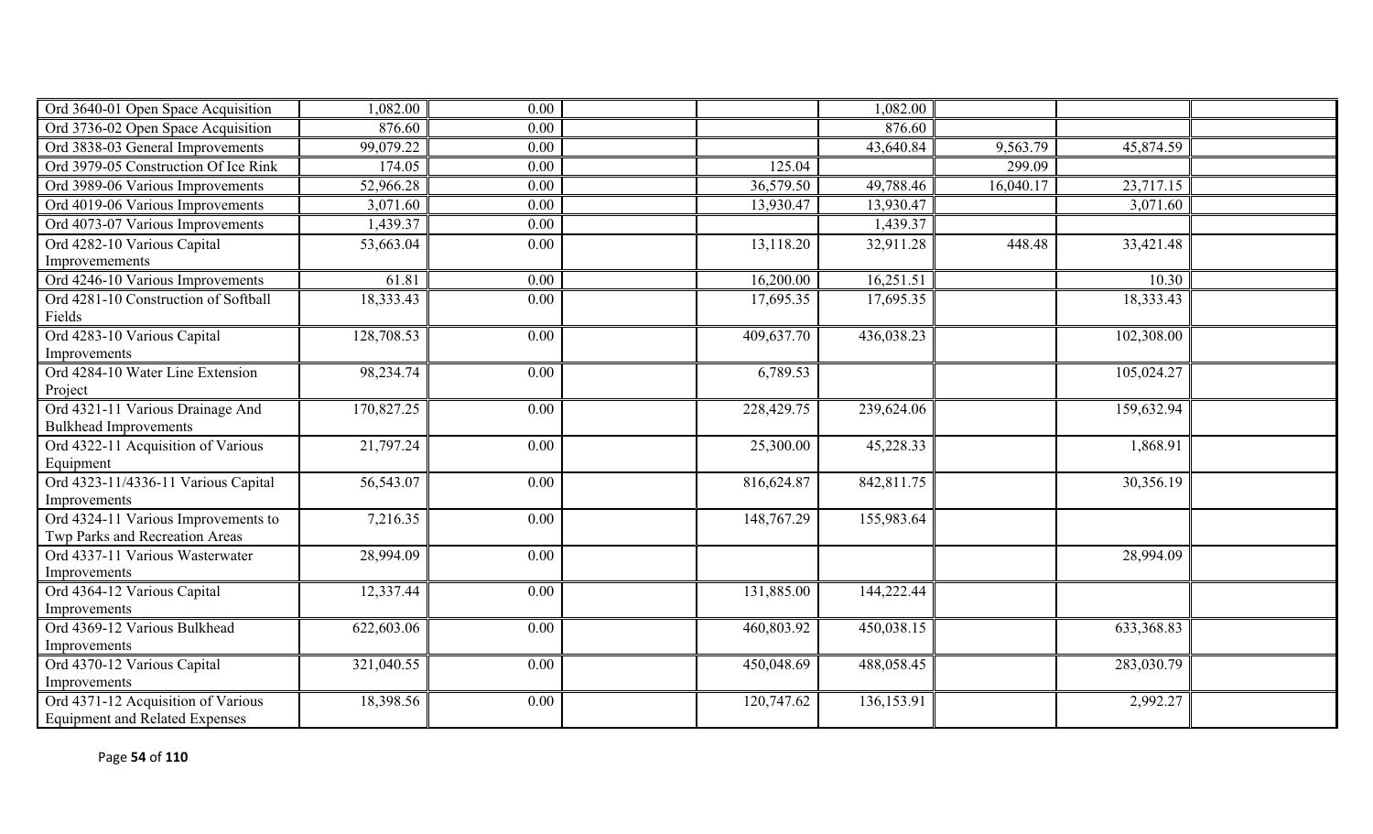| Ord 3640-01 Open Space Acquisition                                          | 1,082.00   | 0.00 |            | 1,082.00   |           |            |  |
|-----------------------------------------------------------------------------|------------|------|------------|------------|-----------|------------|--|
| Ord 3736-02 Open Space Acquisition                                          | 876.60     | 0.00 |            | 876.60     |           |            |  |
| Ord 3838-03 General Improvements                                            | 99,079.22  | 0.00 |            | 43,640.84  | 9,563.79  | 45,874.59  |  |
| Ord 3979-05 Construction Of Ice Rink                                        | 174.05     | 0.00 | 125.04     |            | 299.09    |            |  |
| Ord 3989-06 Various Improvements                                            | 52,966.28  | 0.00 | 36,579.50  | 49,788.46  | 16,040.17 | 23,717.15  |  |
| Ord 4019-06 Various Improvements                                            | 3,071.60   | 0.00 | 13,930.47  | 13,930.47  |           | 3,071.60   |  |
| Ord 4073-07 Various Improvements                                            | 1,439.37   | 0.00 |            | 1,439.37   |           |            |  |
| Ord 4282-10 Various Capital<br>Improvemements                               | 53,663.04  | 0.00 | 13,118.20  | 32,911.28  | 448.48    | 33,421.48  |  |
| Ord 4246-10 Various Improvements                                            | 61.81      | 0.00 | 16,200.00  | 16,251.51  |           | 10.30      |  |
| Ord 4281-10 Construction of Softball<br>Fields                              | 18,333.43  | 0.00 | 17,695.35  | 17,695.35  |           | 18,333.43  |  |
| Ord 4283-10 Various Capital<br>Improvements                                 | 128,708.53 | 0.00 | 409,637.70 | 436,038.23 |           | 102,308.00 |  |
| Ord 4284-10 Water Line Extension<br>Project                                 | 98,234.74  | 0.00 | 6,789.53   |            |           | 105,024.27 |  |
| Ord 4321-11 Various Drainage And<br><b>Bulkhead Improvements</b>            | 170,827.25 | 0.00 | 228,429.75 | 239,624.06 |           | 159,632.94 |  |
| Ord 4322-11 Acquisition of Various<br>Equipment                             | 21,797.24  | 0.00 | 25,300.00  | 45,228.33  |           | 1,868.91   |  |
| Ord 4323-11/4336-11 Various Capital<br>Improvements                         | 56,543.07  | 0.00 | 816,624.87 | 842,811.75 |           | 30,356.19  |  |
| Ord 4324-11 Various Improvements to<br>Twp Parks and Recreation Areas       | 7,216.35   | 0.00 | 148,767.29 | 155,983.64 |           |            |  |
| Ord 4337-11 Various Wasterwater<br>Improvements                             | 28,994.09  | 0.00 |            |            |           | 28,994.09  |  |
| Ord 4364-12 Various Capital<br>Improvements                                 | 12,337.44  | 0.00 | 131,885.00 | 144,222.44 |           |            |  |
| Ord 4369-12 Various Bulkhead<br>Improvements                                | 622,603.06 | 0.00 | 460,803.92 | 450,038.15 |           | 633,368.83 |  |
| Ord 4370-12 Various Capital<br>Improvements                                 | 321,040.55 | 0.00 | 450,048.69 | 488,058.45 |           | 283,030.79 |  |
| Ord 4371-12 Acquisition of Various<br><b>Equipment and Related Expenses</b> | 18,398.56  | 0.00 | 120,747.62 | 136,153.91 |           | 2,992.27   |  |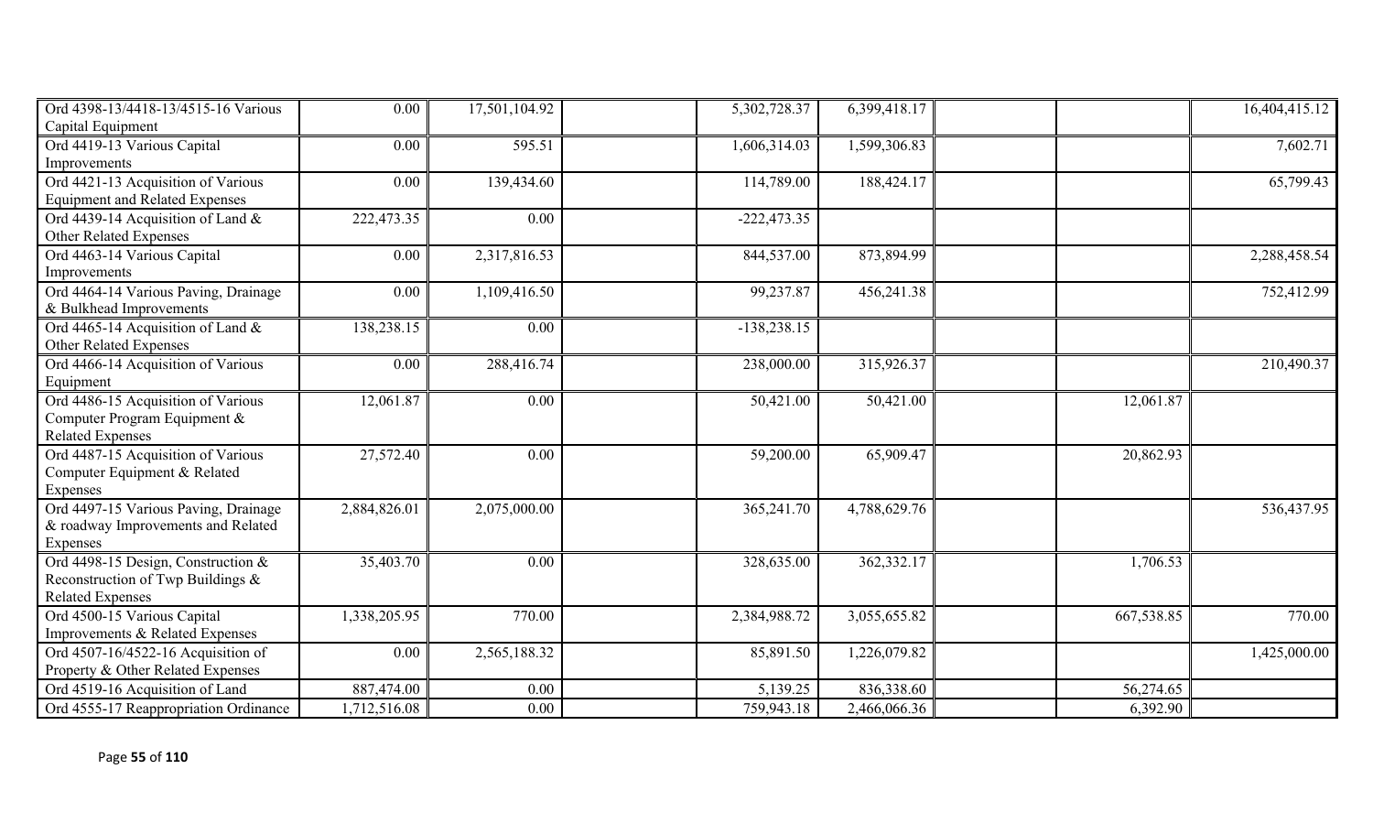| Ord 4398-13/4418-13/4515-16 Various   | 0.00         | 17,501,104.92 | 5,302,728.37  | 6,399,418.17 |            | 16,404,415.12 |
|---------------------------------------|--------------|---------------|---------------|--------------|------------|---------------|
| Capital Equipment                     |              |               |               |              |            |               |
| Ord 4419-13 Various Capital           | 0.00         | 595.51        | 1,606,314.03  | 1,599,306.83 |            | 7,602.71      |
| Improvements                          |              |               |               |              |            |               |
| Ord 4421-13 Acquisition of Various    | 0.00         | 139,434.60    | 114,789.00    | 188,424.17   |            | 65,799.43     |
| <b>Equipment and Related Expenses</b> |              |               |               |              |            |               |
| Ord 4439-14 Acquisition of Land &     | 222,473.35   | 0.00          | $-222,473.35$ |              |            |               |
| Other Related Expenses                |              |               |               |              |            |               |
| Ord 4463-14 Various Capital           | 0.00         | 2,317,816.53  | 844,537.00    | 873,894.99   |            | 2,288,458.54  |
| Improvements                          |              |               |               |              |            |               |
| Ord 4464-14 Various Paving, Drainage  | 0.00         | 1,109,416.50  | 99,237.87     | 456,241.38   |            | 752,412.99    |
| & Bulkhead Improvements               |              |               |               |              |            |               |
| Ord 4465-14 Acquisition of Land &     | 138,238.15   | 0.00          | $-138,238.15$ |              |            |               |
| Other Related Expenses                |              |               |               |              |            |               |
| Ord 4466-14 Acquisition of Various    | 0.00         | 288,416.74    | 238,000.00    | 315,926.37   |            | 210,490.37    |
| Equipment                             |              |               |               |              |            |               |
| Ord 4486-15 Acquisition of Various    | 12,061.87    | 0.00          | 50,421.00     | 50,421.00    | 12,061.87  |               |
| Computer Program Equipment &          |              |               |               |              |            |               |
| <b>Related Expenses</b>               |              |               |               |              |            |               |
| Ord 4487-15 Acquisition of Various    | 27,572.40    | 0.00          | 59,200.00     | 65,909.47    | 20,862.93  |               |
| Computer Equipment & Related          |              |               |               |              |            |               |
| Expenses                              |              |               |               |              |            |               |
| Ord 4497-15 Various Paving, Drainage  | 2,884,826.01 | 2,075,000.00  | 365,241.70    | 4,788,629.76 |            | 536,437.95    |
| & roadway Improvements and Related    |              |               |               |              |            |               |
| Expenses                              |              |               |               |              |            |               |
| Ord 4498-15 Design, Construction &    | 35,403.70    | 0.00          | 328,635.00    | 362,332.17   | 1,706.53   |               |
| Reconstruction of Twp Buildings &     |              |               |               |              |            |               |
| <b>Related Expenses</b>               |              |               |               |              |            |               |
| Ord 4500-15 Various Capital           | 1,338,205.95 | 770.00        | 2,384,988.72  | 3,055,655.82 | 667,538.85 | 770.00        |
| Improvements & Related Expenses       |              |               |               |              |            |               |
| Ord 4507-16/4522-16 Acquisition of    | 0.00         | 2,565,188.32  | 85,891.50     | 1,226,079.82 |            | 1,425,000.00  |
| Property & Other Related Expenses     |              |               |               |              |            |               |
| Ord 4519-16 Acquisition of Land       | 887,474.00   | 0.00          | 5,139.25      | 836,338.60   | 56,274.65  |               |
| Ord 4555-17 Reappropriation Ordinance | 1,712,516.08 | 0.00          | 759,943.18    | 2,466,066.36 | 6,392.90   |               |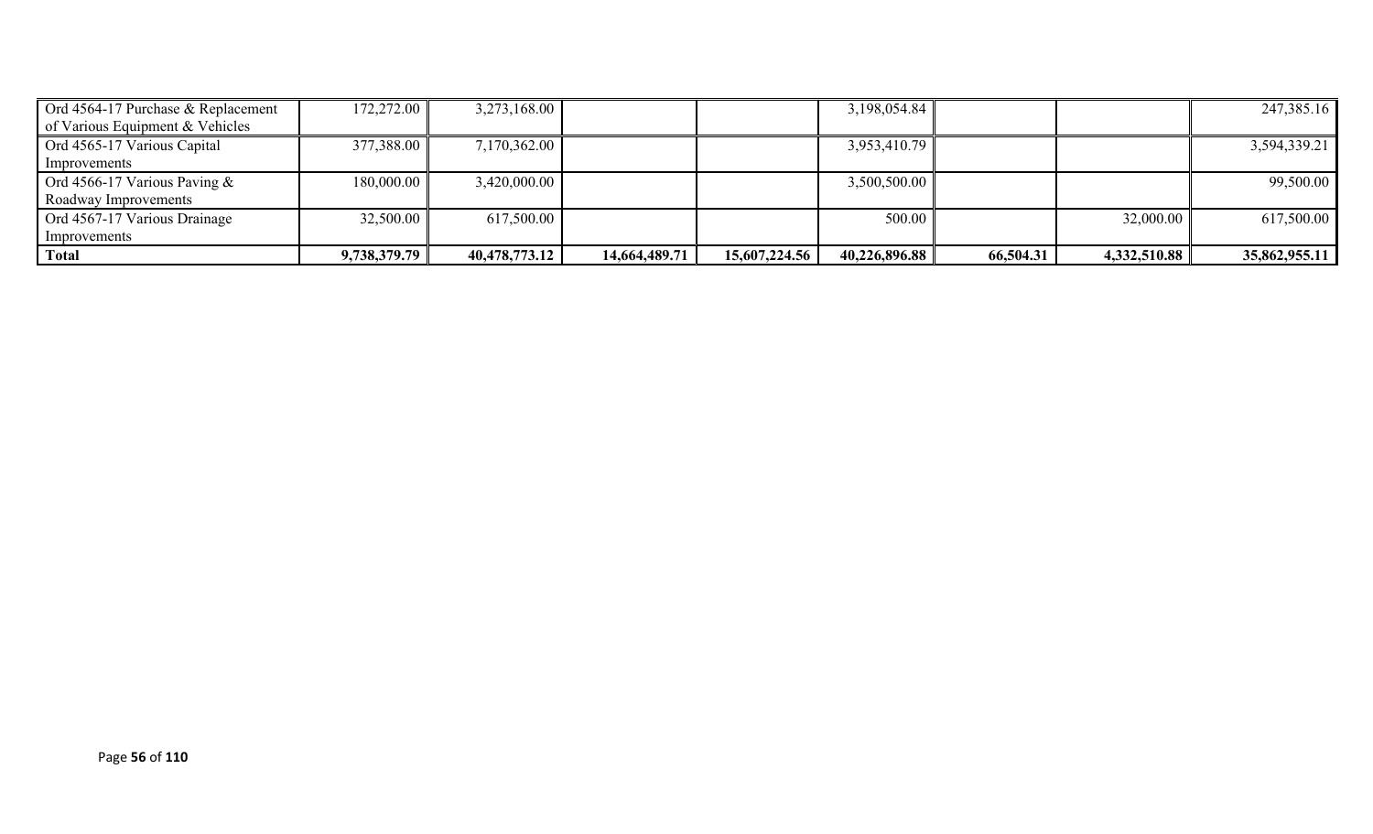| Ord 4564-17 Purchase & Replacement | 172,272.00   | 3,273,168.00  |               |               | 3,198,054.84  |           |              | 247,385.16    |
|------------------------------------|--------------|---------------|---------------|---------------|---------------|-----------|--------------|---------------|
| of Various Equipment & Vehicles    |              |               |               |               |               |           |              |               |
| Ord 4565-17 Various Capital        | 377,388.00   | 7,170,362.00  |               |               | 3,953,410.79  |           |              | 3,594,339.21  |
| Improvements                       |              |               |               |               |               |           |              |               |
| Ord 4566-17 Various Paving $&$     | 180,000.00   | 3,420,000.00  |               |               | 3,500,500.00  |           |              | 99,500.00     |
| Roadway Improvements               |              |               |               |               |               |           |              |               |
| Ord 4567-17 Various Drainage       | 32,500.00    | 617,500.00    |               |               | 500.00        |           | 32,000.00    | 617,500.00    |
| Improvements                       |              |               |               |               |               |           |              |               |
| Total                              | 9,738,379.79 | 40,478,773.12 | 14,664,489.71 | 15,607,224.56 | 40,226,896.88 | 66,504.31 | 4,332,510.88 | 35,862,955.11 |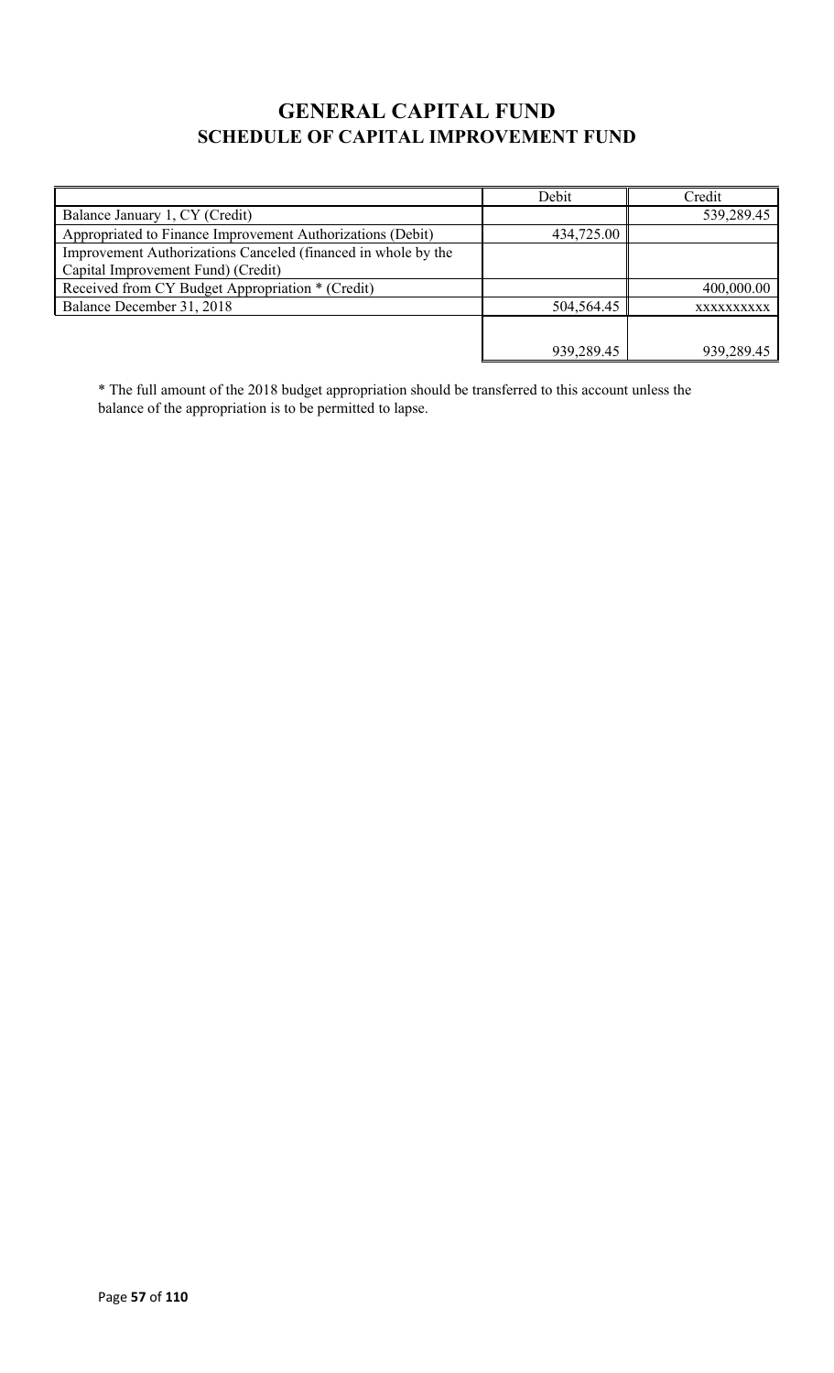# **GENERAL CAPITAL FUND SCHEDULE OF CAPITAL IMPROVEMENT FUND**

|                                                                                                     | Debit      | Credit     |
|-----------------------------------------------------------------------------------------------------|------------|------------|
| Balance January 1, CY (Credit)                                                                      |            | 539,289.45 |
| Appropriated to Finance Improvement Authorizations (Debit)                                          | 434,725.00 |            |
| Improvement Authorizations Canceled (financed in whole by the<br>Capital Improvement Fund) (Credit) |            |            |
| Received from CY Budget Appropriation * (Credit)                                                    |            | 400,000.00 |
| Balance December 31, 2018                                                                           | 504,564.45 | XXXXXXXXXX |
|                                                                                                     |            |            |
|                                                                                                     | 939,289.45 | 939,289.45 |

\* The full amount of the 2018 budget appropriation should be transferred to this account unless the balance of the appropriation is to be permitted to lapse.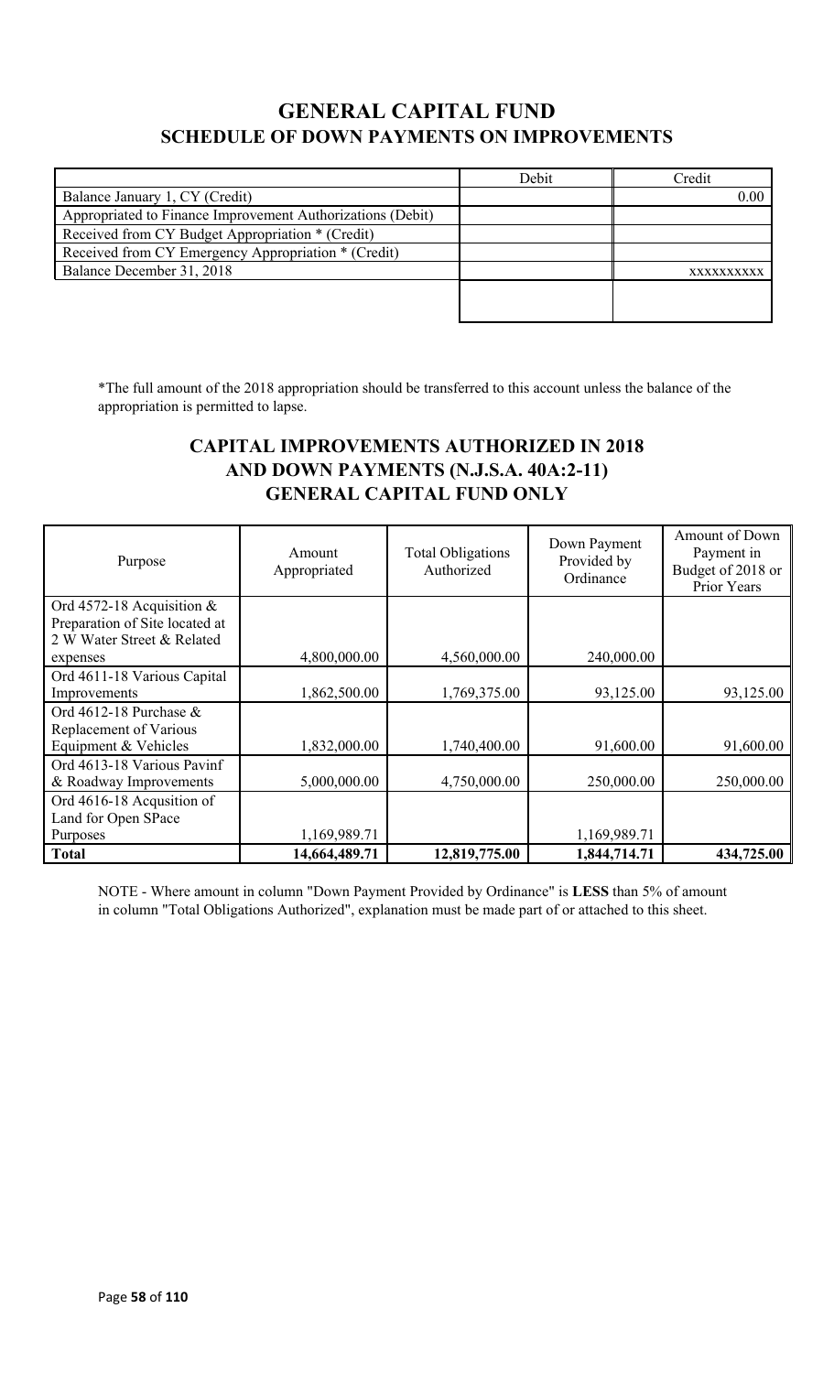# **GENERAL CAPITAL FUND SCHEDULE OF DOWN PAYMENTS ON IMPROVEMENTS**

|                                                            | Debit | Credit    |
|------------------------------------------------------------|-------|-----------|
| Balance January 1, CY (Credit)                             |       | 0.00      |
| Appropriated to Finance Improvement Authorizations (Debit) |       |           |
| Received from CY Budget Appropriation * (Credit)           |       |           |
| Received from CY Emergency Appropriation * (Credit)        |       |           |
| Balance December 31, 2018                                  |       | XXXXXXXXX |
|                                                            |       |           |
|                                                            |       |           |

\*The full amount of the 2018 appropriation should be transferred to this account unless the balance of the appropriation is permitted to lapse.

### **CAPITAL IMPROVEMENTS AUTHORIZED IN 2018 AND DOWN PAYMENTS (N.J.S.A. 40A:2-11) GENERAL CAPITAL FUND ONLY**

| Purpose                        | Amount<br>Appropriated | <b>Total Obligations</b><br>Authorized | Down Payment<br>Provided by<br>Ordinance | Amount of Down<br>Payment in<br>Budget of 2018 or<br>Prior Years |
|--------------------------------|------------------------|----------------------------------------|------------------------------------------|------------------------------------------------------------------|
| Ord 4572-18 Acquisition &      |                        |                                        |                                          |                                                                  |
| Preparation of Site located at |                        |                                        |                                          |                                                                  |
| 2 W Water Street & Related     |                        |                                        |                                          |                                                                  |
| expenses                       | 4,800,000.00           | 4,560,000.00                           | 240,000.00                               |                                                                  |
| Ord 4611-18 Various Capital    |                        |                                        |                                          |                                                                  |
| Improvements                   | 1,862,500.00           | 1,769,375.00                           | 93,125.00                                | 93,125.00                                                        |
| Ord 4612-18 Purchase $&$       |                        |                                        |                                          |                                                                  |
| Replacement of Various         |                        |                                        |                                          |                                                                  |
| Equipment & Vehicles           | 1,832,000.00           | 1,740,400.00                           | 91,600.00                                | 91,600.00                                                        |
| Ord 4613-18 Various Pavinf     |                        |                                        |                                          |                                                                  |
| & Roadway Improvements         | 5,000,000.00           | 4,750,000.00                           | 250,000.00                               | 250,000.00                                                       |
| Ord 4616-18 Acqusition of      |                        |                                        |                                          |                                                                  |
| Land for Open SPace            |                        |                                        |                                          |                                                                  |
| Purposes                       | 1,169,989.71           |                                        | 1,169,989.71                             |                                                                  |
| <b>Total</b>                   | 14,664,489.71          | 12,819,775.00                          | 1,844,714.71                             | 434,725.00                                                       |

NOTE - Where amount in column "Down Payment Provided by Ordinance" is **LESS** than 5% of amount in column "Total Obligations Authorized", explanation must be made part of or attached to this sheet.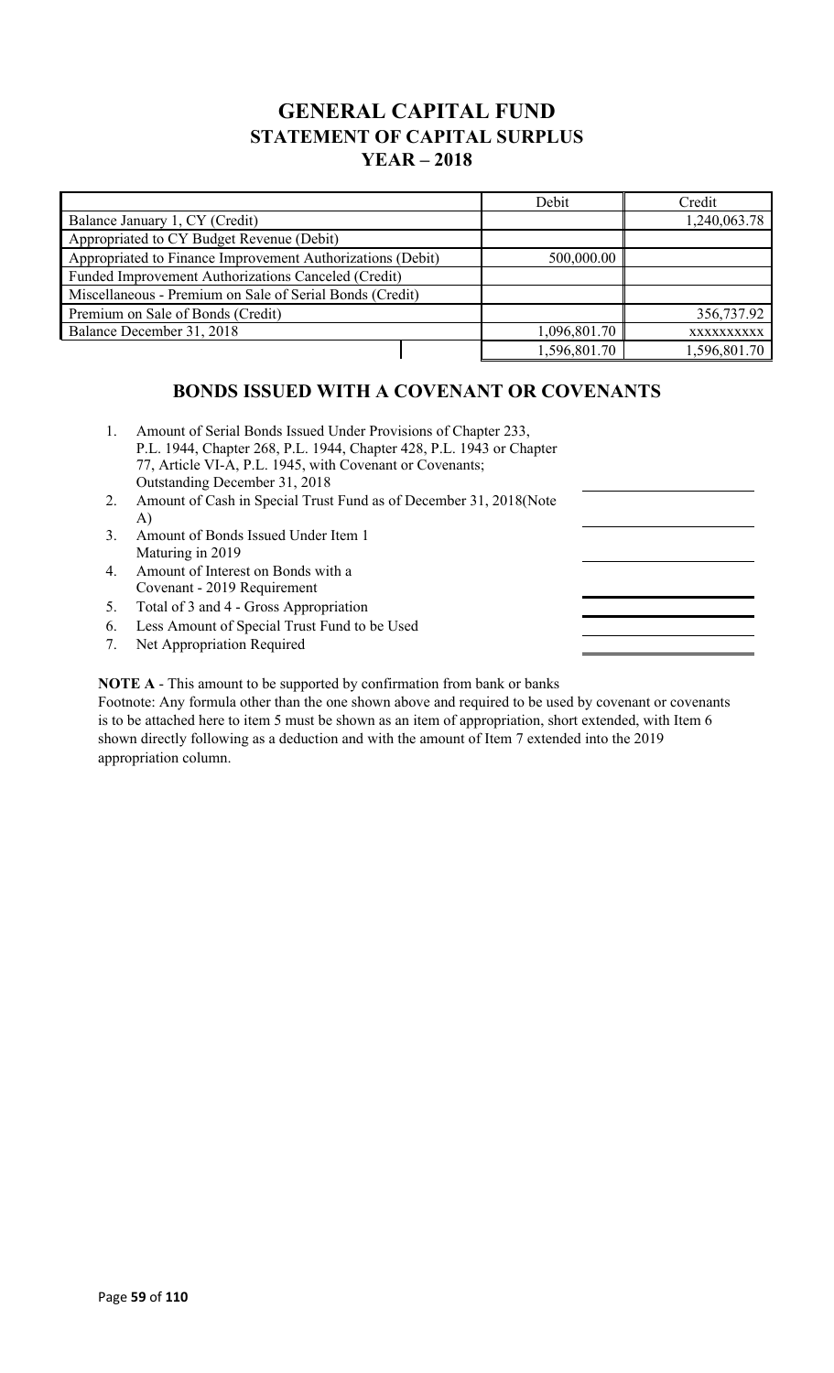## **GENERAL CAPITAL FUND STATEMENT OF CAPITAL SURPLUS YEAR – 2018**

|                                                            |              | Debit        | Credit       |
|------------------------------------------------------------|--------------|--------------|--------------|
| Balance January 1, CY (Credit)                             |              | 1,240,063.78 |              |
| Appropriated to CY Budget Revenue (Debit)                  |              |              |              |
| Appropriated to Finance Improvement Authorizations (Debit) |              | 500,000.00   |              |
| Funded Improvement Authorizations Canceled (Credit)        |              |              |              |
| Miscellaneous - Premium on Sale of Serial Bonds (Credit)   |              |              |              |
| Premium on Sale of Bonds (Credit)                          |              |              | 356,737.92   |
| Balance December 31, 2018                                  | 1,096,801.70 | XXXXXXXXXX   |              |
|                                                            |              | 1,596,801.70 | 1,596,801.70 |

### **BONDS ISSUED WITH A COVENANT OR COVENANTS**

- 1. Amount of Serial Bonds Issued Under Provisions of Chapter 233, P.L. 1944, Chapter 268, P.L. 1944, Chapter 428, P.L. 1943 or Chapter 77, Article VI-A, P.L. 1945, with Covenant or Covenants; Outstanding December 31, 2018
- 2. Amount of Cash in Special Trust Fund as of December 31, 2018(Note A)
- 3. Amount of Bonds Issued Under Item 1 Maturing in 2019
- 4. Amount of Interest on Bonds with a Covenant - 2019 Requirement
- 5. Total of 3 and 4 Gross Appropriation
- 6. Less Amount of Special Trust Fund to be Used
- 7. Net Appropriation Required

**NOTE A** - This amount to be supported by confirmation from bank or banks

Footnote: Any formula other than the one shown above and required to be used by covenant or covenants is to be attached here to item 5 must be shown as an item of appropriation, short extended, with Item 6 shown directly following as a deduction and with the amount of Item 7 extended into the 2019 appropriation column.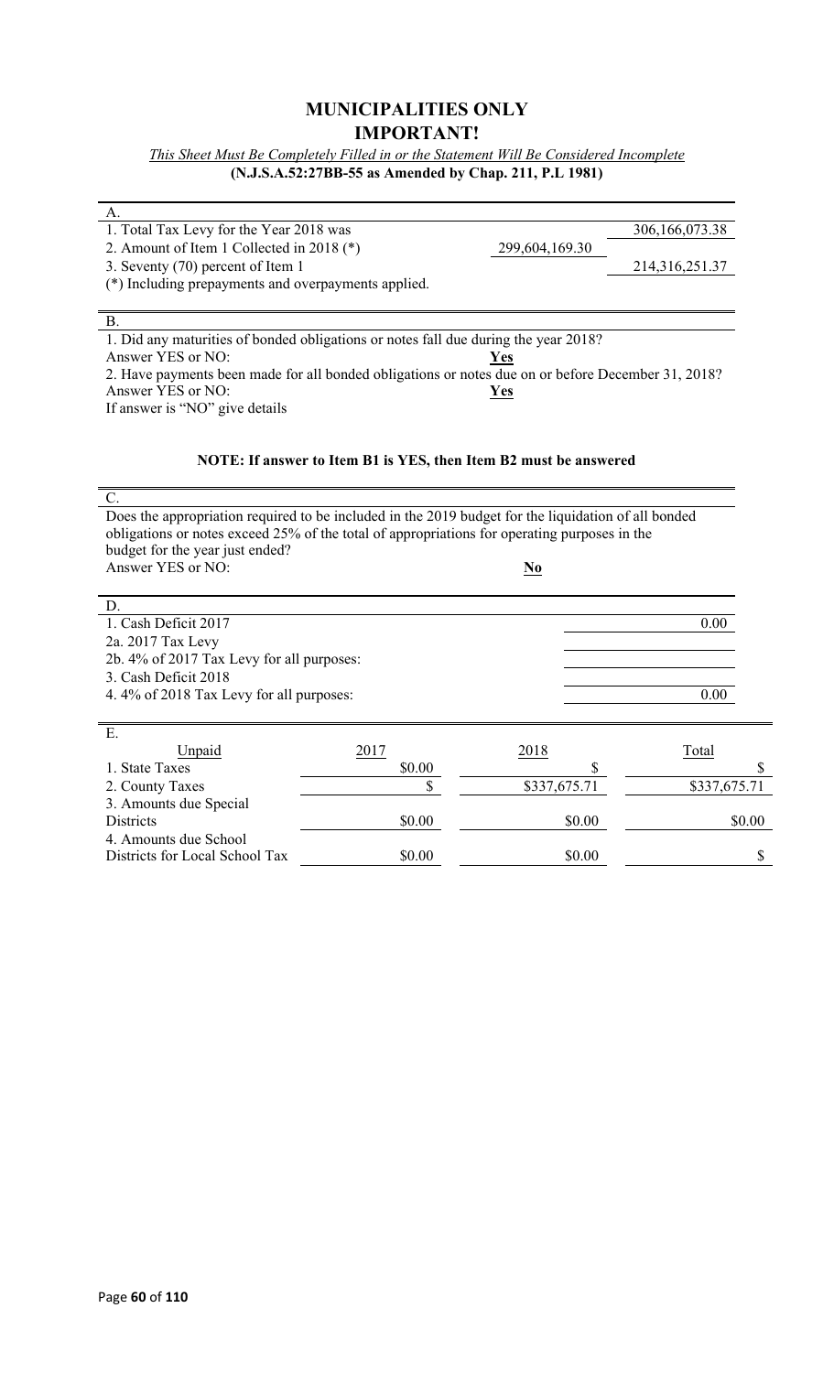#### **MUNICIPALITIES ONLY IMPORTANT!**

*This Sheet Must Be Completely Filled in or the Statement Will Be Considered Incomplete* **(N.J.S.A.52:27BB-55 as Amended by Chap. 211, P.L 1981)**

| А.<br>1. Total Tax Levy for the Year 2018 was                                                       |                                                                  |                                    | 306,166,073.38 |
|-----------------------------------------------------------------------------------------------------|------------------------------------------------------------------|------------------------------------|----------------|
| 2. Amount of Item 1 Collected in 2018 (*)                                                           |                                                                  | 299,604,169.30                     |                |
| 3. Seventy (70) percent of Item 1                                                                   |                                                                  |                                    | 214,316,251.37 |
| (*) Including prepayments and overpayments applied.                                                 |                                                                  |                                    |                |
|                                                                                                     |                                                                  |                                    |                |
| <b>B.</b>                                                                                           |                                                                  |                                    |                |
| 1. Did any maturities of bonded obligations or notes fall due during the year 2018?                 |                                                                  |                                    |                |
| Answer YES or NO:                                                                                   |                                                                  | Yes                                |                |
| 2. Have payments been made for all bonded obligations or notes due on or before December 31, 2018?  |                                                                  |                                    |                |
| Answer YES or NO:                                                                                   |                                                                  | Yes                                |                |
| If answer is "NO" give details                                                                      |                                                                  |                                    |                |
|                                                                                                     |                                                                  |                                    |                |
|                                                                                                     |                                                                  |                                    |                |
|                                                                                                     | NOTE: If answer to Item B1 is YES, then Item B2 must be answered |                                    |                |
|                                                                                                     |                                                                  |                                    |                |
| C.                                                                                                  |                                                                  |                                    |                |
| Does the appropriation required to be included in the 2019 budget for the liquidation of all bonded |                                                                  |                                    |                |
| obligations or notes exceed 25% of the total of appropriations for operating purposes in the        |                                                                  |                                    |                |
| budget for the year just ended?                                                                     |                                                                  |                                    |                |
| Answer YES or NO:                                                                                   |                                                                  | $\underline{\mathbf{N}\mathbf{o}}$ |                |
|                                                                                                     |                                                                  |                                    |                |
| D.                                                                                                  |                                                                  |                                    |                |
| 1. Cash Deficit 2017                                                                                |                                                                  |                                    | 0.00           |
| 2a. 2017 Tax Levy                                                                                   |                                                                  |                                    |                |
| 2b. 4% of 2017 Tax Levy for all purposes:                                                           |                                                                  |                                    |                |
| 3. Cash Deficit 2018                                                                                |                                                                  |                                    |                |
| 4.4% of 2018 Tax Levy for all purposes:                                                             |                                                                  |                                    | 0.00           |
|                                                                                                     |                                                                  |                                    |                |
| E.                                                                                                  |                                                                  |                                    |                |
| Unpaid                                                                                              | 2017                                                             | 2018                               | Total          |
| 1. State Taxes                                                                                      | \$0.00                                                           | \$                                 | \$             |
| 2. County Taxes                                                                                     | \$                                                               | \$337,675.71                       | \$337,675.71   |
| 3. Amounts due Special                                                                              |                                                                  |                                    |                |
| Districts                                                                                           | \$0.00                                                           | \$0.00                             | \$0.00         |
| 4. Amounts due School                                                                               |                                                                  |                                    |                |
| Districts for Local School Tax                                                                      | \$0.00                                                           | \$0.00                             | \$             |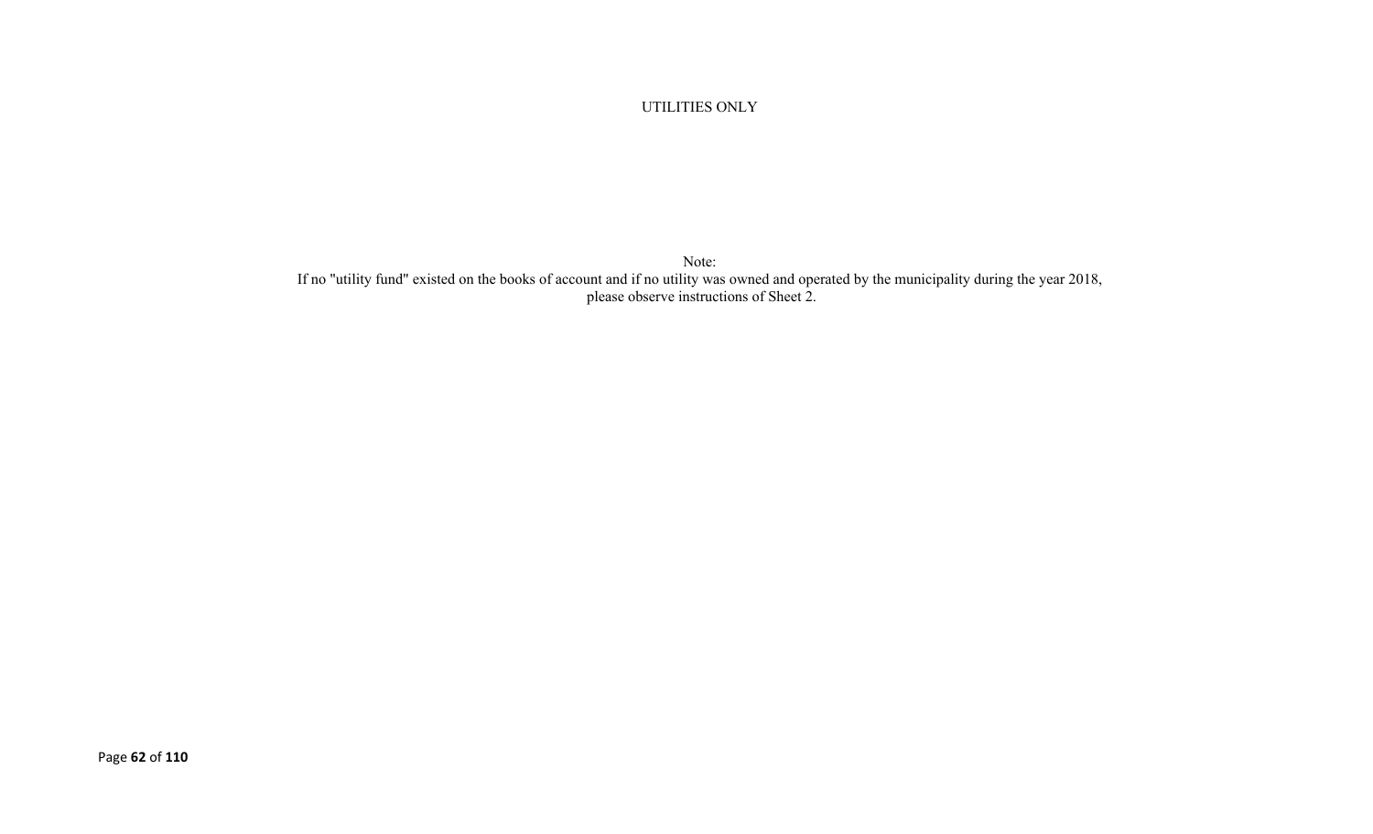UTILITIES ONLY

Note: If no "utility fund" existed on the books of account and if no utility was owned and operated by the municipality during the year 2018, please observe instructions of Sheet 2.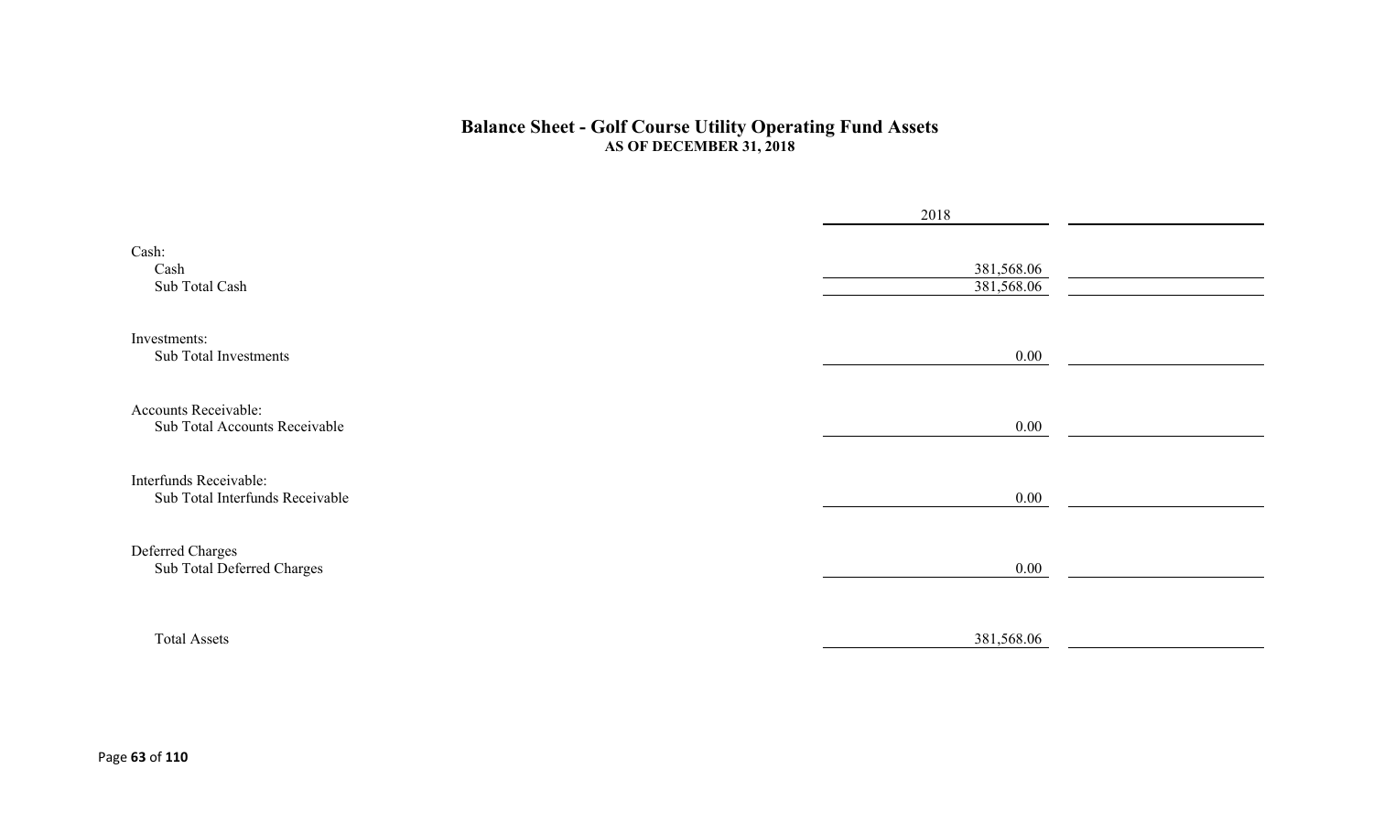#### **Balance Sheet - Golf Course Utility Operating Fund Assets AS OF DECEMBER 31, 2018**

|                                                           | 2018                     |  |
|-----------------------------------------------------------|--------------------------|--|
| Cash:<br>Cash<br>Sub Total Cash                           | 381,568.06<br>381,568.06 |  |
| Investments:<br>Sub Total Investments                     | $0.00\,$                 |  |
| Accounts Receivable:<br>Sub Total Accounts Receivable     | $0.00\,$                 |  |
| Interfunds Receivable:<br>Sub Total Interfunds Receivable | $0.00\,$                 |  |
| Deferred Charges<br>Sub Total Deferred Charges            | $0.00\,$                 |  |
| <b>Total Assets</b>                                       | 381,568.06               |  |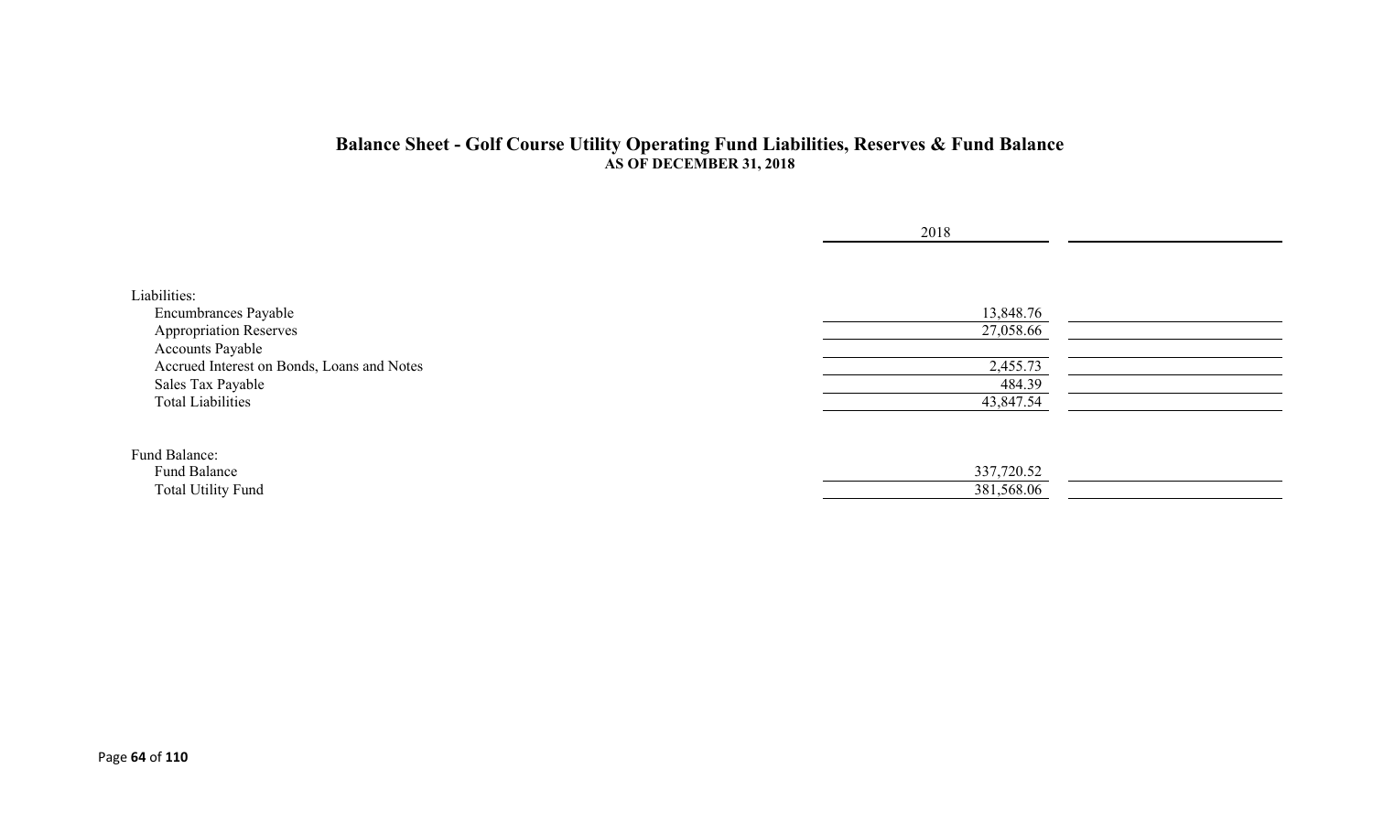#### **Balance Sheet - Golf Course Utility Operating Fund Liabilities, Reserves & Fund Balance AS OF DECEMBER 31, 2018**

|                                            | 2018       |  |
|--------------------------------------------|------------|--|
|                                            |            |  |
| Liabilities:                               |            |  |
| Encumbrances Payable                       | 13,848.76  |  |
| <b>Appropriation Reserves</b>              | 27,058.66  |  |
| <b>Accounts Payable</b>                    |            |  |
| Accrued Interest on Bonds, Loans and Notes | 2,455.73   |  |
| Sales Tax Payable                          | 484.39     |  |
| <b>Total Liabilities</b>                   | 43,847.54  |  |
|                                            |            |  |
| Fund Balance:                              |            |  |
| Fund Balance                               | 337,720.52 |  |
| Total Utility Fund                         | 381,568.06 |  |
|                                            |            |  |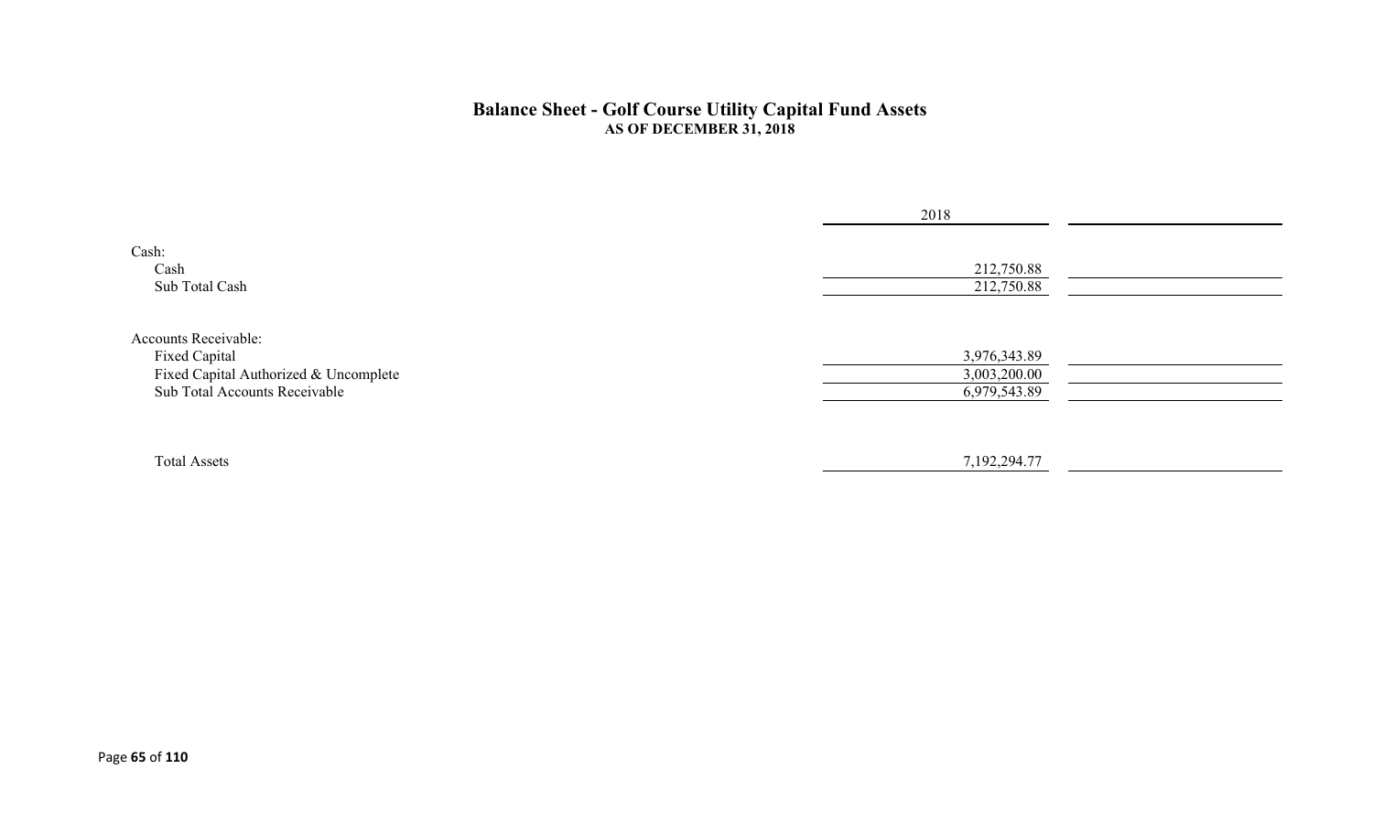#### **Balance Sheet - Golf Course Utility Capital Fund Assets AS OF DECEMBER 31, 2018**

|                                                                                                                        | 2018                                         |
|------------------------------------------------------------------------------------------------------------------------|----------------------------------------------|
| Cash:<br>Cash<br>Sub Total Cash                                                                                        | 212,750.88<br>212,750.88                     |
| <b>Accounts Receivable:</b><br>Fixed Capital<br>Fixed Capital Authorized & Uncomplete<br>Sub Total Accounts Receivable | 3,976,343.89<br>3,003,200.00<br>6,979,543.89 |
| <b>Total Assets</b>                                                                                                    | 7,192,294.77                                 |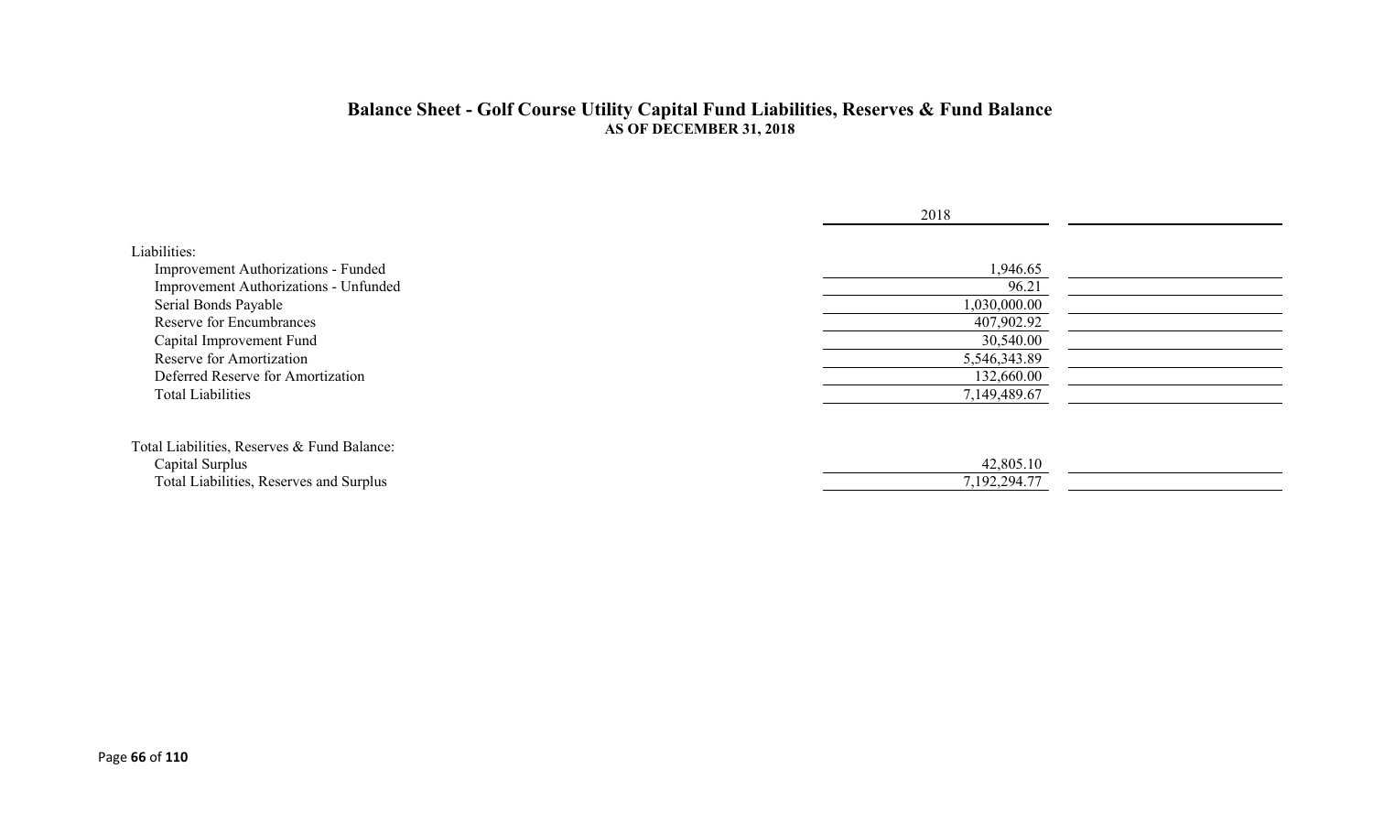#### **Balance Sheet - Golf Course Utility Capital Fund Liabilities, Reserves & Fund Balance AS OF DECEMBER 31, 2018**

|                                             | 2018         |  |
|---------------------------------------------|--------------|--|
| Liabilities:                                |              |  |
| Improvement Authorizations - Funded         | 1,946.65     |  |
| Improvement Authorizations - Unfunded       | 96.21        |  |
| Serial Bonds Payable                        | 1,030,000.00 |  |
| <b>Reserve for Encumbrances</b>             | 407,902.92   |  |
| Capital Improvement Fund                    | 30,540.00    |  |
| Reserve for Amortization                    | 5,546,343.89 |  |
| Deferred Reserve for Amortization           | 132,660.00   |  |
| <b>Total Liabilities</b>                    | 7,149,489.67 |  |
| Total Liabilities, Reserves & Fund Balance: |              |  |
| Capital Surplus                             | 42,805.10    |  |
| Total Liabilities, Reserves and Surplus     | 7,192,294.77 |  |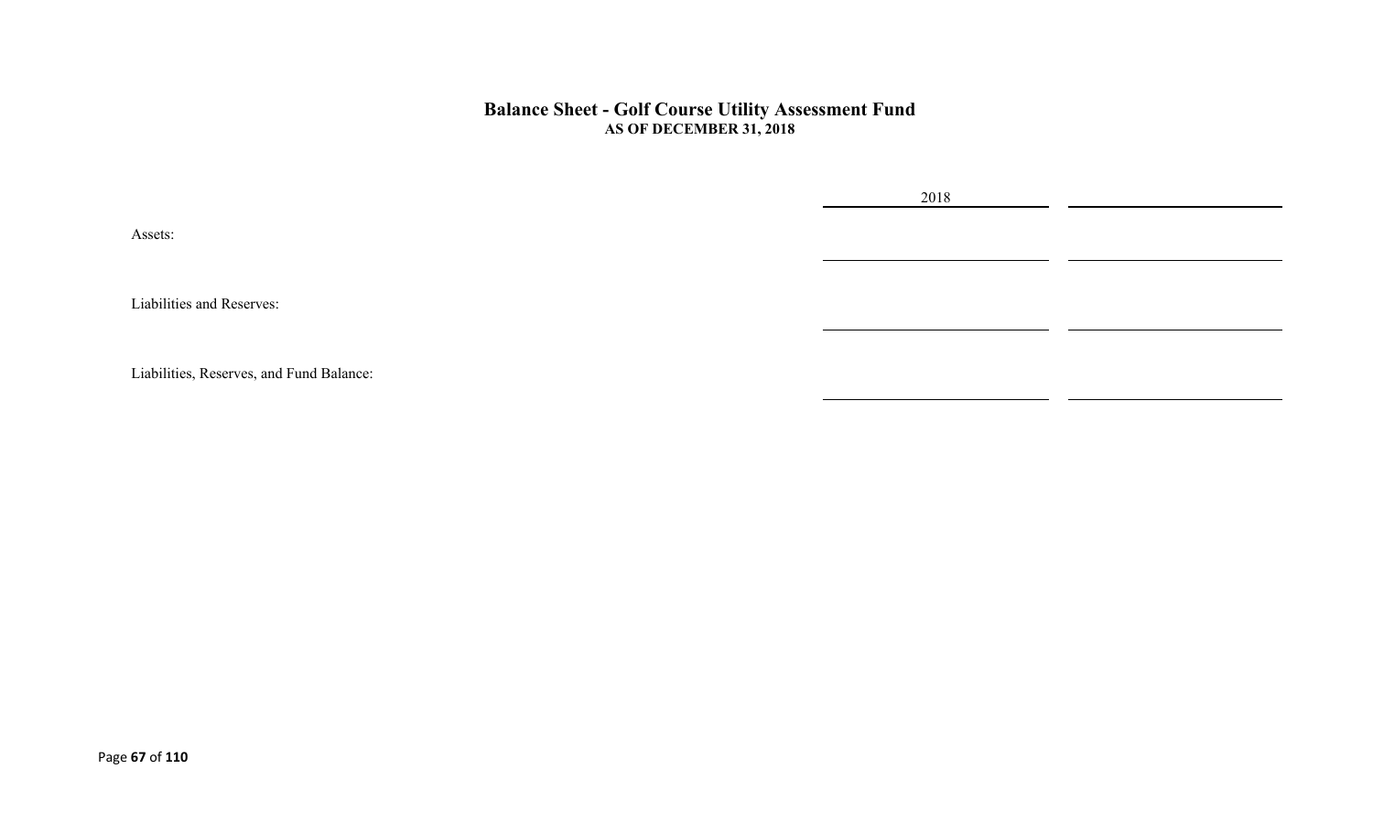#### **Balance Sheet - Golf Course Utility Assessment Fund AS OF DECEMBER 31, 2018**

2018

Assets:

Liabilities and Reserves:

Liabilities, Reserves, and Fund Balance: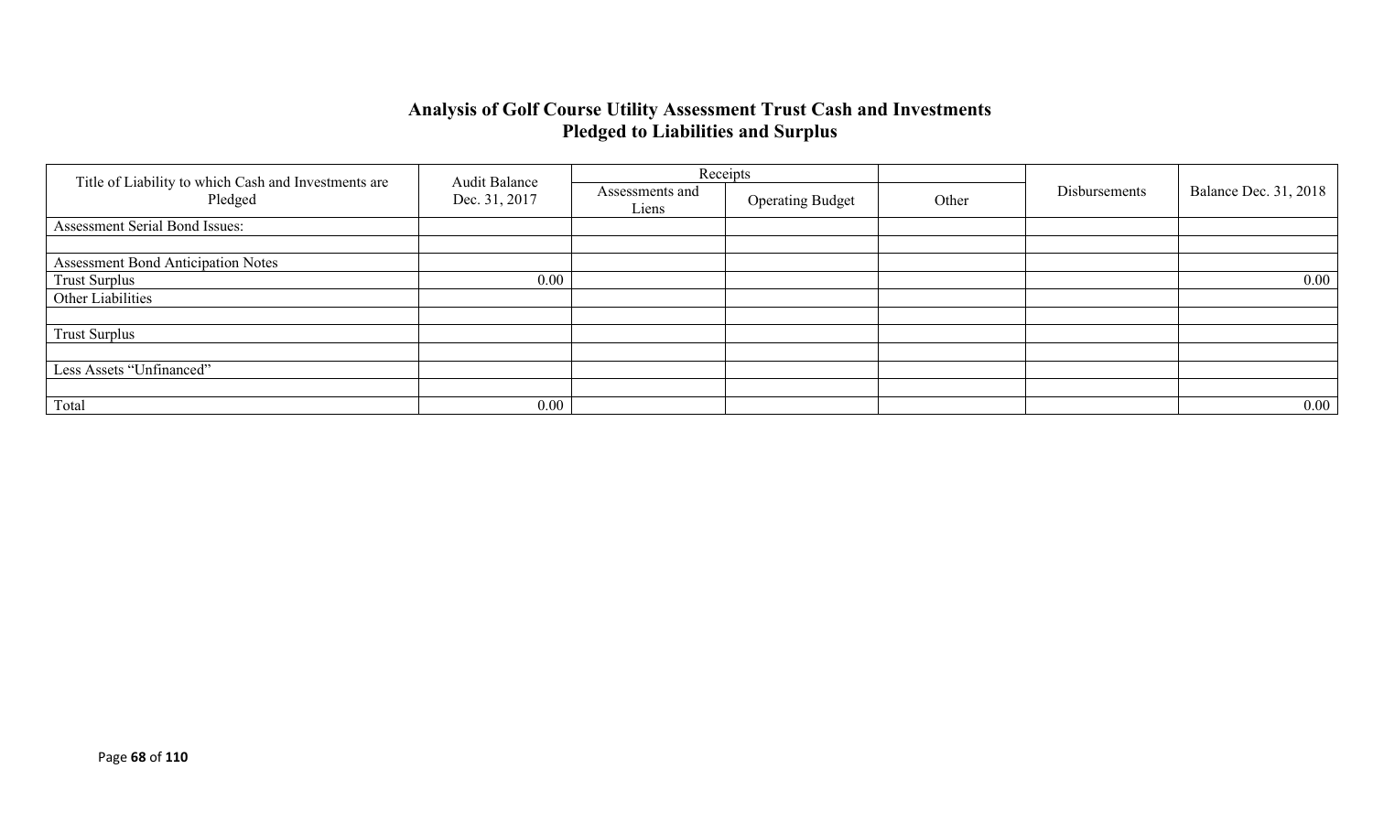# **Analysis of Golf Course Utility Assessment Trust Cash and Investments Pledged to Liabilities and Surplus**

|                                                                 |                                       |                          | Receipts                |       |               |                              |
|-----------------------------------------------------------------|---------------------------------------|--------------------------|-------------------------|-------|---------------|------------------------------|
| Title of Liability to which Cash and Investments are<br>Pledged | <b>Audit Balance</b><br>Dec. 31, 2017 | Assessments and<br>Liens | <b>Operating Budget</b> | Other | Disbursements | <b>Balance Dec. 31, 2018</b> |
| Assessment Serial Bond Issues:                                  |                                       |                          |                         |       |               |                              |
|                                                                 |                                       |                          |                         |       |               |                              |
| <b>Assessment Bond Anticipation Notes</b>                       |                                       |                          |                         |       |               |                              |
| <b>Trust Surplus</b>                                            | 0.00                                  |                          |                         |       |               | $0.00\,$                     |
| Other Liabilities                                               |                                       |                          |                         |       |               |                              |
|                                                                 |                                       |                          |                         |       |               |                              |
| <b>Trust Surplus</b>                                            |                                       |                          |                         |       |               |                              |
|                                                                 |                                       |                          |                         |       |               |                              |
| Less Assets "Unfinanced"                                        |                                       |                          |                         |       |               |                              |
|                                                                 |                                       |                          |                         |       |               |                              |
| Total                                                           | 0.00                                  |                          |                         |       |               | $0.00\,$                     |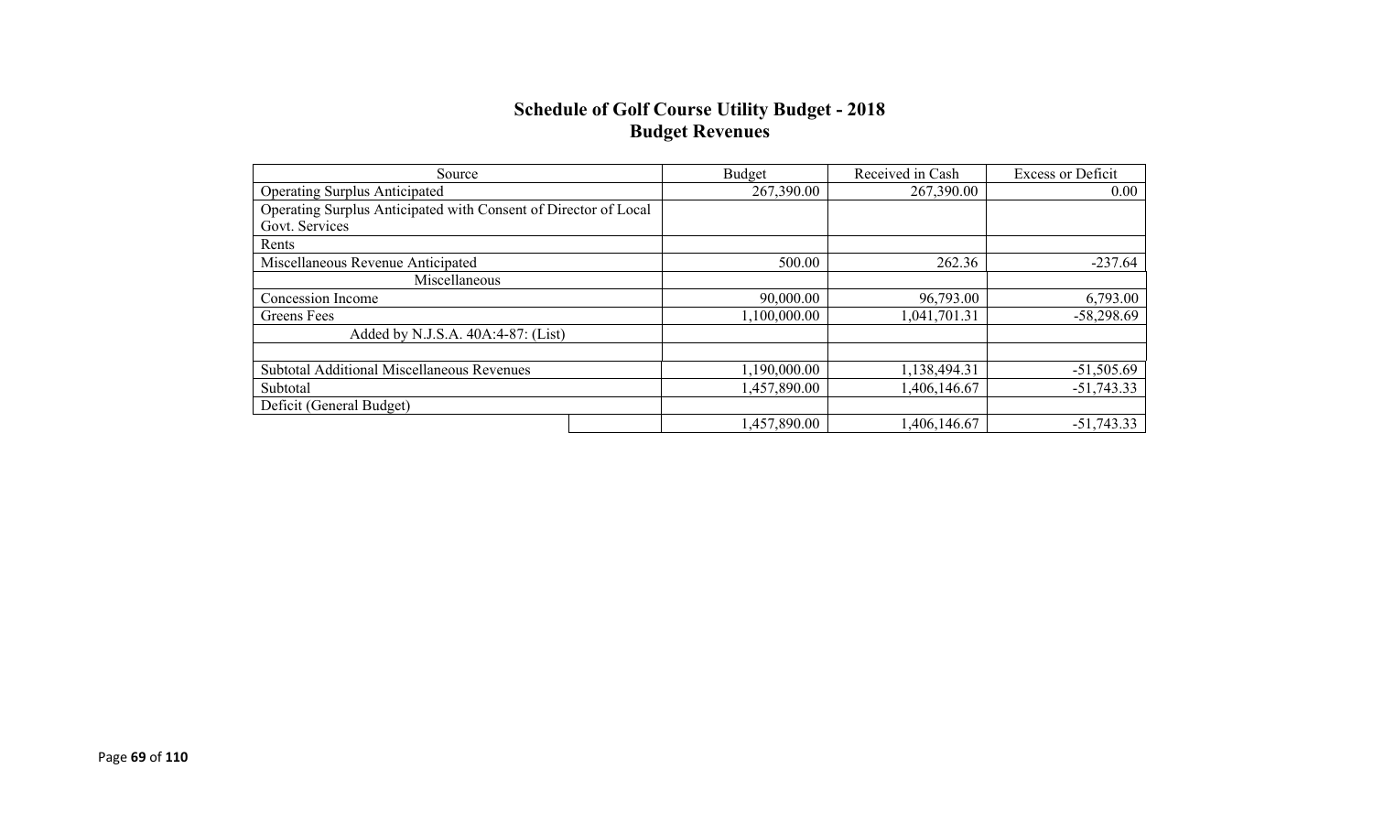#### **Schedule of Golf Course Utility Budget - 2018 Budget Revenues**

| Source                                                          | Budget       | Received in Cash | <b>Excess or Deficit</b> |
|-----------------------------------------------------------------|--------------|------------------|--------------------------|
| <b>Operating Surplus Anticipated</b>                            | 267,390.00   | 267,390.00       | 0.00                     |
| Operating Surplus Anticipated with Consent of Director of Local |              |                  |                          |
| Govt. Services                                                  |              |                  |                          |
| Rents                                                           |              |                  |                          |
| Miscellaneous Revenue Anticipated                               | 500.00       | 262.36           | $-237.64$                |
| Miscellaneous                                                   |              |                  |                          |
| Concession Income                                               | 90,000.00    | 96,793.00        | 6,793.00                 |
| Greens Fees                                                     | 1,100,000.00 | 1,041,701.31     | $-58,298.69$             |
| Added by N.J.S.A. 40A:4-87: (List)                              |              |                  |                          |
|                                                                 |              |                  |                          |
| <b>Subtotal Additional Miscellaneous Revenues</b>               | 1,190,000.00 | 1,138,494.31     | $-51,505.69$             |
| Subtotal                                                        | 1,457,890.00 | ,406,146.67      | $-51,743.33$             |
| Deficit (General Budget)                                        |              |                  |                          |
|                                                                 | 1,457,890.00 | 1,406,146.67     | $-51,743.33$             |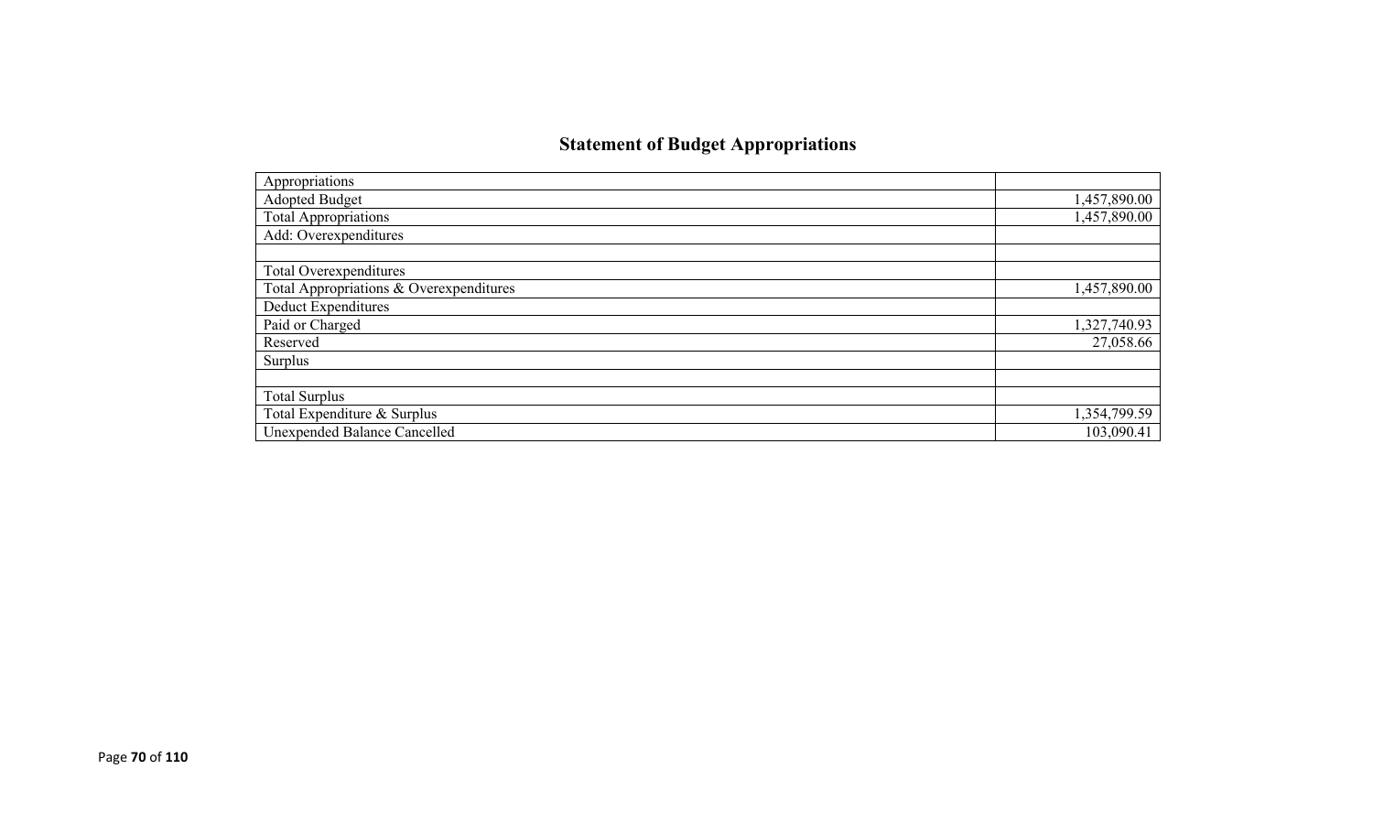# **Statement of Budget Appropriations**

| Appropriations                          |              |
|-----------------------------------------|--------------|
| Adopted Budget                          | 1,457,890.00 |
| <b>Total Appropriations</b>             | 1,457,890.00 |
| Add: Overexpenditures                   |              |
|                                         |              |
| Total Overexpenditures                  |              |
| Total Appropriations & Overexpenditures | 1,457,890.00 |
| <b>Deduct Expenditures</b>              |              |
| Paid or Charged                         | 1,327,740.93 |
| Reserved                                | 27,058.66    |
| Surplus                                 |              |
|                                         |              |
| <b>Total Surplus</b>                    |              |
| Total Expenditure & Surplus             | 1,354,799.59 |
| <b>Unexpended Balance Cancelled</b>     | 103,090.41   |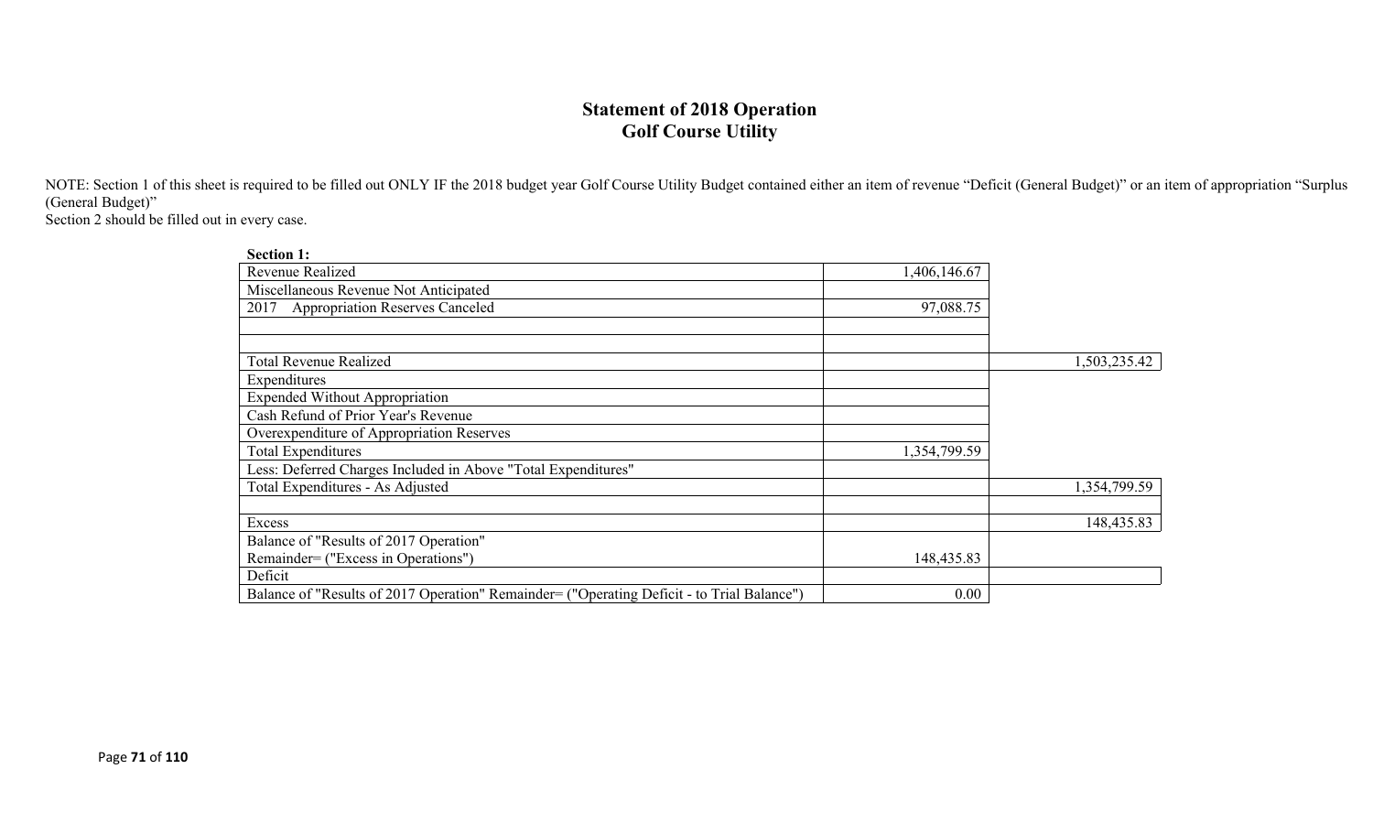## **Statement of 2018 Operation Golf Course Utility**

NOTE: Section 1 of this sheet is required to be filled out ONLY IF the 2018 budget year Golf Course Utility Budget contained either an item of revenue "Deficit (General Budget)" or an item of appropriation "Surplus (General Budget)"

Section 2 should be filled out in every case.

| <b>Section 1:</b>                                                                          |              |              |
|--------------------------------------------------------------------------------------------|--------------|--------------|
| <b>Revenue Realized</b>                                                                    | 1,406,146.67 |              |
| Miscellaneous Revenue Not Anticipated                                                      |              |              |
| <b>Appropriation Reserves Canceled</b><br>2017                                             | 97,088.75    |              |
|                                                                                            |              |              |
|                                                                                            |              |              |
| <b>Total Revenue Realized</b>                                                              |              | 1,503,235.42 |
| Expenditures                                                                               |              |              |
| <b>Expended Without Appropriation</b>                                                      |              |              |
| Cash Refund of Prior Year's Revenue                                                        |              |              |
| Overexpenditure of Appropriation Reserves                                                  |              |              |
| <b>Total Expenditures</b>                                                                  | 1,354,799.59 |              |
| Less: Deferred Charges Included in Above "Total Expenditures"                              |              |              |
| Total Expenditures - As Adjusted                                                           |              | 1,354,799.59 |
|                                                                                            |              |              |
| Excess                                                                                     |              | 148,435.83   |
| Balance of "Results of 2017 Operation"                                                     |              |              |
| Remainder= ("Excess in Operations")                                                        | 148,435.83   |              |
| Deficit                                                                                    |              |              |
| Balance of "Results of 2017 Operation" Remainder= ("Operating Deficit - to Trial Balance") | 0.00         |              |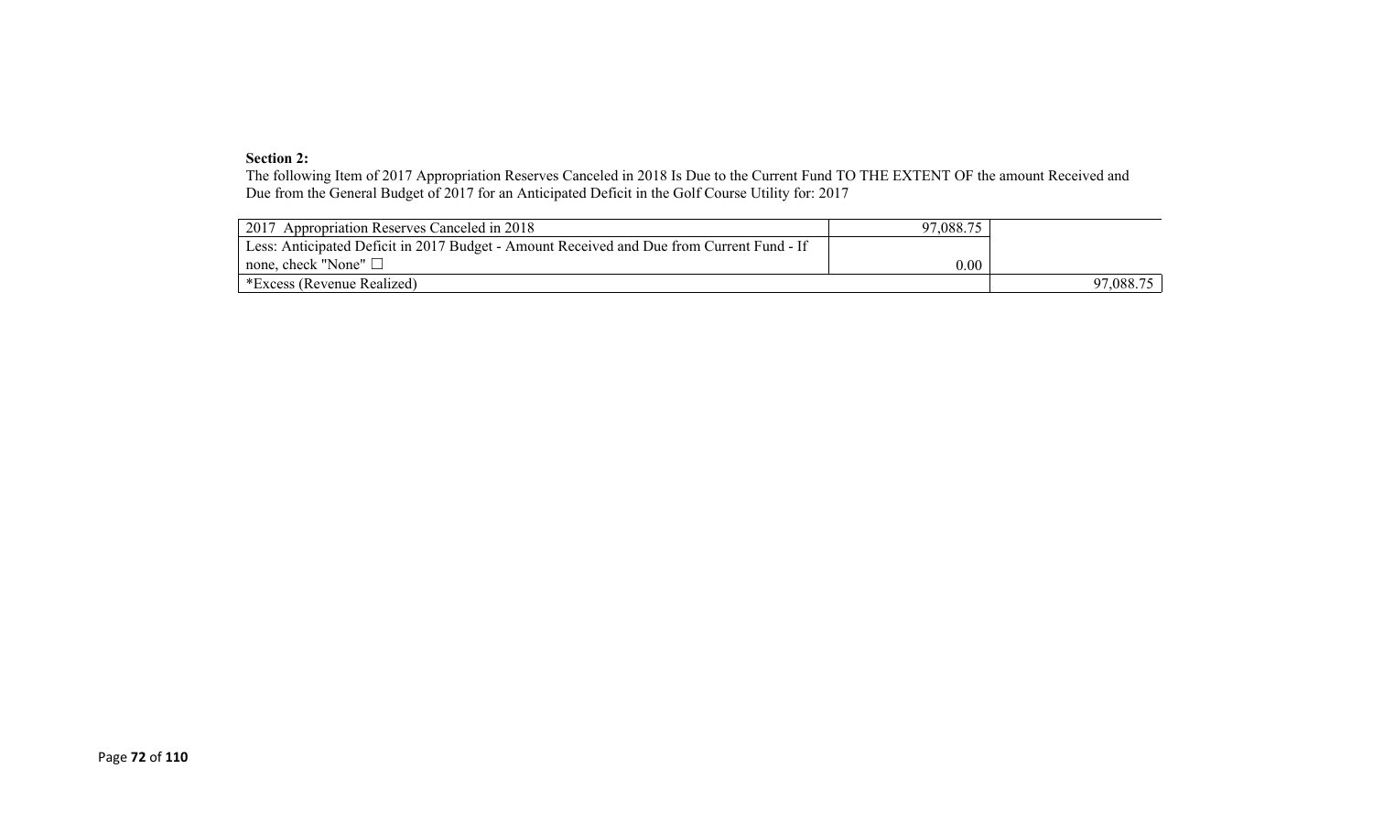#### **Section 2:**

The following Item of 2017 Appropriation Reserves Canceled in 2018 Is Due to the Current Fund TO THE EXTENT OF the amount Received and Due from the General Budget of 2017 for an Anticipated Deficit in the Golf Course Utility for: 2017

| 2017 Appropriation Reserves Canceled in 2018                                              | 97,088.75 |           |
|-------------------------------------------------------------------------------------------|-----------|-----------|
| Less: Anticipated Deficit in 2017 Budget - Amount Received and Due from Current Fund - If |           |           |
| $\perp$ none, check "None" $\Box$                                                         | 0.00      |           |
| *Excess (Revenue Realized)                                                                |           | 97,088.75 |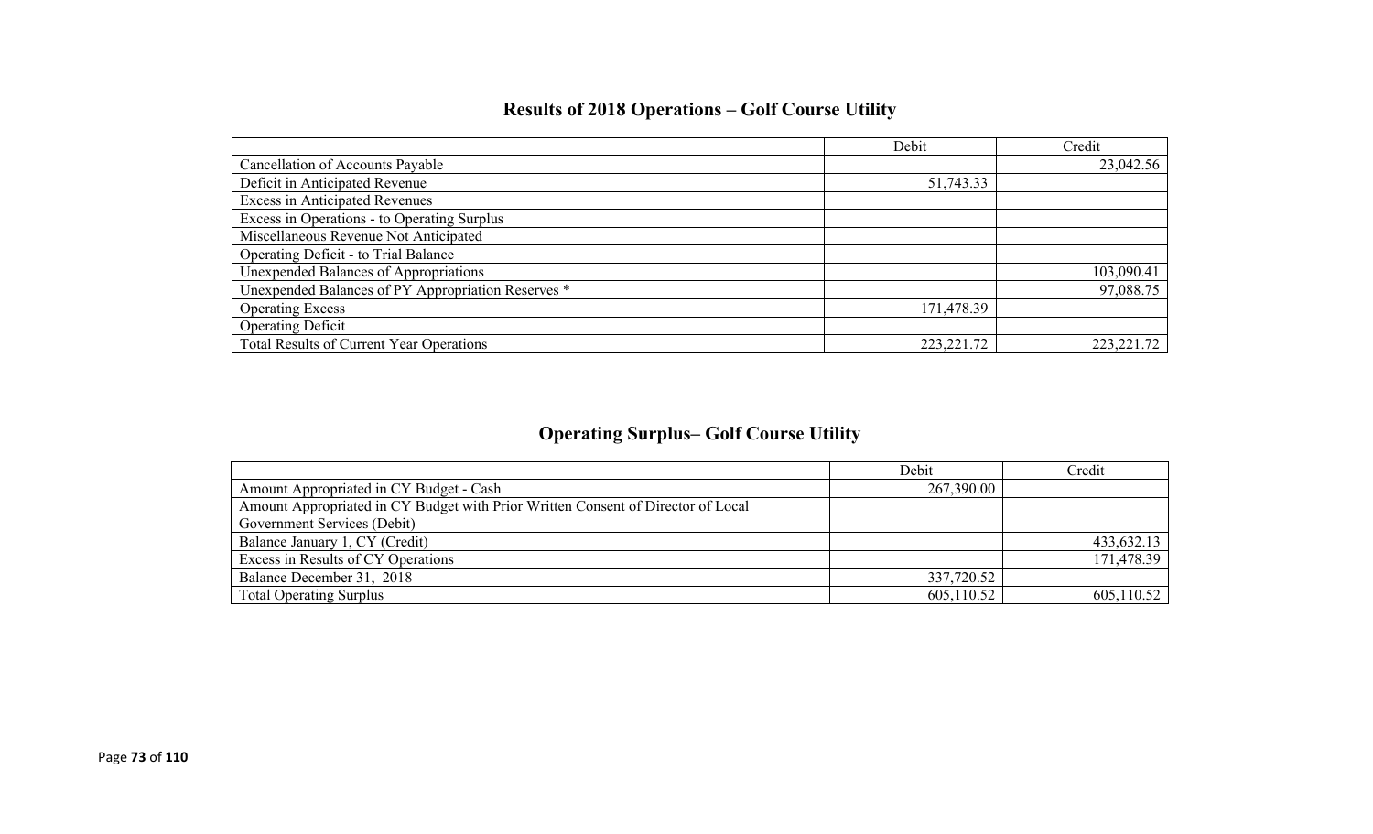|                                                    | Debit        | Credit       |
|----------------------------------------------------|--------------|--------------|
| Cancellation of Accounts Payable                   |              | 23,042.56    |
| Deficit in Anticipated Revenue                     | 51,743.33    |              |
| <b>Excess in Anticipated Revenues</b>              |              |              |
| Excess in Operations - to Operating Surplus        |              |              |
| Miscellaneous Revenue Not Anticipated              |              |              |
| Operating Deficit - to Trial Balance               |              |              |
| Unexpended Balances of Appropriations              |              | 103,090.41   |
| Unexpended Balances of PY Appropriation Reserves * |              | 97,088.75    |
| <b>Operating Excess</b>                            | 171,478.39   |              |
| <b>Operating Deficit</b>                           |              |              |
| Total Results of Current Year Operations           | 223, 221. 72 | 223, 221. 72 |

# **Results of 2018 Operations – Golf Course Utility**

## **Operating Surplus– Golf Course Utility**

|                                                                                  | Debit      | Credit     |
|----------------------------------------------------------------------------------|------------|------------|
| Amount Appropriated in CY Budget - Cash                                          | 267,390.00 |            |
| Amount Appropriated in CY Budget with Prior Written Consent of Director of Local |            |            |
| Government Services (Debit)                                                      |            |            |
| Balance January 1, CY (Credit)                                                   |            | 433,632.13 |
| Excess in Results of CY Operations                                               |            | 171,478.39 |
| Balance December 31, 2018                                                        | 337,720.52 |            |
| <b>Total Operating Surplus</b>                                                   | 605,110.52 | 605,110.52 |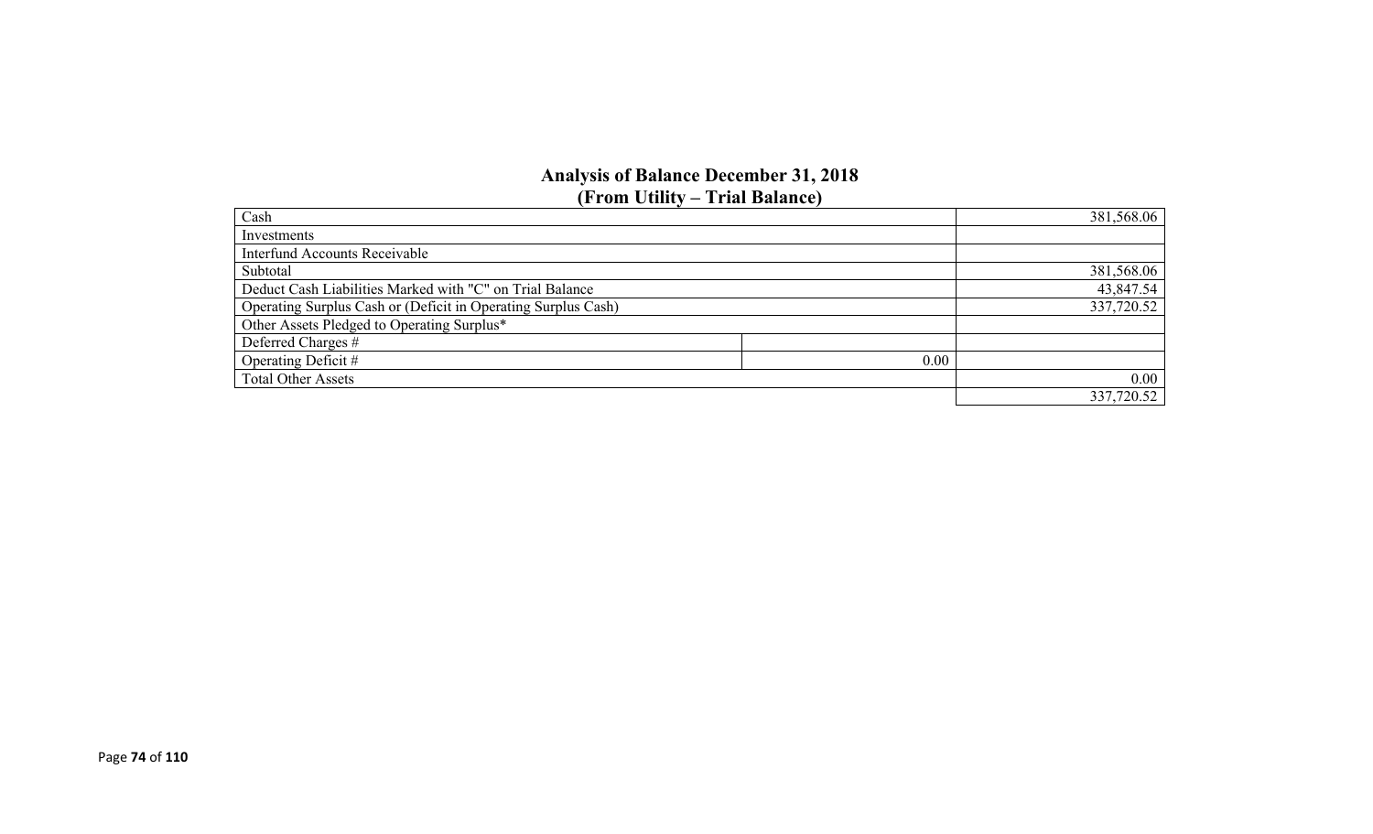#### **Analysis of Balance December 31, 2018 (From Utility – Trial Balance)**

| Cash                                                          | 381,568.06 |
|---------------------------------------------------------------|------------|
| Investments                                                   |            |
| <b>Interfund Accounts Receivable</b>                          |            |
| Subtotal                                                      | 381,568.06 |
| Deduct Cash Liabilities Marked with "C" on Trial Balance      | 43,847.54  |
| Operating Surplus Cash or (Deficit in Operating Surplus Cash) | 337,720.52 |
| Other Assets Pledged to Operating Surplus*                    |            |
| Deferred Charges #                                            |            |
| Operating Deficit #<br>0.00                                   |            |
| <b>Total Other Assets</b>                                     | 0.00       |
|                                                               | 337,720.52 |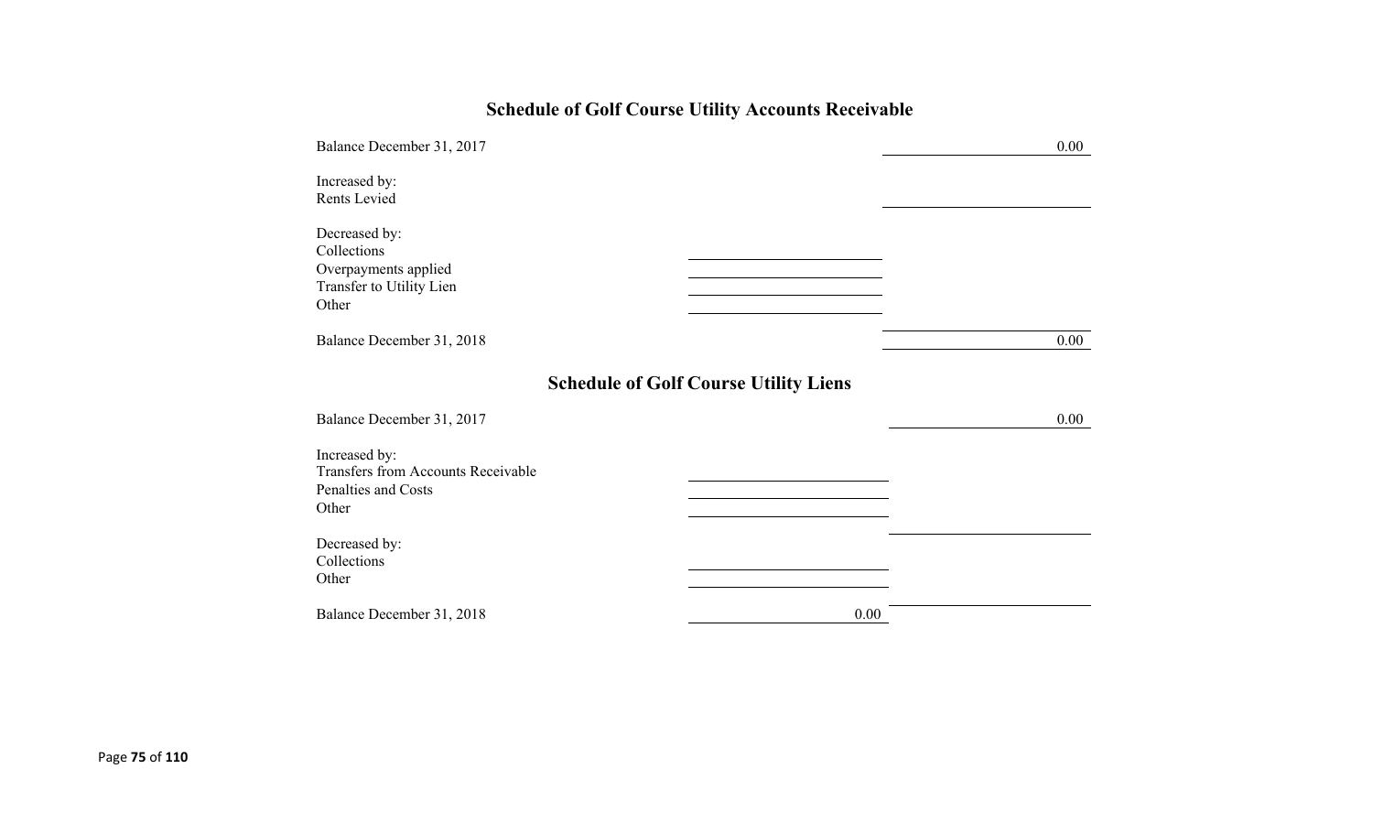# **Schedule of Golf Course Utility Accounts Receivable**

| Balance December 31, 2017                                                                 |                                              | 0.00     |
|-------------------------------------------------------------------------------------------|----------------------------------------------|----------|
| Increased by:<br>Rents Levied                                                             |                                              |          |
| Decreased by:<br>Collections<br>Overpayments applied<br>Transfer to Utility Lien<br>Other |                                              |          |
| Balance December 31, 2018                                                                 |                                              | 0.00     |
|                                                                                           | <b>Schedule of Golf Course Utility Liens</b> |          |
| Balance December 31, 2017                                                                 |                                              | $0.00\,$ |
| Increased by:<br>Transfers from Accounts Receivable<br>Penalties and Costs<br>Other       |                                              |          |
| Decreased by:<br>Collections<br>Other                                                     |                                              |          |
| Balance December 31, 2018                                                                 | 0.00                                         |          |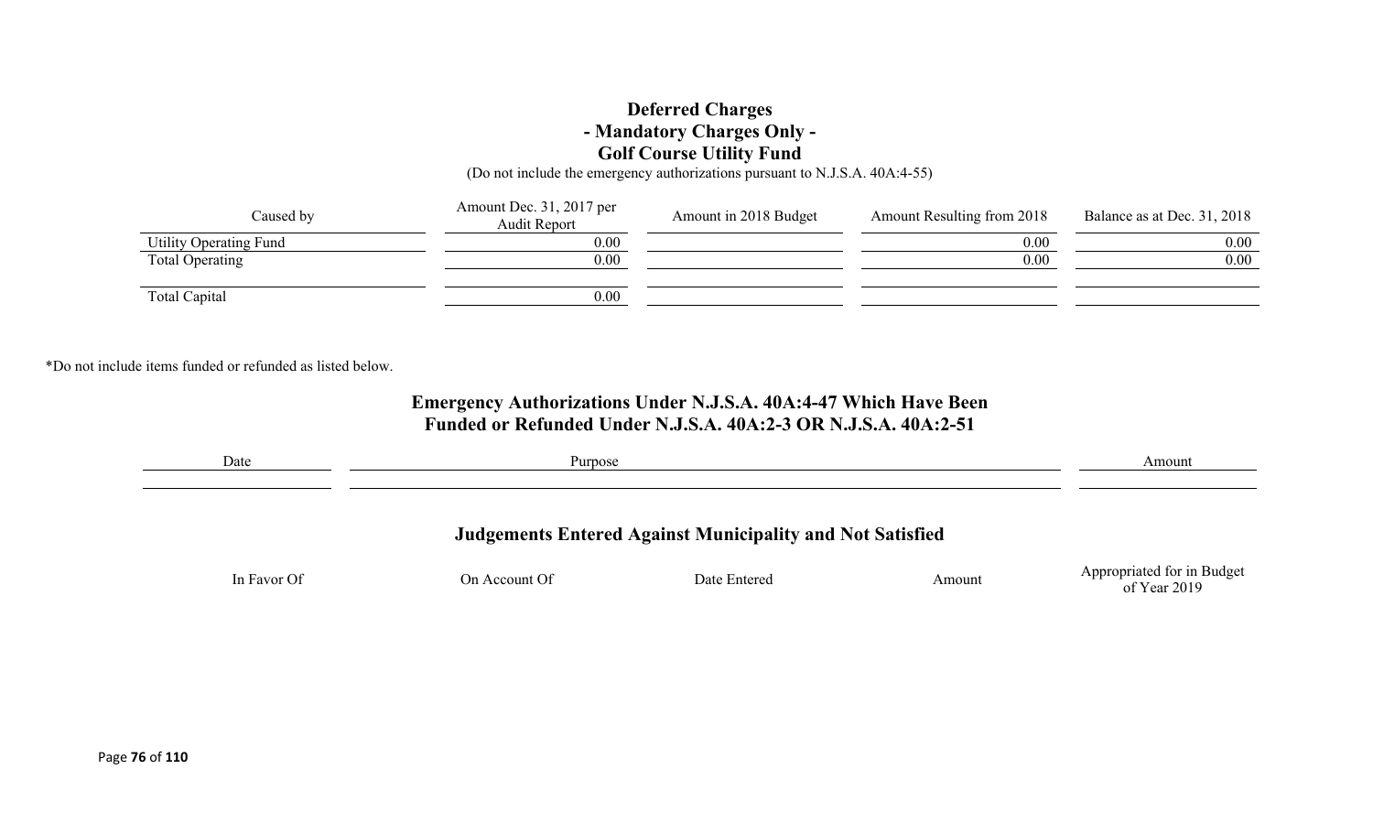### **Deferred Charges - Mandatory Charges Only - Golf Course Utility Fund**

(Do not include the emergency authorizations pursuant to N.J.S.A. 40A:4-55)

| Caused by              | Amount Dec. 31, 2017 per<br>Audit Report | Amount in 2018 Budget | Amount Resulting from 2018 | Balance as at Dec. 31, 2018 |
|------------------------|------------------------------------------|-----------------------|----------------------------|-----------------------------|
| Utility Operating Fund | 0.00                                     |                       | 0.00                       | 0.00                        |
| Total Operating        | 0.00                                     |                       | 0.00                       | 0.00                        |
| Total Capital          | 0.00                                     |                       |                            |                             |

\*Do not include items funded or refunded as listed below.

### **Emergency Authorizations Under N.J.S.A. 40A:4-47 Which Have Been Funded or Refunded Under N.J.S.A. 40A:2-3 OR N.J.S.A. 40A:2-51**

| Date        | Purpose       |                                                                  |        | Amount                     |
|-------------|---------------|------------------------------------------------------------------|--------|----------------------------|
|             |               | <b>Judgements Entered Against Municipality and Not Satisfied</b> |        |                            |
| In Favor Of | On Account Of | Date Entered                                                     | Amount | Appropriated for in Budget |
|             |               |                                                                  |        | of Year 2019               |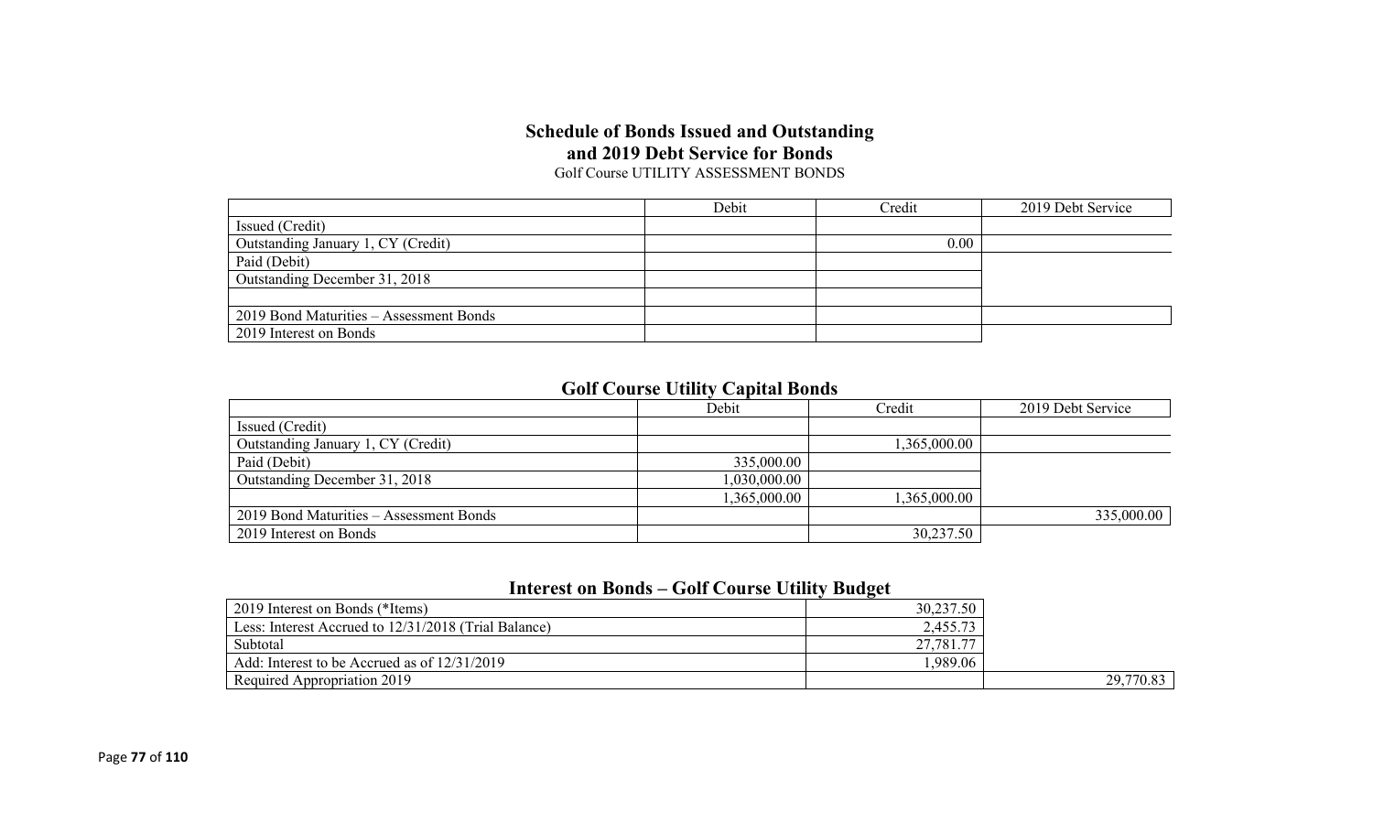#### **Schedule of Bonds Issued and Outstanding and 2019 Debt Service for Bonds** Golf Course UTILITY ASSESSMENT BONDS

|                                         | Debit | Credit | 2019 Debt Service |
|-----------------------------------------|-------|--------|-------------------|
| Issued (Credit)                         |       |        |                   |
| Outstanding January 1, CY (Credit)      |       | 0.00   |                   |
| Paid (Debit)                            |       |        |                   |
| Outstanding December 31, 2018           |       |        |                   |
|                                         |       |        |                   |
| 2019 Bond Maturities - Assessment Bonds |       |        |                   |
| 2019 Interest on Bonds                  |       |        |                   |

### **Golf Course Utility Capital Bonds**

|                                         | Debit        | Credit       | 2019 Debt Service |
|-----------------------------------------|--------------|--------------|-------------------|
| Issued (Credit)                         |              |              |                   |
| Outstanding January 1, CY (Credit)      |              | 1,365,000.00 |                   |
| Paid (Debit)                            | 335,000.00   |              |                   |
| Outstanding December 31, 2018           | 1,030,000.00 |              |                   |
|                                         | 1,365,000.00 | 1,365,000.00 |                   |
| 2019 Bond Maturities – Assessment Bonds |              |              | 335,000.00        |
| 2019 Interest on Bonds                  |              | 30,237.50    |                   |

### **Interest on Bonds – Golf Course Utility Budget**

|                                                      | .         |           |
|------------------------------------------------------|-----------|-----------|
| 2019 Interest on Bonds (*Items)                      | 30,237.50 |           |
| Less: Interest Accrued to 12/31/2018 (Trial Balance) | 2,455.73  |           |
| Subtotal                                             | 27,781.77 |           |
| Add: Interest to be Accrued as of $12/31/2019$       | .989.06   |           |
| Required Appropriation 2019                          |           | 29,770.83 |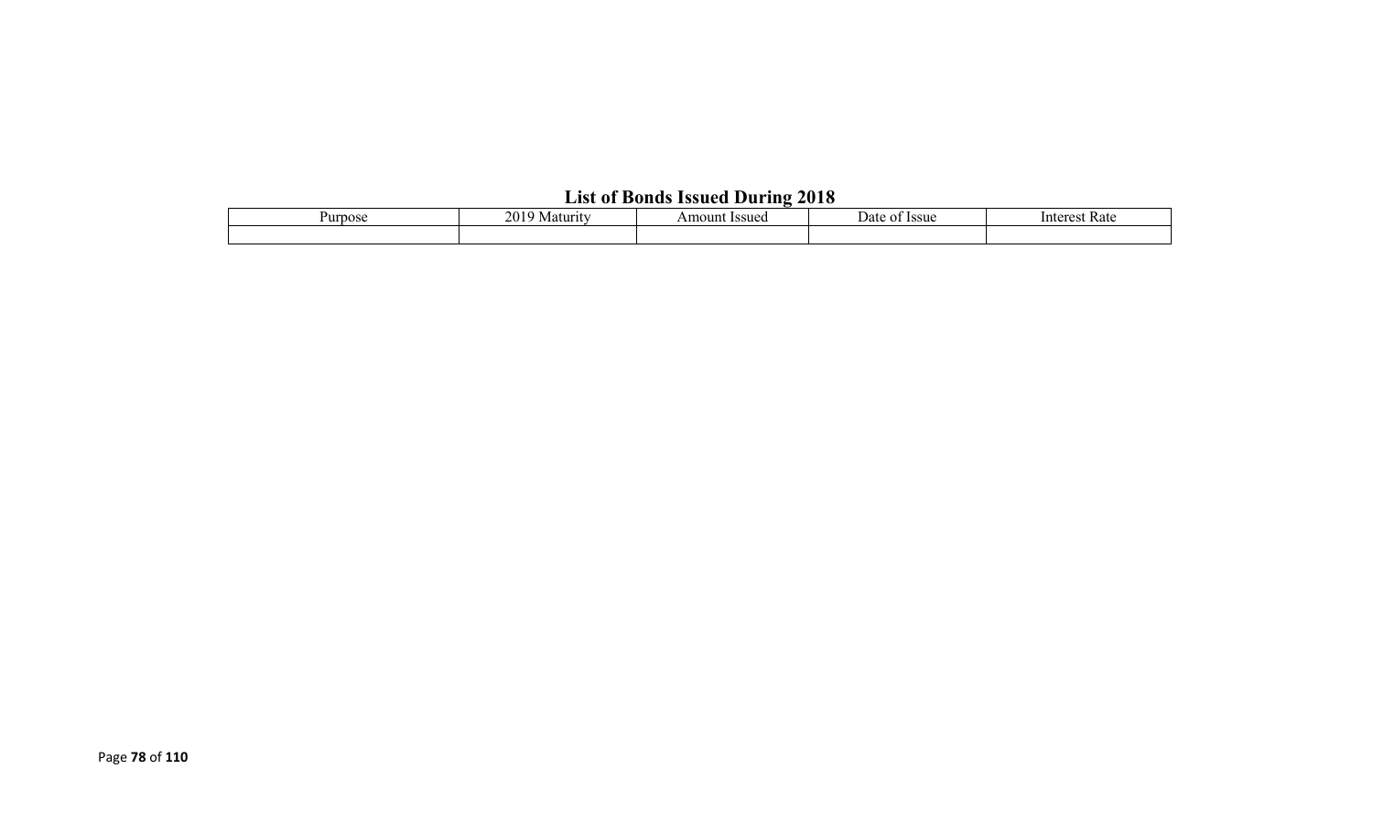# **List of Bonds Issued During 2018**

| Purpose | 201<br>Maturity | Amount Issued | <b>Issue</b><br>Date<br>ΩT | Rate<br>Interest |  |  |
|---------|-----------------|---------------|----------------------------|------------------|--|--|
|         |                 |               |                            |                  |  |  |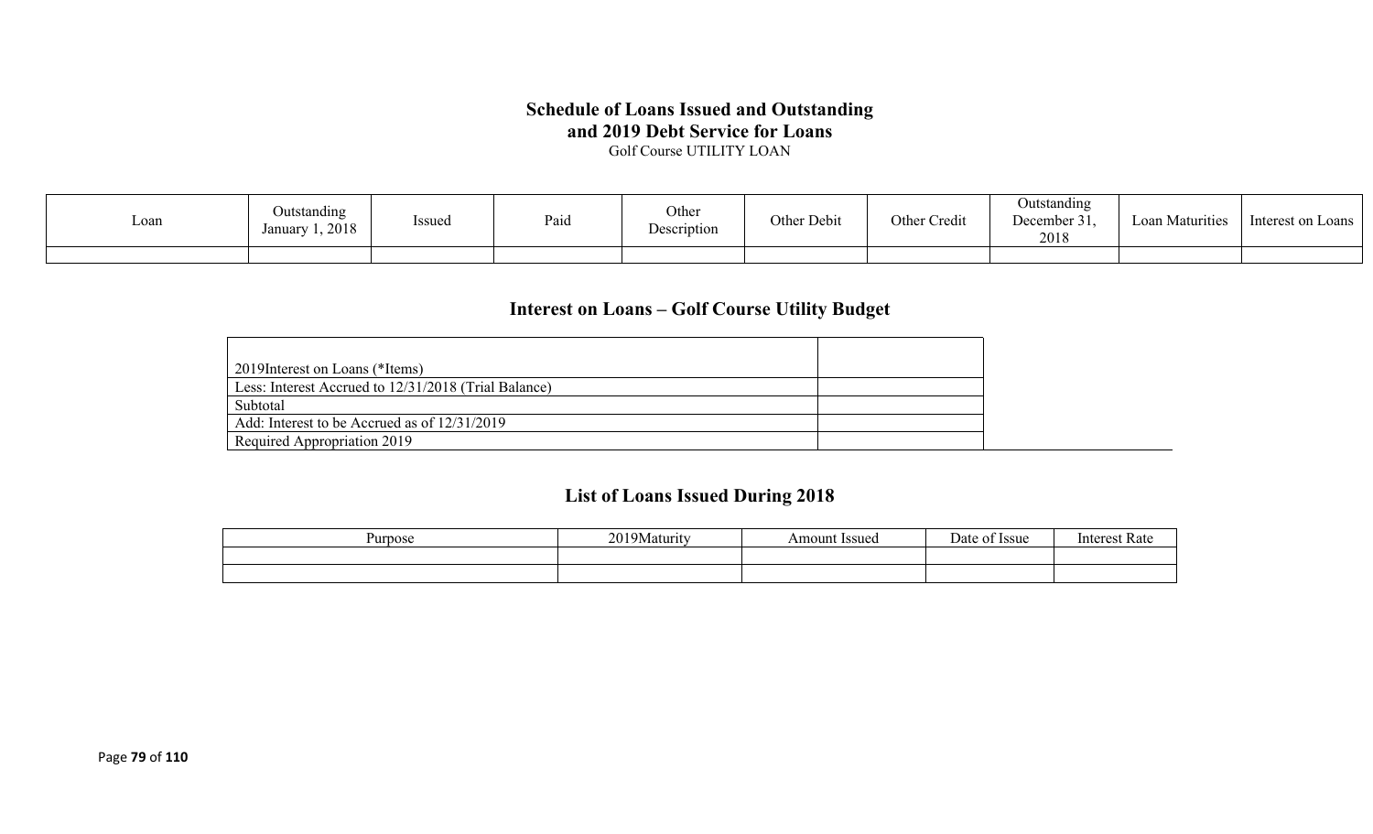### **Schedule of Loans Issued and Outstanding and 2019 Debt Service for Loans**

Golf Course UTILITY LOAN

| Loan | Outstanding<br>1,2018<br>Januarv | <b>Issued</b> | Paid | Other<br>Description | Other Debit | Other Credit | Outstanding<br>December 31.<br>2018 | Maturities<br>$L$ oan | Interest on Loans |
|------|----------------------------------|---------------|------|----------------------|-------------|--------------|-------------------------------------|-----------------------|-------------------|
|      |                                  |               |      |                      |             |              |                                     |                       |                   |

## **Interest on Loans – Golf Course Utility Budget**

| 2019Interest on Loans (*Items)                       |  |
|------------------------------------------------------|--|
| Less: Interest Accrued to 12/31/2018 (Trial Balance) |  |
| Subtotal                                             |  |
| Add: Interest to be Accrued as of 12/31/2019         |  |
| Required Appropriation 2019                          |  |

## **List of Loans Issued During 2018**

| Purpose | 201<br>YMaturity | Amount Issued | Date<br><i>ssue</i> | ≺ат |
|---------|------------------|---------------|---------------------|-----|
|         |                  |               |                     |     |
|         |                  |               |                     |     |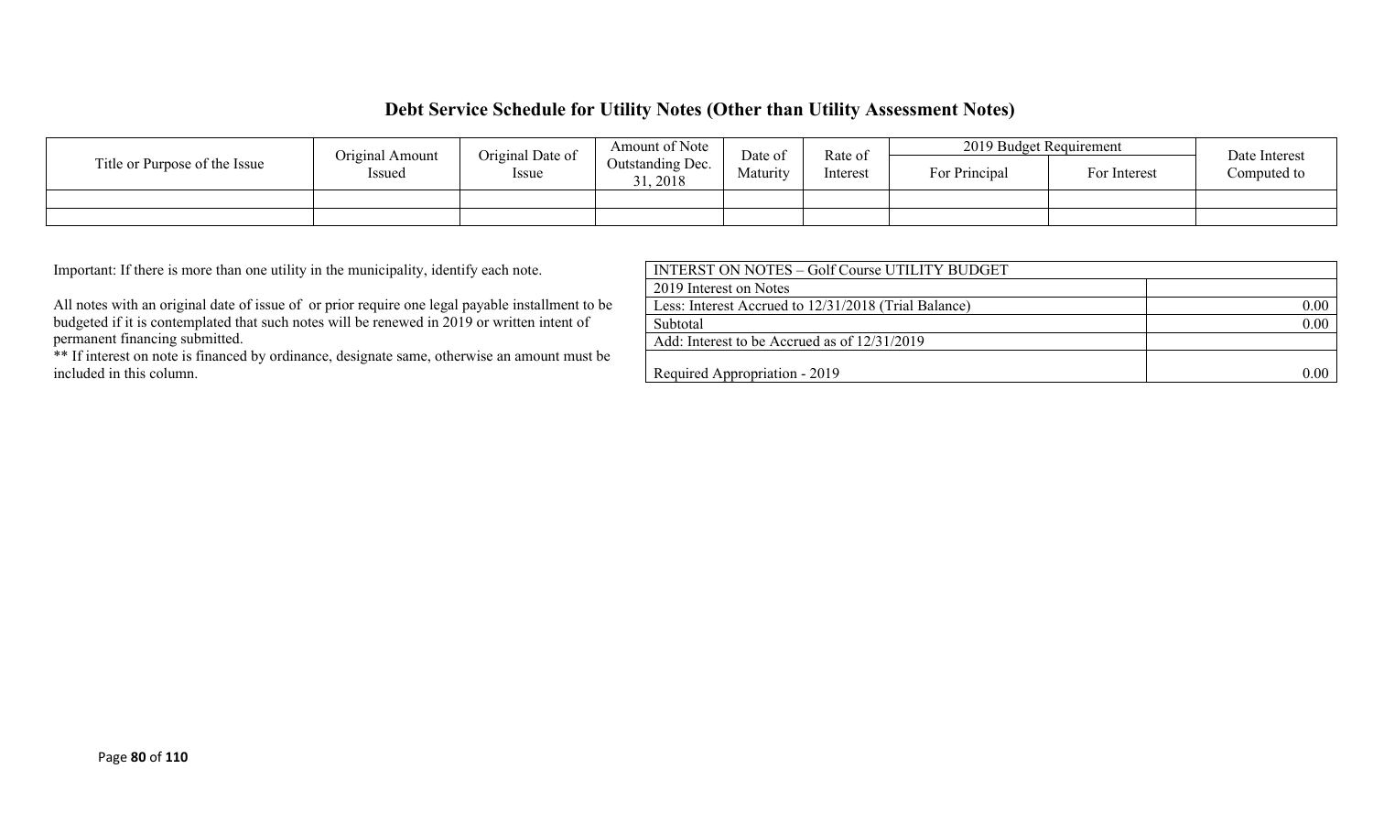### **Debt Service Schedule for Utility Notes (Other than Utility Assessment Notes)**

|                               | Original Date of<br>Original Amount |              | Amount of Note             | Date of  |                     | 2019 Budget Requirement |              | Date Interest |
|-------------------------------|-------------------------------------|--------------|----------------------------|----------|---------------------|-------------------------|--------------|---------------|
| Title or Purpose of the Issue | Issued                              | <i>Issue</i> | Outstanding Dec.<br>, 2018 | Maturity | Rate of<br>Interest | For Principal           | For Interest | Computed to   |
|                               |                                     |              |                            |          |                     |                         |              |               |
|                               |                                     |              |                            |          |                     |                         |              |               |

| Important: If there is more than one utility in the municipality, identify each note.            | INTERST ON NOTES - Golf Course UTILITY BUDGET        |      |
|--------------------------------------------------------------------------------------------------|------------------------------------------------------|------|
|                                                                                                  | 2019 Interest on Notes                               |      |
| All notes with an original date of issue of or prior require one legal payable installment to be | Less: Interest Accrued to 12/31/2018 (Trial Balance) | 0.00 |
| budgeted if it is contemplated that such notes will be renewed in 2019 or written intent of      | Subtotal                                             | 0.00 |
| permanent financing submitted.                                                                   | Add: Interest to be Accrued as of 12/31/2019         |      |
| ** If interest on note is financed by ordinance, designate same, otherwise an amount must be     |                                                      |      |
| included in this column.                                                                         | Required Appropriation - 2019                        | 0.00 |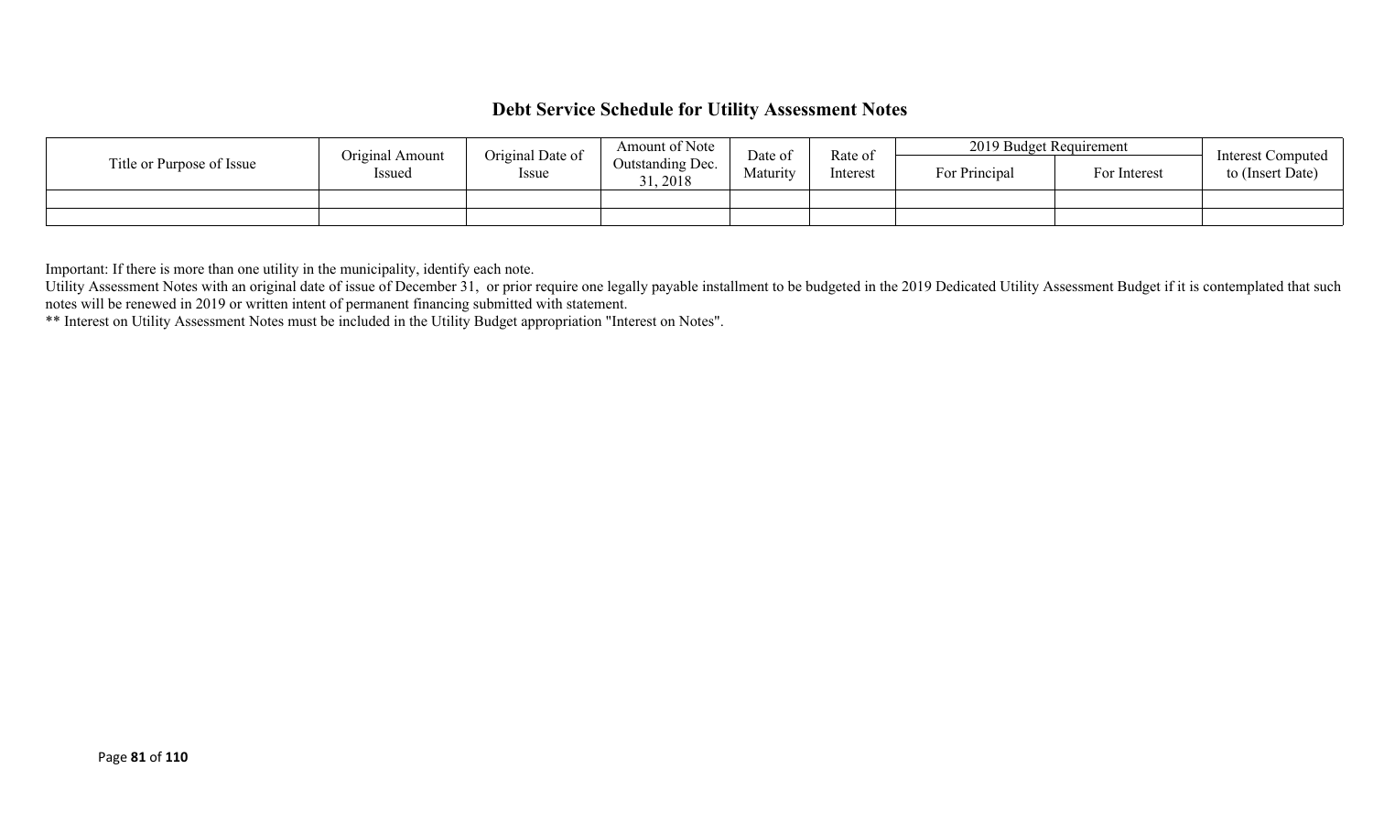## **Debt Service Schedule for Utility Assessment Notes**

|                           | Original Amount | Original Date of | Amount of Note               | Date of  | Rate of  | 2019 Budget Requirement |              | <b>Interest Computed</b> |
|---------------------------|-----------------|------------------|------------------------------|----------|----------|-------------------------|--------------|--------------------------|
| Title or Purpose of Issue | Issued          | Issue            | Outstanding Dec.<br>31, 2018 | Maturity | Interest | For Principal           | For Interest | to (Insert Date)         |
|                           |                 |                  |                              |          |          |                         |              |                          |
|                           |                 |                  |                              |          |          |                         |              |                          |

Important: If there is more than one utility in the municipality, identify each note.

Utility Assessment Notes with an original date of issue of December 31, or prior require one legally payable installment to be budgeted in the 2019 Dedicated Utility Assessment Budget if it is contemplated that such notes will be renewed in 2019 or written intent of permanent financing submitted with statement.

\*\* Interest on Utility Assessment Notes must be included in the Utility Budget appropriation "Interest on Notes".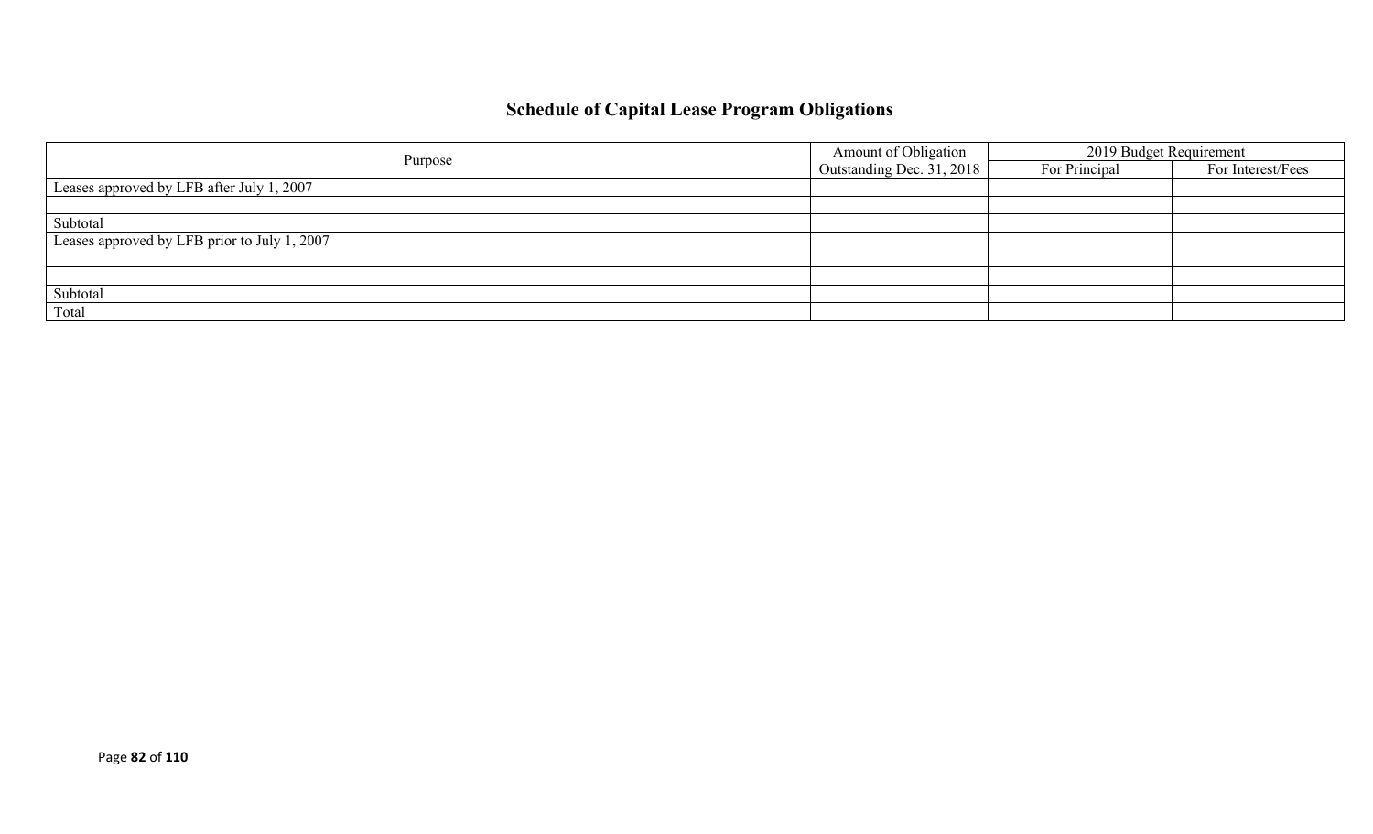# **Schedule of Capital Lease Program Obligations**

|                                              | Amount of Obligation      | 2019 Budget Requirement |                   |  |
|----------------------------------------------|---------------------------|-------------------------|-------------------|--|
| Purpose                                      | Outstanding Dec. 31, 2018 | For Principal           | For Interest/Fees |  |
| Leases approved by LFB after July 1, 2007    |                           |                         |                   |  |
|                                              |                           |                         |                   |  |
| Subtotal                                     |                           |                         |                   |  |
| Leases approved by LFB prior to July 1, 2007 |                           |                         |                   |  |
|                                              |                           |                         |                   |  |
|                                              |                           |                         |                   |  |
| Subtotal                                     |                           |                         |                   |  |
| Total                                        |                           |                         |                   |  |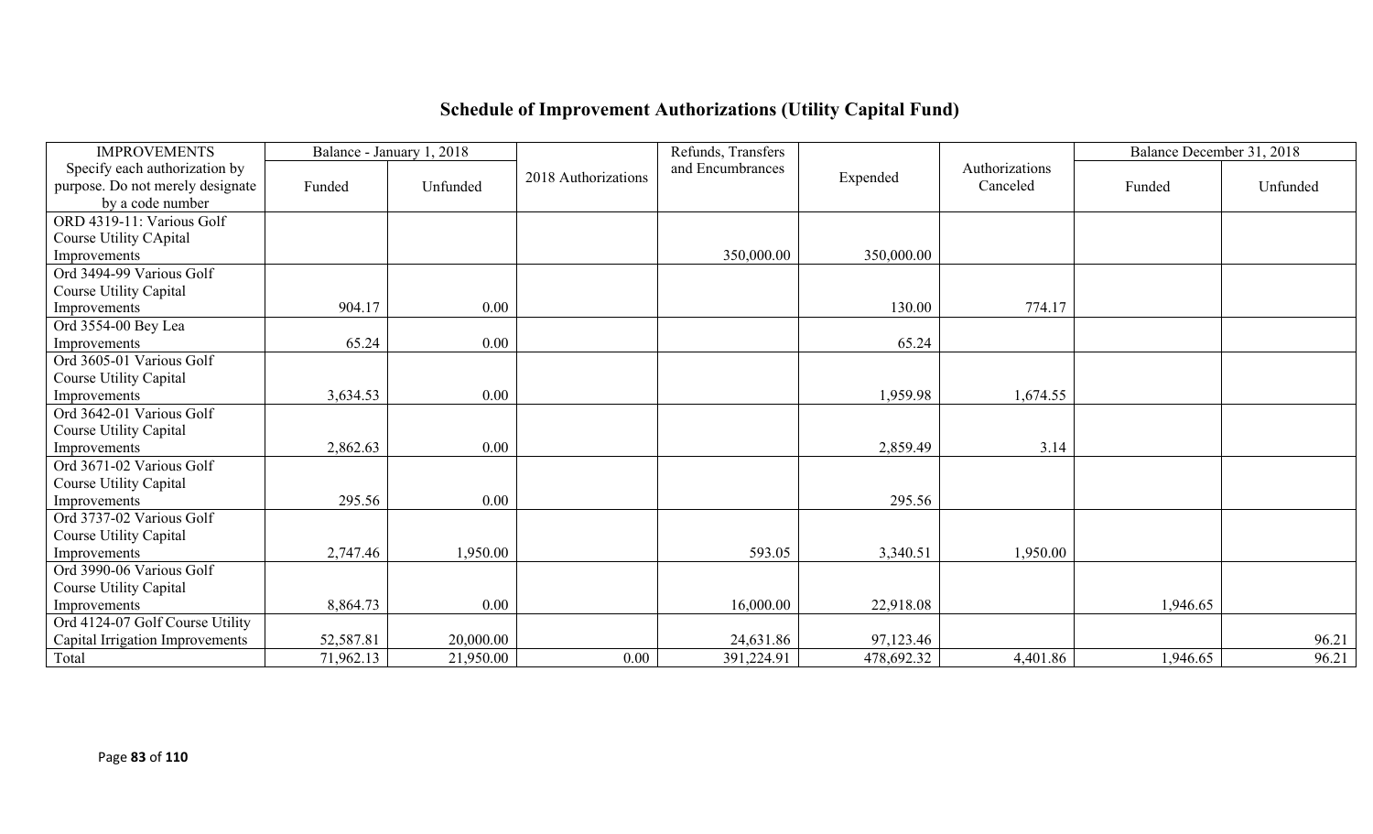# **Schedule of Improvement Authorizations (Utility Capital Fund)**

| <b>IMPROVEMENTS</b>              |           | Balance - January 1, 2018 |                     | Refunds, Transfers |            |                | Balance December 31, 2018 |          |
|----------------------------------|-----------|---------------------------|---------------------|--------------------|------------|----------------|---------------------------|----------|
| Specify each authorization by    |           |                           | 2018 Authorizations | and Encumbrances   | Expended   | Authorizations |                           |          |
| purpose. Do not merely designate | Funded    | Unfunded                  |                     |                    |            | Canceled       | Funded                    | Unfunded |
| by a code number                 |           |                           |                     |                    |            |                |                           |          |
| ORD 4319-11: Various Golf        |           |                           |                     |                    |            |                |                           |          |
| Course Utility CApital           |           |                           |                     |                    |            |                |                           |          |
| Improvements                     |           |                           |                     | 350,000.00         | 350,000.00 |                |                           |          |
| Ord 3494-99 Various Golf         |           |                           |                     |                    |            |                |                           |          |
| Course Utility Capital           |           |                           |                     |                    |            |                |                           |          |
| Improvements                     | 904.17    | $0.00\,$                  |                     |                    | 130.00     | 774.17         |                           |          |
| Ord 3554-00 Bey Lea              |           |                           |                     |                    |            |                |                           |          |
| Improvements                     | 65.24     | $0.00\,$                  |                     |                    | 65.24      |                |                           |          |
| Ord 3605-01 Various Golf         |           |                           |                     |                    |            |                |                           |          |
| Course Utility Capital           |           |                           |                     |                    |            |                |                           |          |
| Improvements                     | 3,634.53  | $0.00\,$                  |                     |                    | 1,959.98   | 1,674.55       |                           |          |
| Ord 3642-01 Various Golf         |           |                           |                     |                    |            |                |                           |          |
| Course Utility Capital           |           |                           |                     |                    |            |                |                           |          |
| Improvements                     | 2,862.63  | 0.00                      |                     |                    | 2,859.49   | 3.14           |                           |          |
| Ord 3671-02 Various Golf         |           |                           |                     |                    |            |                |                           |          |
| Course Utility Capital           |           |                           |                     |                    |            |                |                           |          |
| Improvements                     | 295.56    | 0.00                      |                     |                    | 295.56     |                |                           |          |
| Ord 3737-02 Various Golf         |           |                           |                     |                    |            |                |                           |          |
| Course Utility Capital           |           |                           |                     |                    |            |                |                           |          |
| Improvements                     | 2,747.46  | 1,950.00                  |                     | 593.05             | 3,340.51   | 1,950.00       |                           |          |
| Ord 3990-06 Various Golf         |           |                           |                     |                    |            |                |                           |          |
| Course Utility Capital           |           |                           |                     |                    |            |                |                           |          |
| Improvements                     | 8,864.73  | 0.00                      |                     | 16,000.00          | 22,918.08  |                | 1,946.65                  |          |
| Ord 4124-07 Golf Course Utility  |           |                           |                     |                    |            |                |                           |          |
| Capital Irrigation Improvements  | 52,587.81 | 20,000.00                 |                     | 24,631.86          | 97,123.46  |                |                           | 96.21    |
| Total                            | 71,962.13 | 21,950.00                 | 0.00                | 391,224.91         | 478,692.32 | 4,401.86       | 1,946.65                  | 96.21    |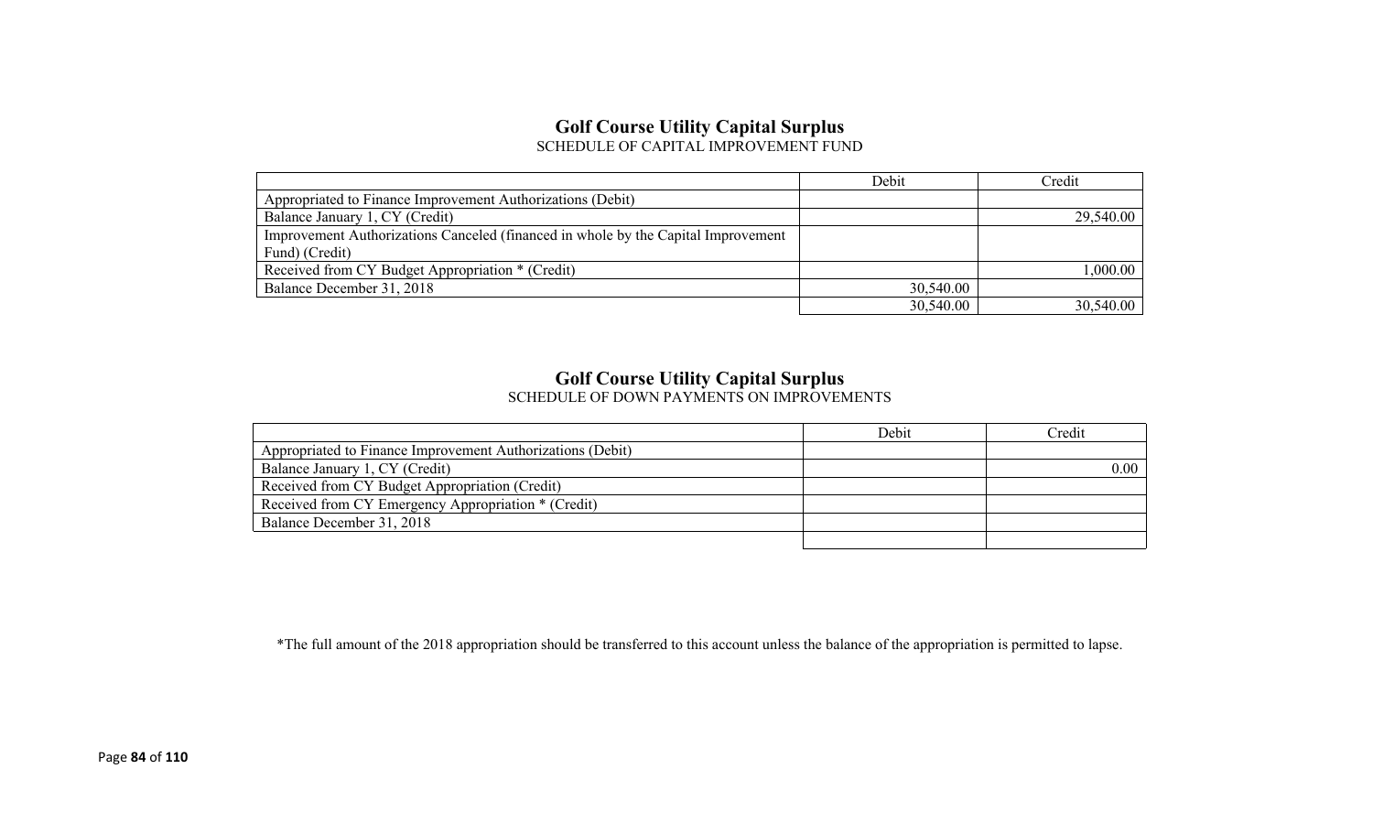## **Golf Course Utility Capital Surplus**

SCHEDULE OF CAPITAL IMPROVEMENT FUND

|                                                                                   | Debit     | Credit    |
|-----------------------------------------------------------------------------------|-----------|-----------|
| Appropriated to Finance Improvement Authorizations (Debit)                        |           |           |
| Balance January 1, CY (Credit)                                                    |           | 29,540.00 |
| Improvement Authorizations Canceled (financed in whole by the Capital Improvement |           |           |
| Fund) (Credit)                                                                    |           |           |
| Received from CY Budget Appropriation * (Credit)                                  |           | 1,000.00  |
| Balance December 31, 2018                                                         | 30,540.00 |           |
|                                                                                   | 30,540.00 | 30,540.00 |

## **Golf Course Utility Capital Surplus**

SCHEDULE OF DOWN PAYMENTS ON IMPROVEMENTS

|                                                            | Debit | Credit |
|------------------------------------------------------------|-------|--------|
| Appropriated to Finance Improvement Authorizations (Debit) |       |        |
| Balance January 1, CY (Credit)                             |       | 0.00   |
| Received from CY Budget Appropriation (Credit)             |       |        |
| Received from CY Emergency Appropriation * (Credit)        |       |        |
| Balance December 31, 2018                                  |       |        |
|                                                            |       |        |

\*The full amount of the 2018 appropriation should be transferred to this account unless the balance of the appropriation is permitted to lapse.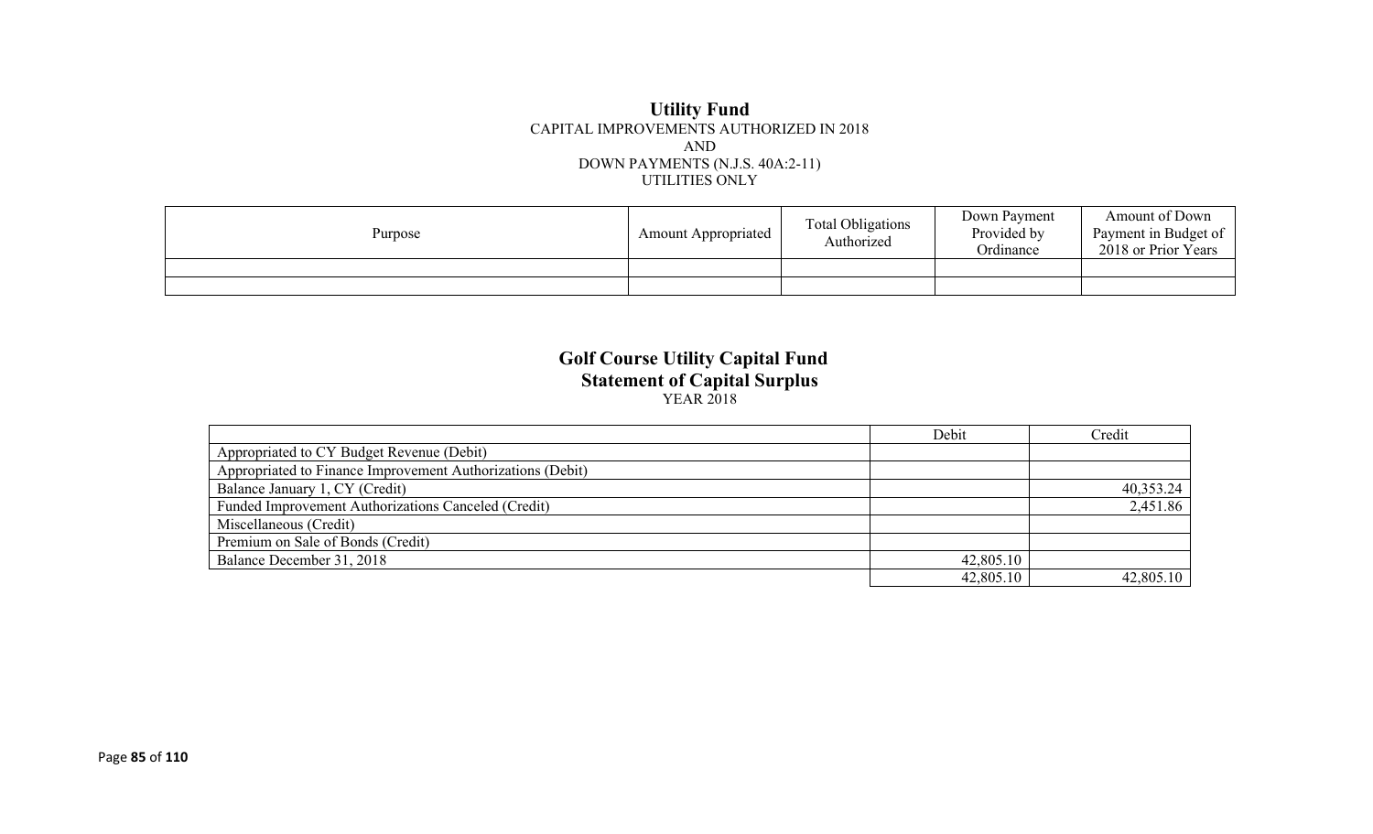#### **Utility Fund** CAPITAL IMPROVEMENTS AUTHORIZED IN 2018 AND DOWN PAYMENTS (N.J.S. 40A:2-11) UTILITIES ONLY

| Purpose | <b>Amount Appropriated</b> | <b>Total Obligations</b><br>Authorized | Down Payment<br>Provided by<br>Ordinance | Amount of Down<br>Payment in Budget of<br>2018 or Prior Years |
|---------|----------------------------|----------------------------------------|------------------------------------------|---------------------------------------------------------------|
|         |                            |                                        |                                          |                                                               |
|         |                            |                                        |                                          |                                                               |

#### **Golf Course Utility Capital Fund Statement of Capital Surplus** YEAR 2018

|                                                            | Debit     | Credit    |
|------------------------------------------------------------|-----------|-----------|
| Appropriated to CY Budget Revenue (Debit)                  |           |           |
| Appropriated to Finance Improvement Authorizations (Debit) |           |           |
| Balance January 1, CY (Credit)                             |           | 40,353.24 |
| Funded Improvement Authorizations Canceled (Credit)        |           | 2,451.86  |
| Miscellaneous (Credit)                                     |           |           |
| Premium on Sale of Bonds (Credit)                          |           |           |
| Balance December 31, 2018                                  | 42,805.10 |           |
|                                                            | 42,805.10 | 42,805.10 |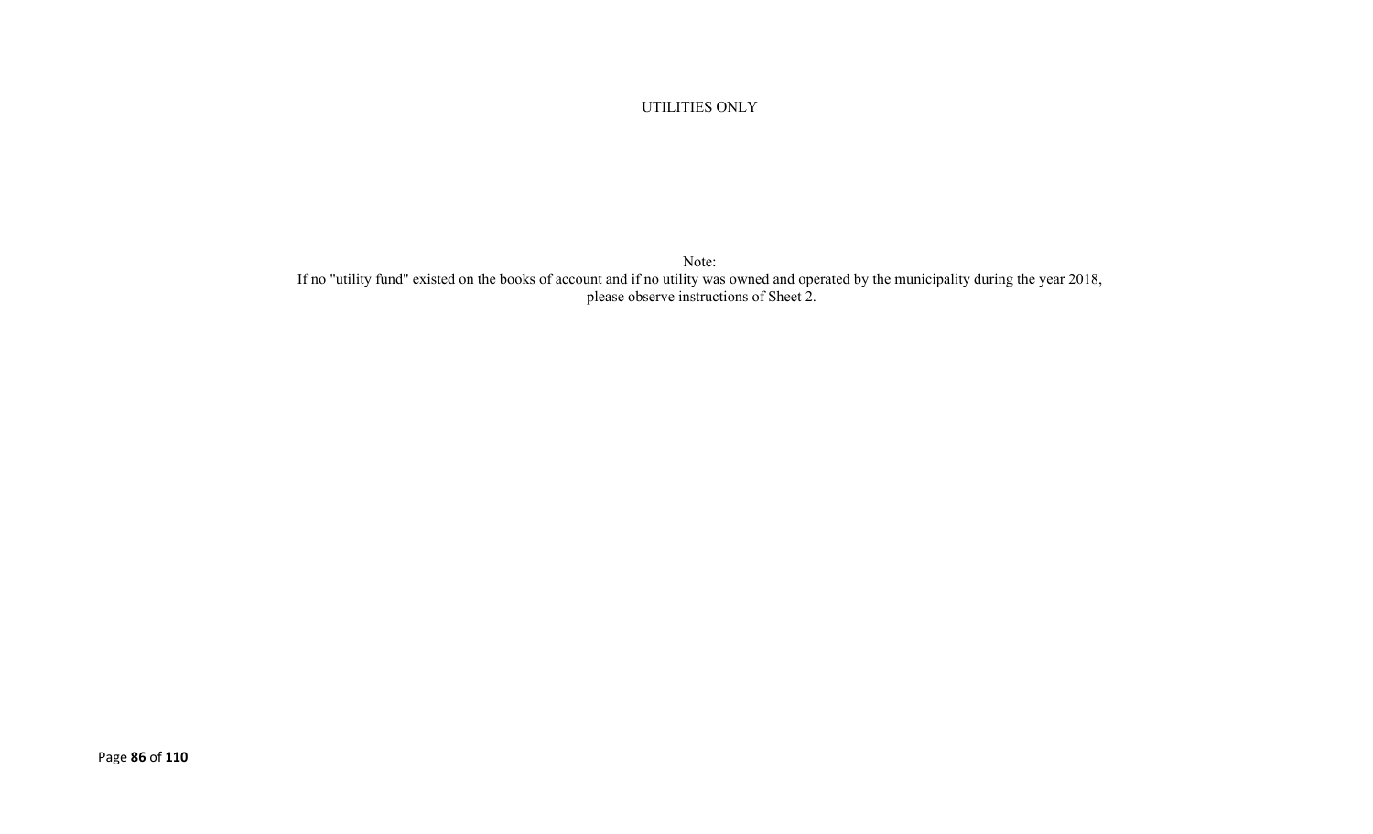UTILITIES ONLY

Note: If no "utility fund" existed on the books of account and if no utility was owned and operated by the municipality during the year 2018, please observe instructions of Sheet 2.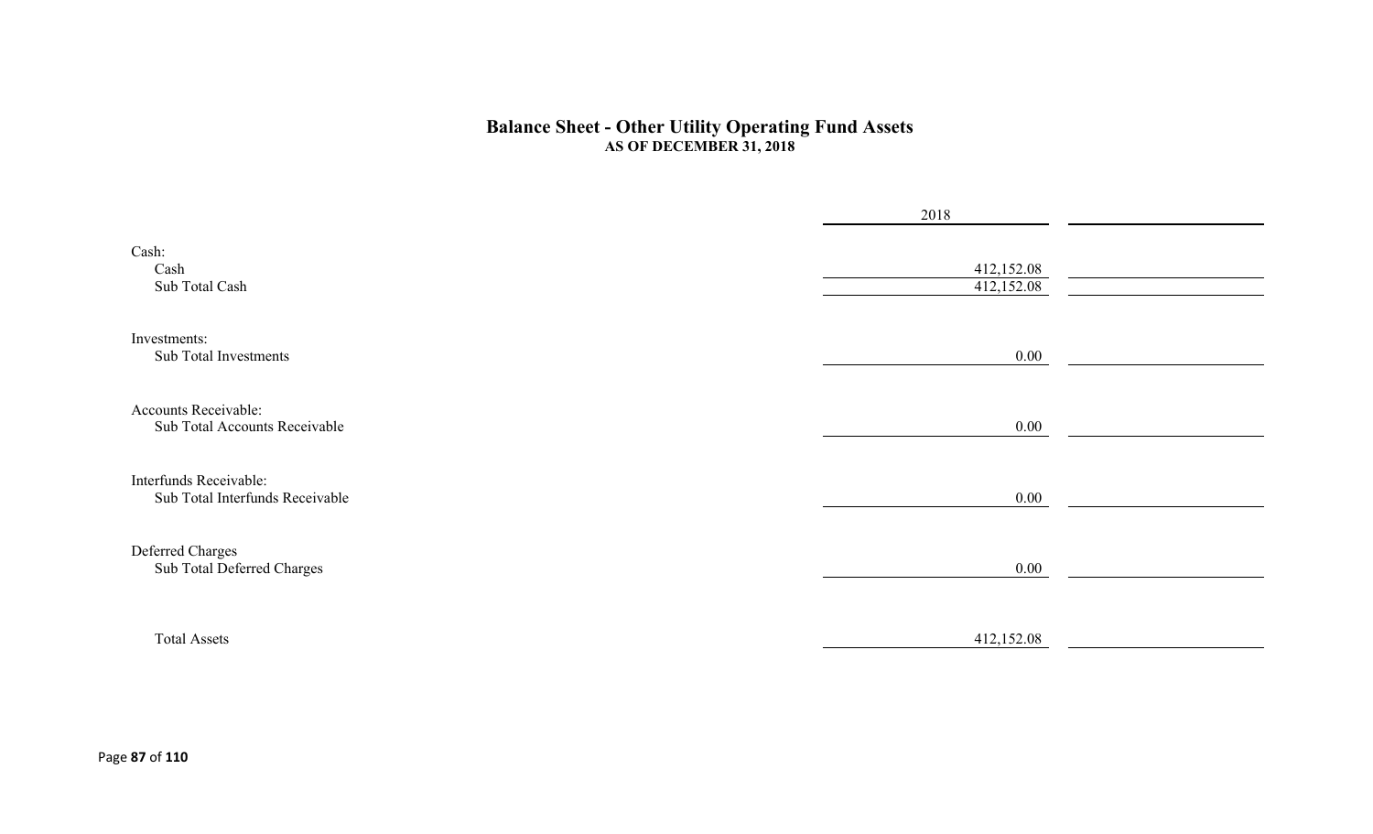#### **Balance Sheet - Other Utility Operating Fund Assets AS OF DECEMBER 31, 2018**

|                                                           | 2018                     |  |
|-----------------------------------------------------------|--------------------------|--|
| Cash:<br>Cash<br>Sub Total Cash                           | 412,152.08<br>412,152.08 |  |
| Investments:<br>Sub Total Investments                     | $0.00\,$                 |  |
| Accounts Receivable:<br>Sub Total Accounts Receivable     | $0.00\,$                 |  |
| Interfunds Receivable:<br>Sub Total Interfunds Receivable | $0.00\,$                 |  |
| Deferred Charges<br>Sub Total Deferred Charges            | $0.00\,$                 |  |
| <b>Total Assets</b>                                       | 412,152.08               |  |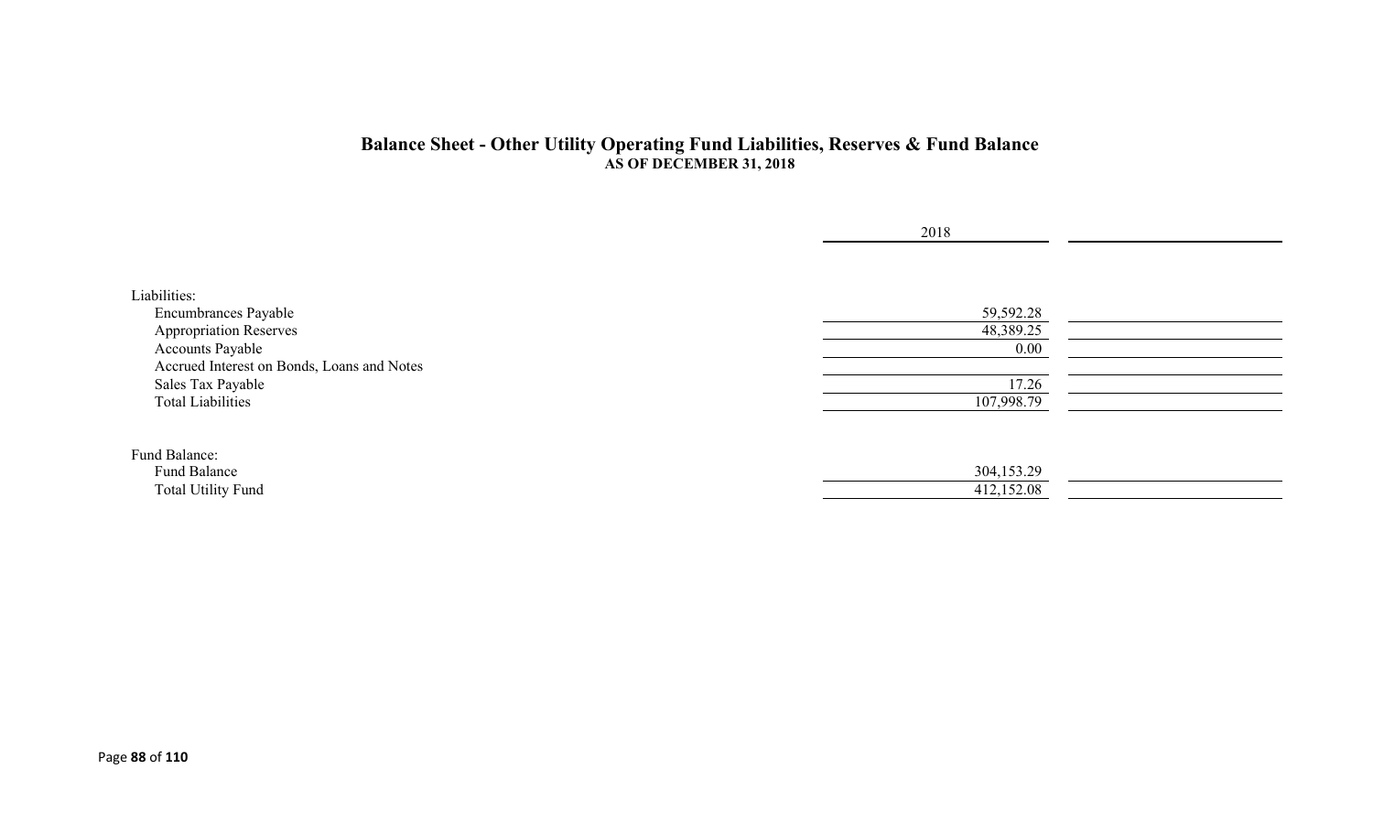#### **Balance Sheet - Other Utility Operating Fund Liabilities, Reserves & Fund Balance AS OF DECEMBER 31, 2018**

|                                            | 2018       |  |
|--------------------------------------------|------------|--|
|                                            |            |  |
| Liabilities:                               |            |  |
| <b>Encumbrances Payable</b>                | 59,592.28  |  |
| <b>Appropriation Reserves</b>              | 48,389.25  |  |
| <b>Accounts Payable</b>                    | $0.00\,$   |  |
| Accrued Interest on Bonds, Loans and Notes |            |  |
| Sales Tax Payable                          | 17.26      |  |
| <b>Total Liabilities</b>                   | 107,998.79 |  |
|                                            |            |  |
| Fund Balance:                              |            |  |
| Fund Balance                               | 304,153.29 |  |
| <b>Total Utility Fund</b>                  | 412,152.08 |  |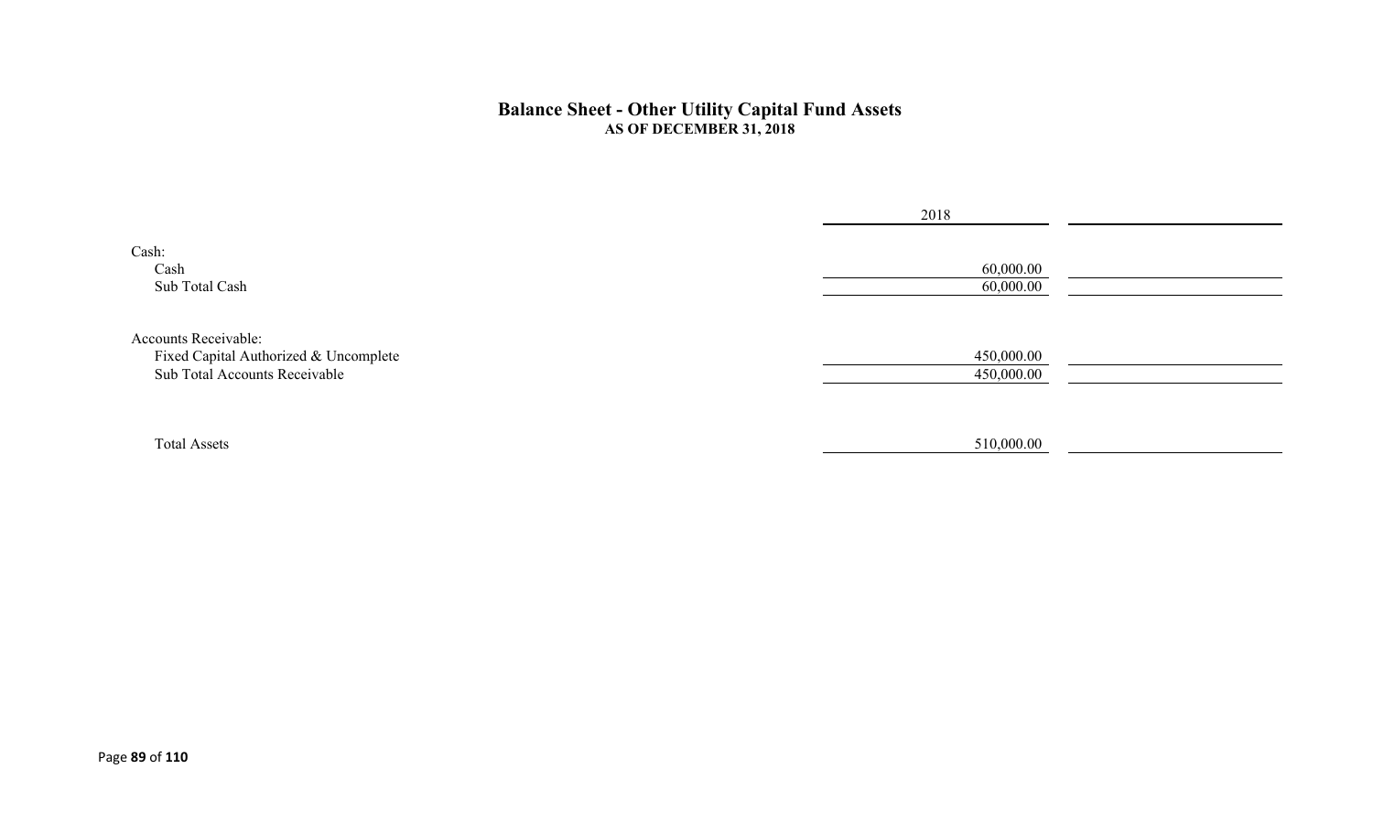#### **Balance Sheet - Other Utility Capital Fund Assets AS OF DECEMBER 31, 2018**

|                                                                                                | 2018                     |  |
|------------------------------------------------------------------------------------------------|--------------------------|--|
| Cash:<br>Cash<br>Sub Total Cash                                                                | 60,000.00<br>60,000.00   |  |
| Accounts Receivable:<br>Fixed Capital Authorized & Uncomplete<br>Sub Total Accounts Receivable | 450,000.00<br>450,000.00 |  |
| <b>Total Assets</b>                                                                            | 510,000.00               |  |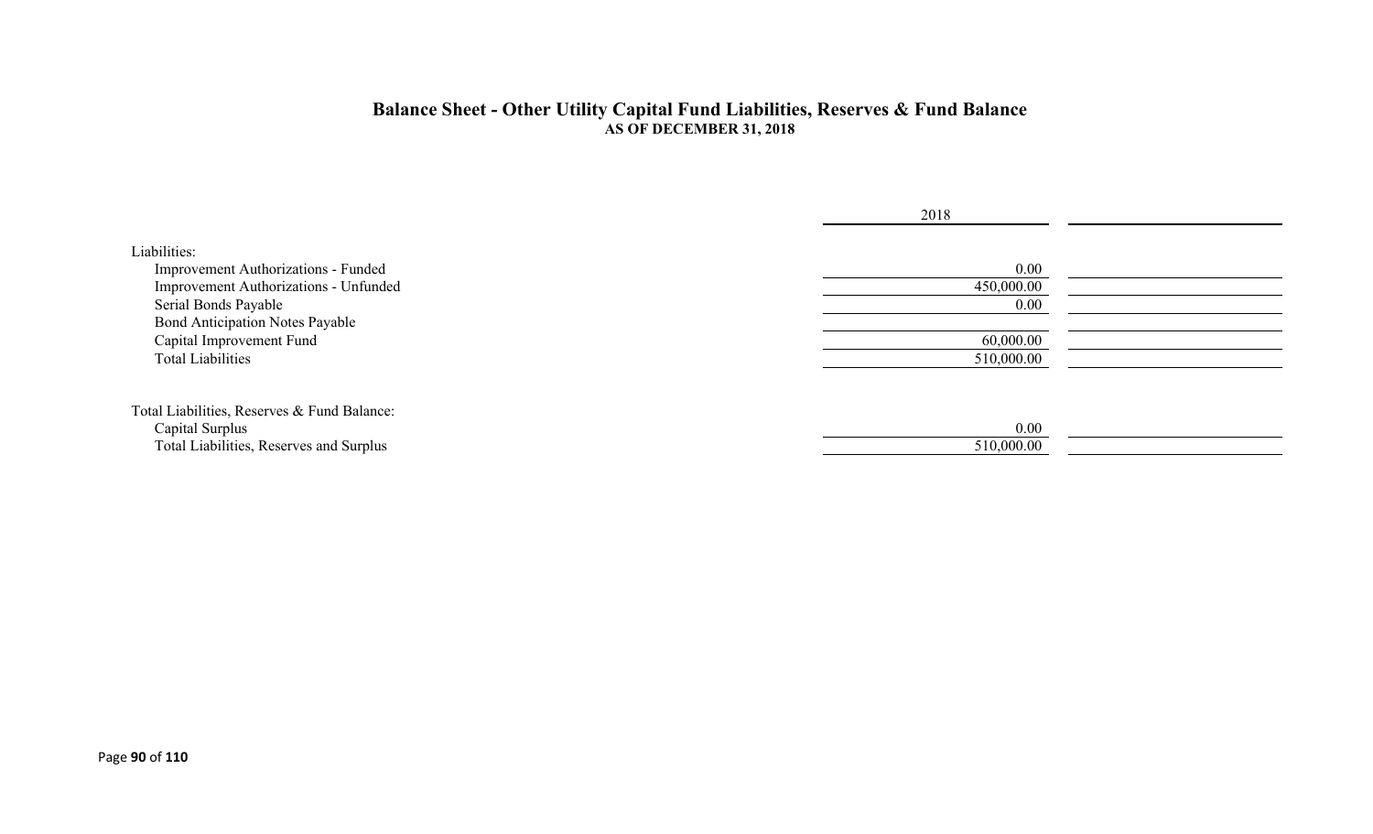#### **Balance Sheet - Other Utility Capital Fund Liabilities, Reserves & Fund Balance AS OF DECEMBER 31, 2018**

|                                                                                                                                                                                                                        | 2018                                                  |  |
|------------------------------------------------------------------------------------------------------------------------------------------------------------------------------------------------------------------------|-------------------------------------------------------|--|
| Liabilities:<br>Improvement Authorizations - Funded<br>Improvement Authorizations - Unfunded<br>Serial Bonds Payable<br><b>Bond Anticipation Notes Payable</b><br>Capital Improvement Fund<br><b>Total Liabilities</b> | 0.00<br>450,000.00<br>0.00<br>60,000.00<br>510,000.00 |  |
| Total Liabilities, Reserves & Fund Balance:<br>Capital Surplus<br>Total Liabilities, Reserves and Surplus                                                                                                              | 0.00<br>510,000.00                                    |  |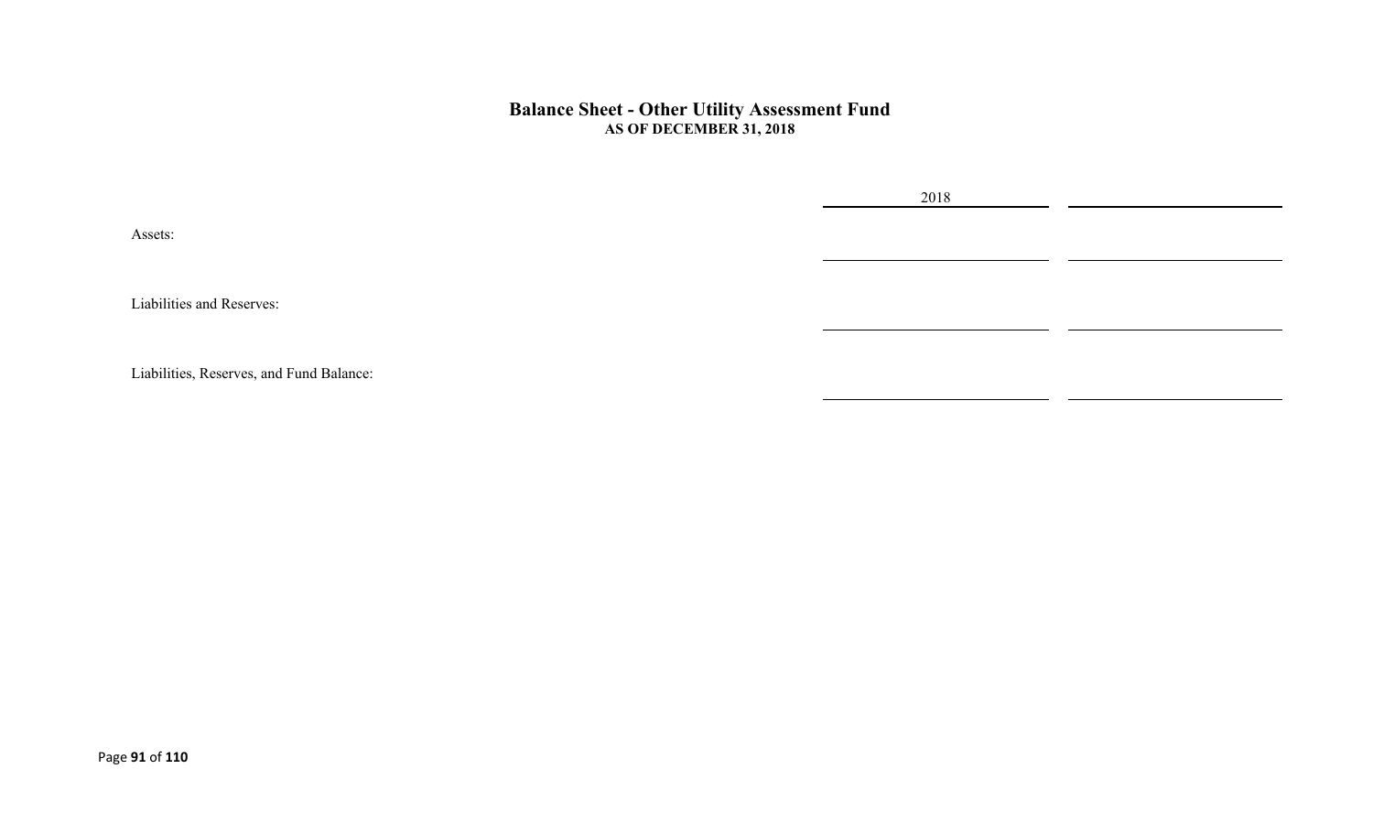#### **Balance Sheet - Other Utility Assessment Fund AS OF DECEMBER 31, 2018**

2018

Assets:

Liabilities and Reserves:

Liabilities, Reserves, and Fund Balance: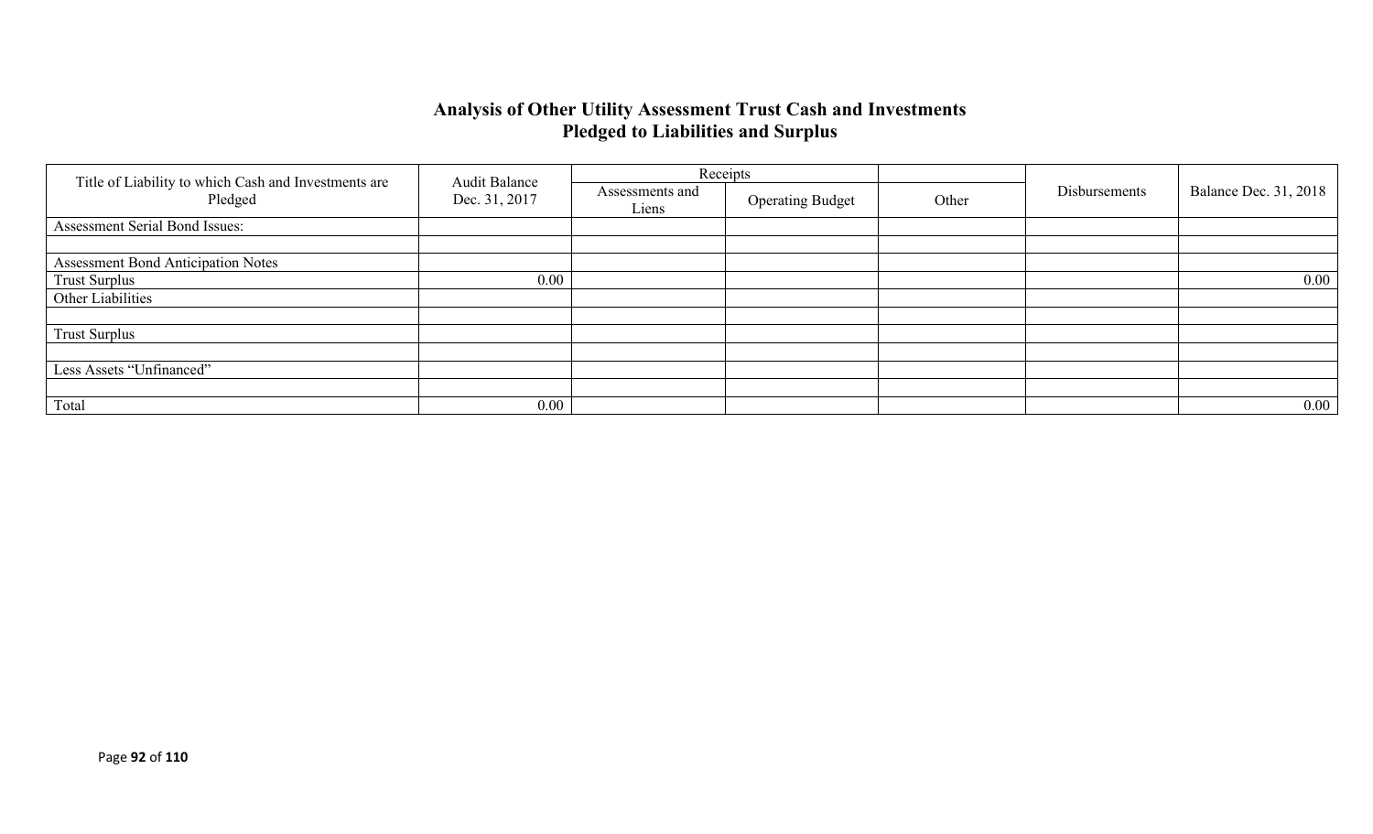### **Analysis of Other Utility Assessment Trust Cash and Investments Pledged to Liabilities and Surplus**

|                                                                 | <b>Audit Balance</b> |                          | Receipts                |       |               |                              |
|-----------------------------------------------------------------|----------------------|--------------------------|-------------------------|-------|---------------|------------------------------|
| Title of Liability to which Cash and Investments are<br>Pledged | Dec. 31, 2017        | Assessments and<br>Liens | <b>Operating Budget</b> | Other | Disbursements | <b>Balance Dec. 31, 2018</b> |
| Assessment Serial Bond Issues:                                  |                      |                          |                         |       |               |                              |
|                                                                 |                      |                          |                         |       |               |                              |
| <b>Assessment Bond Anticipation Notes</b>                       |                      |                          |                         |       |               |                              |
| <b>Trust Surplus</b>                                            | 0.00                 |                          |                         |       |               | $0.00\,$                     |
| Other Liabilities                                               |                      |                          |                         |       |               |                              |
|                                                                 |                      |                          |                         |       |               |                              |
| <b>Trust Surplus</b>                                            |                      |                          |                         |       |               |                              |
|                                                                 |                      |                          |                         |       |               |                              |
| Less Assets "Unfinanced"                                        |                      |                          |                         |       |               |                              |
|                                                                 |                      |                          |                         |       |               |                              |
| Total                                                           | 0.00                 |                          |                         |       |               | $0.00\,$                     |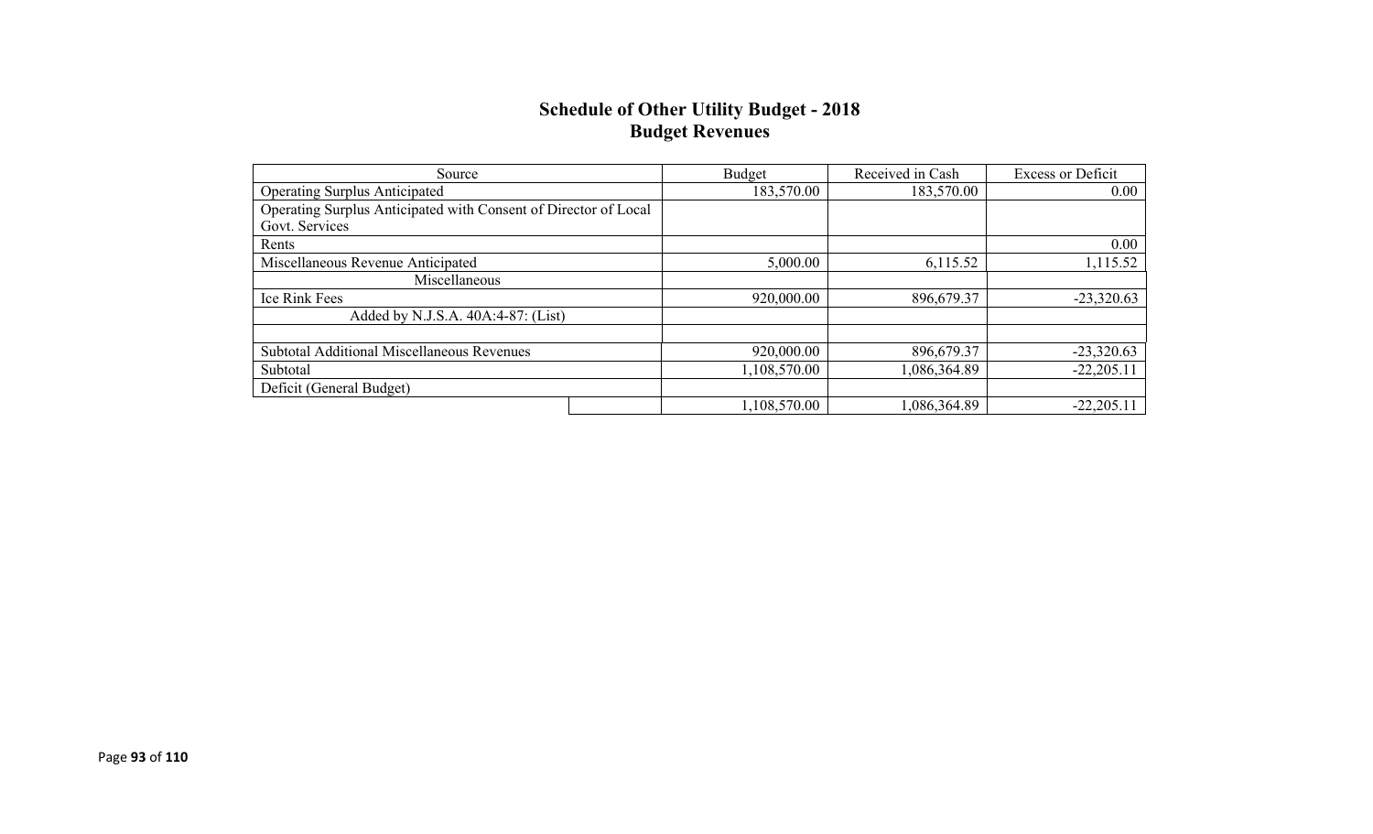#### **Schedule of Other Utility Budget - 2018 Budget Revenues**

| Source                                                          | Budget       | Received in Cash | <b>Excess or Deficit</b> |
|-----------------------------------------------------------------|--------------|------------------|--------------------------|
| <b>Operating Surplus Anticipated</b>                            | 183,570.00   | 183,570.00       | 0.00                     |
| Operating Surplus Anticipated with Consent of Director of Local |              |                  |                          |
| Govt. Services                                                  |              |                  |                          |
| Rents                                                           |              |                  | 0.00                     |
| Miscellaneous Revenue Anticipated                               | 5,000.00     | 6,115.52         | 1,115.52                 |
| Miscellaneous                                                   |              |                  |                          |
| Ice Rink Fees                                                   | 920,000.00   | 896,679.37       | $-23,320.63$             |
| Added by N.J.S.A. 40A:4-87: (List)                              |              |                  |                          |
|                                                                 |              |                  |                          |
| <b>Subtotal Additional Miscellaneous Revenues</b>               | 920,000.00   | 896,679.37       | $-23,320.63$             |
| Subtotal                                                        | 1,108,570.00 | 1,086,364.89     | $-22,205.11$             |
| Deficit (General Budget)                                        |              |                  |                          |
|                                                                 | 1,108,570.00 | 086,364.89       | $-22,205.11$             |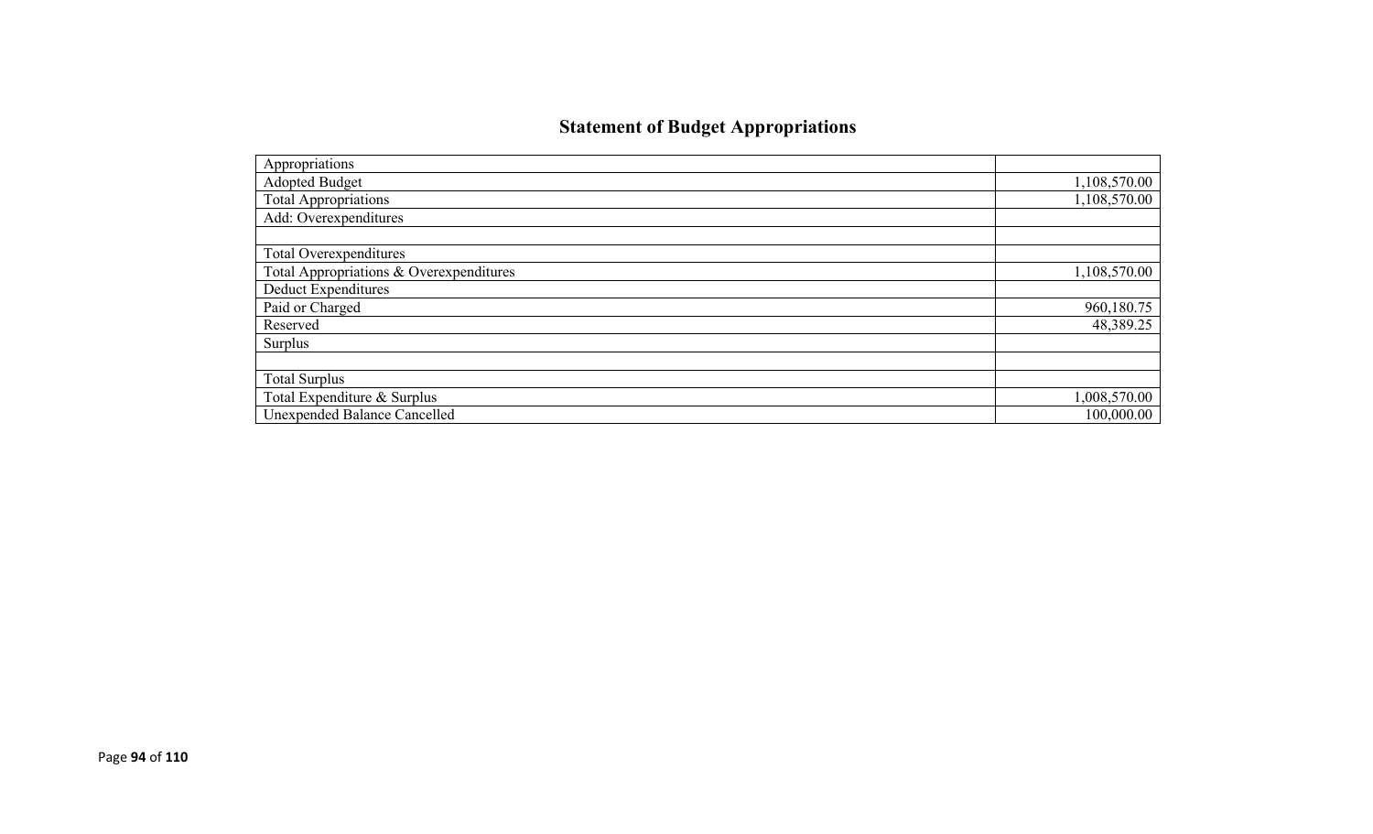# **Statement of Budget Appropriations**

| Appropriations                          |              |
|-----------------------------------------|--------------|
| <b>Adopted Budget</b>                   | 1,108,570.00 |
| <b>Total Appropriations</b>             | 1,108,570.00 |
| Add: Overexpenditures                   |              |
|                                         |              |
| Total Overexpenditures                  |              |
| Total Appropriations & Overexpenditures | 1,108,570.00 |
| Deduct Expenditures                     |              |
| Paid or Charged                         | 960,180.75   |
| Reserved                                | 48,389.25    |
| Surplus                                 |              |
|                                         |              |
| <b>Total Surplus</b>                    |              |
| Total Expenditure & Surplus             | 1,008,570.00 |
| <b>Unexpended Balance Cancelled</b>     | 100,000.00   |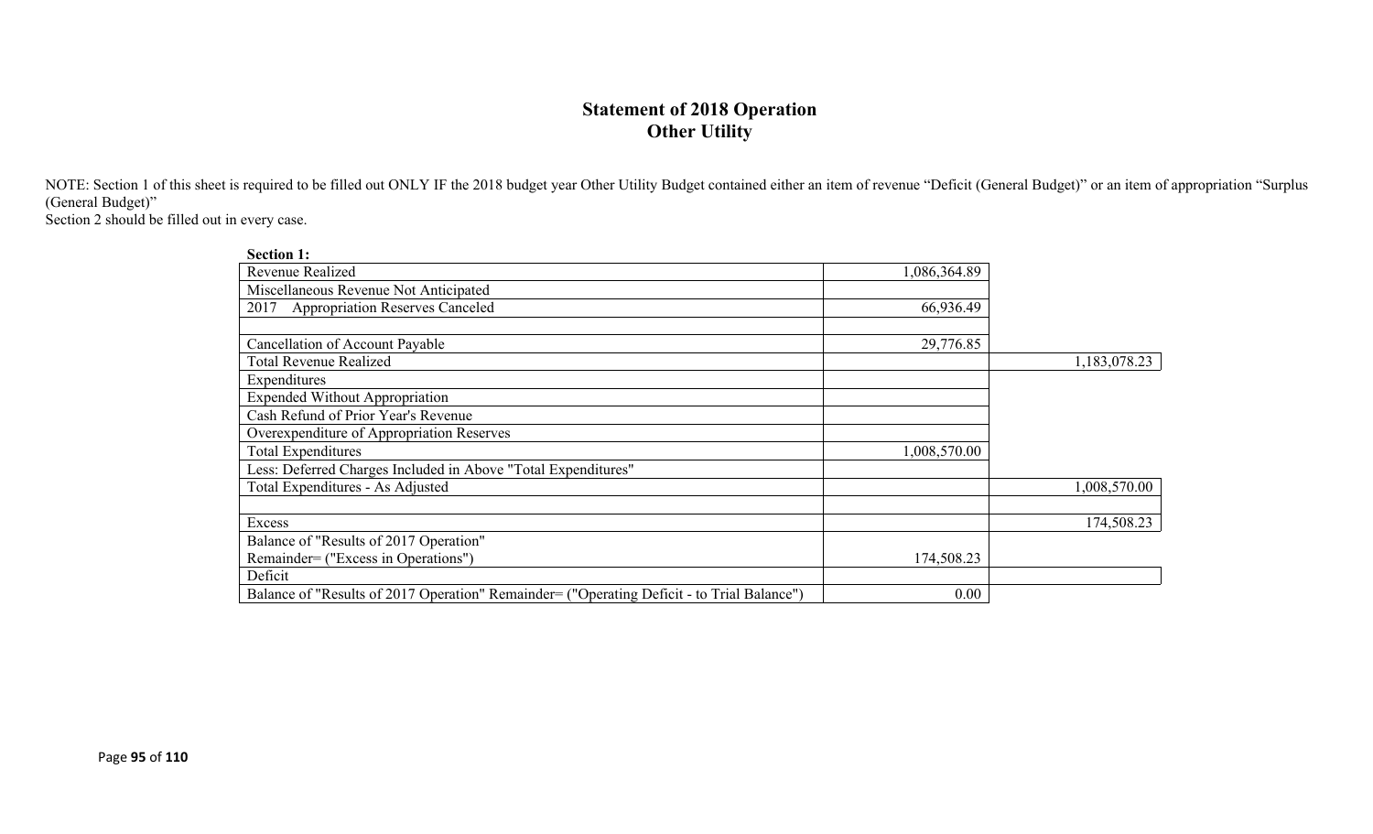### **Statement of 2018 Operation Other Utility**

NOTE: Section 1 of this sheet is required to be filled out ONLY IF the 2018 budget year Other Utility Budget contained either an item of revenue "Deficit (General Budget)" or an item of appropriation "Surplus (General Budget)"

Section 2 should be filled out in every case.

| <b>Section 1:</b>                                                                          |              |              |
|--------------------------------------------------------------------------------------------|--------------|--------------|
| Revenue Realized                                                                           | 1,086,364.89 |              |
| Miscellaneous Revenue Not Anticipated                                                      |              |              |
| <b>Appropriation Reserves Canceled</b><br>2017                                             | 66,936.49    |              |
|                                                                                            |              |              |
| Cancellation of Account Payable                                                            | 29,776.85    |              |
| <b>Total Revenue Realized</b>                                                              |              | 1,183,078.23 |
| Expenditures                                                                               |              |              |
| <b>Expended Without Appropriation</b>                                                      |              |              |
| Cash Refund of Prior Year's Revenue                                                        |              |              |
| Overexpenditure of Appropriation Reserves                                                  |              |              |
| <b>Total Expenditures</b>                                                                  | 1,008,570.00 |              |
| Less: Deferred Charges Included in Above "Total Expenditures"                              |              |              |
| Total Expenditures - As Adjusted                                                           |              | 1,008,570.00 |
|                                                                                            |              |              |
| Excess                                                                                     |              | 174,508.23   |
| Balance of "Results of 2017 Operation"                                                     |              |              |
| Remainder= ("Excess in Operations")                                                        | 174,508.23   |              |
| Deficit                                                                                    |              |              |
| Balance of "Results of 2017 Operation" Remainder= ("Operating Deficit - to Trial Balance") | 0.00         |              |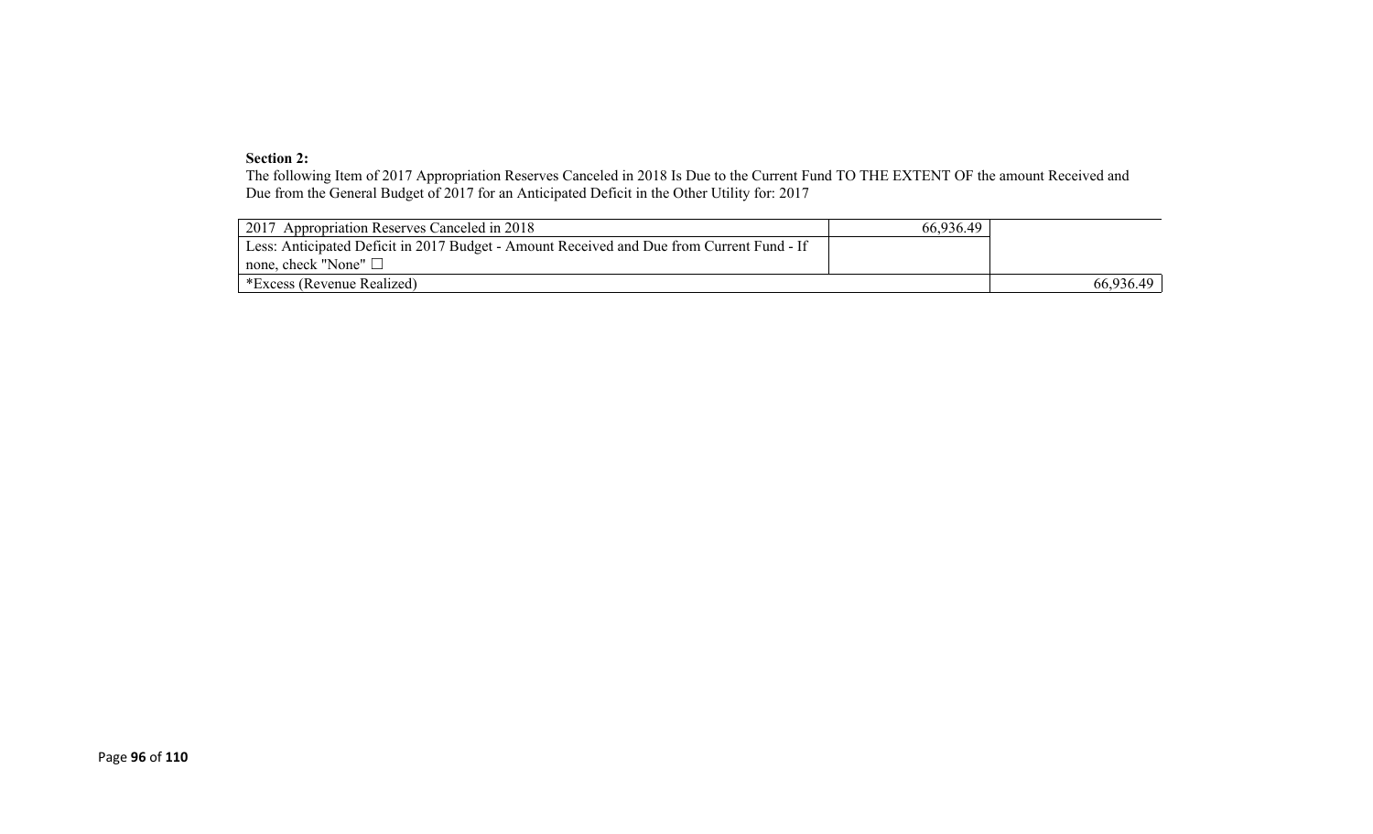#### **Section 2:**

The following Item of 2017 Appropriation Reserves Canceled in 2018 Is Due to the Current Fund TO THE EXTENT OF the amount Received and Due from the General Budget of 2017 for an Anticipated Deficit in the Other Utility for: 2017

| 2017 Appropriation Reserves Canceled in 2018                                              | 66,936.49 |           |
|-------------------------------------------------------------------------------------------|-----------|-----------|
| Less: Anticipated Deficit in 2017 Budget - Amount Received and Due from Current Fund - If |           |           |
| $\mid$ none, check "None" $\Box$                                                          |           |           |
| *Excess (Revenue Realized)                                                                |           | 66,936.49 |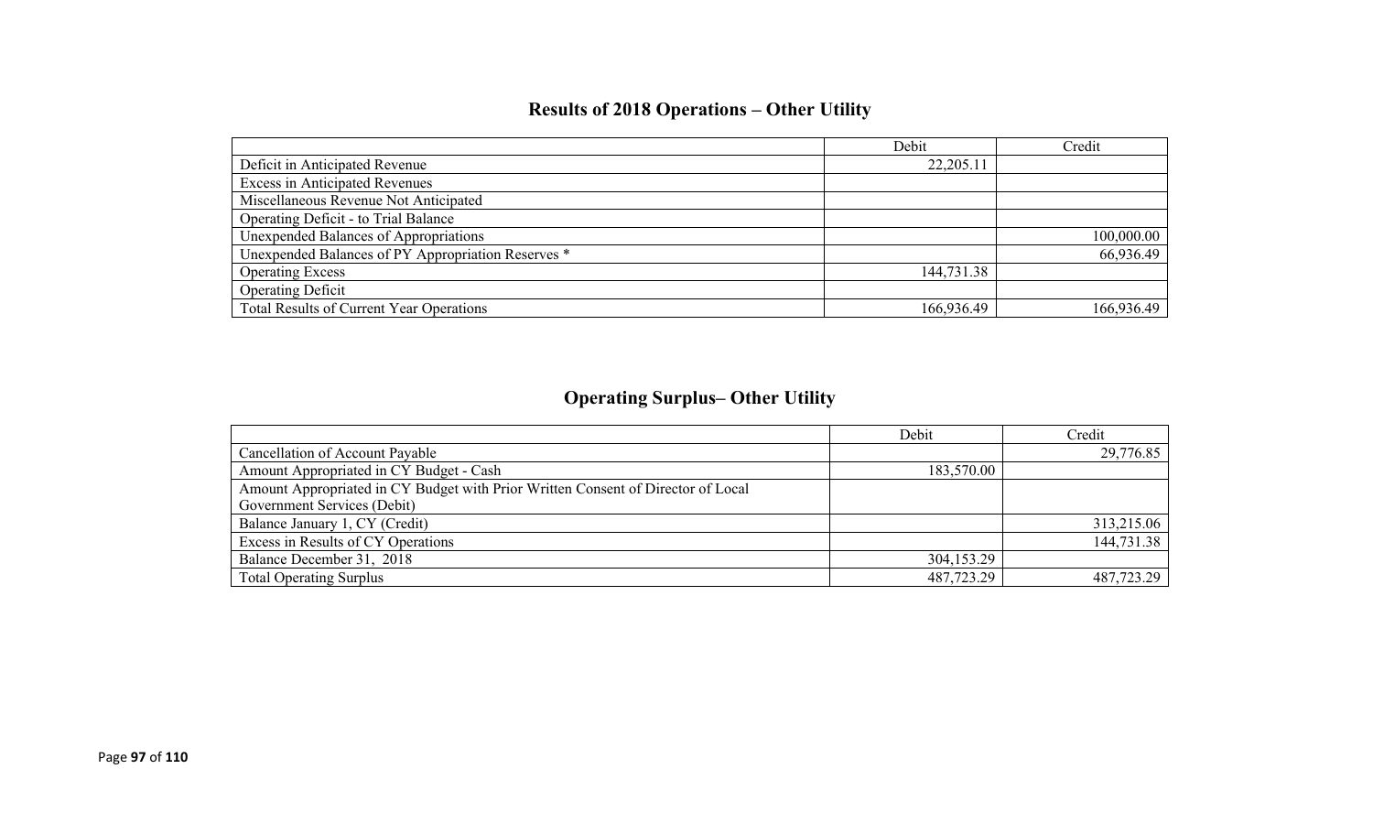# **Results of 2018 Operations – Other Utility**

|                                                    | Debit      | Credit     |
|----------------------------------------------------|------------|------------|
| Deficit in Anticipated Revenue                     | 22,205.11  |            |
| <b>Excess in Anticipated Revenues</b>              |            |            |
| Miscellaneous Revenue Not Anticipated              |            |            |
| Operating Deficit - to Trial Balance               |            |            |
| Unexpended Balances of Appropriations              |            | 100,000.00 |
| Unexpended Balances of PY Appropriation Reserves * |            | 66,936.49  |
| <b>Operating Excess</b>                            | 144,731.38 |            |
| <b>Operating Deficit</b>                           |            |            |
| Total Results of Current Year Operations           | 166,936.49 | 166,936.49 |

# **Operating Surplus– Other Utility**

|                                                                                  | Debit      | Credit     |
|----------------------------------------------------------------------------------|------------|------------|
| <b>Cancellation of Account Payable</b>                                           |            | 29,776.85  |
| Amount Appropriated in CY Budget - Cash                                          | 183,570.00 |            |
| Amount Appropriated in CY Budget with Prior Written Consent of Director of Local |            |            |
| Government Services (Debit)                                                      |            |            |
| Balance January 1, CY (Credit)                                                   |            | 313,215.06 |
| Excess in Results of CY Operations                                               |            | 144,731.38 |
| Balance December 31, 2018                                                        | 304,153.29 |            |
| <b>Total Operating Surplus</b>                                                   | 487,723.29 | 487,723.29 |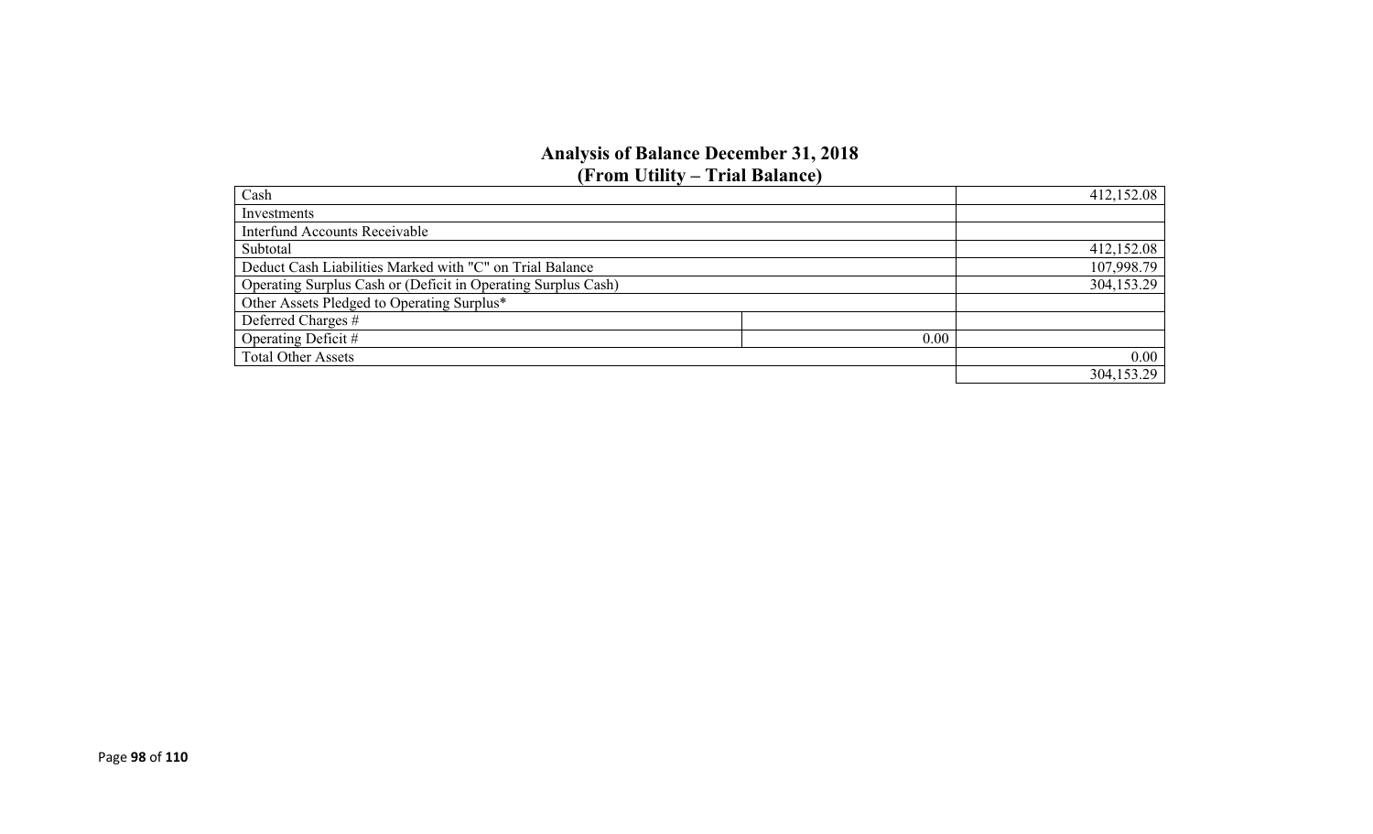### **Analysis of Balance December 31, 2018 (From Utility – Trial Balance)**

| Cash                                                          |      | 412,152.08 |
|---------------------------------------------------------------|------|------------|
| Investments                                                   |      |            |
| <b>Interfund Accounts Receivable</b>                          |      |            |
| Subtotal                                                      |      | 412,152.08 |
| Deduct Cash Liabilities Marked with "C" on Trial Balance      |      | 107,998.79 |
| Operating Surplus Cash or (Deficit in Operating Surplus Cash) |      | 304,153.29 |
| Other Assets Pledged to Operating Surplus*                    |      |            |
| Deferred Charges #                                            |      |            |
| Operating Deficit #                                           | 0.00 |            |
| <b>Total Other Assets</b>                                     |      | 0.00       |
|                                                               |      | 304,153.29 |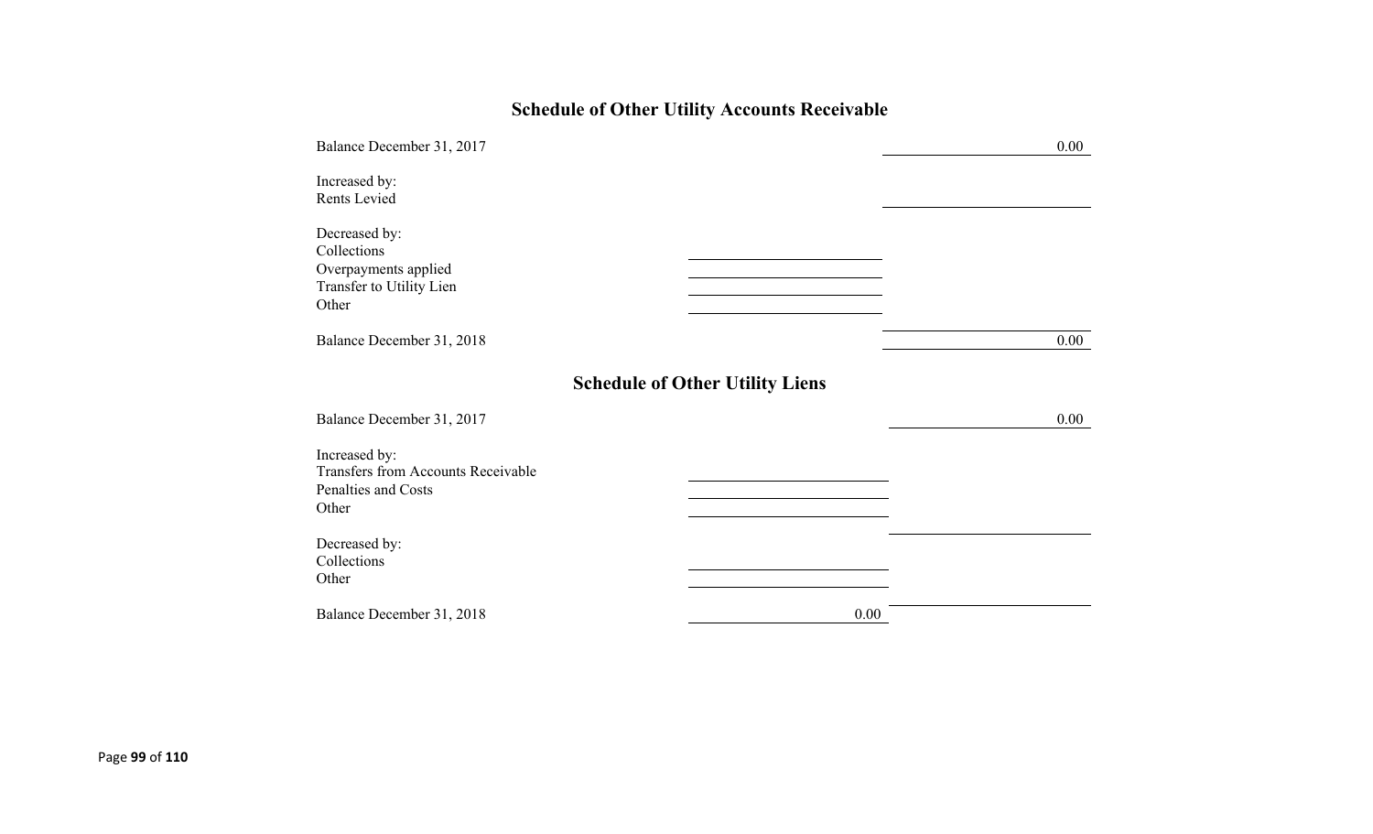# **Schedule of Other Utility Accounts Receivable**

| Balance December 31, 2017                                                                 |                                        | 0.00 |
|-------------------------------------------------------------------------------------------|----------------------------------------|------|
| Increased by:<br>Rents Levied                                                             |                                        |      |
| Decreased by:<br>Collections<br>Overpayments applied<br>Transfer to Utility Lien<br>Other |                                        |      |
| Balance December 31, 2018                                                                 |                                        | 0.00 |
|                                                                                           | <b>Schedule of Other Utility Liens</b> |      |
| Balance December 31, 2017                                                                 |                                        | 0.00 |
| Increased by:<br>Transfers from Accounts Receivable<br>Penalties and Costs<br>Other       |                                        |      |
| Decreased by:<br>Collections<br>Other                                                     |                                        |      |
| Balance December 31, 2018                                                                 | 0.00                                   |      |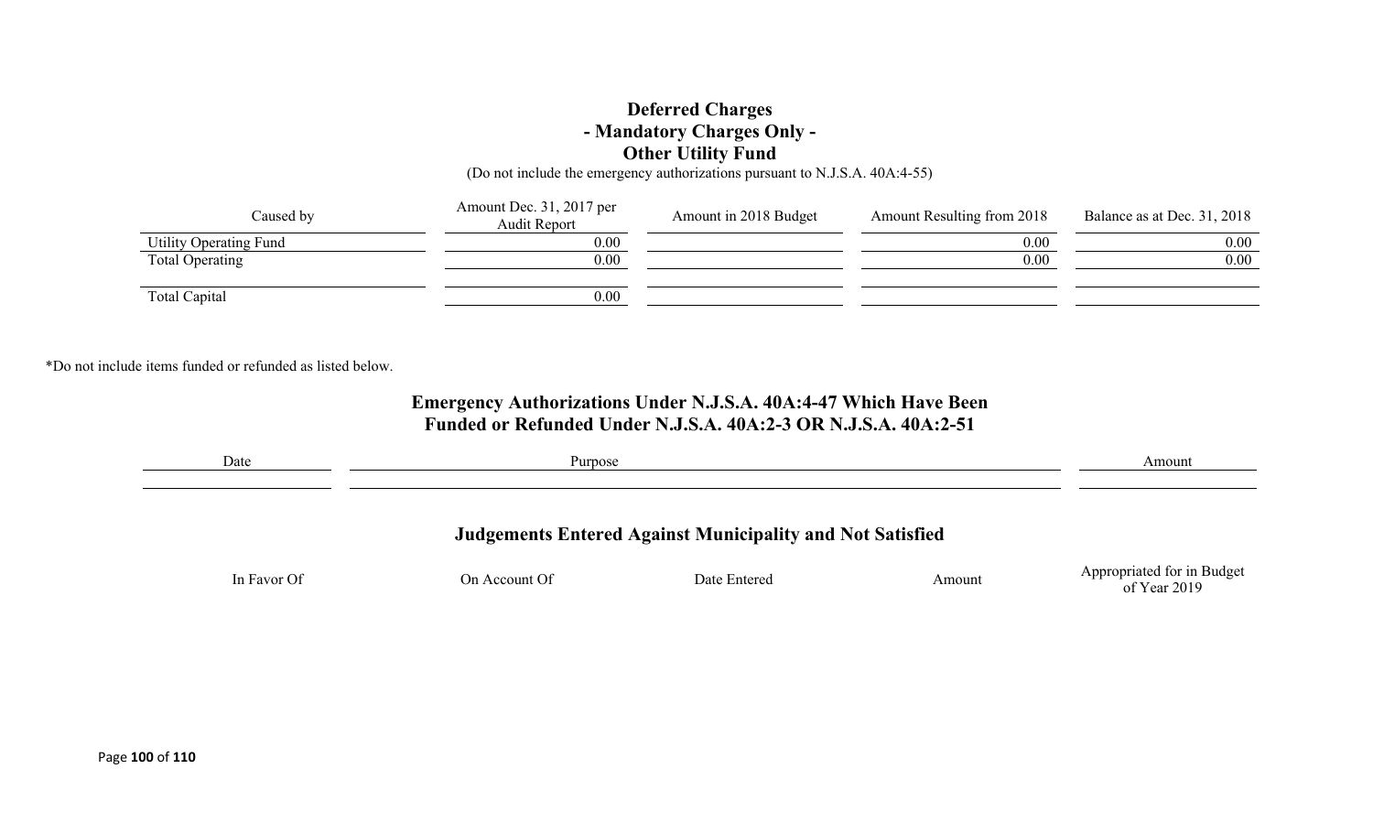### **Deferred Charges - Mandatory Charges Only - Other Utility Fund**

(Do not include the emergency authorizations pursuant to N.J.S.A. 40A:4-55)

| Caused by              | Amount Dec. 31, 2017 per<br><b>Audit Report</b> | Amount in 2018 Budget | Amount Resulting from 2018 | Balance as at Dec. 31, 2018 |
|------------------------|-------------------------------------------------|-----------------------|----------------------------|-----------------------------|
| Utility Operating Fund | 0.00                                            |                       | 0.00                       | 0.00                        |
| Total Operating        | 0.00                                            |                       | 0.00                       | 0.00                        |
| Total Capital          | 0.00                                            |                       |                            |                             |

\*Do not include items funded or refunded as listed below.

### **Emergency Authorizations Under N.J.S.A. 40A:4-47 Which Have Been Funded or Refunded Under N.J.S.A. 40A:2-3 OR N.J.S.A. 40A:2-51**

| Date        | Purpose       | Amount                                                           |        |                            |
|-------------|---------------|------------------------------------------------------------------|--------|----------------------------|
|             |               | <b>Judgements Entered Against Municipality and Not Satisfied</b> |        |                            |
| In Favor Of | On Account Of | Date Entered                                                     | Amount | Appropriated for in Budget |
|             |               |                                                                  |        | of Year 2019               |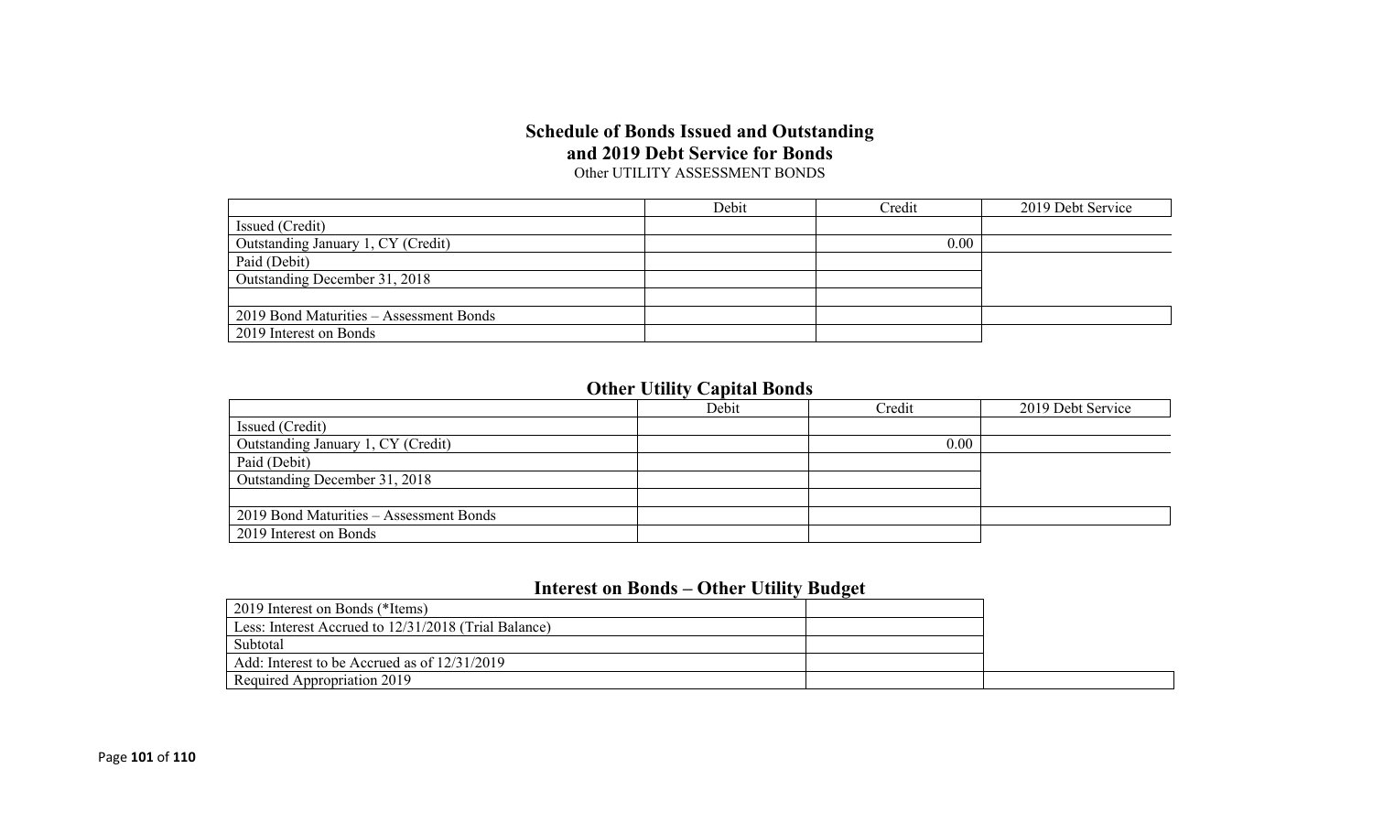#### **Schedule of Bonds Issued and Outstanding and 2019 Debt Service for Bonds** Other UTILITY ASSESSMENT BONDS

|                                         | Debit | Credit | 2019 Debt Service |
|-----------------------------------------|-------|--------|-------------------|
| Issued (Credit)                         |       |        |                   |
| Outstanding January 1, CY (Credit)      |       | 0.00   |                   |
| Paid (Debit)                            |       |        |                   |
| Outstanding December 31, 2018           |       |        |                   |
|                                         |       |        |                   |
| 2019 Bond Maturities – Assessment Bonds |       |        |                   |
| 2019 Interest on Bonds                  |       |        |                   |

## **Other Utility Capital Bonds**

|                                         | Debit | Credit | 2019 Debt Service |
|-----------------------------------------|-------|--------|-------------------|
| Issued (Credit)                         |       |        |                   |
| Outstanding January 1, CY (Credit)      |       | 0.00   |                   |
| Paid (Debit)                            |       |        |                   |
| Outstanding December 31, 2018           |       |        |                   |
|                                         |       |        |                   |
| 2019 Bond Maturities - Assessment Bonds |       |        |                   |
| 2019 Interest on Bonds                  |       |        |                   |

## **Interest on Bonds – Other Utility Budget**

| 2019 Interest on Bonds (*Items)                      |  |
|------------------------------------------------------|--|
| Less: Interest Accrued to 12/31/2018 (Trial Balance) |  |
| Subtotal                                             |  |
| Add: Interest to be Accrued as of 12/31/2019         |  |
| Required Appropriation 2019                          |  |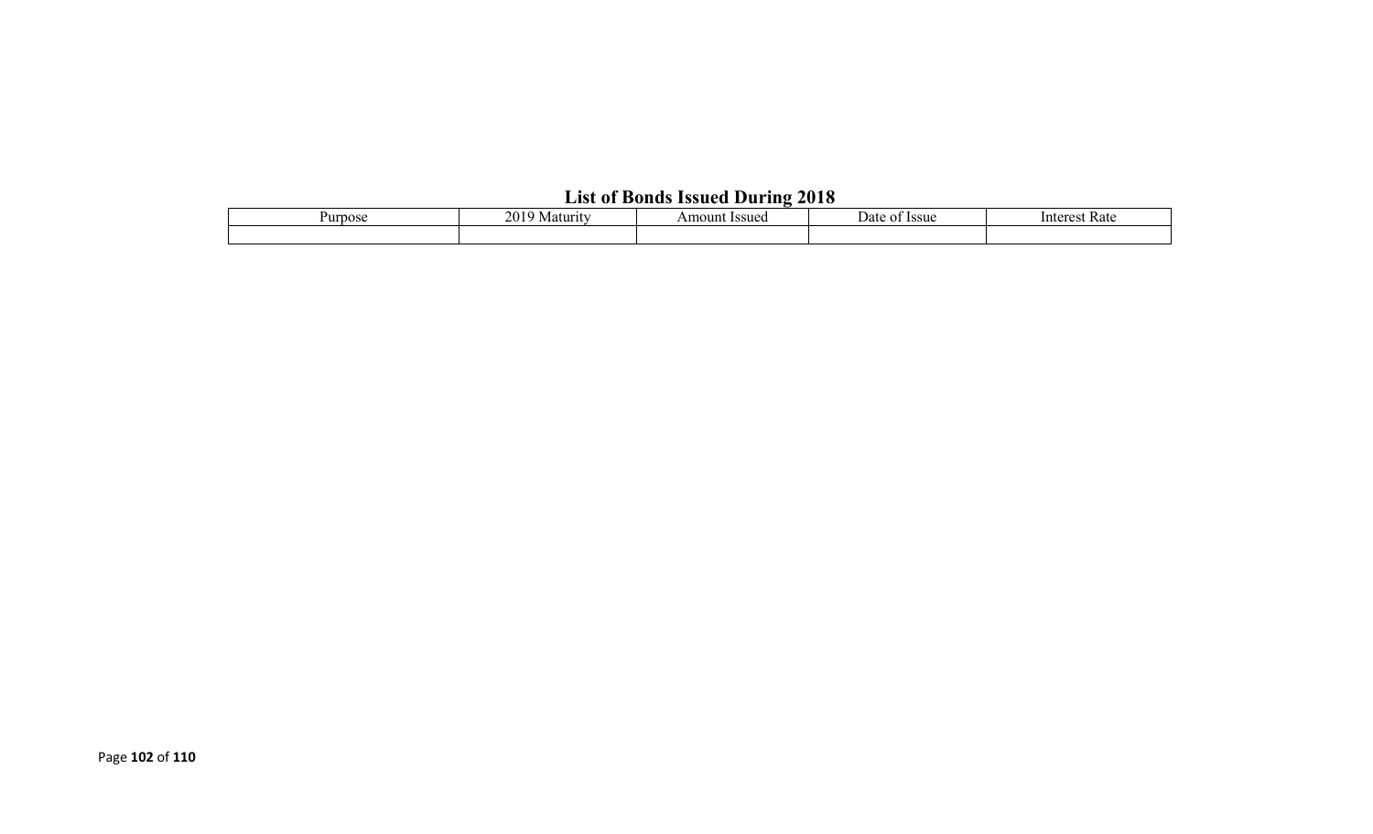# **List of Bonds Issued During 2018**

| urpose | 20<br><b>Issuec</b><br>Amount<br>Maturi. |  | Issue<br>Date | Kate<br>unteres: |  |  |  |  |  |
|--------|------------------------------------------|--|---------------|------------------|--|--|--|--|--|
|        |                                          |  |               |                  |  |  |  |  |  |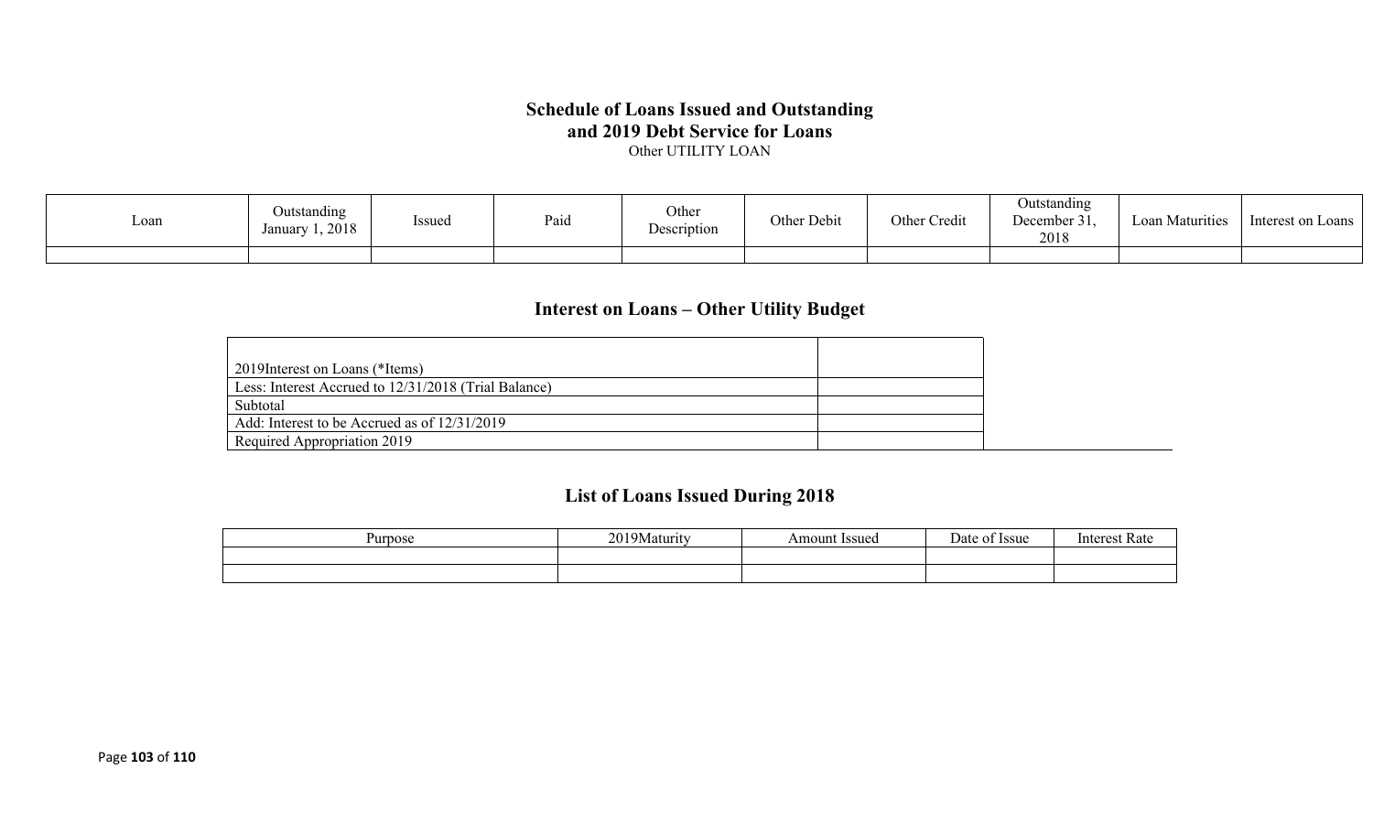#### **Schedule of Loans Issued and Outstanding and 2019 Debt Service for Loans** Other UTILITY LOAN

| Loan | Outstanding<br>1,2018<br>January | Issued | Paid | Other<br>Description | · Debit<br>Other | $\sim$ 1.<br>Other<br>Cred1 | Jutstanding<br>$\blacksquare$<br>December 31,<br>2018 | Maturities<br>∟oan ′ | Interest on<br>Loans |
|------|----------------------------------|--------|------|----------------------|------------------|-----------------------------|-------------------------------------------------------|----------------------|----------------------|
|      |                                  |        |      |                      |                  |                             |                                                       |                      |                      |

## **Interest on Loans – Other Utility Budget**

| 2019 Interest on Loans (*Items)                      |  |
|------------------------------------------------------|--|
| Less: Interest Accrued to 12/31/2018 (Trial Balance) |  |
| Subtotal                                             |  |
| Add: Interest to be Accrued as of 12/31/2019         |  |
| Required Appropriation 2019                          |  |

## **List of Loans Issued During 2018**

| Purpose | 20103<br>  9Maturity<br>$\sim$ | <b>Issued</b><br>Amount | $\overline{\phantom{0}}$<br>)ate<br><b>Issue</b> | Intorc<br>vak |
|---------|--------------------------------|-------------------------|--------------------------------------------------|---------------|
|         |                                |                         |                                                  |               |
|         |                                |                         |                                                  |               |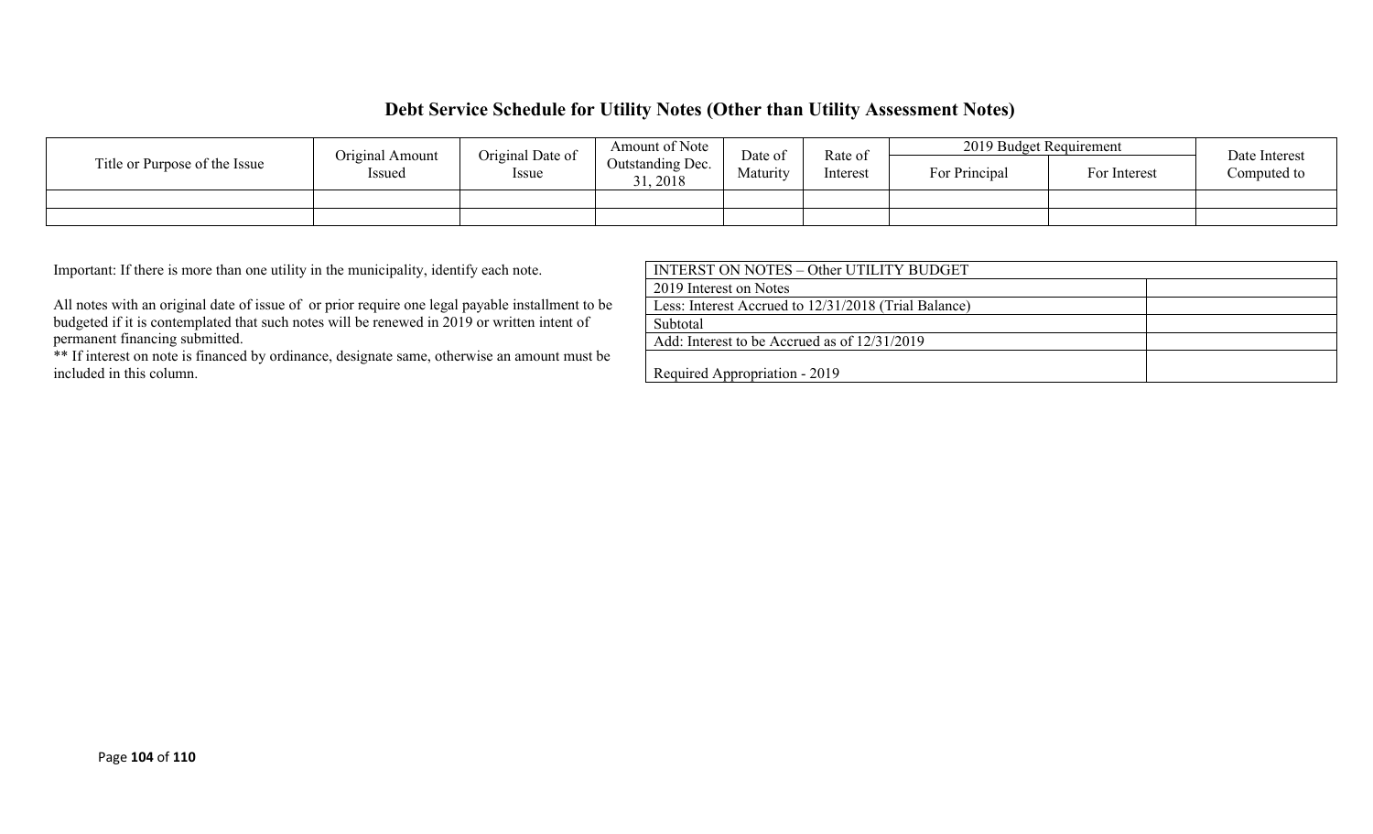### **Debt Service Schedule for Utility Notes (Other than Utility Assessment Notes)**

| Title or Purpose of the Issue | Original Date of<br>Original Amount |                                        | Amount of Note<br>Date of |               | 2019 Budget Requirement<br>Rate of |             |  | Date Interest |
|-------------------------------|-------------------------------------|----------------------------------------|---------------------------|---------------|------------------------------------|-------------|--|---------------|
|                               | Issued<br><i>Issue</i>              | Outstanding Dec.<br>Maturity<br>, 2018 | Interest                  | For Principal | For Interest                       | Computed to |  |               |
|                               |                                     |                                        |                           |               |                                    |             |  |               |
|                               |                                     |                                        |                           |               |                                    |             |  |               |

Important: If there is more than one utility in the municipality, identify each note.

All notes with an original date of issue of or prior require one legal payable installment to be budgeted if it is contemplated that such notes will be renewed in 2019 or written intent of permanent financing submitted.

\*\* If interest on note is financed by ordinance, designate same, otherwise an amount must be included in this column.

| INTERST ON NOTES – Other UTILITY BUDGET              |  |
|------------------------------------------------------|--|
| 2019 Interest on Notes                               |  |
| Less: Interest Accrued to 12/31/2018 (Trial Balance) |  |
| Subtotal                                             |  |
| Add: Interest to be Accrued as of 12/31/2019         |  |
| Required Appropriation - 2019                        |  |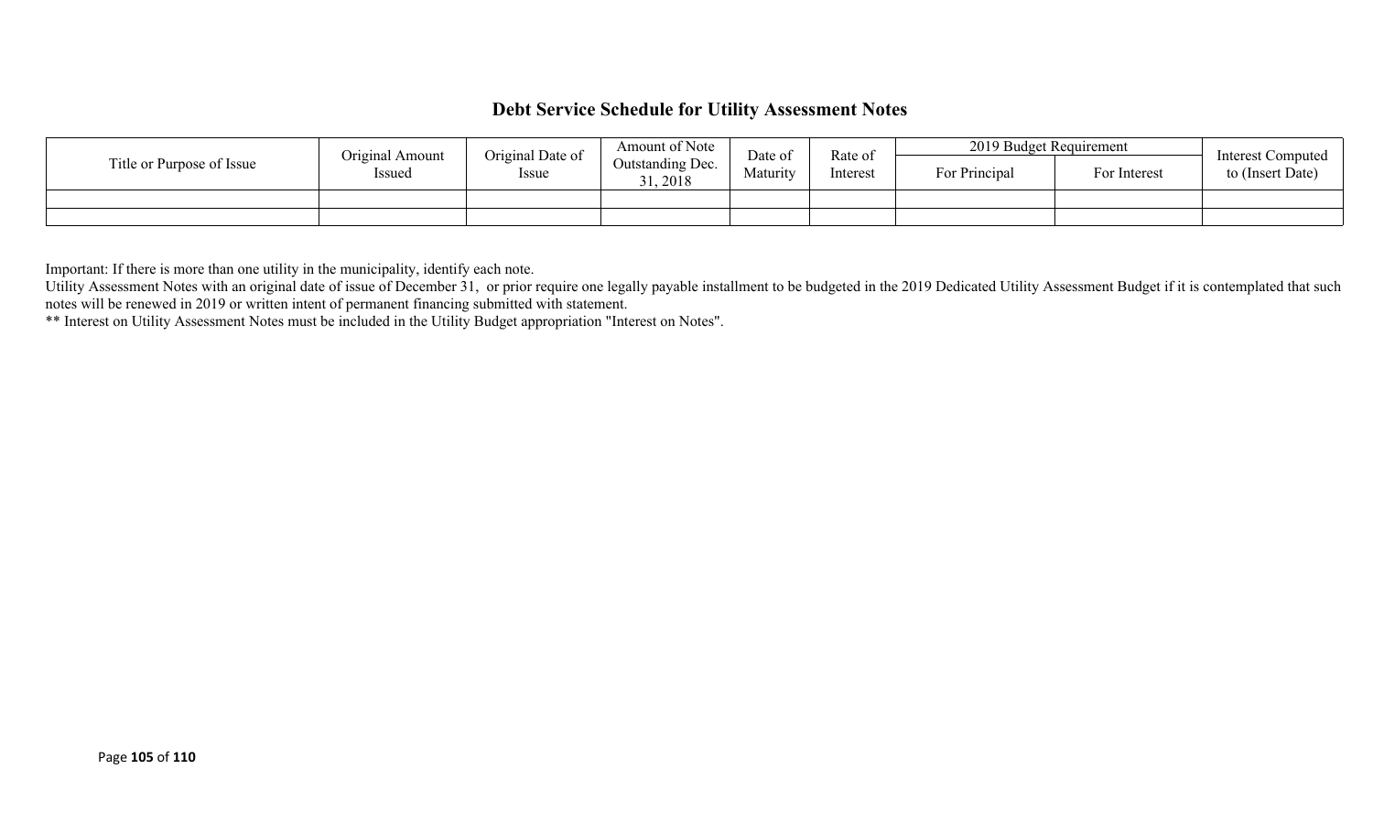## **Debt Service Schedule for Utility Assessment Notes**

|                           | Original Amount | Original Date of | Amount of Note               | Date of  | Rate of<br>Interest | 2019 Budget Requirement |              | <b>Interest Computed</b> |
|---------------------------|-----------------|------------------|------------------------------|----------|---------------------|-------------------------|--------------|--------------------------|
| Title or Purpose of Issue | Issued          | Issue            | Outstanding Dec.<br>31, 2018 | Maturity |                     | For Principal           | For Interest | to (Insert Date)         |
|                           |                 |                  |                              |          |                     |                         |              |                          |
|                           |                 |                  |                              |          |                     |                         |              |                          |

Important: If there is more than one utility in the municipality, identify each note.

Utility Assessment Notes with an original date of issue of December 31, or prior require one legally payable installment to be budgeted in the 2019 Dedicated Utility Assessment Budget if it is contemplated that such notes will be renewed in 2019 or written intent of permanent financing submitted with statement.

\*\* Interest on Utility Assessment Notes must be included in the Utility Budget appropriation "Interest on Notes".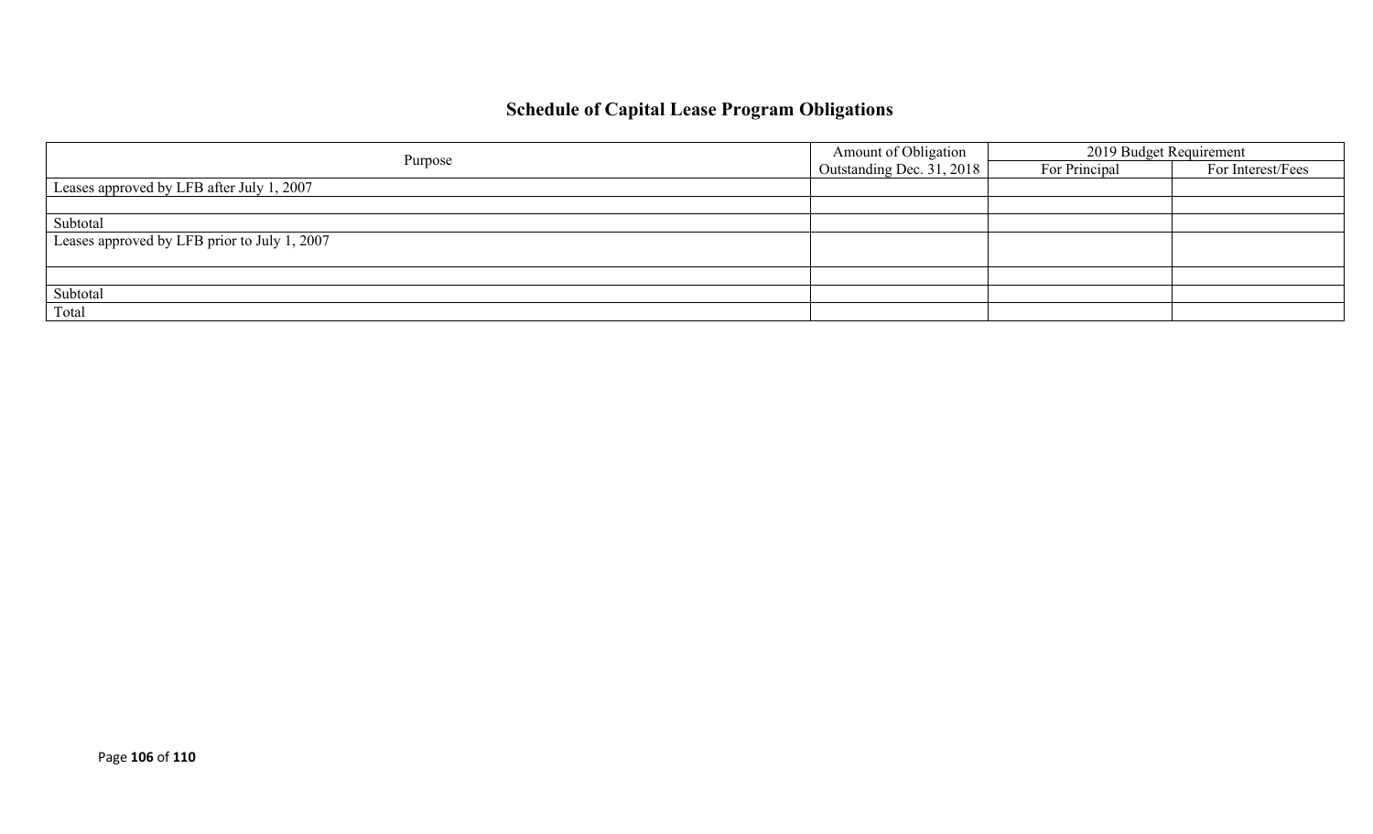# **Schedule of Capital Lease Program Obligations**

|                                              | Amount of Obligation      | 2019 Budget Requirement |                   |  |
|----------------------------------------------|---------------------------|-------------------------|-------------------|--|
| Purpose                                      | Outstanding Dec. 31, 2018 | For Principal           | For Interest/Fees |  |
| Leases approved by LFB after July 1, 2007    |                           |                         |                   |  |
|                                              |                           |                         |                   |  |
| Subtotal                                     |                           |                         |                   |  |
| Leases approved by LFB prior to July 1, 2007 |                           |                         |                   |  |
|                                              |                           |                         |                   |  |
|                                              |                           |                         |                   |  |
| Subtotal                                     |                           |                         |                   |  |
| Total                                        |                           |                         |                   |  |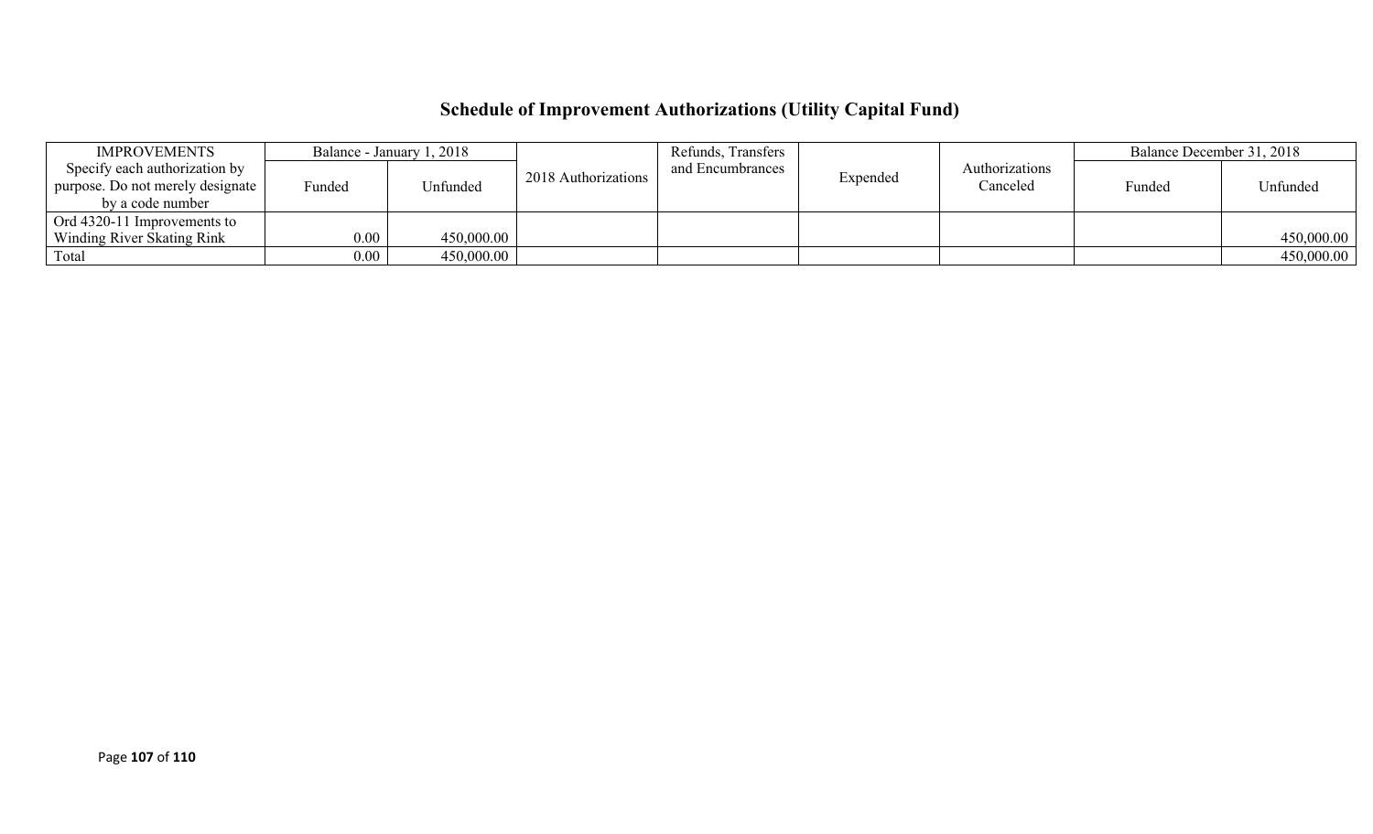# **Schedule of Improvement Authorizations (Utility Capital Fund)**

| <b>IMPROVEMENTS</b>              | Balance - January 1, 2018 |            |                     | Refunds, Transfers |          |                | Balance December 31, 2018 |            |
|----------------------------------|---------------------------|------------|---------------------|--------------------|----------|----------------|---------------------------|------------|
| Specify each authorization by    |                           |            | 2018 Authorizations | and Encumbrances   | Expended | Authorizations |                           |            |
| purpose. Do not merely designate | Funded                    | Unfunded   |                     |                    |          | Canceled       | Funded                    | Unfunded   |
| by a code number                 |                           |            |                     |                    |          |                |                           |            |
| Ord 4320-11 Improvements to      |                           |            |                     |                    |          |                |                           |            |
| Winding River Skating Rink       | $0.00\,$                  | 450,000.00 |                     |                    |          |                |                           | 450,000.00 |
| Total                            | $0.00\,$                  | 450,000.00 |                     |                    |          |                |                           | 450,000.00 |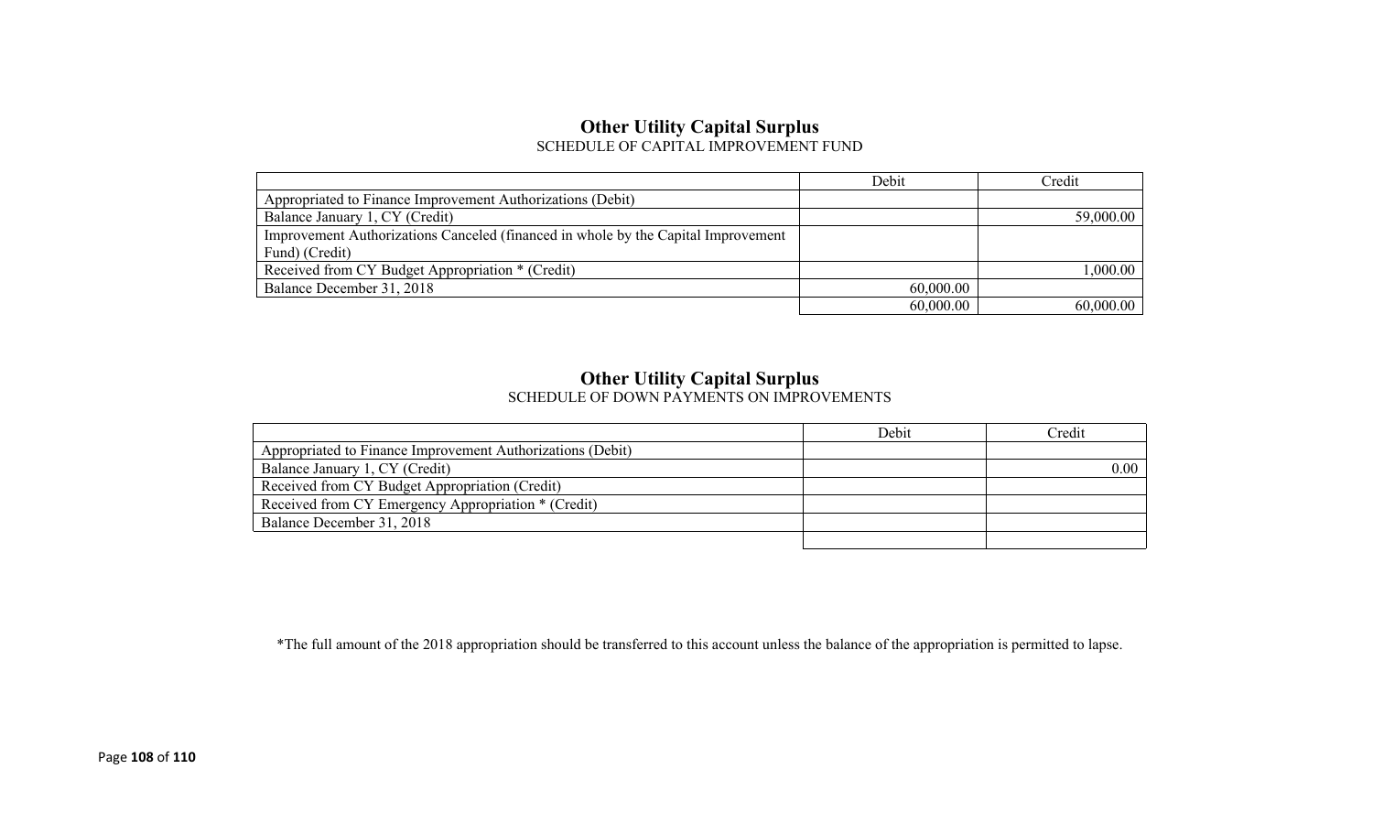# **Other Utility Capital Surplus**

SCHEDULE OF CAPITAL IMPROVEMENT FUND

|                                                                                   | Debit     | Credit    |
|-----------------------------------------------------------------------------------|-----------|-----------|
| Appropriated to Finance Improvement Authorizations (Debit)                        |           |           |
| Balance January 1, CY (Credit)                                                    |           | 59,000.00 |
| Improvement Authorizations Canceled (financed in whole by the Capital Improvement |           |           |
| Fund) (Credit)                                                                    |           |           |
| Received from CY Budget Appropriation * (Credit)                                  |           | 1,000.00  |
| Balance December 31, 2018                                                         | 60,000.00 |           |
|                                                                                   | 60,000.00 | 60,000.00 |

### **Other Utility Capital Surplus**

SCHEDULE OF DOWN PAYMENTS ON IMPROVEMENTS

|                                                            | Debit | Credit |
|------------------------------------------------------------|-------|--------|
| Appropriated to Finance Improvement Authorizations (Debit) |       |        |
| Balance January 1, CY (Credit)                             |       | 0.00   |
| Received from CY Budget Appropriation (Credit)             |       |        |
| Received from CY Emergency Appropriation * (Credit)        |       |        |
| Balance December 31, 2018                                  |       |        |
|                                                            |       |        |

\*The full amount of the 2018 appropriation should be transferred to this account unless the balance of the appropriation is permitted to lapse.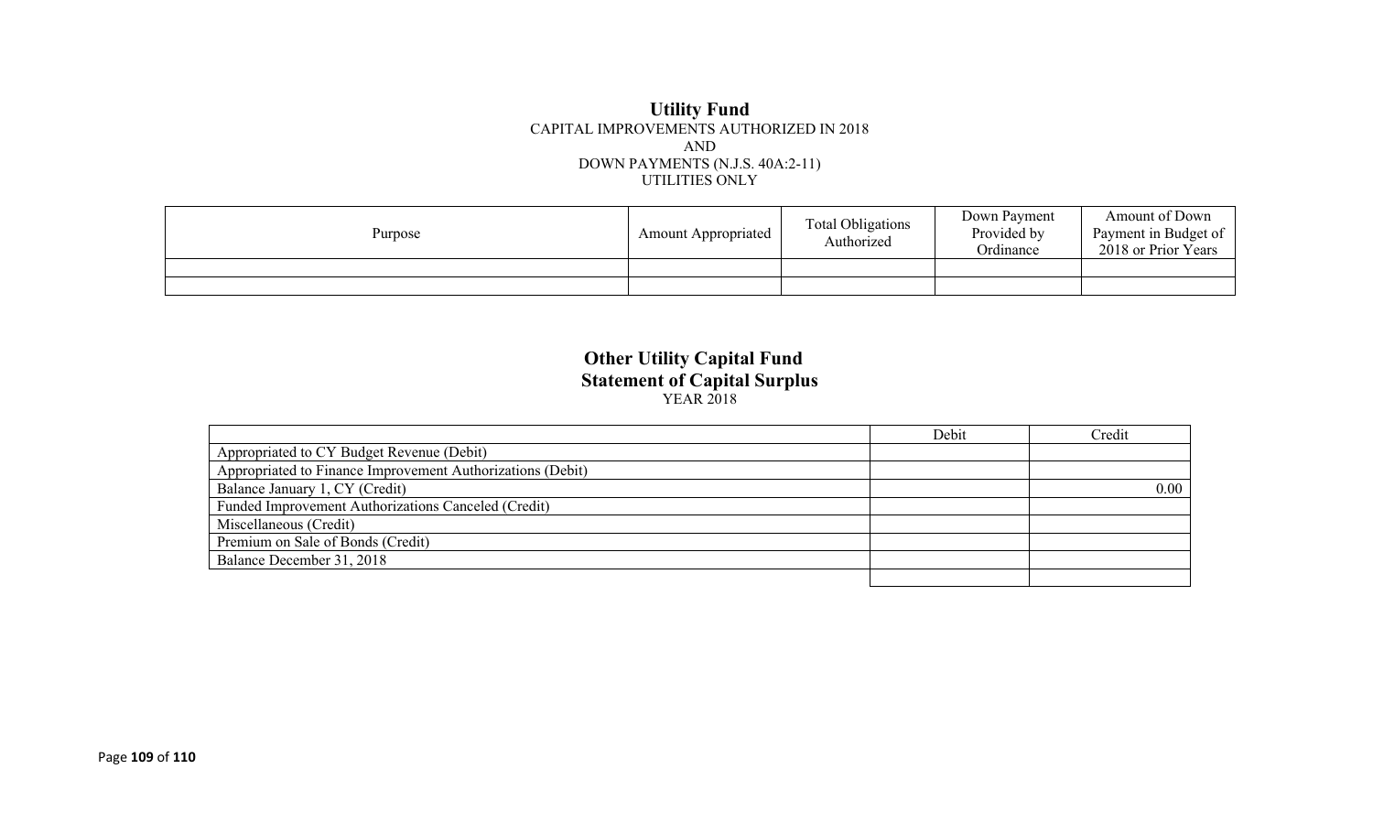## **Utility Fund** CAPITAL IMPROVEMENTS AUTHORIZED IN 2018 AND DOWN PAYMENTS (N.J.S. 40A:2-11) UTILITIES ONLY

| Purpose | <b>Amount Appropriated</b> | <b>Total Obligations</b><br>Authorized | Down Payment<br>Provided by<br>Ordinance | Amount of Down<br>Payment in Budget of<br>2018 or Prior Years |
|---------|----------------------------|----------------------------------------|------------------------------------------|---------------------------------------------------------------|
|         |                            |                                        |                                          |                                                               |
|         |                            |                                        |                                          |                                                               |

## **Other Utility Capital Fund Statement of Capital Surplus** YEAR 2018

|                                                            | Debit | Credit |
|------------------------------------------------------------|-------|--------|
| Appropriated to CY Budget Revenue (Debit)                  |       |        |
| Appropriated to Finance Improvement Authorizations (Debit) |       |        |
| Balance January 1, CY (Credit)                             |       | 0.00   |
| Funded Improvement Authorizations Canceled (Credit)        |       |        |
| Miscellaneous (Credit)                                     |       |        |
| Premium on Sale of Bonds (Credit)                          |       |        |
| Balance December 31, 2018                                  |       |        |
|                                                            |       |        |